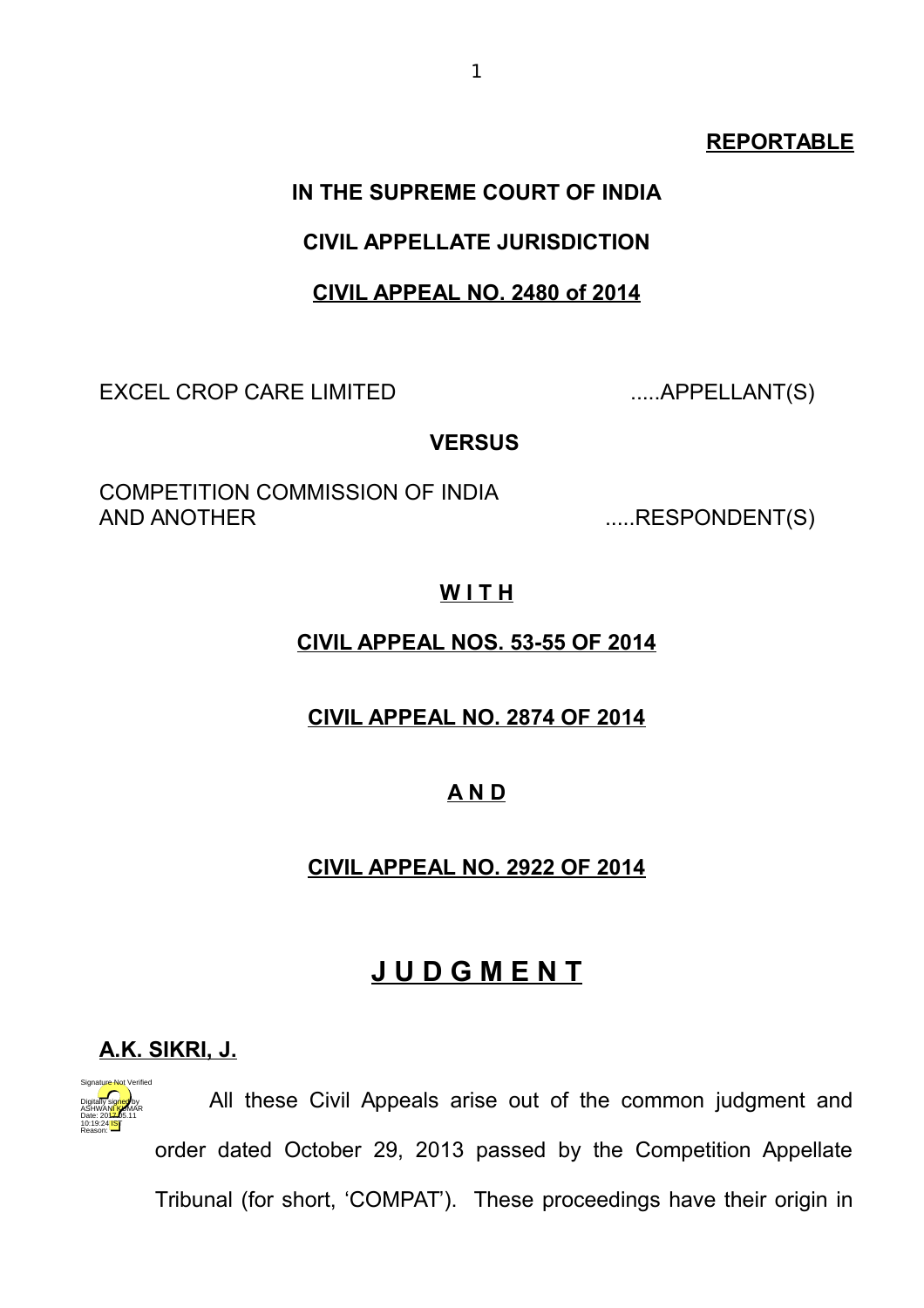#### **REPORTABLE**

# **IN THE SUPREME COURT OF INDIA**

#### **CIVIL APPELLATE JURISDICTION**

#### **CIVIL APPEAL NO. 2480 of 2014**

EXCEL CROP CARE LIMITED .....APPELLANT(S)

#### **VERSUS**

COMPETITION COMMISSION OF INDIA AND ANOTHER .....RESPONDENT(S)

#### **W I T H**

#### **CIVIL APPEAL NOS. 53-55 OF 2014**

#### **CIVIL APPEAL NO. 2874 OF 2014**

#### **A N D**

# **CIVIL APPEAL NO. 2922 OF 2014**

# **J U D G M E N T**

# **A.K. SIKRI, J.**



All these Civil Appeals arise out of the common judgment and order dated October 29, 2013 passed by the Competition Appellate Tribunal (for short, 'COMPAT'). These proceedings have their origin in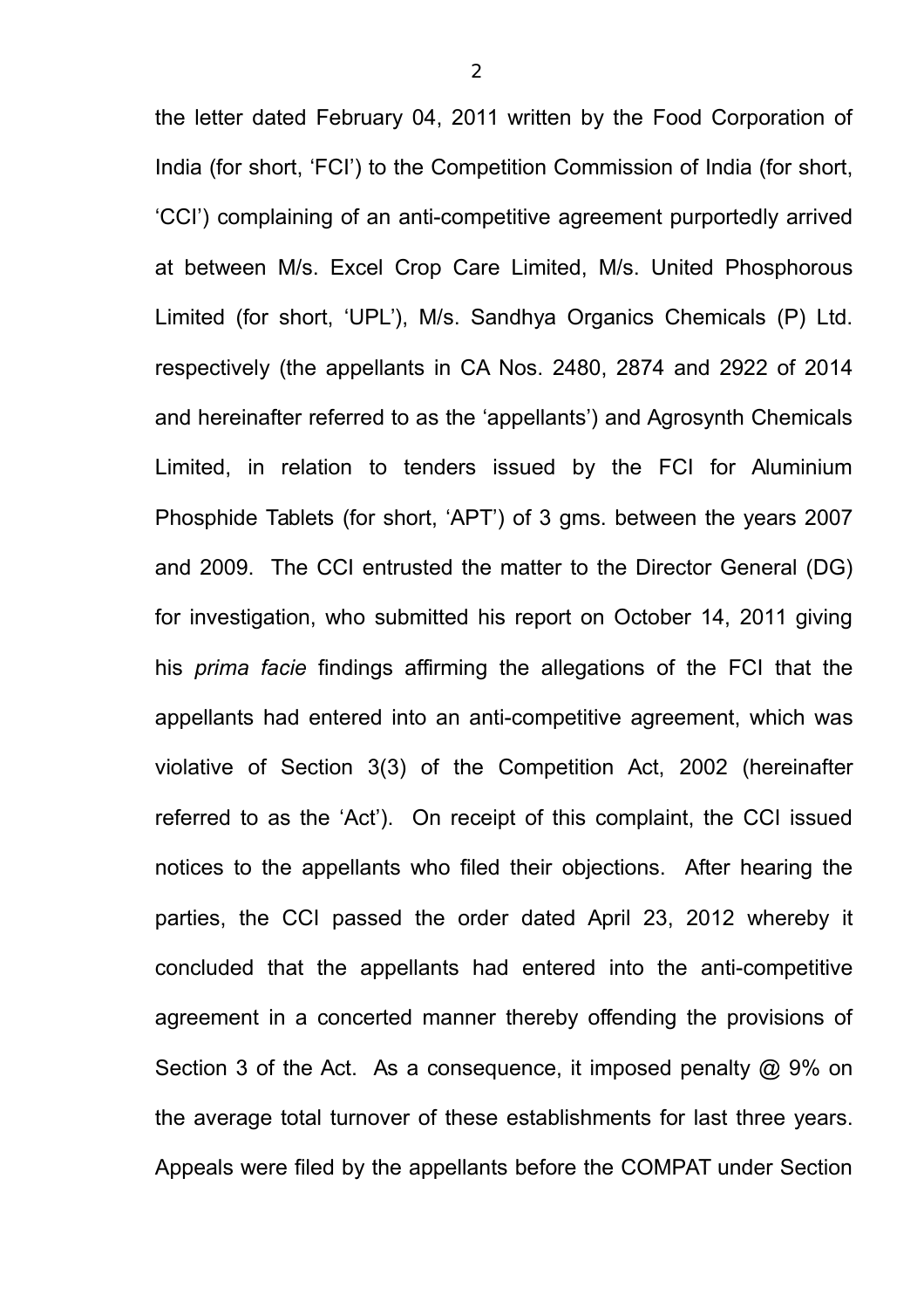the letter dated February 04, 2011 written by the Food Corporation of India (for short, 'FCI') to the Competition Commission of India (for short, 'CCI') complaining of an anti-competitive agreement purportedly arrived at between M/s. Excel Crop Care Limited, M/s. United Phosphorous Limited (for short, 'UPL'), M/s. Sandhya Organics Chemicals (P) Ltd. respectively (the appellants in CA Nos. 2480, 2874 and 2922 of 2014 and hereinafter referred to as the 'appellants') and Agrosynth Chemicals Limited, in relation to tenders issued by the FCI for Aluminium Phosphide Tablets (for short, 'APT') of 3 gms. between the years 2007 and 2009. The CCI entrusted the matter to the Director General (DG) for investigation, who submitted his report on October 14, 2011 giving his *prima facie* findings affirming the allegations of the FCI that the appellants had entered into an anti-competitive agreement, which was violative of Section 3(3) of the Competition Act, 2002 (hereinafter referred to as the 'Act'). On receipt of this complaint, the CCI issued notices to the appellants who filed their objections. After hearing the parties, the CCI passed the order dated April 23, 2012 whereby it concluded that the appellants had entered into the anti-competitive agreement in a concerted manner thereby offending the provisions of Section 3 of the Act. As a consequence, it imposed penalty @ 9% on the average total turnover of these establishments for last three years. Appeals were filed by the appellants before the COMPAT under Section

2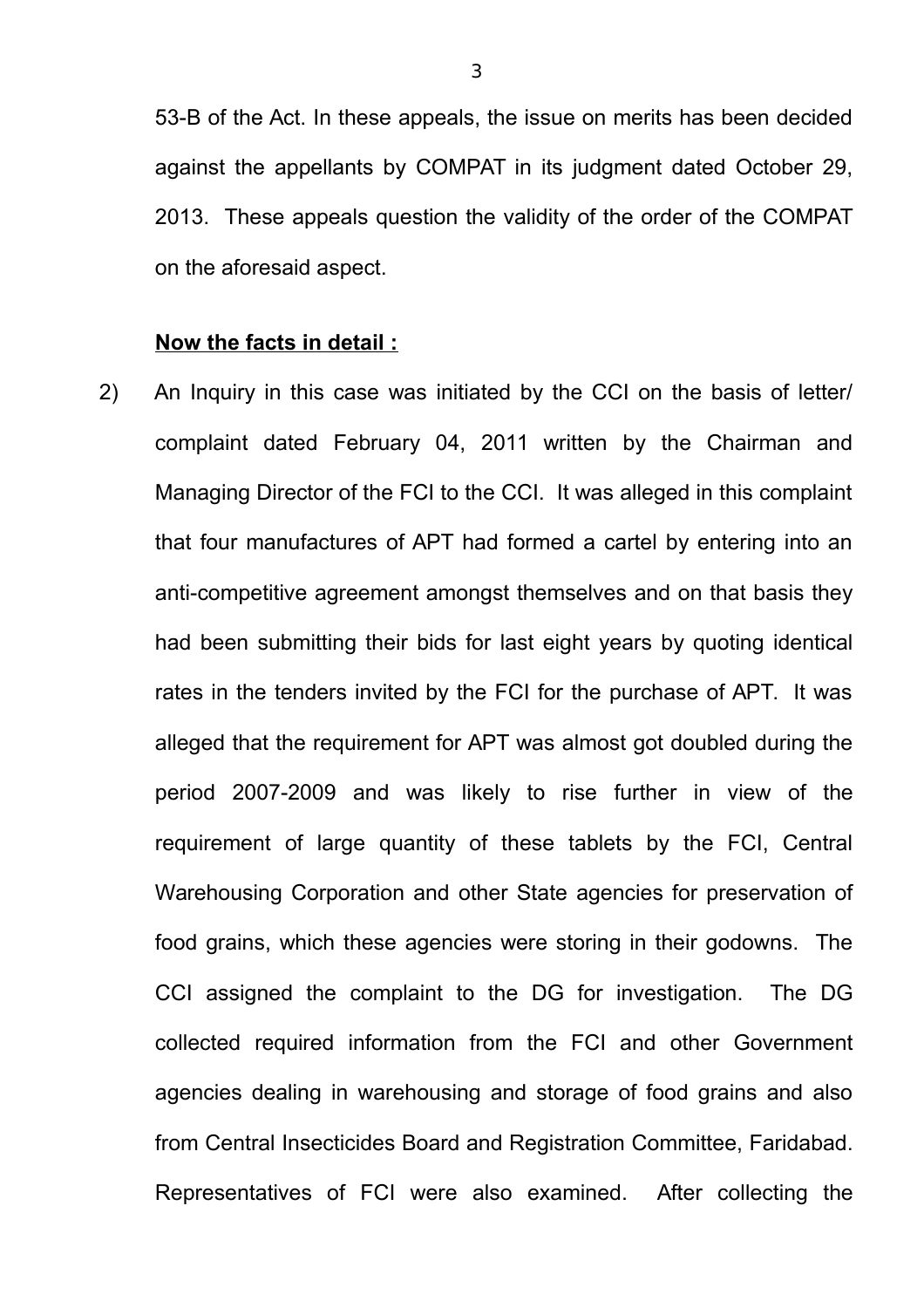53-B of the Act. In these appeals, the issue on merits has been decided against the appellants by COMPAT in its judgment dated October 29, 2013. These appeals question the validity of the order of the COMPAT on the aforesaid aspect.

#### **Now the facts in detail :**

2) An Inquiry in this case was initiated by the CCI on the basis of letter/ complaint dated February 04, 2011 written by the Chairman and Managing Director of the FCI to the CCI. It was alleged in this complaint that four manufactures of APT had formed a cartel by entering into an anti-competitive agreement amongst themselves and on that basis they had been submitting their bids for last eight years by quoting identical rates in the tenders invited by the FCI for the purchase of APT. It was alleged that the requirement for APT was almost got doubled during the period 2007-2009 and was likely to rise further in view of the requirement of large quantity of these tablets by the FCI, Central Warehousing Corporation and other State agencies for preservation of food grains, which these agencies were storing in their godowns. The CCI assigned the complaint to the DG for investigation. The DG collected required information from the FCI and other Government agencies dealing in warehousing and storage of food grains and also from Central Insecticides Board and Registration Committee, Faridabad. Representatives of FCI were also examined. After collecting the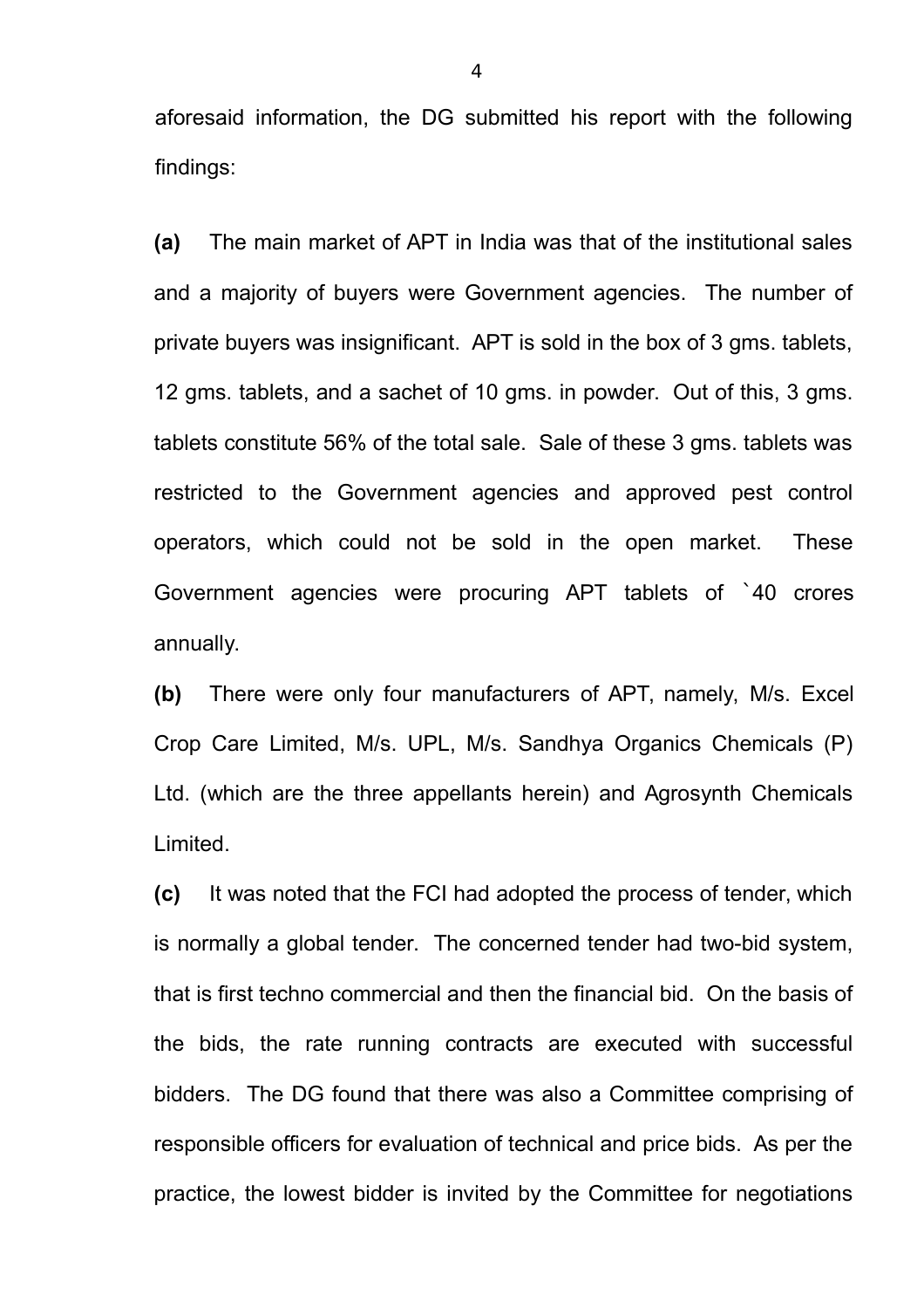aforesaid information, the DG submitted his report with the following findings:

**(a)** The main market of APT in India was that of the institutional sales and a majority of buyers were Government agencies. The number of private buyers was insignificant. APT is sold in the box of 3 gms. tablets, 12 gms. tablets, and a sachet of 10 gms. in powder. Out of this, 3 gms. tablets constitute 56% of the total sale. Sale of these 3 gms. tablets was restricted to the Government agencies and approved pest control operators, which could not be sold in the open market. These Government agencies were procuring APT tablets of `40 crores annually.

**(b)** There were only four manufacturers of APT, namely, M/s. Excel Crop Care Limited, M/s. UPL, M/s. Sandhya Organics Chemicals (P) Ltd. (which are the three appellants herein) and Agrosynth Chemicals Limited.

**(c)** It was noted that the FCI had adopted the process of tender, which is normally a global tender. The concerned tender had two-bid system, that is first techno commercial and then the financial bid. On the basis of the bids, the rate running contracts are executed with successful bidders. The DG found that there was also a Committee comprising of responsible officers for evaluation of technical and price bids. As per the practice, the lowest bidder is invited by the Committee for negotiations

4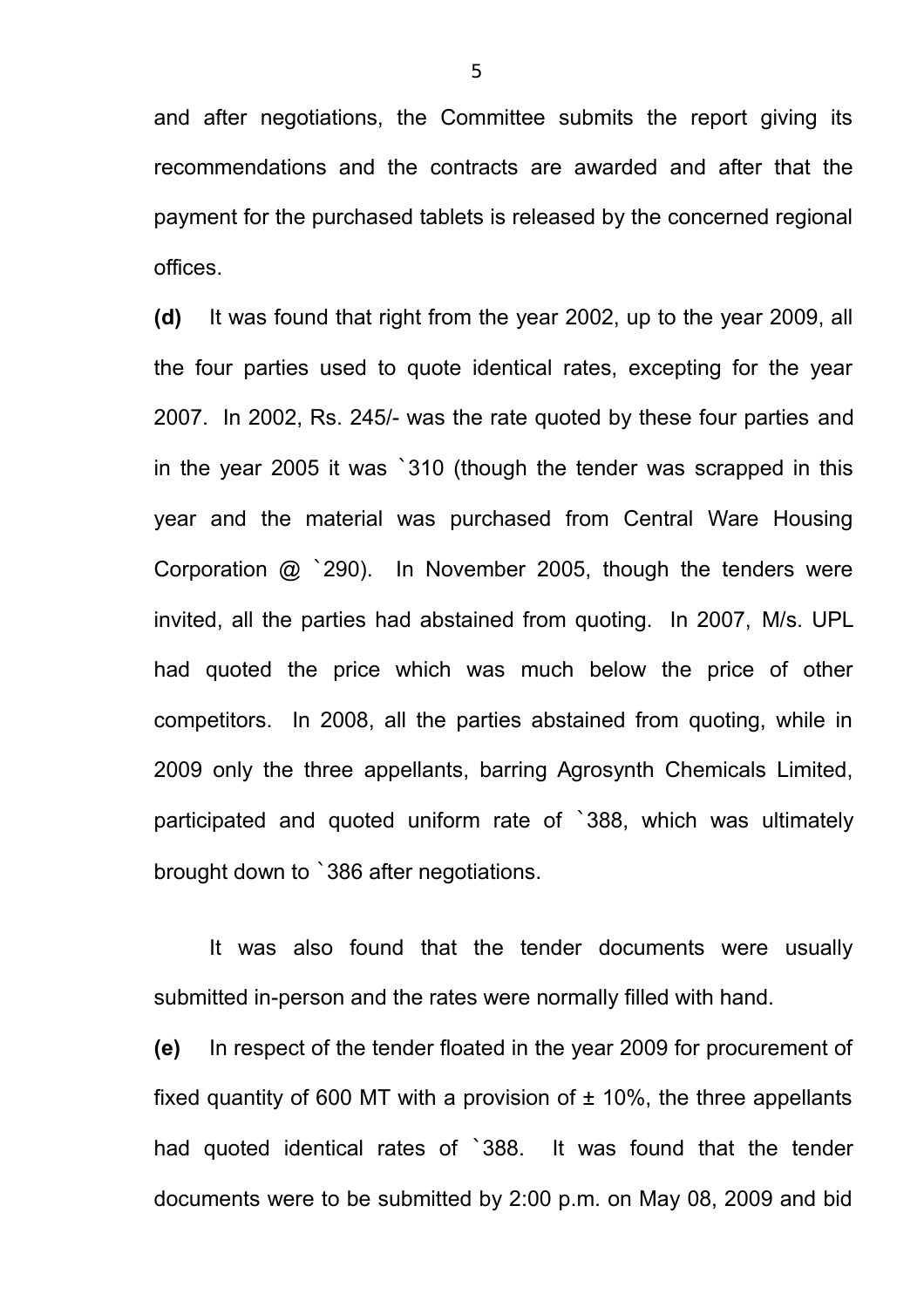and after negotiations, the Committee submits the report giving its recommendations and the contracts are awarded and after that the payment for the purchased tablets is released by the concerned regional offices.

**(d)** It was found that right from the year 2002, up to the year 2009, all the four parties used to quote identical rates, excepting for the year 2007. In 2002, Rs. 245/- was the rate quoted by these four parties and in the year 2005 it was `310 (though the tender was scrapped in this year and the material was purchased from Central Ware Housing Corporation @ `290). In November 2005, though the tenders were invited, all the parties had abstained from quoting. In 2007, M/s. UPL had quoted the price which was much below the price of other competitors. In 2008, all the parties abstained from quoting, while in 2009 only the three appellants, barring Agrosynth Chemicals Limited, participated and quoted uniform rate of `388, which was ultimately brought down to `386 after negotiations.

It was also found that the tender documents were usually submitted in-person and the rates were normally filled with hand.

**(e)** In respect of the tender floated in the year 2009 for procurement of fixed quantity of 600 MT with a provision of  $\pm$  10%, the three appellants had quoted identical rates of `388. It was found that the tender documents were to be submitted by 2:00 p.m. on May 08, 2009 and bid

5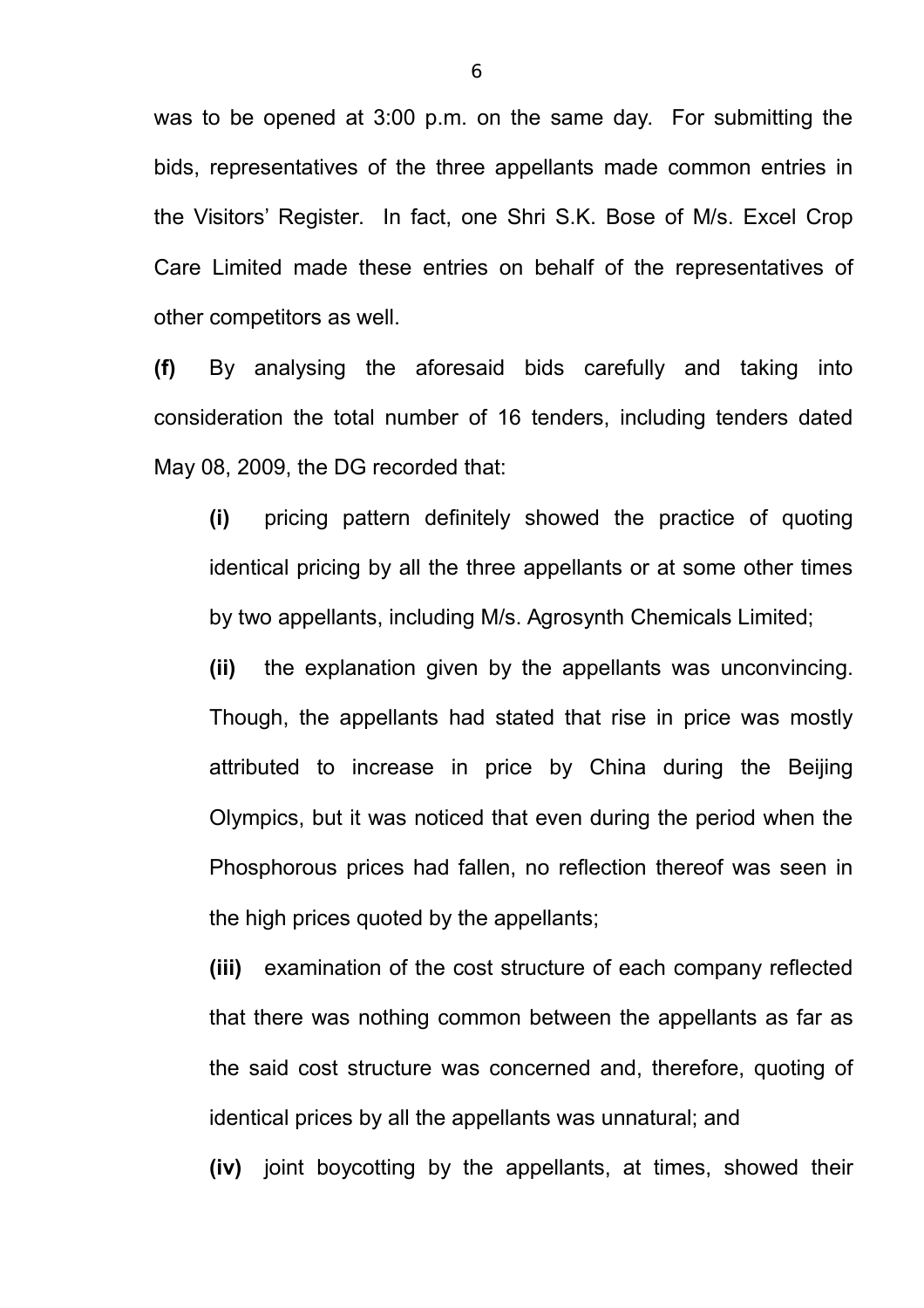was to be opened at 3:00 p.m. on the same day. For submitting the bids, representatives of the three appellants made common entries in the Visitors' Register. In fact, one Shri S.K. Bose of M/s. Excel Crop Care Limited made these entries on behalf of the representatives of other competitors as well.

**(f)** By analysing the aforesaid bids carefully and taking into consideration the total number of 16 tenders, including tenders dated May 08, 2009, the DG recorded that:

**(i)** pricing pattern definitely showed the practice of quoting identical pricing by all the three appellants or at some other times by two appellants, including M/s. Agrosynth Chemicals Limited;

**(ii)** the explanation given by the appellants was unconvincing. Though, the appellants had stated that rise in price was mostly attributed to increase in price by China during the Beijing Olympics, but it was noticed that even during the period when the Phosphorous prices had fallen, no reflection thereof was seen in the high prices quoted by the appellants;

**(iii)** examination of the cost structure of each company reflected that there was nothing common between the appellants as far as the said cost structure was concerned and, therefore, quoting of identical prices by all the appellants was unnatural; and

**(iv)** joint boycotting by the appellants, at times, showed their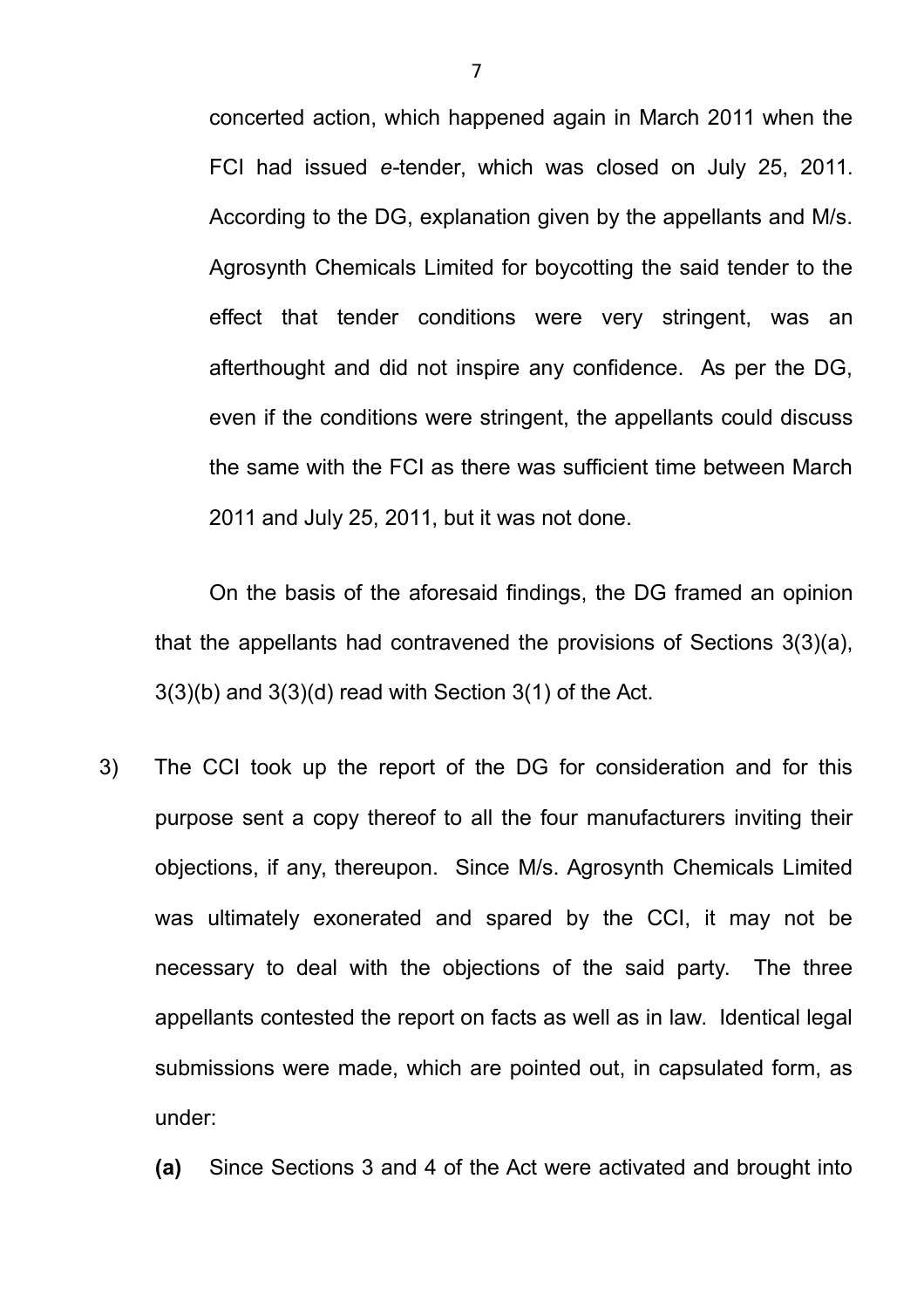concerted action, which happened again in March 2011 when the FCI had issued *e-*tender, which was closed on July 25, 2011. According to the DG, explanation given by the appellants and M/s. Agrosynth Chemicals Limited for boycotting the said tender to the effect that tender conditions were very stringent, was an afterthought and did not inspire any confidence. As per the DG, even if the conditions were stringent, the appellants could discuss the same with the FCI as there was sufficient time between March 2011 and July 25, 2011, but it was not done.

On the basis of the aforesaid findings, the DG framed an opinion that the appellants had contravened the provisions of Sections 3(3)(a), 3(3)(b) and 3(3)(d) read with Section 3(1) of the Act.

- 3) The CCI took up the report of the DG for consideration and for this purpose sent a copy thereof to all the four manufacturers inviting their objections, if any, thereupon. Since M/s. Agrosynth Chemicals Limited was ultimately exonerated and spared by the CCI, it may not be necessary to deal with the objections of the said party. The three appellants contested the report on facts as well as in law. Identical legal submissions were made, which are pointed out, in capsulated form, as under:
	- **(a)** Since Sections 3 and 4 of the Act were activated and brought into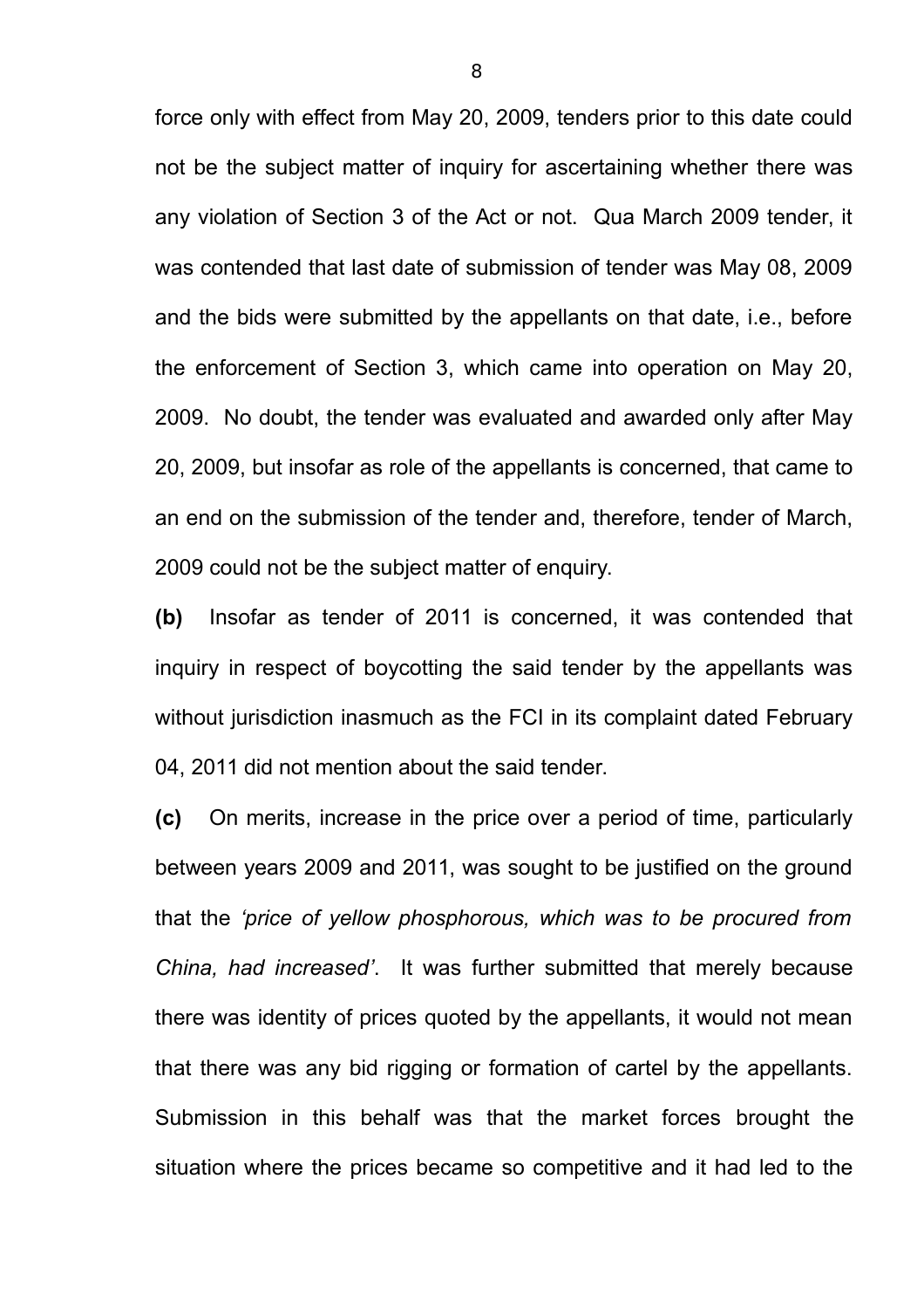force only with effect from May 20, 2009, tenders prior to this date could not be the subject matter of inquiry for ascertaining whether there was any violation of Section 3 of the Act or not. Qua March 2009 tender, it was contended that last date of submission of tender was May 08, 2009 and the bids were submitted by the appellants on that date, i.e., before the enforcement of Section 3, which came into operation on May 20, 2009. No doubt, the tender was evaluated and awarded only after May 20, 2009, but insofar as role of the appellants is concerned, that came to an end on the submission of the tender and, therefore, tender of March, 2009 could not be the subject matter of enquiry.

**(b)** Insofar as tender of 2011 is concerned, it was contended that inquiry in respect of boycotting the said tender by the appellants was without jurisdiction inasmuch as the FCI in its complaint dated February 04, 2011 did not mention about the said tender.

**(c)** On merits, increase in the price over a period of time, particularly between years 2009 and 2011, was sought to be justified on the ground that the *'price of yellow phosphorous, which was to be procured from China, had increased'*. It was further submitted that merely because there was identity of prices quoted by the appellants, it would not mean that there was any bid rigging or formation of cartel by the appellants. Submission in this behalf was that the market forces brought the situation where the prices became so competitive and it had led to the

8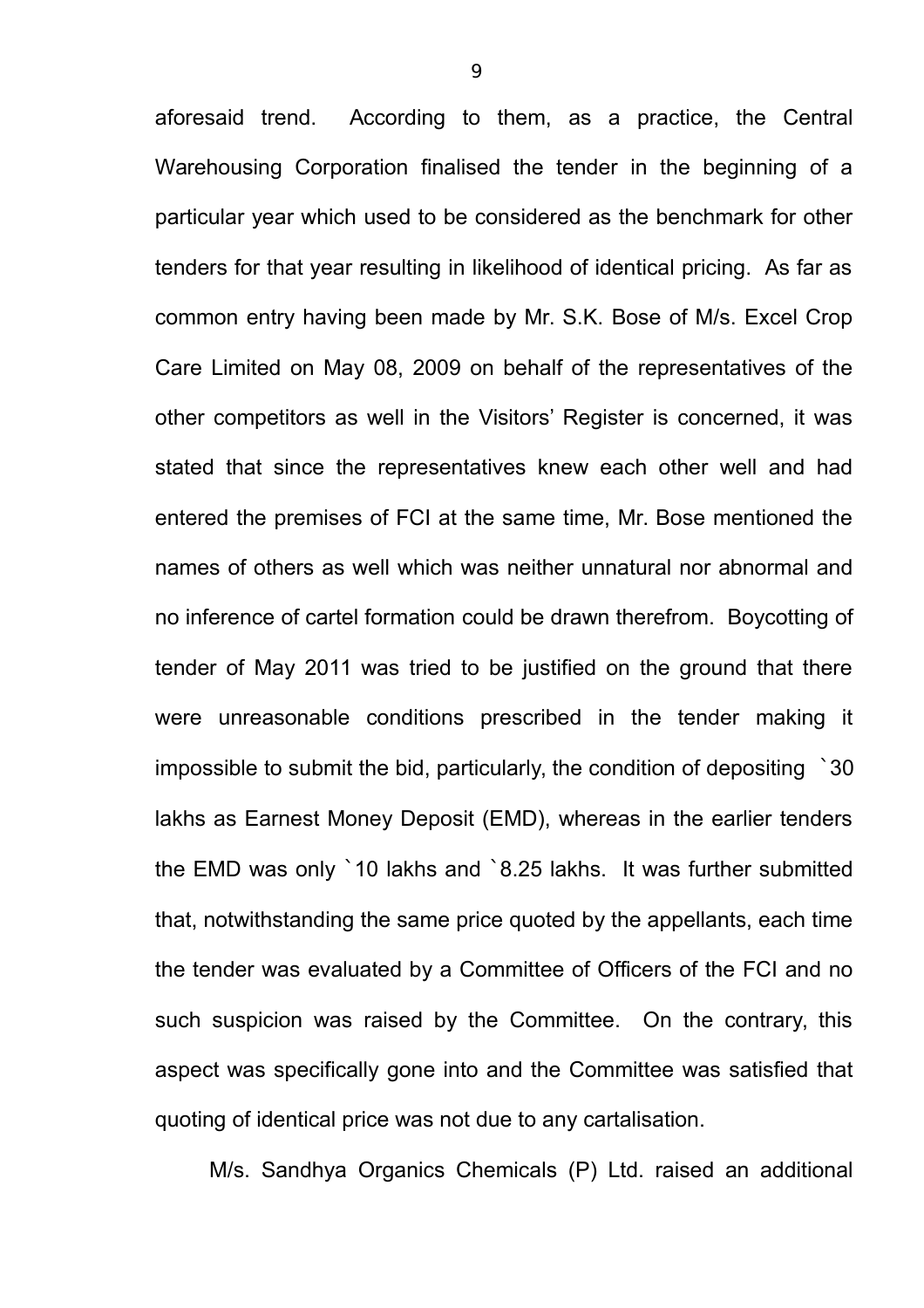aforesaid trend. According to them, as a practice, the Central Warehousing Corporation finalised the tender in the beginning of a particular year which used to be considered as the benchmark for other tenders for that year resulting in likelihood of identical pricing. As far as common entry having been made by Mr. S.K. Bose of M/s. Excel Crop Care Limited on May 08, 2009 on behalf of the representatives of the other competitors as well in the Visitors' Register is concerned, it was stated that since the representatives knew each other well and had entered the premises of FCI at the same time, Mr. Bose mentioned the names of others as well which was neither unnatural nor abnormal and no inference of cartel formation could be drawn therefrom. Boycotting of tender of May 2011 was tried to be justified on the ground that there were unreasonable conditions prescribed in the tender making it impossible to submit the bid, particularly, the condition of depositing `30 lakhs as Earnest Money Deposit (EMD), whereas in the earlier tenders the EMD was only `10 lakhs and `8.25 lakhs. It was further submitted that, notwithstanding the same price quoted by the appellants, each time the tender was evaluated by a Committee of Officers of the FCI and no such suspicion was raised by the Committee. On the contrary, this aspect was specifically gone into and the Committee was satisfied that quoting of identical price was not due to any cartalisation.

M/s. Sandhya Organics Chemicals (P) Ltd. raised an additional

9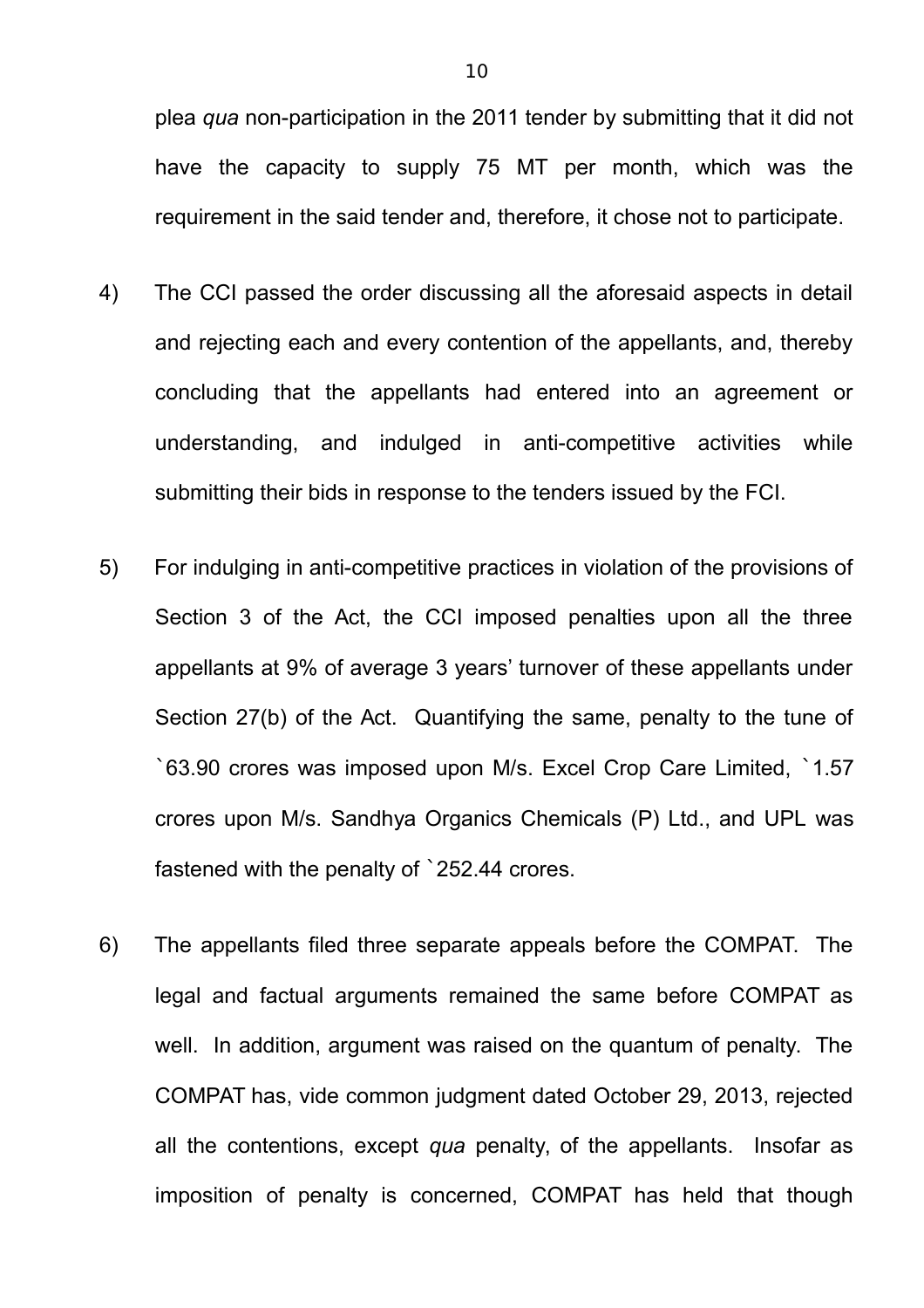plea *qua* non-participation in the 2011 tender by submitting that it did not have the capacity to supply 75 MT per month, which was the requirement in the said tender and, therefore, it chose not to participate.

- 4) The CCI passed the order discussing all the aforesaid aspects in detail and rejecting each and every contention of the appellants, and, thereby concluding that the appellants had entered into an agreement or understanding, and indulged in anti-competitive activities while submitting their bids in response to the tenders issued by the FCI.
- 5) For indulging in anti-competitive practices in violation of the provisions of Section 3 of the Act, the CCI imposed penalties upon all the three appellants at 9% of average 3 years' turnover of these appellants under Section 27(b) of the Act. Quantifying the same, penalty to the tune of `63.90 crores was imposed upon M/s. Excel Crop Care Limited, `1.57 crores upon M/s. Sandhya Organics Chemicals (P) Ltd., and UPL was fastened with the penalty of `252.44 crores.
- 6) The appellants filed three separate appeals before the COMPAT. The legal and factual arguments remained the same before COMPAT as well. In addition, argument was raised on the quantum of penalty. The COMPAT has, vide common judgment dated October 29, 2013, rejected all the contentions, except *qua* penalty, of the appellants. Insofar as imposition of penalty is concerned, COMPAT has held that though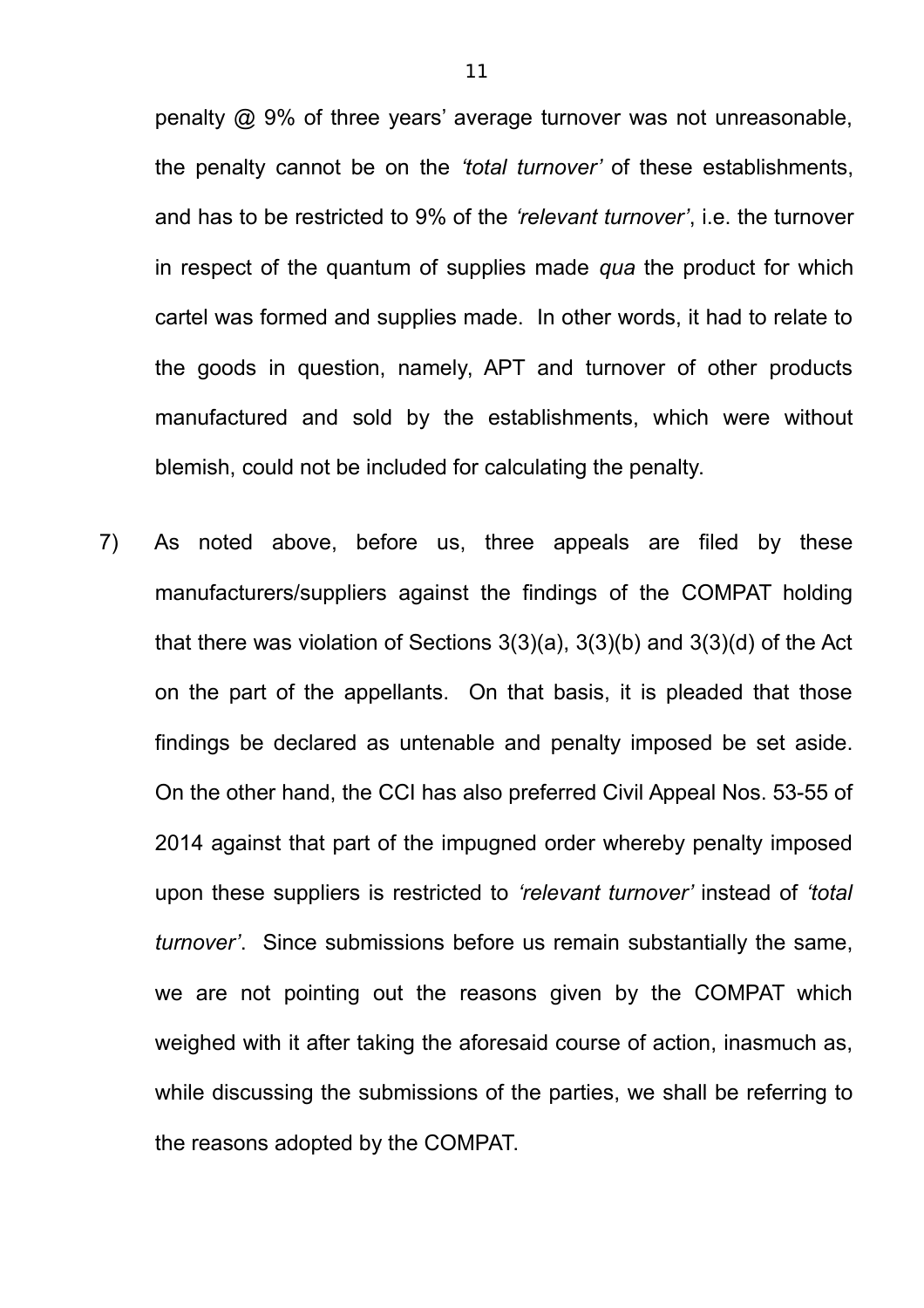penalty @ 9% of three years' average turnover was not unreasonable, the penalty cannot be on the *'total turnover'* of these establishments, and has to be restricted to 9% of the *'relevant turnover'*, i.e. the turnover in respect of the quantum of supplies made *qua* the product for which cartel was formed and supplies made. In other words, it had to relate to the goods in question, namely, APT and turnover of other products manufactured and sold by the establishments, which were without blemish, could not be included for calculating the penalty.

7) As noted above, before us, three appeals are filed by these manufacturers/suppliers against the findings of the COMPAT holding that there was violation of Sections 3(3)(a), 3(3)(b) and 3(3)(d) of the Act on the part of the appellants. On that basis, it is pleaded that those findings be declared as untenable and penalty imposed be set aside. On the other hand, the CCI has also preferred Civil Appeal Nos. 53-55 of 2014 against that part of the impugned order whereby penalty imposed upon these suppliers is restricted to *'relevant turnover'* instead of *'total turnover'*. Since submissions before us remain substantially the same, we are not pointing out the reasons given by the COMPAT which weighed with it after taking the aforesaid course of action, inasmuch as, while discussing the submissions of the parties, we shall be referring to the reasons adopted by the COMPAT.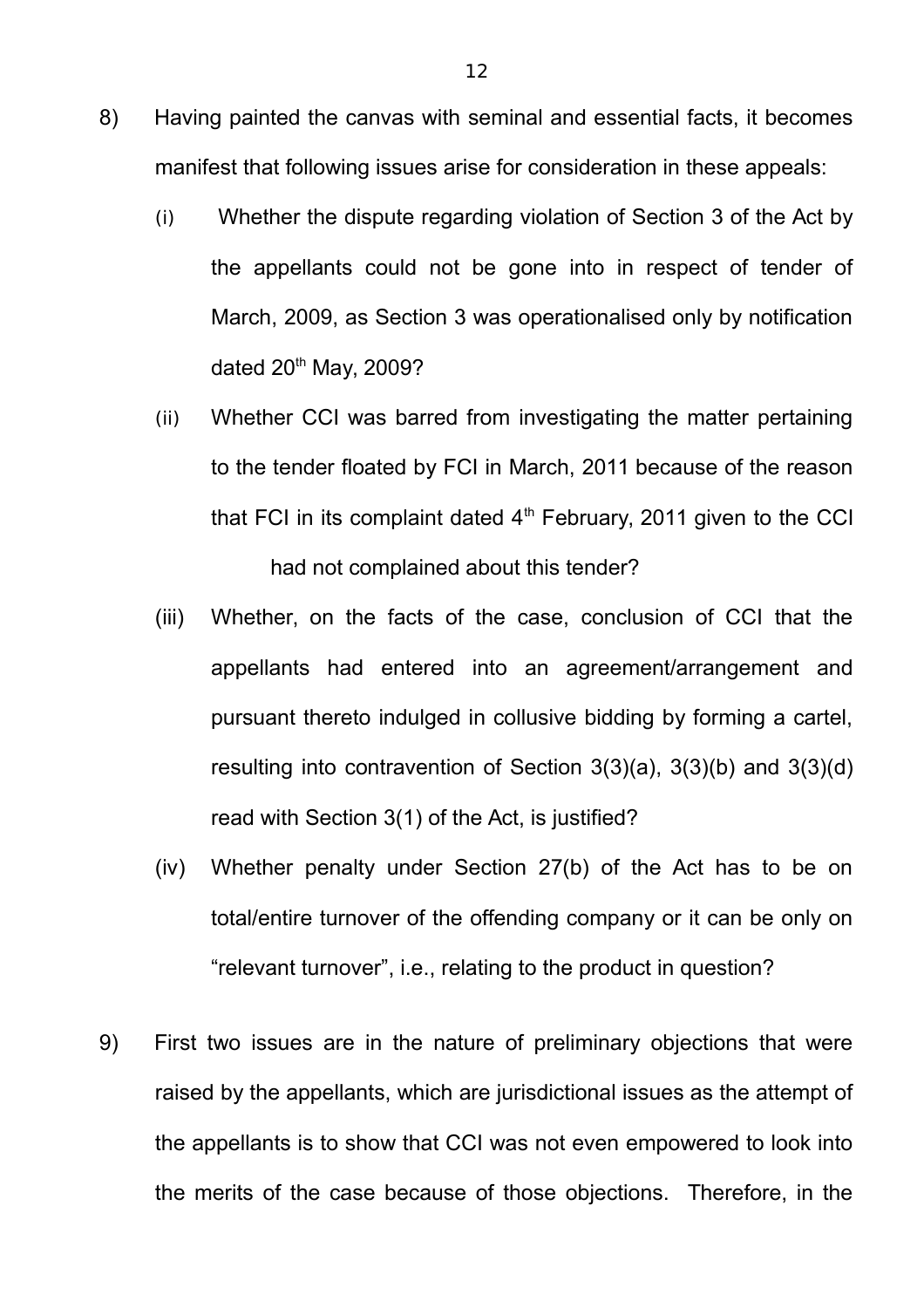- 8) Having painted the canvas with seminal and essential facts, it becomes manifest that following issues arise for consideration in these appeals:
	- (i) Whether the dispute regarding violation of Section 3 of the Act by the appellants could not be gone into in respect of tender of March, 2009, as Section 3 was operationalised only by notification dated  $20<sup>th</sup>$  May, 2009?
	- (ii) Whether CCI was barred from investigating the matter pertaining to the tender floated by FCI in March, 2011 because of the reason that FCI in its complaint dated  $4<sup>th</sup>$  February, 2011 given to the CCI had not complained about this tender?
	- (iii) Whether, on the facts of the case, conclusion of CCI that the appellants had entered into an agreement/arrangement and pursuant thereto indulged in collusive bidding by forming a cartel, resulting into contravention of Section 3(3)(a), 3(3)(b) and 3(3)(d) read with Section 3(1) of the Act, is justified?
	- (iv) Whether penalty under Section 27(b) of the Act has to be on total/entire turnover of the offending company or it can be only on "relevant turnover", i.e., relating to the product in question?
- 9) First two issues are in the nature of preliminary objections that were raised by the appellants, which are jurisdictional issues as the attempt of the appellants is to show that CCI was not even empowered to look into the merits of the case because of those objections. Therefore, in the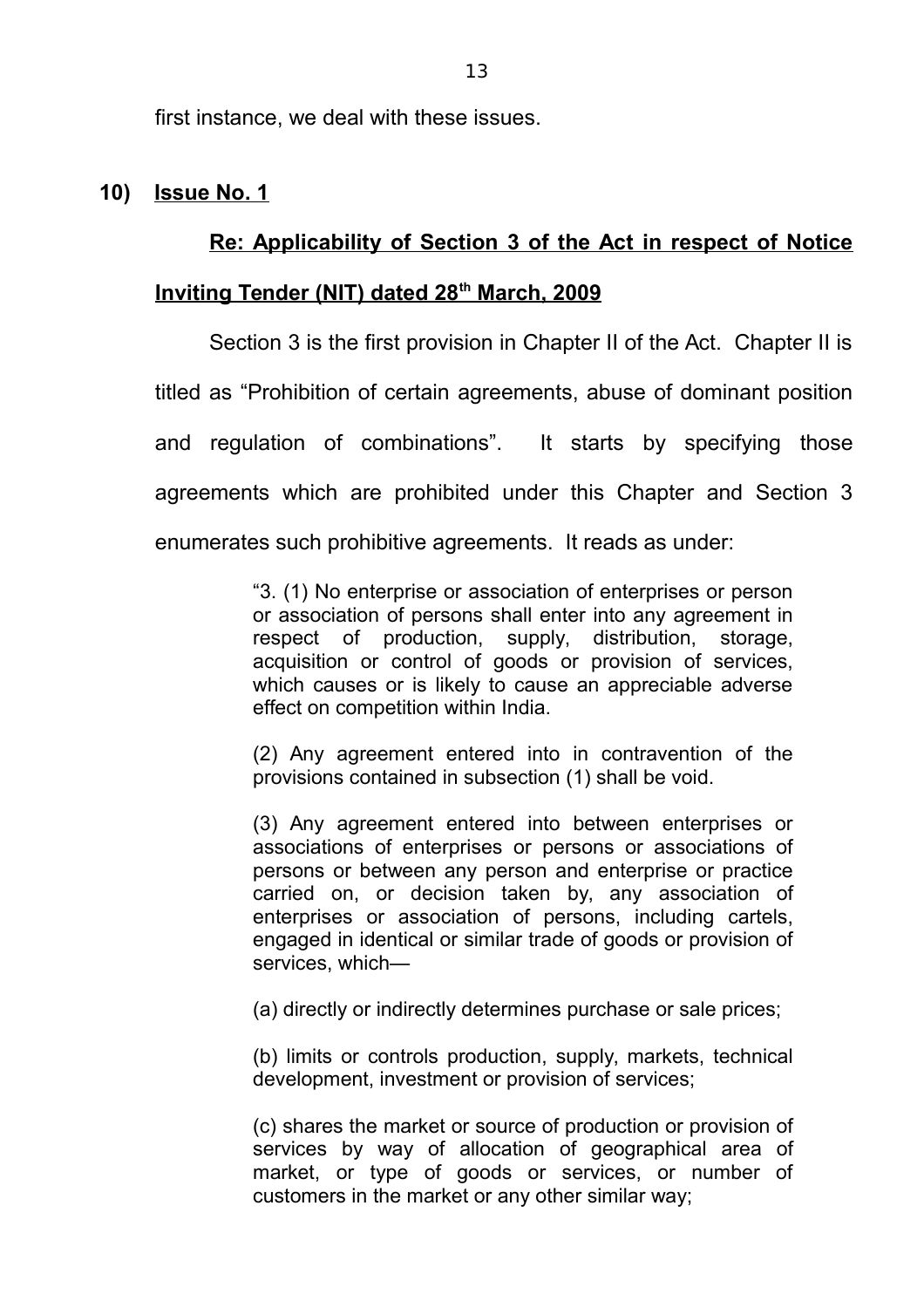first instance, we deal with these issues.

# **10) Issue No. 1**

# **Re: Applicability of Section 3 of the Act in respect of Notice**

# **Inviting Tender (NIT) dated 28th March, 2009**

Section 3 is the first provision in Chapter II of the Act. Chapter II is titled as "Prohibition of certain agreements, abuse of dominant position and regulation of combinations". It starts by specifying those agreements which are prohibited under this Chapter and Section 3 enumerates such prohibitive agreements. It reads as under:

> "3. (1) No enterprise or association of enterprises or person or association of persons shall enter into any agreement in respect of production, supply, distribution, storage, acquisition or control of goods or provision of services, which causes or is likely to cause an appreciable adverse effect on competition within India.

> (2) Any agreement entered into in contravention of the provisions contained in subsection (1) shall be void.

> (3) Any agreement entered into between enterprises or associations of enterprises or persons or associations of persons or between any person and enterprise or practice carried on, or decision taken by, any association of enterprises or association of persons, including cartels, engaged in identical or similar trade of goods or provision of services, which—

(a) directly or indirectly determines purchase or sale prices;

(b) limits or controls production, supply, markets, technical development, investment or provision of services;

(c) shares the market or source of production or provision of services by way of allocation of geographical area of market, or type of goods or services, or number of customers in the market or any other similar way;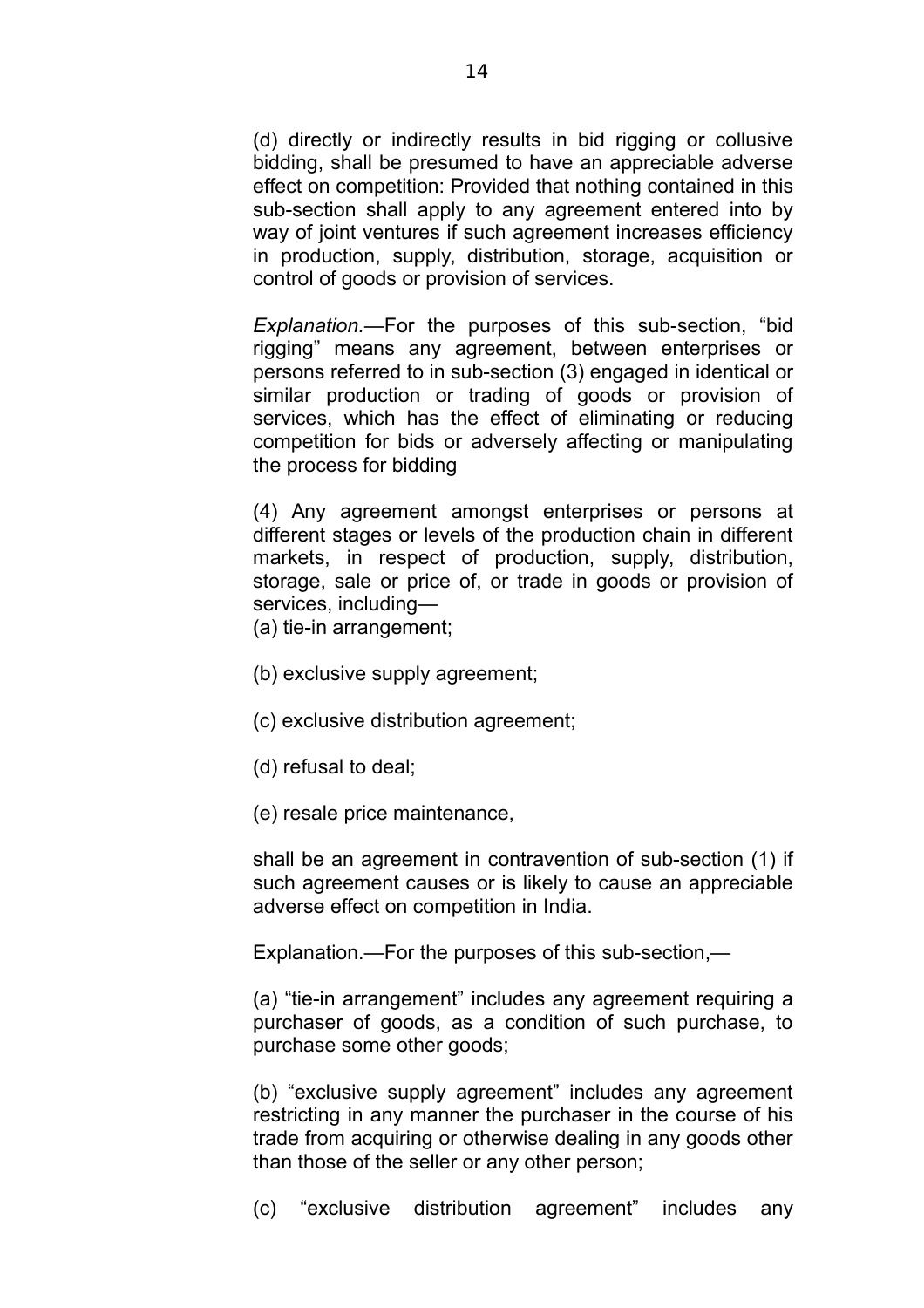(d) directly or indirectly results in bid rigging or collusive bidding, shall be presumed to have an appreciable adverse effect on competition: Provided that nothing contained in this sub-section shall apply to any agreement entered into by way of joint ventures if such agreement increases efficiency in production, supply, distribution, storage, acquisition or control of goods or provision of services.

*Explanation.*—For the purposes of this sub-section, "bid rigging" means any agreement, between enterprises or persons referred to in sub-section (3) engaged in identical or similar production or trading of goods or provision of services, which has the effect of eliminating or reducing competition for bids or adversely affecting or manipulating the process for bidding

(4) Any agreement amongst enterprises or persons at different stages or levels of the production chain in different markets, in respect of production, supply, distribution, storage, sale or price of, or trade in goods or provision of services, including—

(a) tie-in arrangement;

(b) exclusive supply agreement;

(c) exclusive distribution agreement;

(d) refusal to deal;

(e) resale price maintenance,

shall be an agreement in contravention of sub-section (1) if such agreement causes or is likely to cause an appreciable adverse effect on competition in India.

Explanation.—For the purposes of this sub-section,—

(a) "tie-in arrangement" includes any agreement requiring a purchaser of goods, as a condition of such purchase, to purchase some other goods;

(b) "exclusive supply agreement" includes any agreement restricting in any manner the purchaser in the course of his trade from acquiring or otherwise dealing in any goods other than those of the seller or any other person;

(c) "exclusive distribution agreement" includes any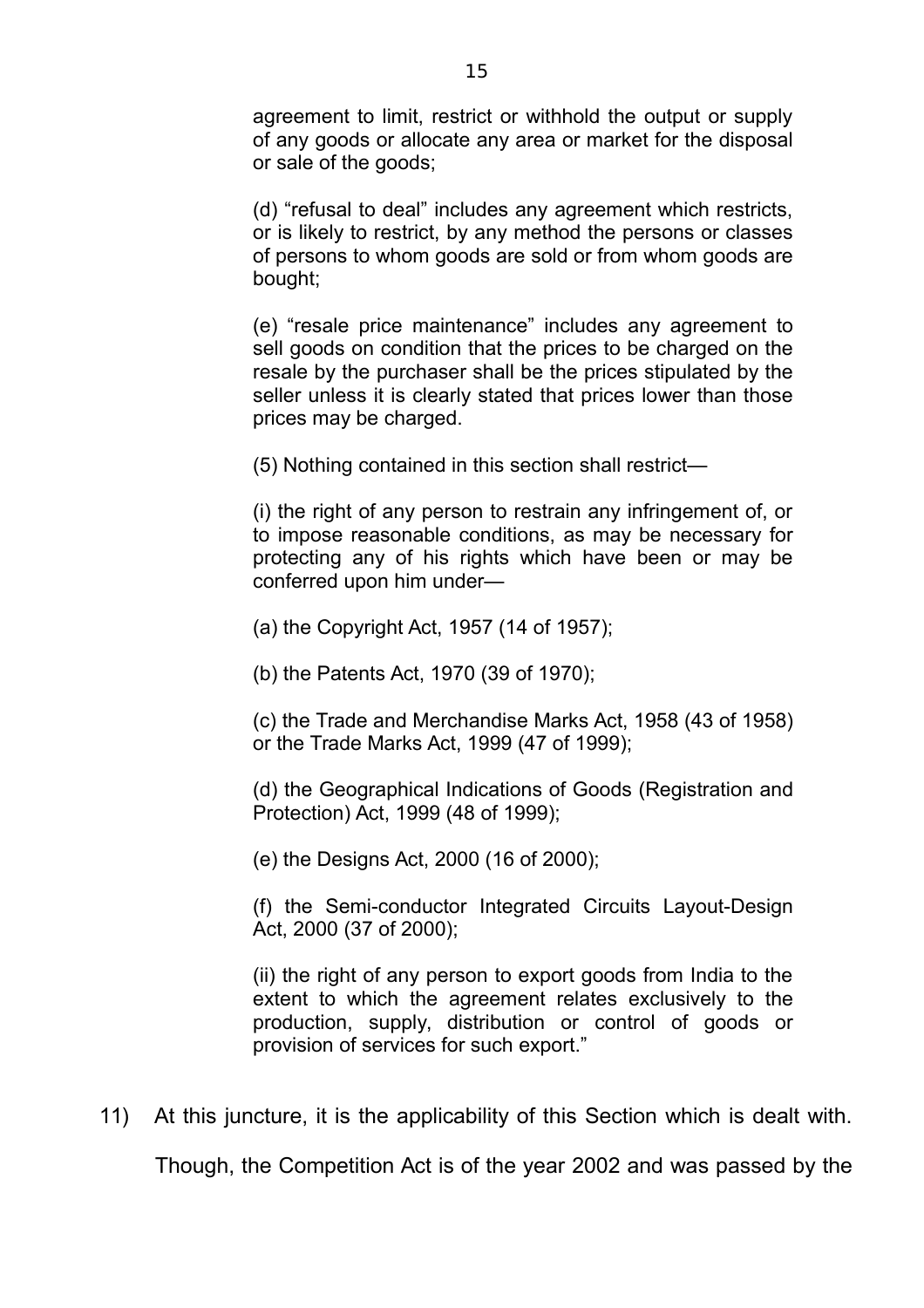agreement to limit, restrict or withhold the output or supply of any goods or allocate any area or market for the disposal or sale of the goods;

(d) "refusal to deal" includes any agreement which restricts, or is likely to restrict, by any method the persons or classes of persons to whom goods are sold or from whom goods are bought;

(e) "resale price maintenance" includes any agreement to sell goods on condition that the prices to be charged on the resale by the purchaser shall be the prices stipulated by the seller unless it is clearly stated that prices lower than those prices may be charged.

(5) Nothing contained in this section shall restrict—

(i) the right of any person to restrain any infringement of, or to impose reasonable conditions, as may be necessary for protecting any of his rights which have been or may be conferred upon him under—

(a) the Copyright Act, 1957 (14 of 1957);

(b) the Patents Act, 1970 (39 of 1970);

(c) the Trade and Merchandise Marks Act, 1958 (43 of 1958) or the Trade Marks Act, 1999 (47 of 1999);

(d) the Geographical Indications of Goods (Registration and Protection) Act, 1999 (48 of 1999);

(e) the Designs Act, 2000 (16 of 2000);

(f) the Semi-conductor Integrated Circuits Layout-Design Act, 2000 (37 of 2000);

(ii) the right of any person to export goods from India to the extent to which the agreement relates exclusively to the production, supply, distribution or control of goods or provision of services for such export."

11) At this juncture, it is the applicability of this Section which is dealt with.

Though, the Competition Act is of the year 2002 and was passed by the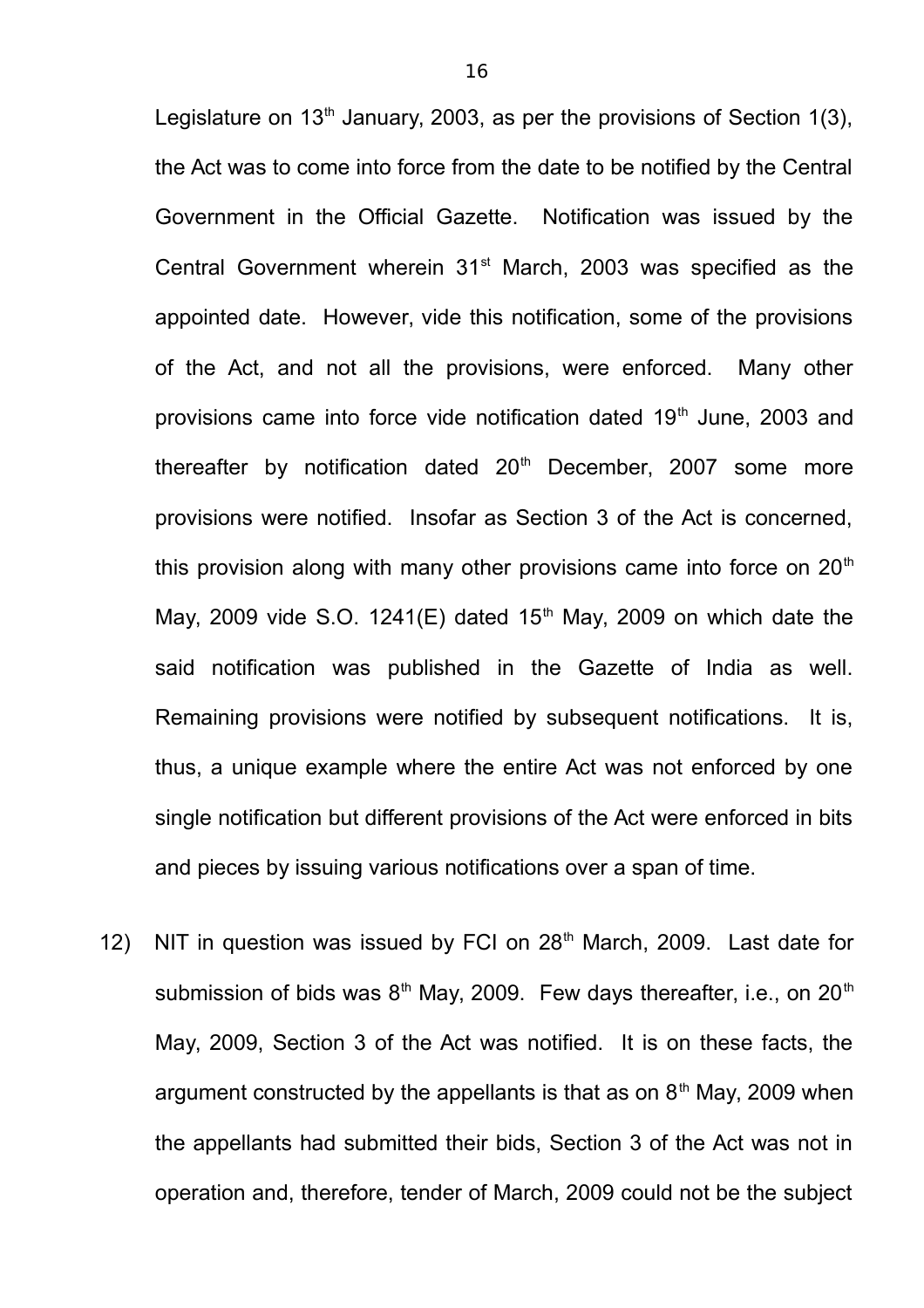Legislature on  $13<sup>th</sup>$  January, 2003, as per the provisions of Section 1(3), the Act was to come into force from the date to be notified by the Central Government in the Official Gazette. Notification was issued by the Central Government wherein 31<sup>st</sup> March, 2003 was specified as the appointed date. However, vide this notification, some of the provisions of the Act, and not all the provisions, were enforced. Many other provisions came into force vide notification dated 19<sup>th</sup> June, 2003 and thereafter by notification dated  $20<sup>th</sup>$  December, 2007 some more provisions were notified. Insofar as Section 3 of the Act is concerned, this provision along with many other provisions came into force on  $20<sup>th</sup>$ May, 2009 vide S.O. 1241(E) dated  $15<sup>th</sup>$  May, 2009 on which date the said notification was published in the Gazette of India as well. Remaining provisions were notified by subsequent notifications. It is, thus, a unique example where the entire Act was not enforced by one single notification but different provisions of the Act were enforced in bits and pieces by issuing various notifications over a span of time.

12) NIT in question was issued by FCI on 28<sup>th</sup> March, 2009. Last date for submission of bids was  $8<sup>th</sup>$  May, 2009. Few days thereafter, i.e., on 20<sup>th</sup> May, 2009, Section 3 of the Act was notified. It is on these facts, the argument constructed by the appellants is that as on  $8<sup>th</sup>$  May, 2009 when the appellants had submitted their bids, Section 3 of the Act was not in operation and, therefore, tender of March, 2009 could not be the subject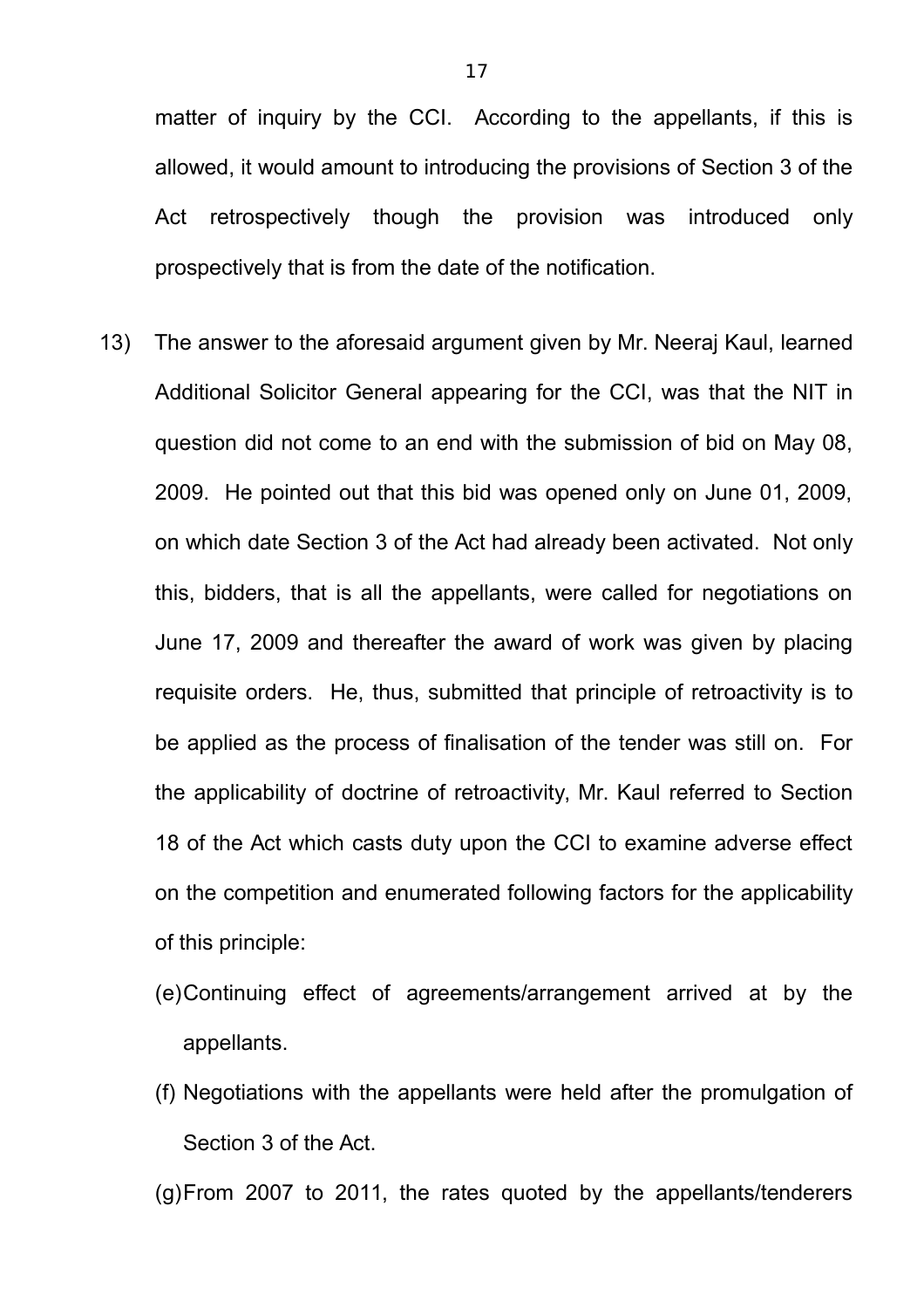matter of inquiry by the CCI. According to the appellants, if this is allowed, it would amount to introducing the provisions of Section 3 of the Act retrospectively though the provision was introduced only prospectively that is from the date of the notification.

- 13) The answer to the aforesaid argument given by Mr. Neeraj Kaul, learned Additional Solicitor General appearing for the CCI, was that the NIT in question did not come to an end with the submission of bid on May 08, 2009. He pointed out that this bid was opened only on June 01, 2009, on which date Section 3 of the Act had already been activated. Not only this, bidders, that is all the appellants, were called for negotiations on June 17, 2009 and thereafter the award of work was given by placing requisite orders. He, thus, submitted that principle of retroactivity is to be applied as the process of finalisation of the tender was still on. For the applicability of doctrine of retroactivity, Mr. Kaul referred to Section 18 of the Act which casts duty upon the CCI to examine adverse effect on the competition and enumerated following factors for the applicability of this principle:
	- (e)Continuing effect of agreements/arrangement arrived at by the appellants.
	- (f) Negotiations with the appellants were held after the promulgation of Section 3 of the Act.

(g)From 2007 to 2011, the rates quoted by the appellants/tenderers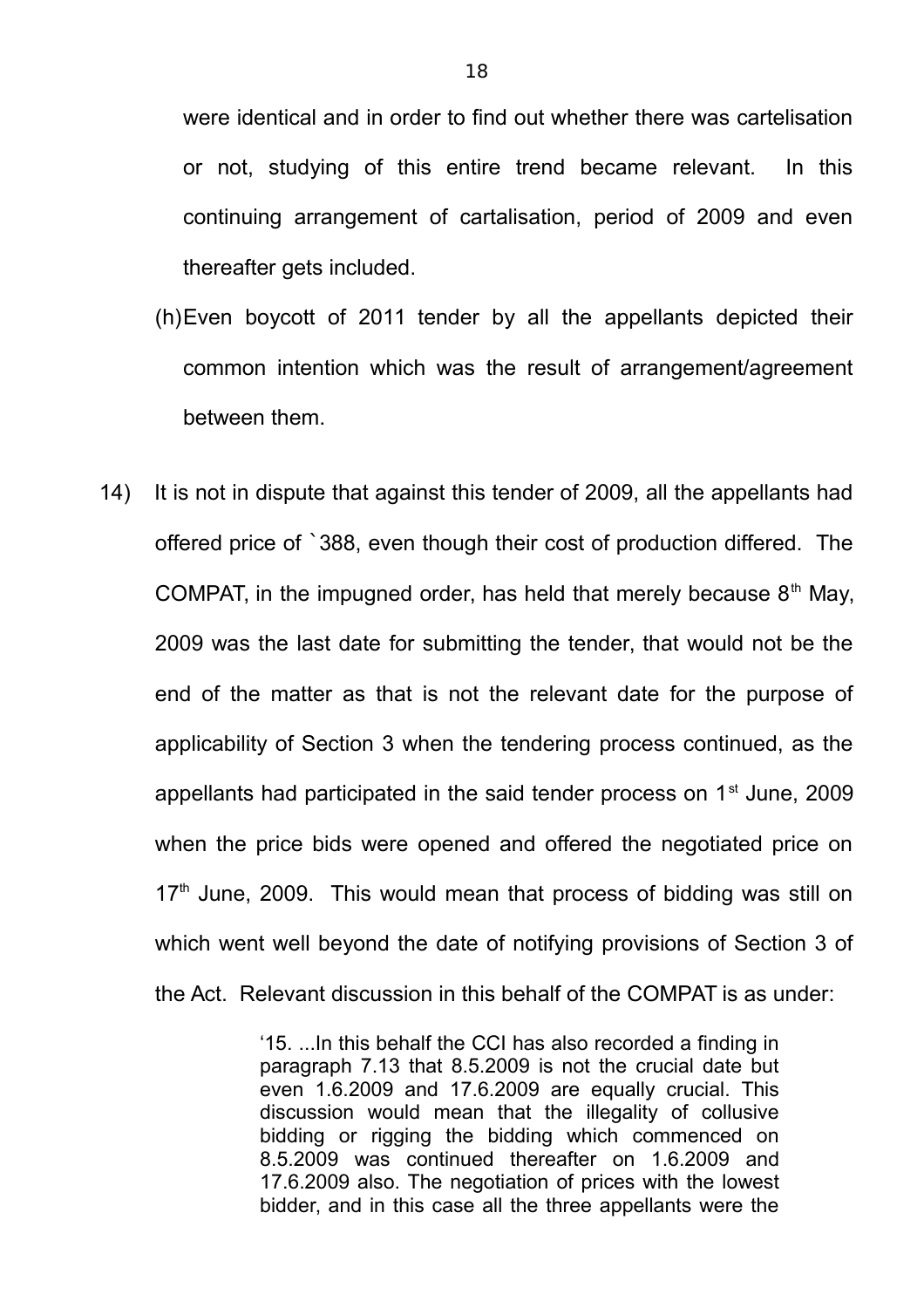were identical and in order to find out whether there was cartelisation or not, studying of this entire trend became relevant. In this continuing arrangement of cartalisation, period of 2009 and even thereafter gets included.

- (h)Even boycott of 2011 tender by all the appellants depicted their common intention which was the result of arrangement/agreement between them.
- 14) It is not in dispute that against this tender of 2009, all the appellants had offered price of `388, even though their cost of production differed. The COMPAT, in the impugned order, has held that merely because  $8<sup>th</sup>$  May, 2009 was the last date for submitting the tender, that would not be the end of the matter as that is not the relevant date for the purpose of applicability of Section 3 when the tendering process continued, as the appellants had participated in the said tender process on  $1<sup>st</sup>$  June, 2009 when the price bids were opened and offered the negotiated price on  $17<sup>th</sup>$  June, 2009. This would mean that process of bidding was still on which went well beyond the date of notifying provisions of Section 3 of the Act. Relevant discussion in this behalf of the COMPAT is as under:

'15. ...In this behalf the CCI has also recorded a finding in paragraph 7.13 that 8.5.2009 is not the crucial date but even 1.6.2009 and 17.6.2009 are equally crucial. This discussion would mean that the illegality of collusive bidding or rigging the bidding which commenced on 8.5.2009 was continued thereafter on 1.6.2009 and 17.6.2009 also. The negotiation of prices with the lowest bidder, and in this case all the three appellants were the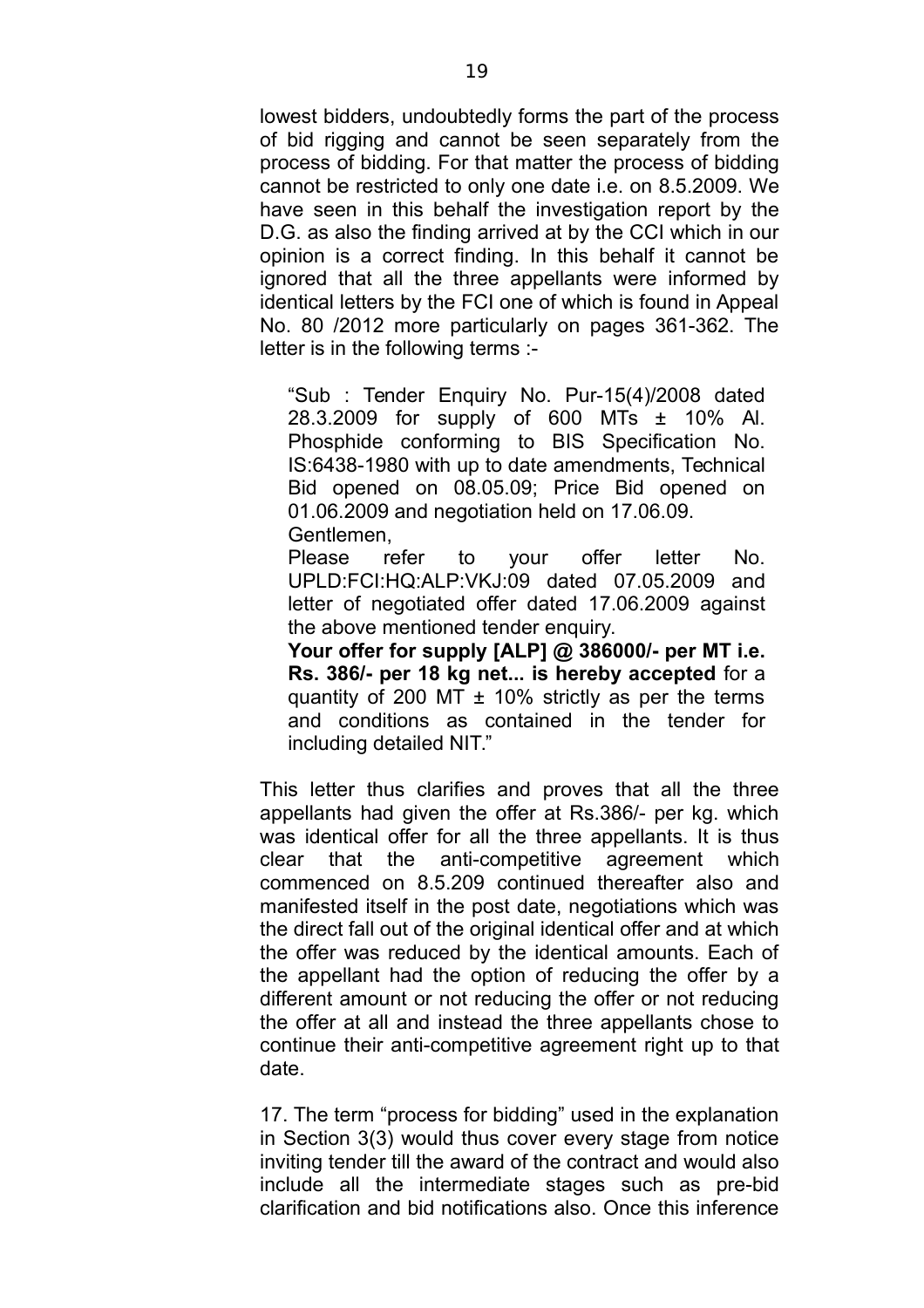lowest bidders, undoubtedly forms the part of the process of bid rigging and cannot be seen separately from the process of bidding. For that matter the process of bidding cannot be restricted to only one date i.e. on 8.5.2009. We have seen in this behalf the investigation report by the D.G. as also the finding arrived at by the CCI which in our opinion is a correct finding. In this behalf it cannot be ignored that all the three appellants were informed by identical letters by the FCI one of which is found in Appeal No. 80 /2012 more particularly on pages 361-362. The letter is in the following terms :-

"Sub : Tender Enquiry No. Pur-15(4)/2008 dated 28.3.2009 for supply of 600 MTs ± 10% Al. Phosphide conforming to BIS Specification No. IS:6438-1980 with up to date amendments, Technical Bid opened on 08.05.09; Price Bid opened on 01.06.2009 and negotiation held on 17.06.09. Gentlemen,

Please refer to your offer letter No. UPLD:FCI:HQ:ALP:VKJ:09 dated 07.05.2009 and letter of negotiated offer dated 17.06.2009 against the above mentioned tender enquiry.

**Your offer for supply [ALP] @ 386000/- per MT i.e. Rs. 386/- per 18 kg net... is hereby accepted** for a quantity of 200 MT  $\pm$  10% strictly as per the terms and conditions as contained in the tender for including detailed NIT."

This letter thus clarifies and proves that all the three appellants had given the offer at Rs.386/- per kg. which was identical offer for all the three appellants. It is thus clear that the anti-competitive agreement which commenced on 8.5.209 continued thereafter also and manifested itself in the post date, negotiations which was the direct fall out of the original identical offer and at which the offer was reduced by the identical amounts. Each of the appellant had the option of reducing the offer by a different amount or not reducing the offer or not reducing the offer at all and instead the three appellants chose to continue their anti-competitive agreement right up to that date.

17. The term "process for bidding" used in the explanation in Section 3(3) would thus cover every stage from notice inviting tender till the award of the contract and would also include all the intermediate stages such as pre-bid clarification and bid notifications also. Once this inference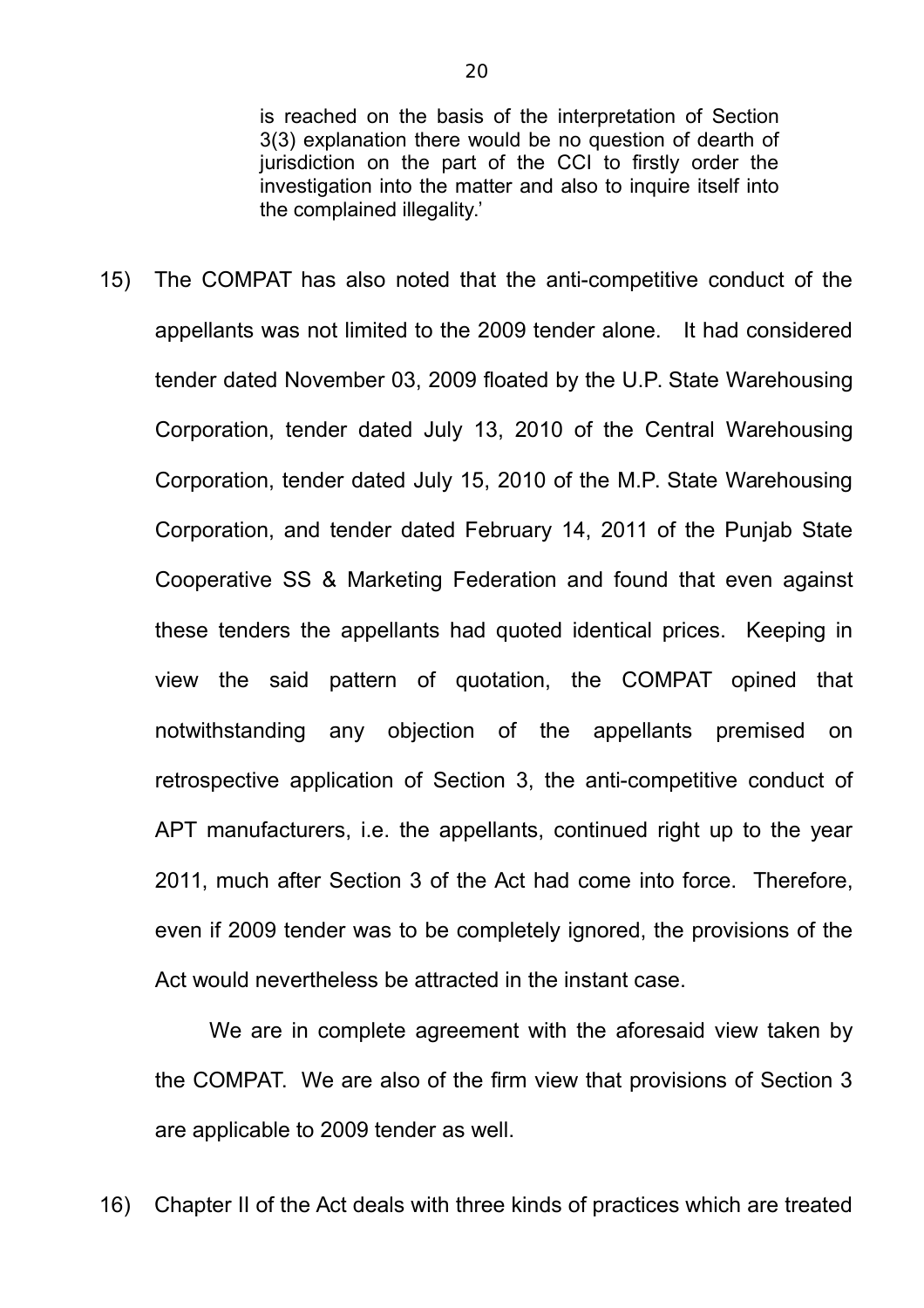is reached on the basis of the interpretation of Section 3(3) explanation there would be no question of dearth of jurisdiction on the part of the CCI to firstly order the investigation into the matter and also to inquire itself into the complained illegality.'

15) The COMPAT has also noted that the anti-competitive conduct of the appellants was not limited to the 2009 tender alone. It had considered tender dated November 03, 2009 floated by the U.P. State Warehousing Corporation, tender dated July 13, 2010 of the Central Warehousing Corporation, tender dated July 15, 2010 of the M.P. State Warehousing Corporation, and tender dated February 14, 2011 of the Punjab State Cooperative SS & Marketing Federation and found that even against these tenders the appellants had quoted identical prices. Keeping in view the said pattern of quotation, the COMPAT opined that notwithstanding any objection of the appellants premised on retrospective application of Section 3, the anti-competitive conduct of APT manufacturers, i.e. the appellants, continued right up to the year 2011, much after Section 3 of the Act had come into force. Therefore, even if 2009 tender was to be completely ignored, the provisions of the Act would nevertheless be attracted in the instant case.

We are in complete agreement with the aforesaid view taken by the COMPAT. We are also of the firm view that provisions of Section 3 are applicable to 2009 tender as well.

16) Chapter II of the Act deals with three kinds of practices which are treated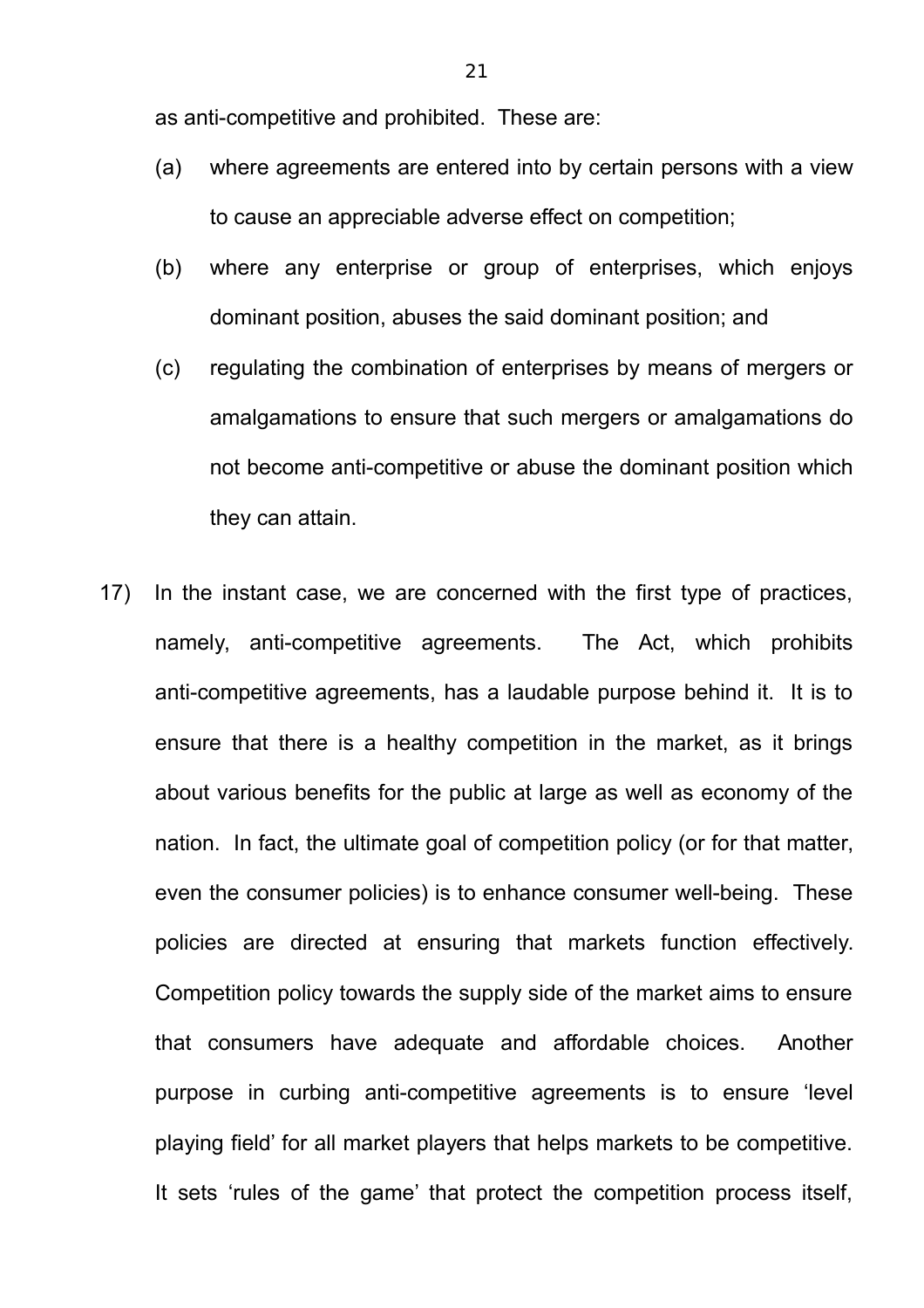as anti-competitive and prohibited. These are:

- (a) where agreements are entered into by certain persons with a view to cause an appreciable adverse effect on competition;
- (b) where any enterprise or group of enterprises, which enjoys dominant position, abuses the said dominant position; and
- (c) regulating the combination of enterprises by means of mergers or amalgamations to ensure that such mergers or amalgamations do not become anti-competitive or abuse the dominant position which they can attain.
- 17) In the instant case, we are concerned with the first type of practices, namely, anti-competitive agreements. The Act, which prohibits anti-competitive agreements, has a laudable purpose behind it. It is to ensure that there is a healthy competition in the market, as it brings about various benefits for the public at large as well as economy of the nation. In fact, the ultimate goal of competition policy (or for that matter, even the consumer policies) is to enhance consumer well-being. These policies are directed at ensuring that markets function effectively. Competition policy towards the supply side of the market aims to ensure that consumers have adequate and affordable choices. Another purpose in curbing anti-competitive agreements is to ensure 'level playing field' for all market players that helps markets to be competitive. It sets 'rules of the game' that protect the competition process itself,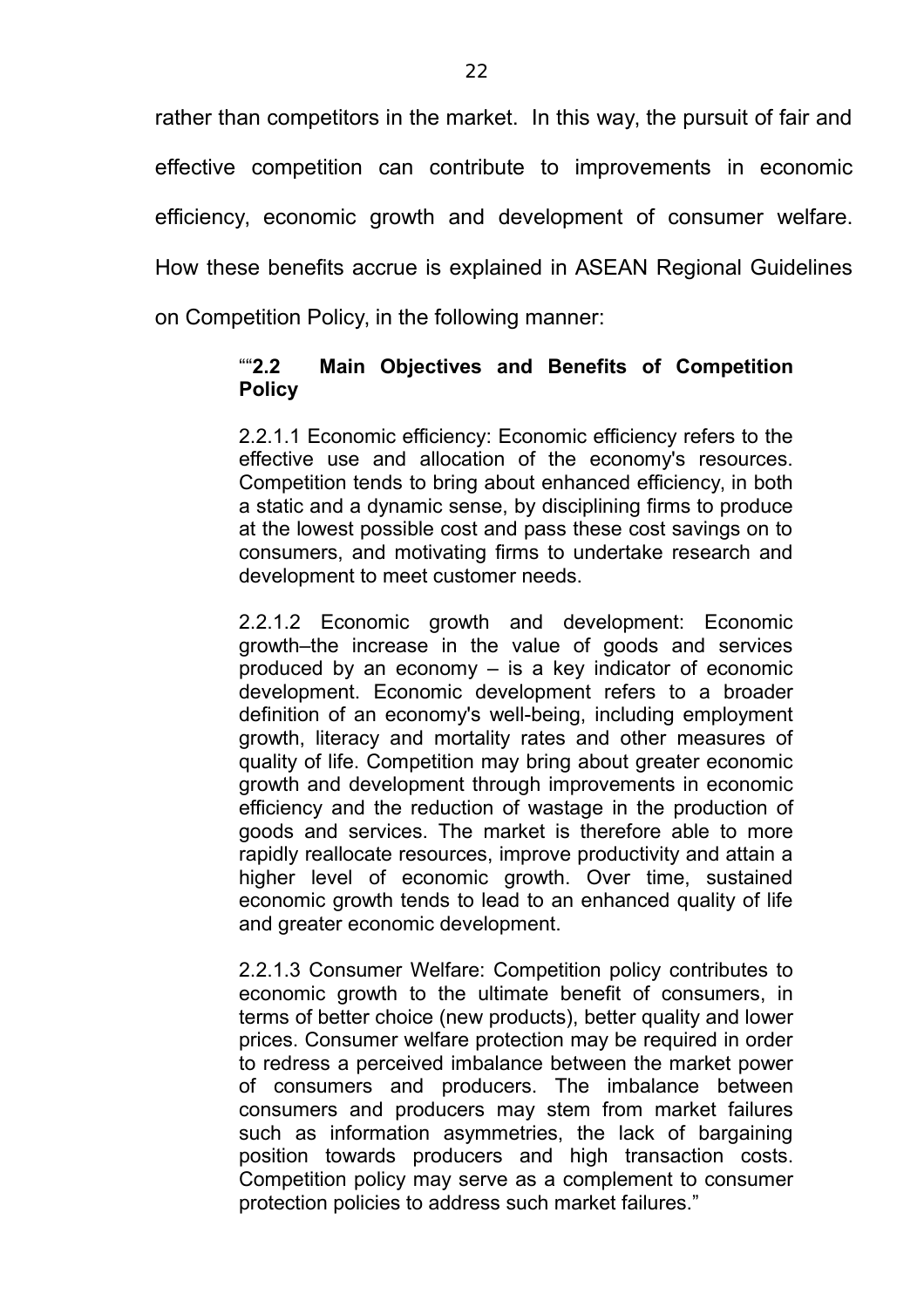rather than competitors in the market. In this way, the pursuit of fair and effective competition can contribute to improvements in economic efficiency, economic growth and development of consumer welfare. How these benefits accrue is explained in ASEAN Regional Guidelines on Competition Policy, in the following manner:

#### ""**2.2 Main Objectives and Benefits of Competition Policy**

2.2.1.1 Economic efficiency: Economic efficiency refers to the effective use and allocation of the economy's resources. Competition tends to bring about enhanced efficiency, in both a static and a dynamic sense, by disciplining firms to produce at the lowest possible cost and pass these cost savings on to consumers, and motivating firms to undertake research and development to meet customer needs.

2.2.1.2 Economic growth and development: Economic growth–the increase in the value of goods and services produced by an economy – is a key indicator of economic development. Economic development refers to a broader definition of an economy's well-being, including employment growth, literacy and mortality rates and other measures of quality of life. Competition may bring about greater economic growth and development through improvements in economic efficiency and the reduction of wastage in the production of goods and services. The market is therefore able to more rapidly reallocate resources, improve productivity and attain a higher level of economic growth. Over time, sustained economic growth tends to lead to an enhanced quality of life and greater economic development.

2.2.1.3 Consumer Welfare: Competition policy contributes to economic growth to the ultimate benefit of consumers, in terms of better choice (new products), better quality and lower prices. Consumer welfare protection may be required in order to redress a perceived imbalance between the market power of consumers and producers. The imbalance between consumers and producers may stem from market failures such as information asymmetries, the lack of bargaining position towards producers and high transaction costs. Competition policy may serve as a complement to consumer protection policies to address such market failures."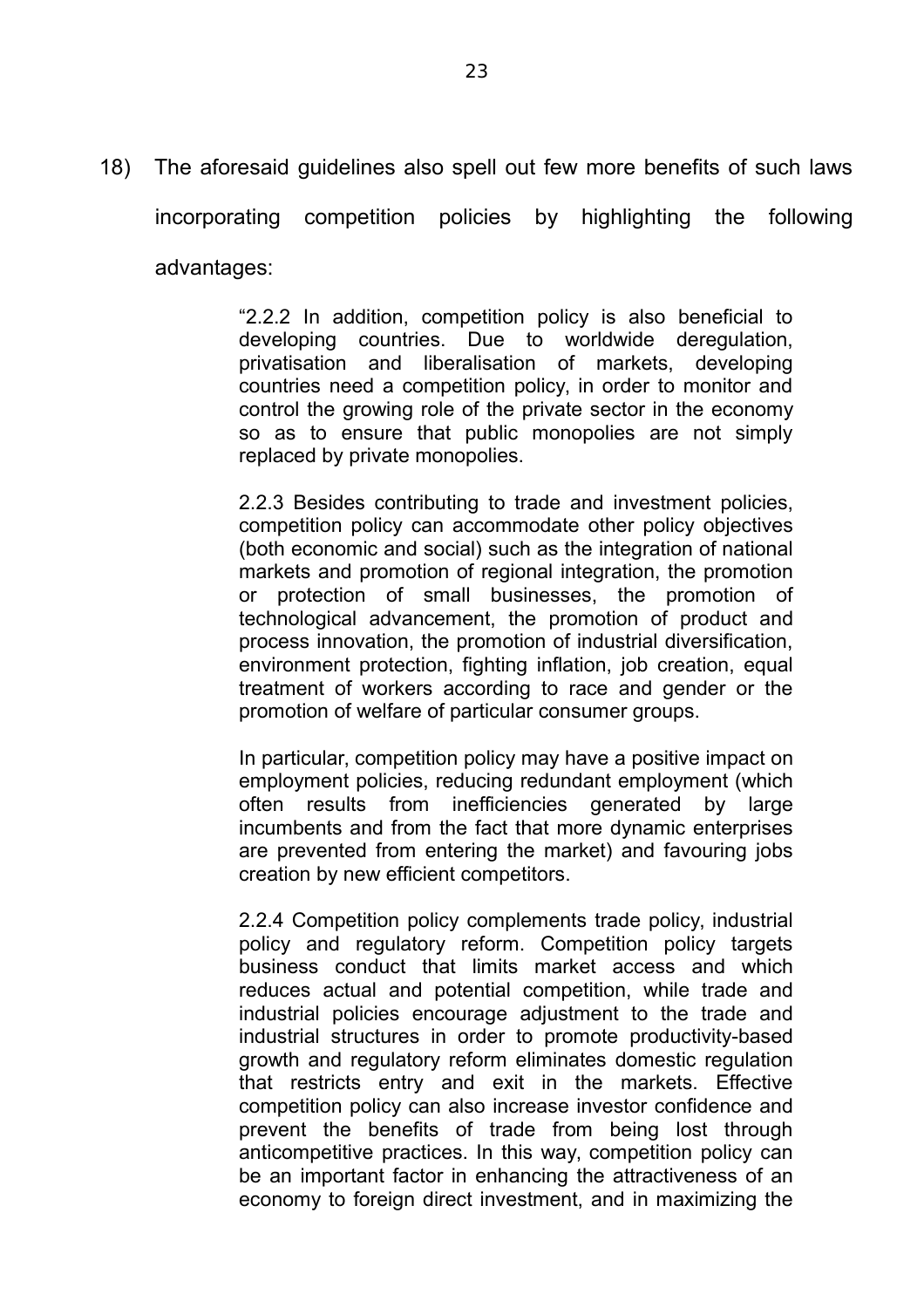18) The aforesaid guidelines also spell out few more benefits of such laws incorporating competition policies by highlighting the following advantages:

> "2.2.2 In addition, competition policy is also beneficial to developing countries. Due to worldwide deregulation, privatisation and liberalisation of markets, developing countries need a competition policy, in order to monitor and control the growing role of the private sector in the economy so as to ensure that public monopolies are not simply replaced by private monopolies.

> 2.2.3 Besides contributing to trade and investment policies, competition policy can accommodate other policy objectives (both economic and social) such as the integration of national markets and promotion of regional integration, the promotion or protection of small businesses, the promotion of technological advancement, the promotion of product and process innovation, the promotion of industrial diversification, environment protection, fighting inflation, job creation, equal treatment of workers according to race and gender or the promotion of welfare of particular consumer groups.

> In particular, competition policy may have a positive impact on employment policies, reducing redundant employment (which often results from inefficiencies generated by large incumbents and from the fact that more dynamic enterprises are prevented from entering the market) and favouring jobs creation by new efficient competitors.

> 2.2.4 Competition policy complements trade policy, industrial policy and regulatory reform. Competition policy targets business conduct that limits market access and which reduces actual and potential competition, while trade and industrial policies encourage adjustment to the trade and industrial structures in order to promote productivity-based growth and regulatory reform eliminates domestic regulation that restricts entry and exit in the markets. Effective competition policy can also increase investor confidence and prevent the benefits of trade from being lost through anticompetitive practices. In this way, competition policy can be an important factor in enhancing the attractiveness of an economy to foreign direct investment, and in maximizing the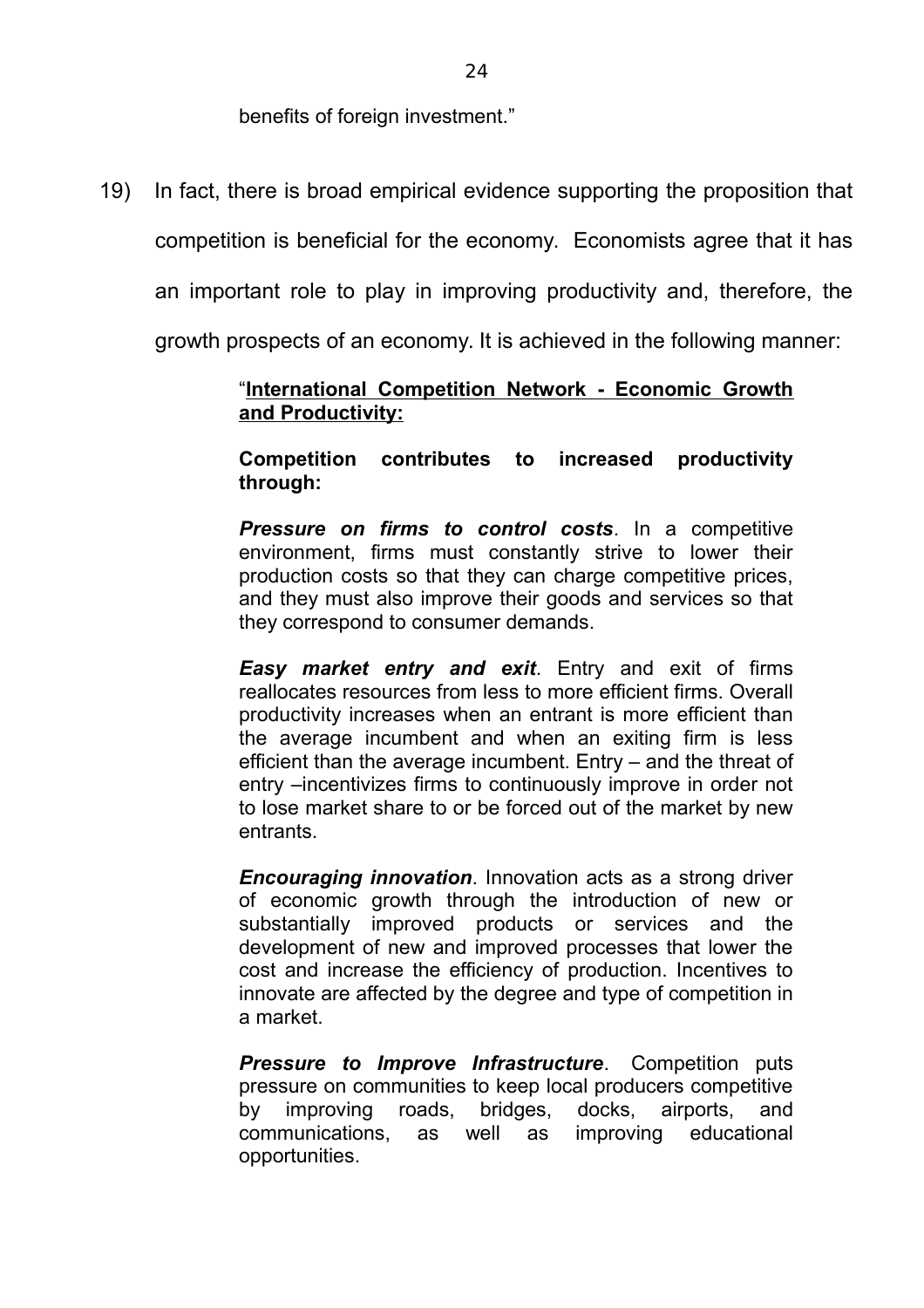benefits of foreign investment."

19) In fact, there is broad empirical evidence supporting the proposition that

competition is beneficial for the economy. Economists agree that it has

an important role to play in improving productivity and, therefore, the

growth prospects of an economy. It is achieved in the following manner:

#### "**International Competition Network - Economic Growth and Productivity:**

**Competition contributes to increased productivity through:** 

*Pressure on firms to control costs*. In a competitive environment, firms must constantly strive to lower their production costs so that they can charge competitive prices, and they must also improve their goods and services so that they correspond to consumer demands.

*Easy market entry and exit*. Entry and exit of firms reallocates resources from less to more efficient firms. Overall productivity increases when an entrant is more efficient than the average incumbent and when an exiting firm is less efficient than the average incumbent. Entry – and the threat of entry –incentivizes firms to continuously improve in order not to lose market share to or be forced out of the market by new entrants.

*Encouraging innovation*. Innovation acts as a strong driver of economic growth through the introduction of new or substantially improved products or services and the development of new and improved processes that lower the cost and increase the efficiency of production. Incentives to innovate are affected by the degree and type of competition in a market.

**Pressure to Improve Infrastructure.** Competition puts pressure on communities to keep local producers competitive by improving roads, bridges, docks, airports, and communications, as well as improving educational opportunities.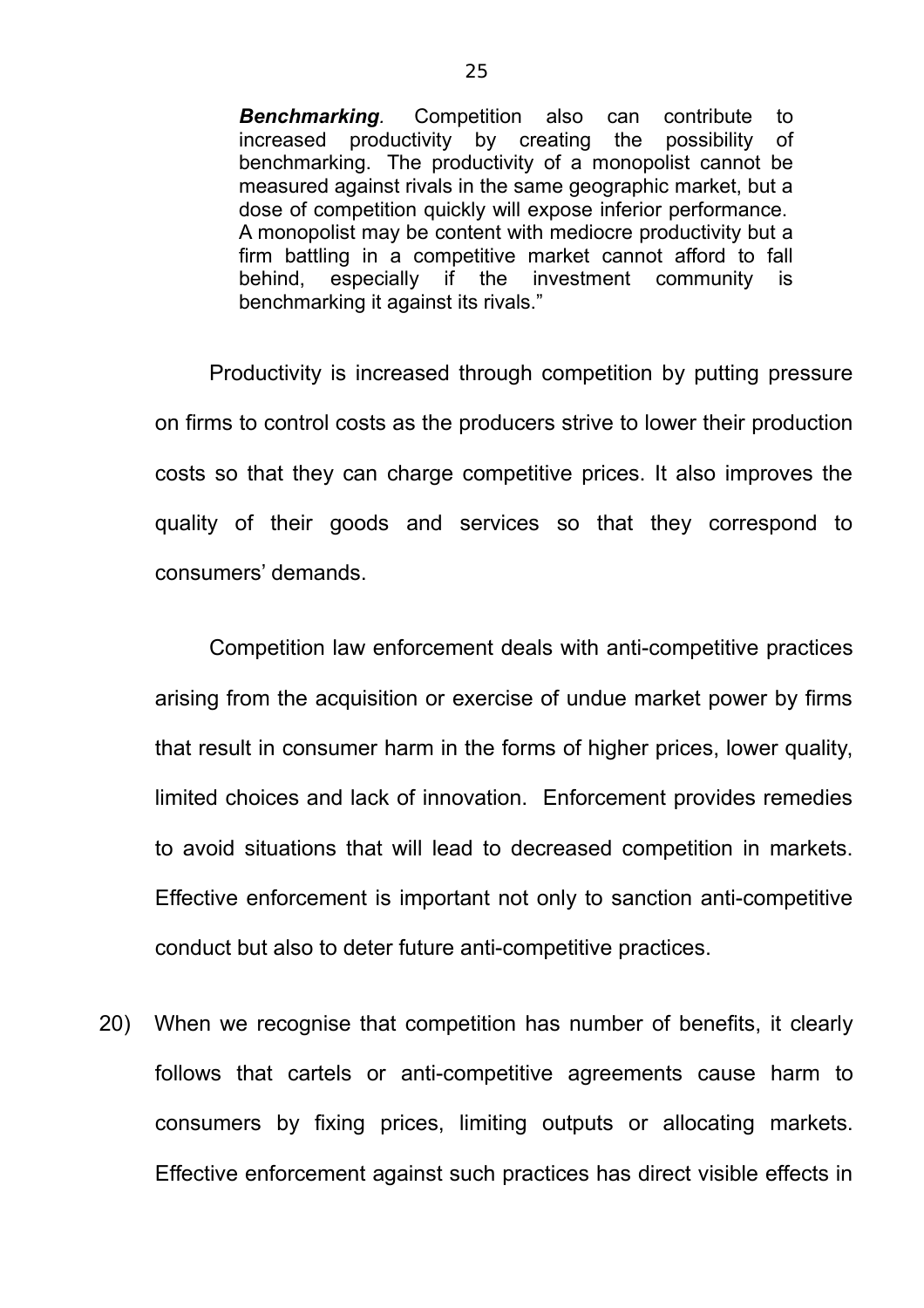*Benchmarking.* Competition also can contribute to increased productivity by creating the possibility of benchmarking. The productivity of a monopolist cannot be measured against rivals in the same geographic market, but a dose of competition quickly will expose inferior performance. A monopolist may be content with mediocre productivity but a firm battling in a competitive market cannot afford to fall behind, especially if the investment community is benchmarking it against its rivals."

 Productivity is increased through competition by putting pressure on firms to control costs as the producers strive to lower their production costs so that they can charge competitive prices. It also improves the quality of their goods and services so that they correspond to consumers' demands.

Competition law enforcement deals with anti-competitive practices arising from the acquisition or exercise of undue market power by firms that result in consumer harm in the forms of higher prices, lower quality, limited choices and lack of innovation. Enforcement provides remedies to avoid situations that will lead to decreased competition in markets. Effective enforcement is important not only to sanction anti-competitive conduct but also to deter future anti-competitive practices.

20) When we recognise that competition has number of benefits, it clearly follows that cartels or anti-competitive agreements cause harm to consumers by fixing prices, limiting outputs or allocating markets. Effective enforcement against such practices has direct visible effects in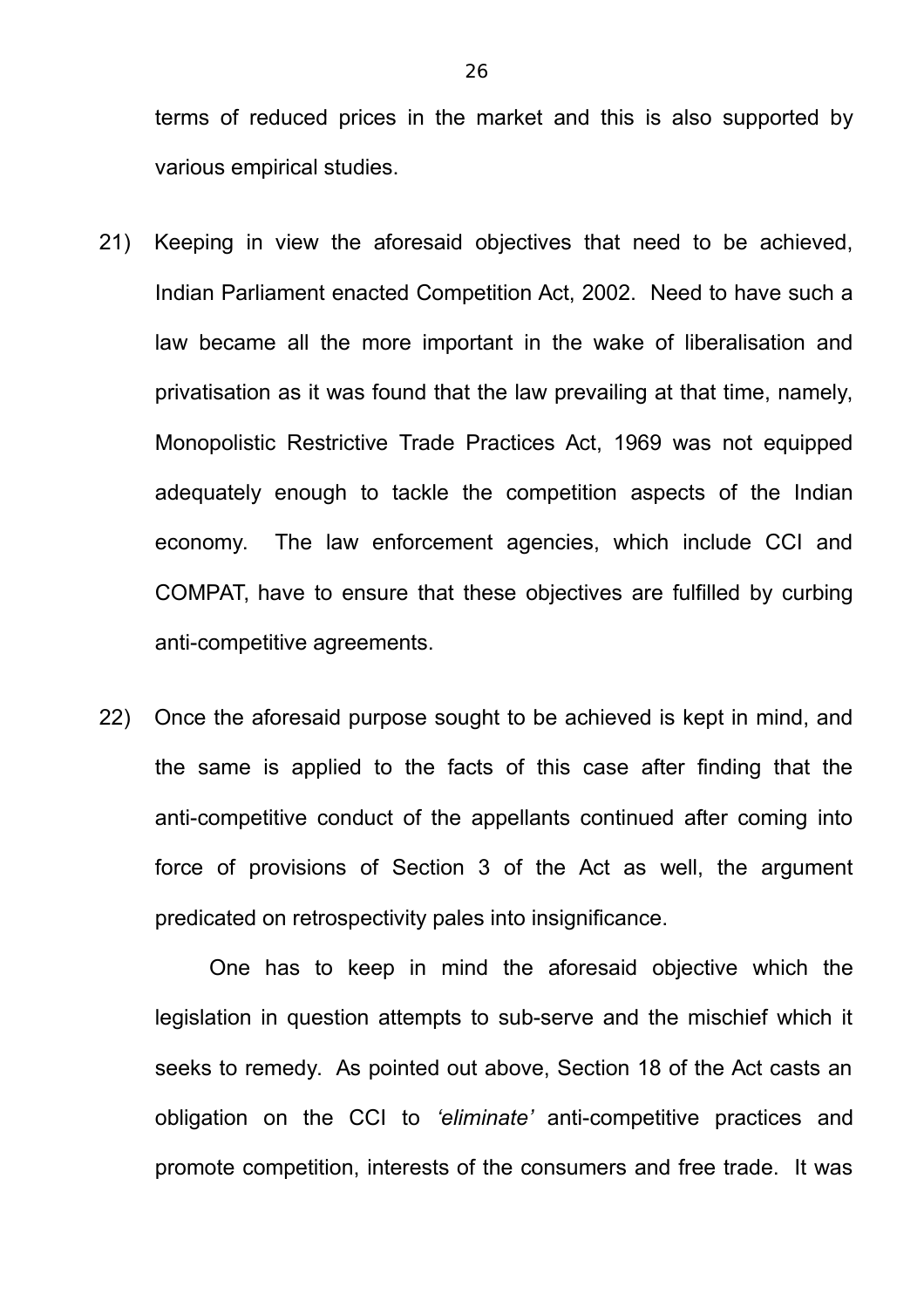terms of reduced prices in the market and this is also supported by various empirical studies.

- 21) Keeping in view the aforesaid objectives that need to be achieved, Indian Parliament enacted Competition Act, 2002. Need to have such a law became all the more important in the wake of liberalisation and privatisation as it was found that the law prevailing at that time, namely, Monopolistic Restrictive Trade Practices Act, 1969 was not equipped adequately enough to tackle the competition aspects of the Indian economy. The law enforcement agencies, which include CCI and COMPAT, have to ensure that these objectives are fulfilled by curbing anti-competitive agreements.
- 22) Once the aforesaid purpose sought to be achieved is kept in mind, and the same is applied to the facts of this case after finding that the anti-competitive conduct of the appellants continued after coming into force of provisions of Section 3 of the Act as well, the argument predicated on retrospectivity pales into insignificance.

One has to keep in mind the aforesaid objective which the legislation in question attempts to sub-serve and the mischief which it seeks to remedy. As pointed out above, Section 18 of the Act casts an obligation on the CCI to *'eliminate'* anti-competitive practices and promote competition, interests of the consumers and free trade. It was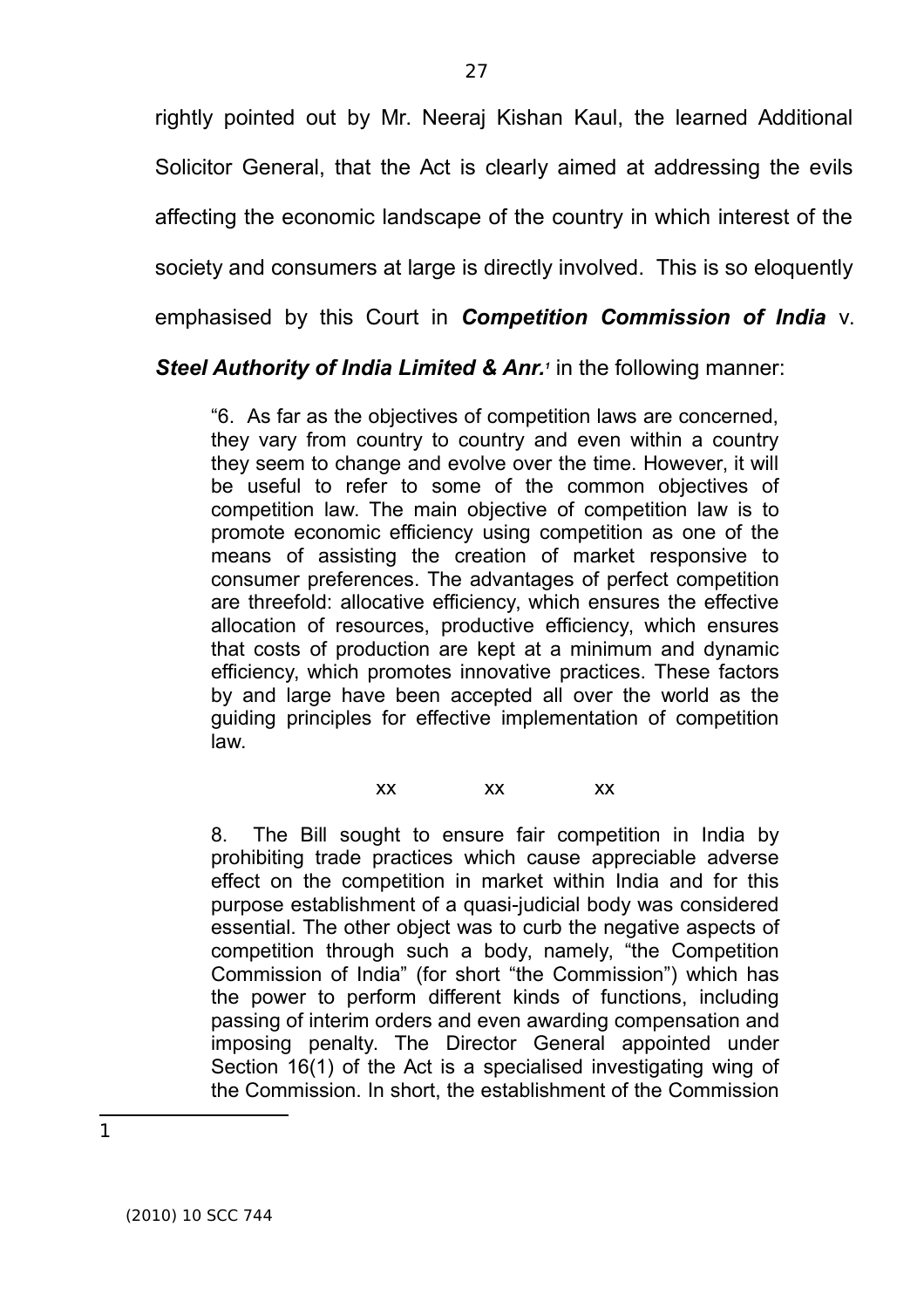rightly pointed out by Mr. Neeraj Kishan Kaul, the learned Additional Solicitor General, that the Act is clearly aimed at addressing the evils affecting the economic landscape of the country in which interest of the society and consumers at large is directly involved. This is so eloquently emphasised by this Court in *Competition Commission of India* v.

#### **Steel Authority of India Limited & Anr.<sup>***1***</sup> in the following manner:**

"6. As far as the objectives of competition laws are concerned, they vary from country to country and even within a country they seem to change and evolve over the time. However, it will be useful to refer to some of the common objectives of competition law. The main objective of competition law is to promote economic efficiency using competition as one of the means of assisting the creation of market responsive to consumer preferences. The advantages of perfect competition are threefold: allocative efficiency, which ensures the effective allocation of resources, productive efficiency, which ensures that costs of production are kept at a minimum and dynamic efficiency, which promotes innovative practices. These factors by and large have been accepted all over the world as the guiding principles for effective implementation of competition law.

xx xx xx

8. The Bill sought to ensure fair competition in India by prohibiting trade practices which cause appreciable adverse effect on the competition in market within India and for this purpose establishment of a quasi-judicial body was considered essential. The other object was to curb the negative aspects of competition through such a body, namely, "the Competition Commission of India" (for short "the Commission") which has the power to perform different kinds of functions, including passing of interim orders and even awarding compensation and imposing penalty. The Director General appointed under Section 16(1) of the Act is a specialised investigating wing of the Commission. In short, the establishment of the Commission

1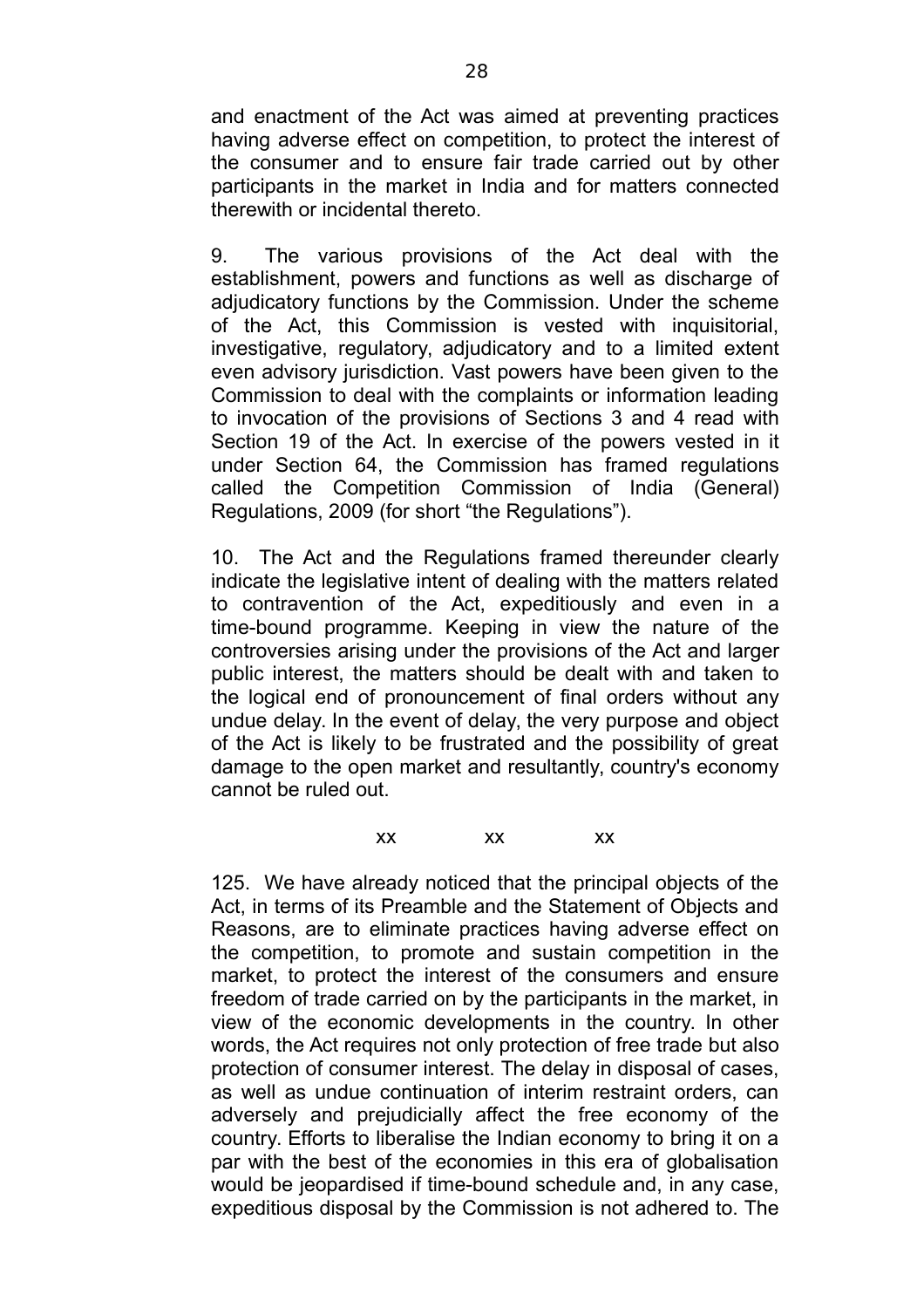and enactment of the Act was aimed at preventing practices having adverse effect on competition, to protect the interest of the consumer and to ensure fair trade carried out by other participants in the market in India and for matters connected therewith or incidental thereto.

9. The various provisions of the Act deal with the establishment, powers and functions as well as discharge of adjudicatory functions by the Commission. Under the scheme of the Act, this Commission is vested with inquisitorial, investigative, regulatory, adjudicatory and to a limited extent even advisory jurisdiction. Vast powers have been given to the Commission to deal with the complaints or information leading to invocation of the provisions of Sections 3 and 4 read with Section 19 of the Act. In exercise of the powers vested in it under Section 64, the Commission has framed regulations called the Competition Commission of India (General) Regulations, 2009 (for short "the Regulations").

10. The Act and the Regulations framed thereunder clearly indicate the legislative intent of dealing with the matters related to contravention of the Act, expeditiously and even in a time-bound programme. Keeping in view the nature of the controversies arising under the provisions of the Act and larger public interest, the matters should be dealt with and taken to the logical end of pronouncement of final orders without any undue delay. In the event of delay, the very purpose and object of the Act is likely to be frustrated and the possibility of great damage to the open market and resultantly, country's economy cannot be ruled out.

xx xx xx

125. We have already noticed that the principal objects of the Act, in terms of its Preamble and the Statement of Objects and Reasons, are to eliminate practices having adverse effect on the competition, to promote and sustain competition in the market, to protect the interest of the consumers and ensure freedom of trade carried on by the participants in the market, in view of the economic developments in the country. In other words, the Act requires not only protection of free trade but also protection of consumer interest. The delay in disposal of cases, as well as undue continuation of interim restraint orders, can adversely and prejudicially affect the free economy of the country. Efforts to liberalise the Indian economy to bring it on a par with the best of the economies in this era of globalisation would be jeopardised if time-bound schedule and, in any case, expeditious disposal by the Commission is not adhered to. The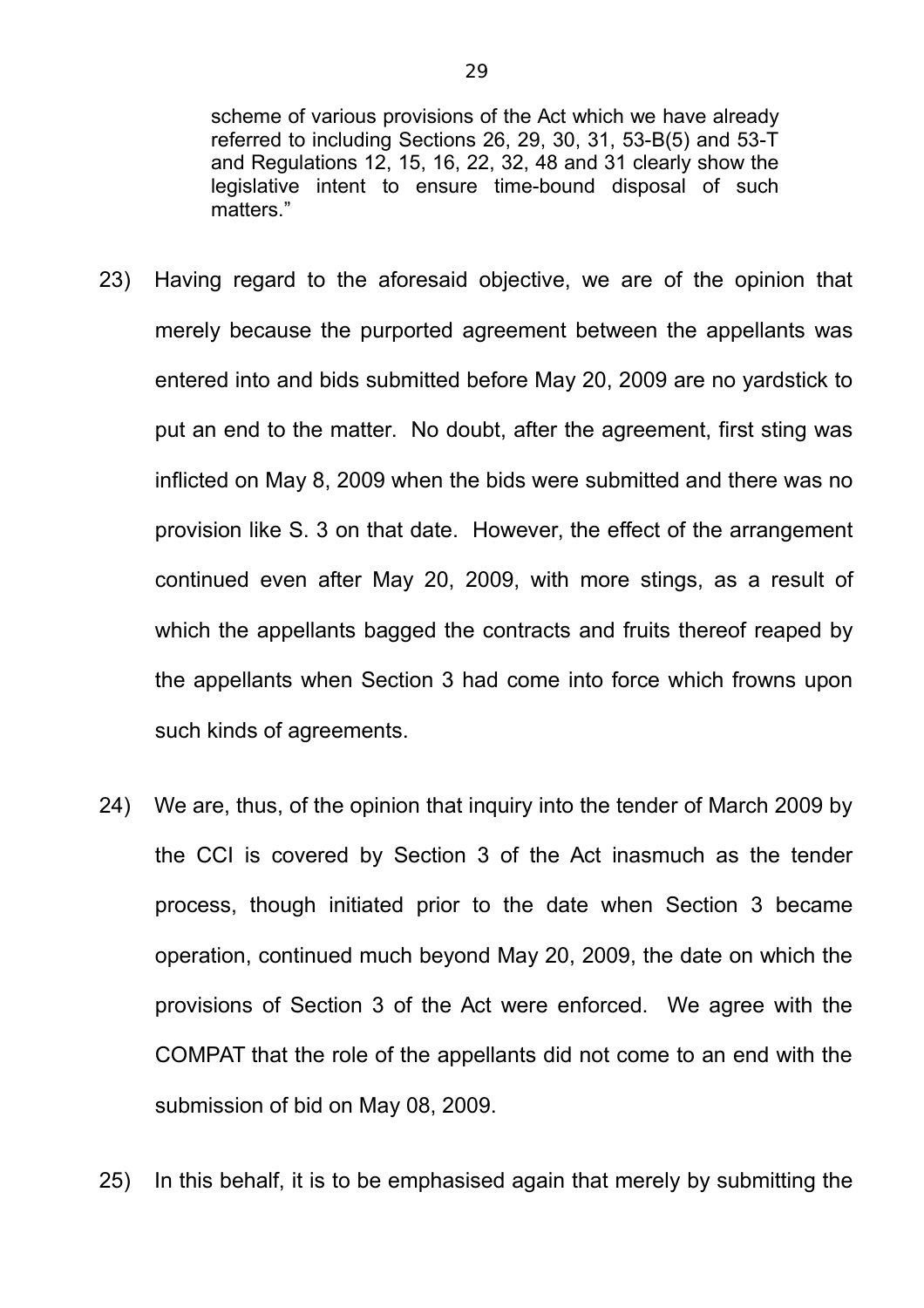scheme of various provisions of the Act which we have already referred to including Sections 26, 29, 30, 31, 53-B(5) and 53-T and Regulations 12, 15, 16, 22, 32, 48 and 31 clearly show the legislative intent to ensure time-bound disposal of such matters."

- 23) Having regard to the aforesaid objective, we are of the opinion that merely because the purported agreement between the appellants was entered into and bids submitted before May 20, 2009 are no yardstick to put an end to the matter. No doubt, after the agreement, first sting was inflicted on May 8, 2009 when the bids were submitted and there was no provision like S. 3 on that date. However, the effect of the arrangement continued even after May 20, 2009, with more stings, as a result of which the appellants bagged the contracts and fruits thereof reaped by the appellants when Section 3 had come into force which frowns upon such kinds of agreements.
- 24) We are, thus, of the opinion that inquiry into the tender of March 2009 by the CCI is covered by Section 3 of the Act inasmuch as the tender process, though initiated prior to the date when Section 3 became operation, continued much beyond May 20, 2009, the date on which the provisions of Section 3 of the Act were enforced. We agree with the COMPAT that the role of the appellants did not come to an end with the submission of bid on May 08, 2009.
- 25) In this behalf, it is to be emphasised again that merely by submitting the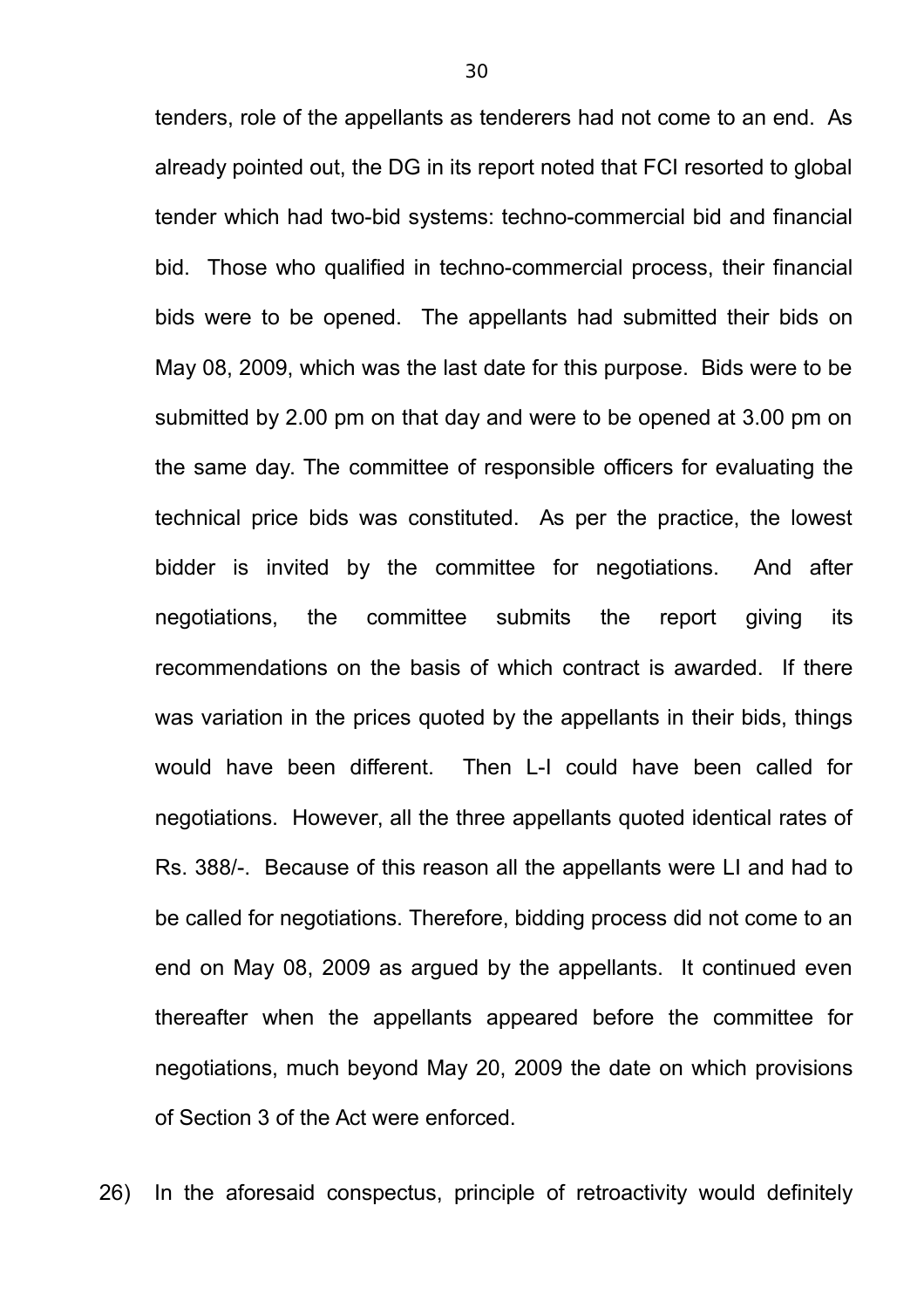tenders, role of the appellants as tenderers had not come to an end. As already pointed out, the DG in its report noted that FCI resorted to global tender which had two-bid systems: techno-commercial bid and financial bid. Those who qualified in techno-commercial process, their financial bids were to be opened. The appellants had submitted their bids on May 08, 2009, which was the last date for this purpose. Bids were to be submitted by 2.00 pm on that day and were to be opened at 3.00 pm on the same day. The committee of responsible officers for evaluating the technical price bids was constituted. As per the practice, the lowest bidder is invited by the committee for negotiations. And after negotiations, the committee submits the report giving its recommendations on the basis of which contract is awarded. If there was variation in the prices quoted by the appellants in their bids, things would have been different. Then L-I could have been called for negotiations. However, all the three appellants quoted identical rates of Rs. 388/-. Because of this reason all the appellants were LI and had to be called for negotiations. Therefore, bidding process did not come to an end on May 08, 2009 as argued by the appellants. It continued even thereafter when the appellants appeared before the committee for negotiations, much beyond May 20, 2009 the date on which provisions of Section 3 of the Act were enforced.

26) In the aforesaid conspectus, principle of retroactivity would definitely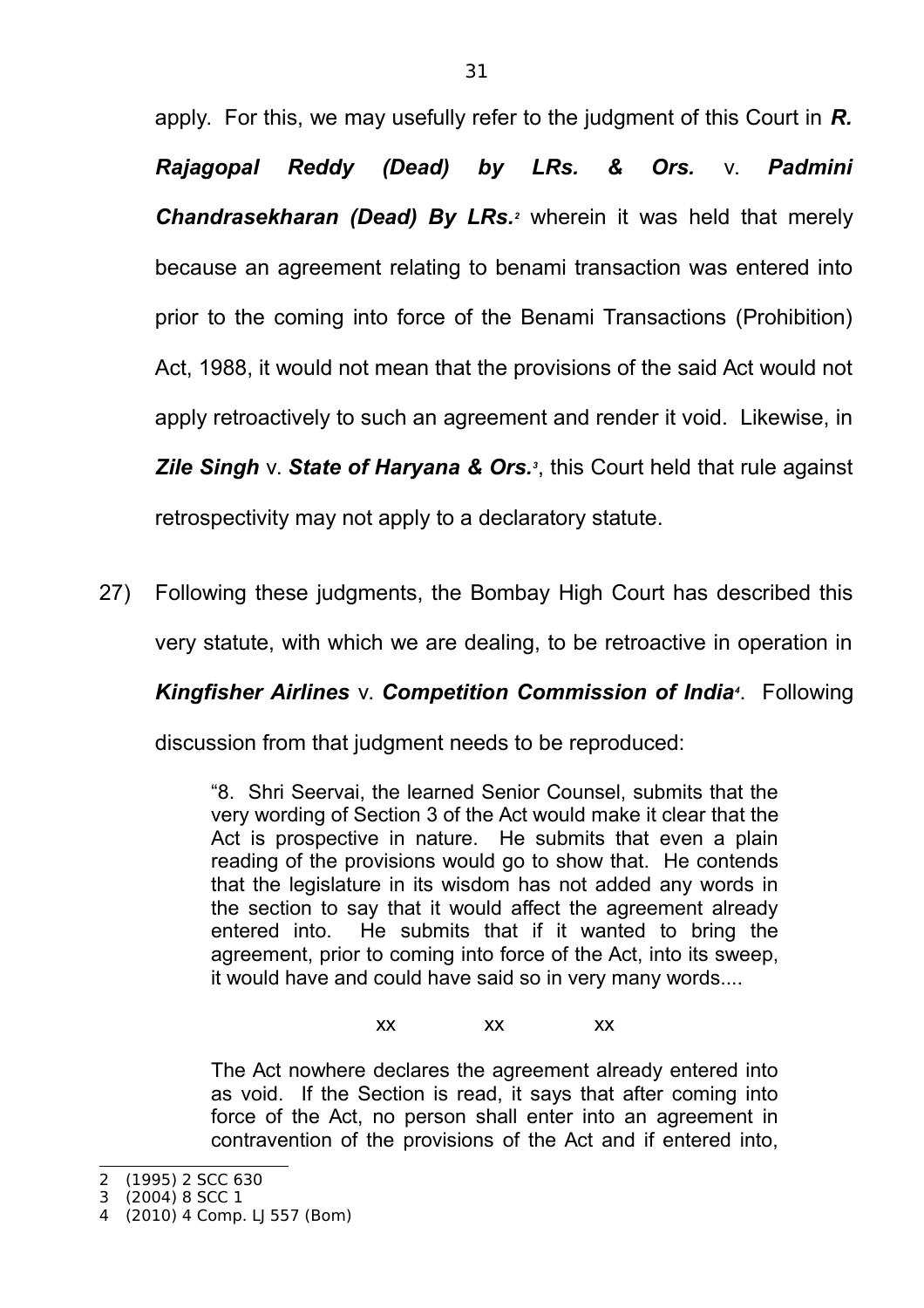apply. For this, we may usefully refer to the judgment of this Court in *R. Rajagopal Reddy (Dead) by LRs. & Ors.* v. *Padmini* **Chandrasekharan (Dead) By LRs.**<sup>2</sup> wherein it was held that merely because an agreement relating to benami transaction was entered into prior to the coming into force of the Benami Transactions (Prohibition) Act, 1988, it would not mean that the provisions of the said Act would not apply retroactively to such an agreement and render it void. Likewise, in *Zile Singh* v. *State of Haryana & Ors.<sup>3</sup>* , this Court held that rule against retrospectivity may not apply to a declaratory statute.

27) Following these judgments, the Bombay High Court has described this very statute, with which we are dealing, to be retroactive in operation in

# *Kingfisher Airlines* v. *Competition Commission of India<sup>4</sup>* . Following

discussion from that judgment needs to be reproduced:

"8. Shri Seervai, the learned Senior Counsel, submits that the very wording of Section 3 of the Act would make it clear that the Act is prospective in nature. He submits that even a plain reading of the provisions would go to show that. He contends that the legislature in its wisdom has not added any words in the section to say that it would affect the agreement already entered into. He submits that if it wanted to bring the agreement, prior to coming into force of the Act, into its sweep, it would have and could have said so in very many words....

xx xx xx

The Act nowhere declares the agreement already entered into as void. If the Section is read, it says that after coming into force of the Act, no person shall enter into an agreement in contravention of the provisions of the Act and if entered into,

<sup>2</sup> (1995) 2 SCC 630

<sup>3</sup> (2004) 8 SCC 1

<sup>4</sup> (2010) 4 Comp. LJ 557 (Bom)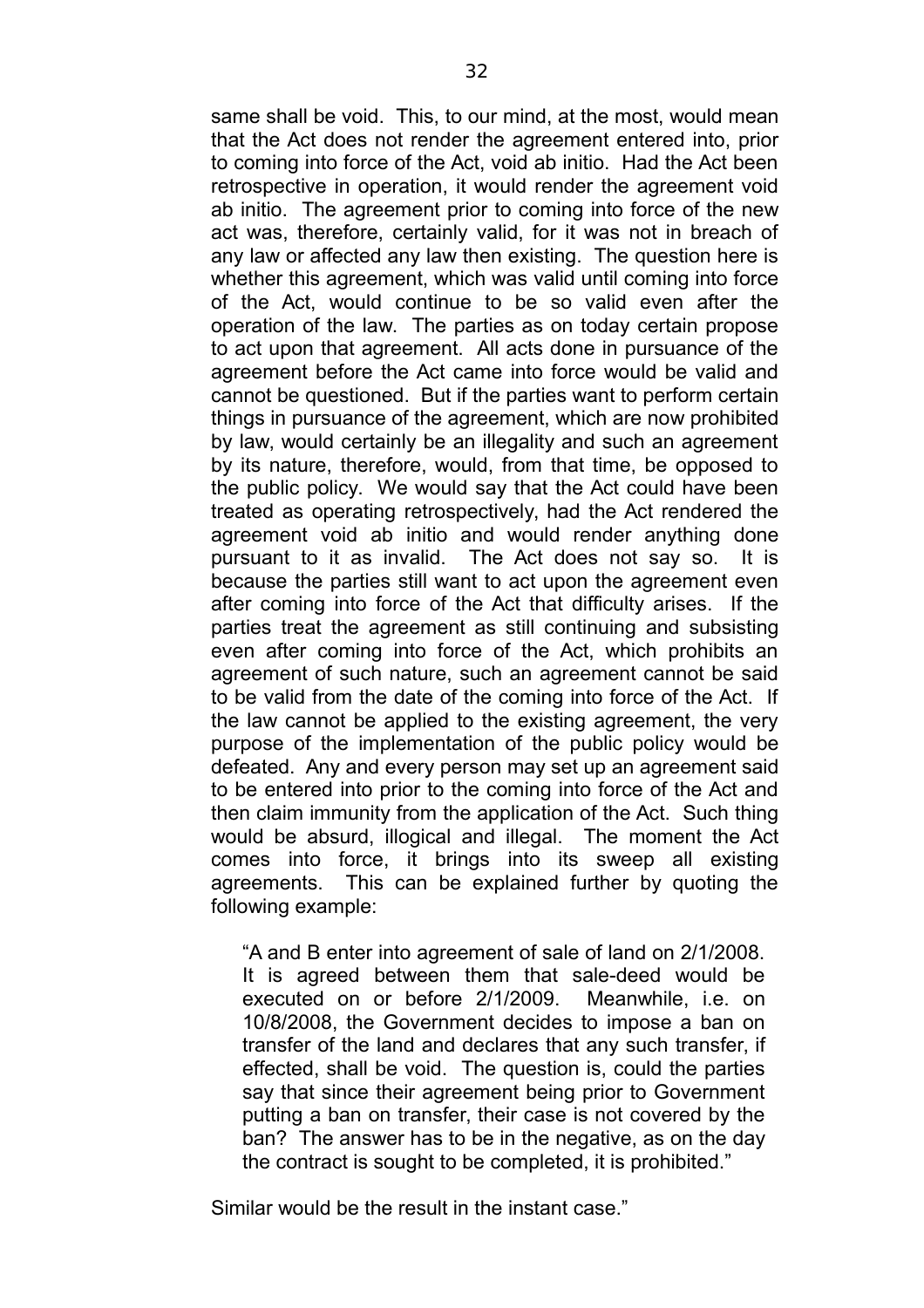same shall be void. This, to our mind, at the most, would mean that the Act does not render the agreement entered into, prior to coming into force of the Act, void ab initio. Had the Act been retrospective in operation, it would render the agreement void ab initio. The agreement prior to coming into force of the new act was, therefore, certainly valid, for it was not in breach of any law or affected any law then existing. The question here is whether this agreement, which was valid until coming into force of the Act, would continue to be so valid even after the operation of the law. The parties as on today certain propose to act upon that agreement. All acts done in pursuance of the agreement before the Act came into force would be valid and cannot be questioned. But if the parties want to perform certain things in pursuance of the agreement, which are now prohibited by law, would certainly be an illegality and such an agreement by its nature, therefore, would, from that time, be opposed to the public policy. We would say that the Act could have been treated as operating retrospectively, had the Act rendered the agreement void ab initio and would render anything done pursuant to it as invalid. The Act does not say so. It is because the parties still want to act upon the agreement even after coming into force of the Act that difficulty arises. If the parties treat the agreement as still continuing and subsisting even after coming into force of the Act, which prohibits an agreement of such nature, such an agreement cannot be said to be valid from the date of the coming into force of the Act. If the law cannot be applied to the existing agreement, the very purpose of the implementation of the public policy would be defeated. Any and every person may set up an agreement said to be entered into prior to the coming into force of the Act and then claim immunity from the application of the Act. Such thing would be absurd, illogical and illegal. The moment the Act comes into force, it brings into its sweep all existing agreements. This can be explained further by quoting the following example:

"A and B enter into agreement of sale of land on 2/1/2008. It is agreed between them that sale-deed would be executed on or before 2/1/2009. Meanwhile, i.e. on 10/8/2008, the Government decides to impose a ban on transfer of the land and declares that any such transfer, if effected, shall be void. The question is, could the parties say that since their agreement being prior to Government putting a ban on transfer, their case is not covered by the ban? The answer has to be in the negative, as on the day the contract is sought to be completed, it is prohibited."

Similar would be the result in the instant case."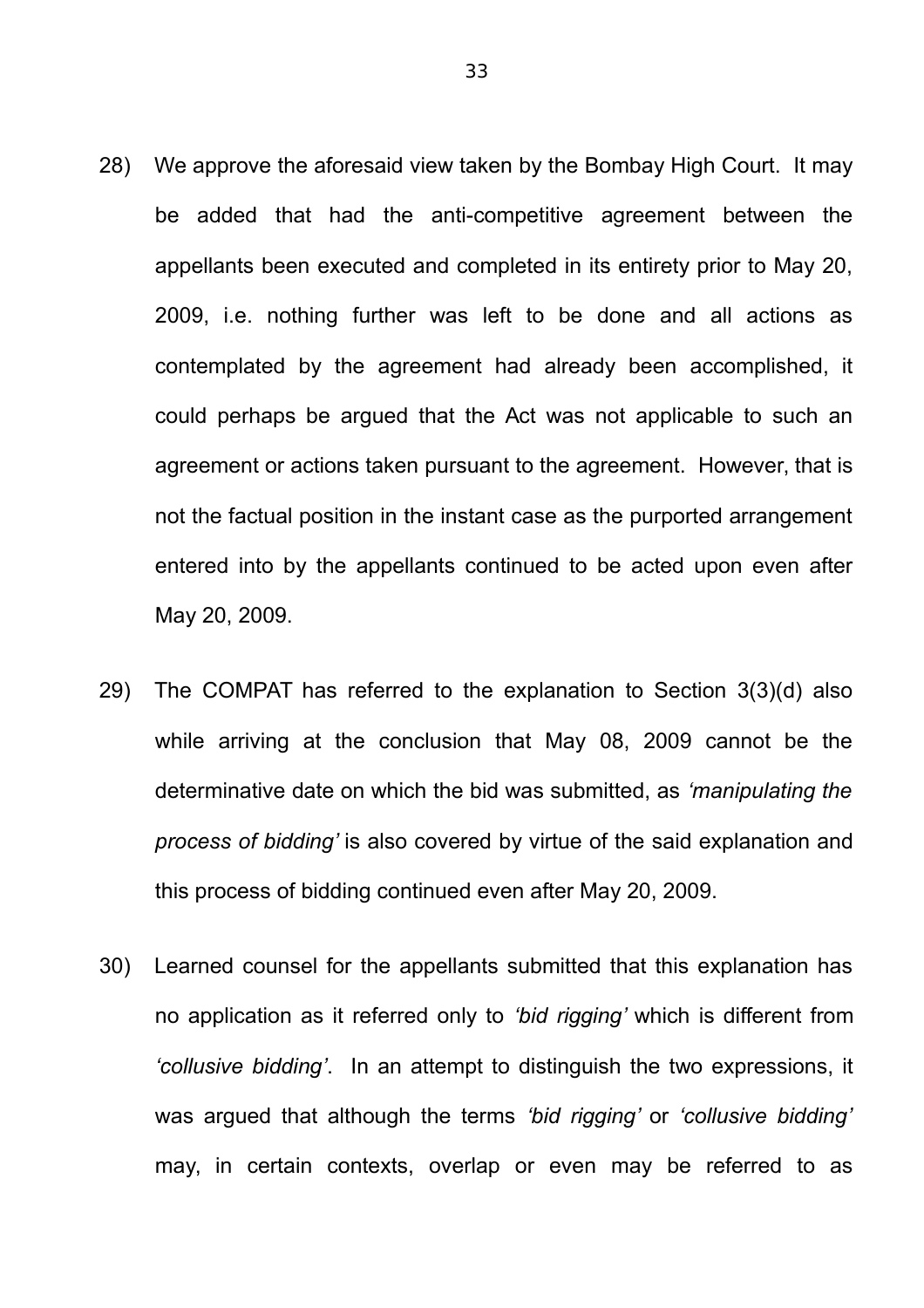- 28) We approve the aforesaid view taken by the Bombay High Court. It may be added that had the anti-competitive agreement between the appellants been executed and completed in its entirety prior to May 20, 2009, i.e. nothing further was left to be done and all actions as contemplated by the agreement had already been accomplished, it could perhaps be argued that the Act was not applicable to such an agreement or actions taken pursuant to the agreement. However, that is not the factual position in the instant case as the purported arrangement entered into by the appellants continued to be acted upon even after May 20, 2009.
- 29) The COMPAT has referred to the explanation to Section 3(3)(d) also while arriving at the conclusion that May 08, 2009 cannot be the determinative date on which the bid was submitted, as *'manipulating the process of bidding'* is also covered by virtue of the said explanation and this process of bidding continued even after May 20, 2009.
- 30) Learned counsel for the appellants submitted that this explanation has no application as it referred only to *'bid rigging'* which is different from *'collusive bidding'*. In an attempt to distinguish the two expressions, it was argued that although the terms *'bid rigging'* or *'collusive bidding'* may, in certain contexts, overlap or even may be referred to as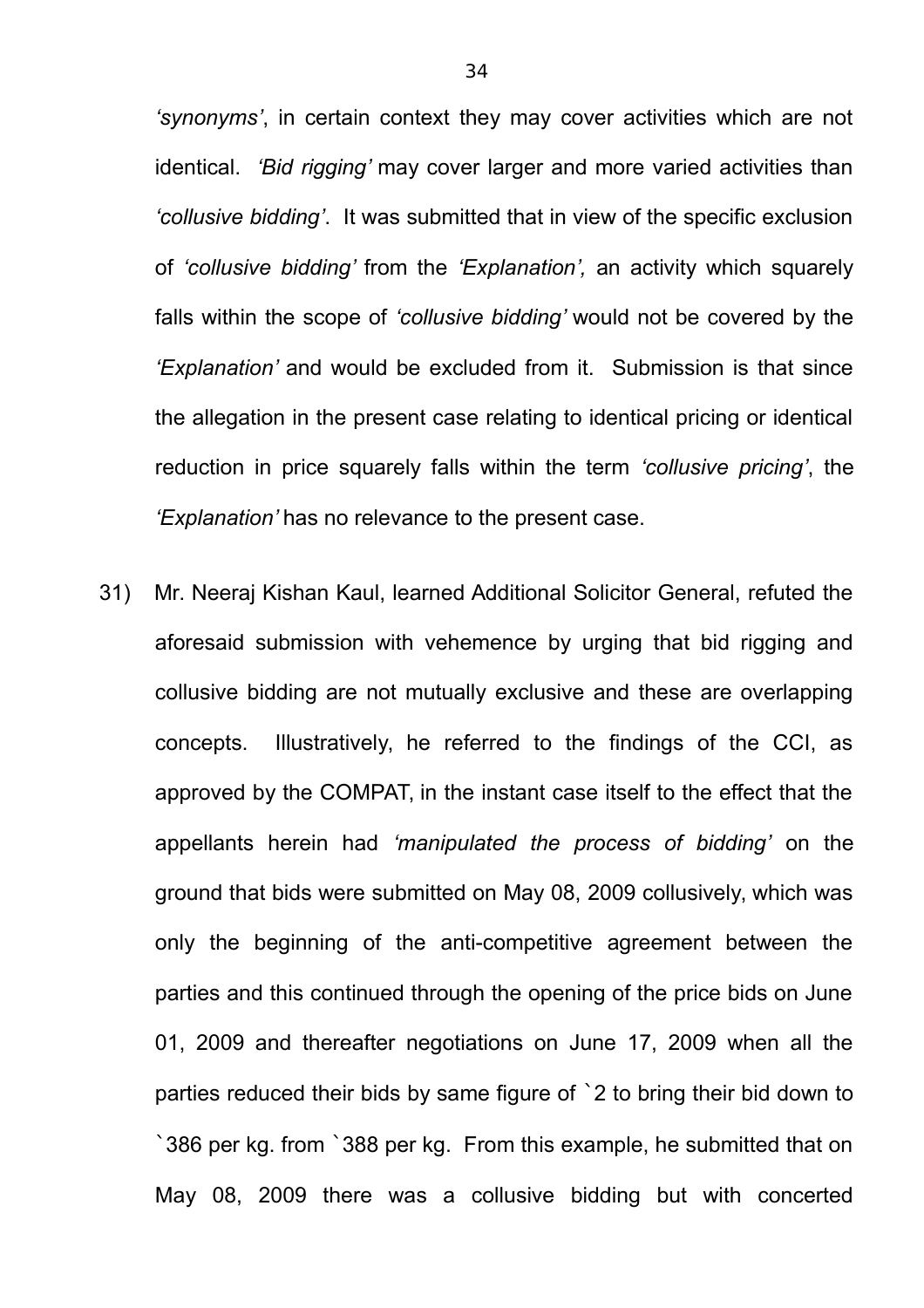*'synonyms'*, in certain context they may cover activities which are not identical. *'Bid rigging'* may cover larger and more varied activities than *'collusive bidding'*. It was submitted that in view of the specific exclusion of *'collusive bidding'* from the *'Explanation',* an activity which squarely falls within the scope of *'collusive bidding'* would not be covered by the *'Explanation'* and would be excluded from it. Submission is that since the allegation in the present case relating to identical pricing or identical reduction in price squarely falls within the term *'collusive pricing'*, the *'Explanation'* has no relevance to the present case.

31) Mr. Neeraj Kishan Kaul, learned Additional Solicitor General, refuted the aforesaid submission with vehemence by urging that bid rigging and collusive bidding are not mutually exclusive and these are overlapping concepts. Illustratively, he referred to the findings of the CCI, as approved by the COMPAT, in the instant case itself to the effect that the appellants herein had *'manipulated the process of bidding'* on the ground that bids were submitted on May 08, 2009 collusively, which was only the beginning of the anti-competitive agreement between the parties and this continued through the opening of the price bids on June 01, 2009 and thereafter negotiations on June 17, 2009 when all the parties reduced their bids by same figure of `2 to bring their bid down to `386 per kg. from `388 per kg. From this example, he submitted that on May 08, 2009 there was a collusive bidding but with concerted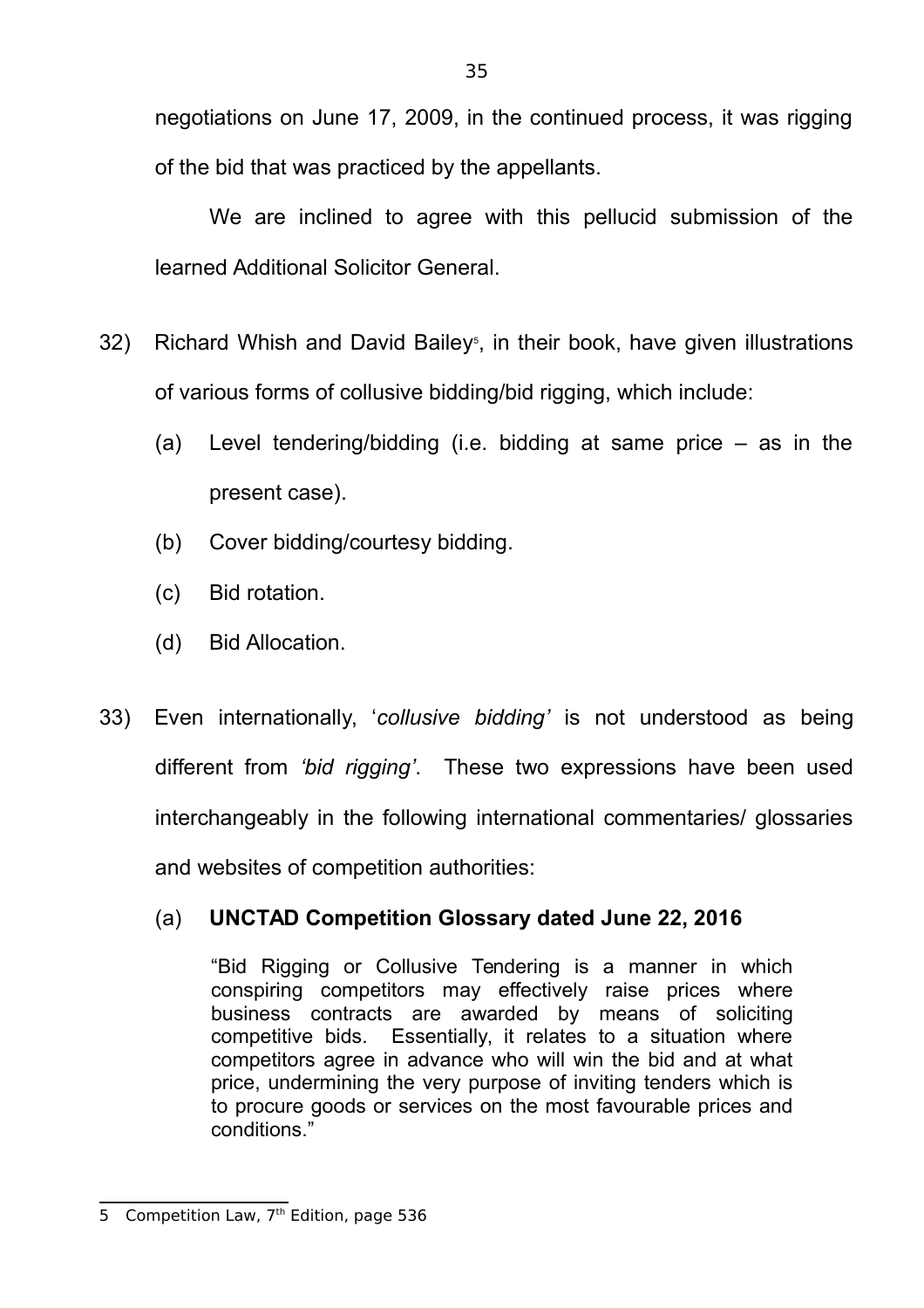negotiations on June 17, 2009, in the continued process, it was rigging of the bid that was practiced by the appellants.

We are inclined to agree with this pellucid submission of the learned Additional Solicitor General.

- 32) Richard Whish and David Bailey<sup>5</sup>, in their book, have given illustrations of various forms of collusive bidding/bid rigging, which include:
	- (a) Level tendering/bidding (i.e. bidding at same price as in the present case).
	- (b) Cover bidding/courtesy bidding.
	- (c) Bid rotation.
	- (d) Bid Allocation.
- 33) Even internationally, '*collusive bidding'* is not understood as being different from *'bid rigging'*. These two expressions have been used interchangeably in the following international commentaries/ glossaries and websites of competition authorities:

# (a) **UNCTAD Competition Glossary dated June 22, 2016**

"Bid Rigging or Collusive Tendering is a manner in which conspiring competitors may effectively raise prices where business contracts are awarded by means of soliciting competitive bids. Essentially, it relates to a situation where competitors agree in advance who will win the bid and at what price, undermining the very purpose of inviting tenders which is to procure goods or services on the most favourable prices and conditions."

<sup>5</sup> Competition Law, 7<sup>th</sup> Edition, page 536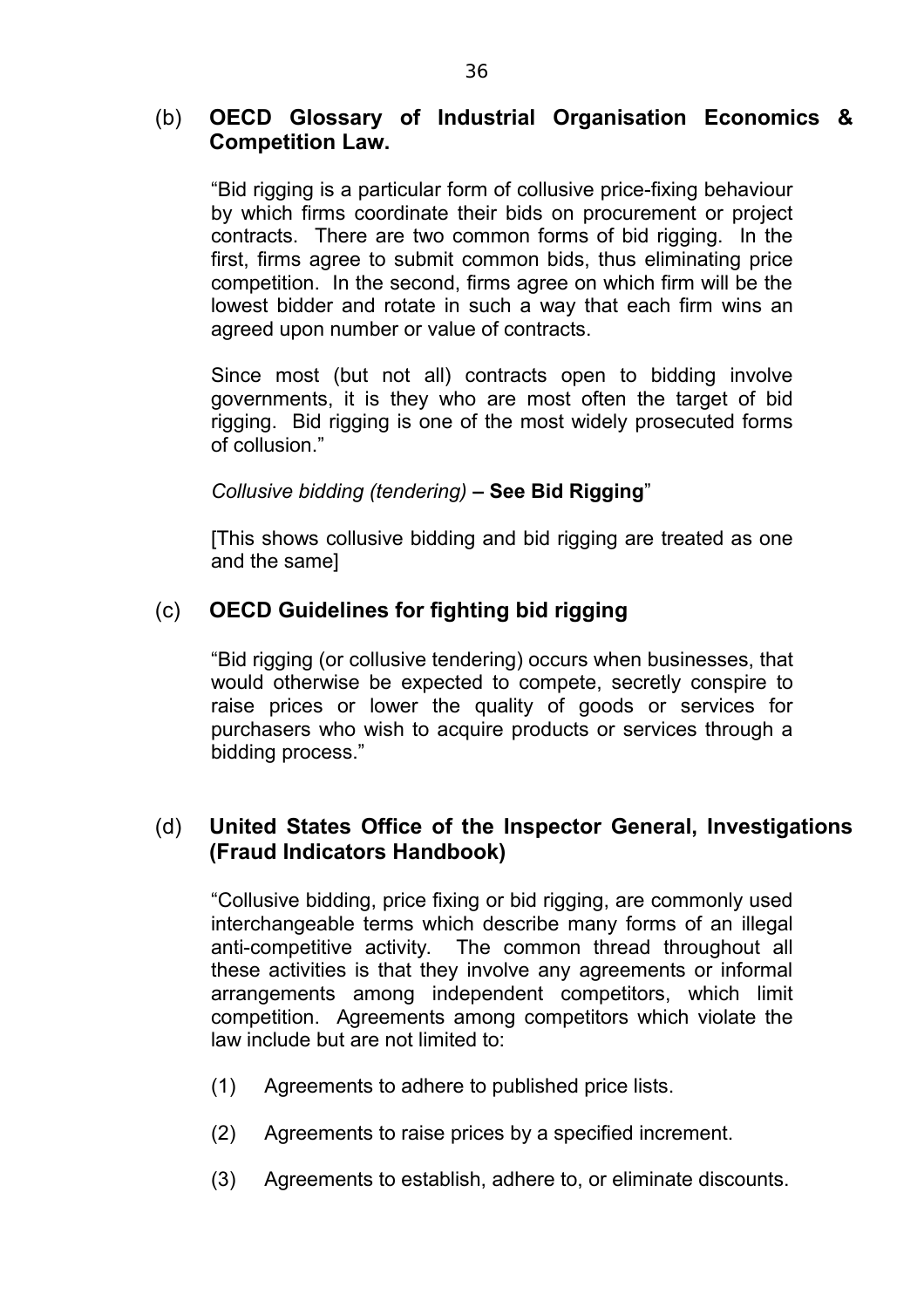# (b) **OECD Glossary of Industrial Organisation Economics & Competition Law.**

"Bid rigging is a particular form of collusive price-fixing behaviour by which firms coordinate their bids on procurement or project contracts. There are two common forms of bid rigging. In the first, firms agree to submit common bids, thus eliminating price competition. In the second, firms agree on which firm will be the lowest bidder and rotate in such a way that each firm wins an agreed upon number or value of contracts.

Since most (but not all) contracts open to bidding involve governments, it is they who are most often the target of bid rigging. Bid rigging is one of the most widely prosecuted forms of collusion."

# *Collusive bidding (tendering)* **– See Bid Rigging**"

[This shows collusive bidding and bid rigging are treated as one and the same]

# (c) **OECD Guidelines for fighting bid rigging**

"Bid rigging (or collusive tendering) occurs when businesses, that would otherwise be expected to compete, secretly conspire to raise prices or lower the quality of goods or services for purchasers who wish to acquire products or services through a bidding process."

# (d) **United States Office of the Inspector General, Investigations (Fraud Indicators Handbook)**

"Collusive bidding, price fixing or bid rigging, are commonly used interchangeable terms which describe many forms of an illegal anti-competitive activity. The common thread throughout all these activities is that they involve any agreements or informal arrangements among independent competitors, which limit competition. Agreements among competitors which violate the law include but are not limited to:

- (1) Agreements to adhere to published price lists.
- (2) Agreements to raise prices by a specified increment.
- (3) Agreements to establish, adhere to, or eliminate discounts.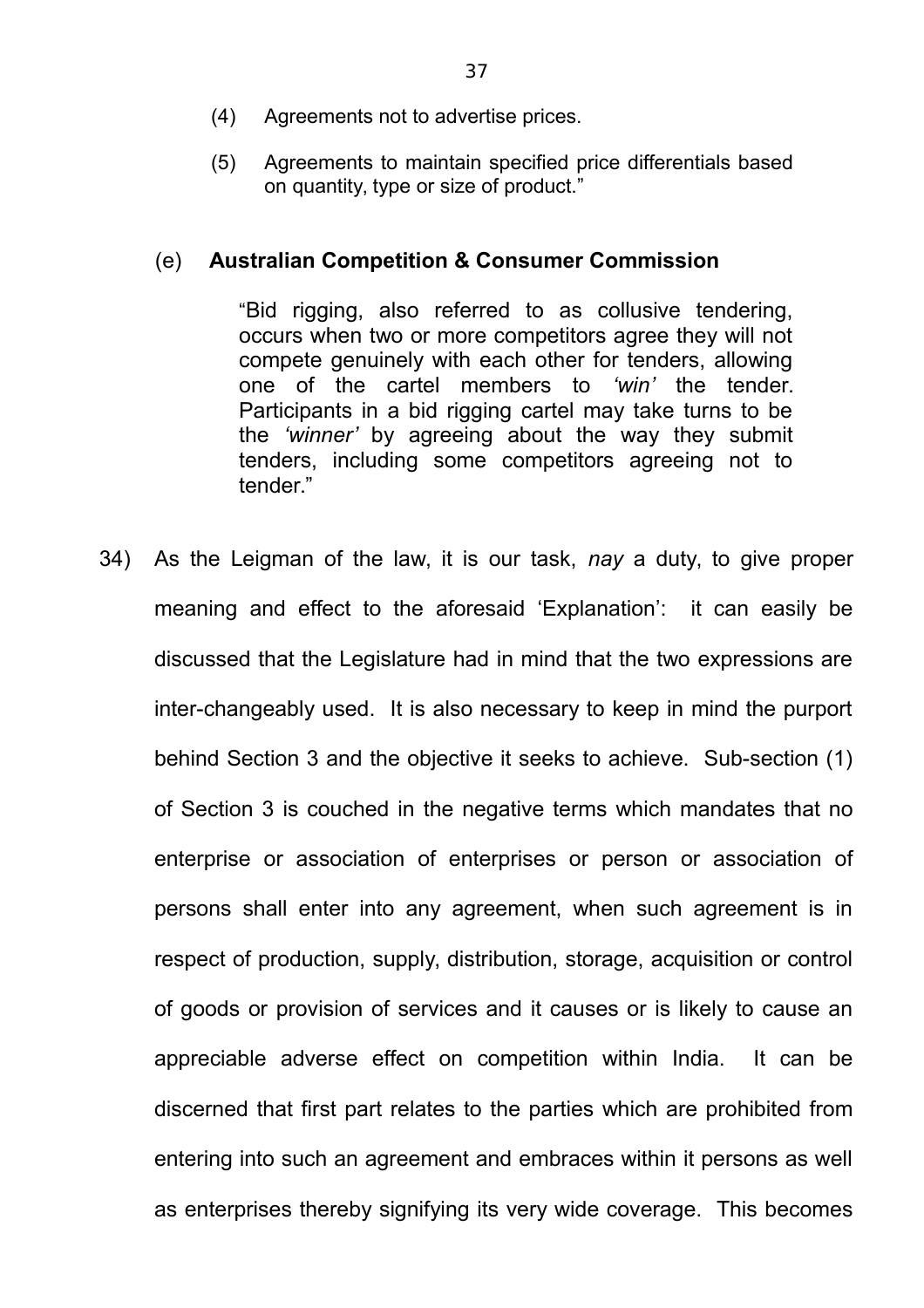- (4) Agreements not to advertise prices.
- (5) Agreements to maintain specified price differentials based on quantity, type or size of product."

## (e) **Australian Competition & Consumer Commission**

"Bid rigging, also referred to as collusive tendering, occurs when two or more competitors agree they will not compete genuinely with each other for tenders, allowing one of the cartel members to *'win'* the tender. Participants in a bid rigging cartel may take turns to be the *'winner'* by agreeing about the way they submit tenders, including some competitors agreeing not to tender."

34) As the Leigman of the law, it is our task, *nay* a duty, to give proper meaning and effect to the aforesaid 'Explanation': it can easily be discussed that the Legislature had in mind that the two expressions are inter-changeably used. It is also necessary to keep in mind the purport behind Section 3 and the objective it seeks to achieve. Sub-section (1) of Section 3 is couched in the negative terms which mandates that no enterprise or association of enterprises or person or association of persons shall enter into any agreement, when such agreement is in respect of production, supply, distribution, storage, acquisition or control of goods or provision of services and it causes or is likely to cause an appreciable adverse effect on competition within India. It can be discerned that first part relates to the parties which are prohibited from entering into such an agreement and embraces within it persons as well as enterprises thereby signifying its very wide coverage. This becomes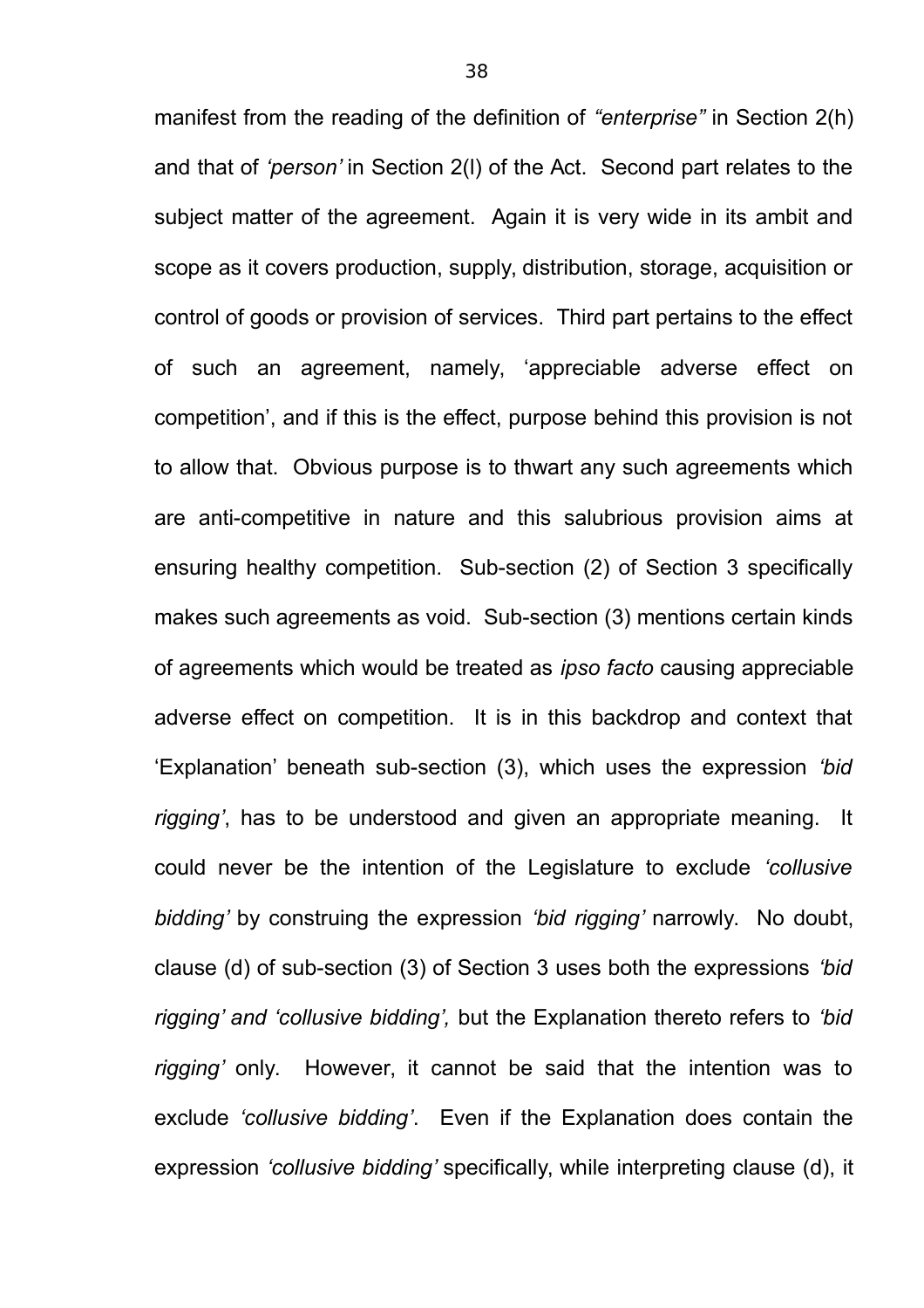manifest from the reading of the definition of *"enterprise"* in Section 2(h) and that of *'person'* in Section 2(l) of the Act. Second part relates to the subject matter of the agreement. Again it is very wide in its ambit and scope as it covers production, supply, distribution, storage, acquisition or control of goods or provision of services. Third part pertains to the effect of such an agreement, namely, 'appreciable adverse effect on competition', and if this is the effect, purpose behind this provision is not to allow that. Obvious purpose is to thwart any such agreements which are anti-competitive in nature and this salubrious provision aims at ensuring healthy competition. Sub-section (2) of Section 3 specifically makes such agreements as void. Sub-section (3) mentions certain kinds of agreements which would be treated as *ipso facto* causing appreciable adverse effect on competition. It is in this backdrop and context that 'Explanation' beneath sub-section (3), which uses the expression *'bid rigging'*, has to be understood and given an appropriate meaning. It could never be the intention of the Legislature to exclude *'collusive bidding'* by construing the expression *'bid rigging'* narrowly. No doubt, clause (d) of sub-section (3) of Section 3 uses both the expressions *'bid rigging' and 'collusive bidding',* but the Explanation thereto refers to *'bid rigging'* only. However, it cannot be said that the intention was to exclude *'collusive bidding'*. Even if the Explanation does contain the expression *'collusive bidding'* specifically, while interpreting clause (d), it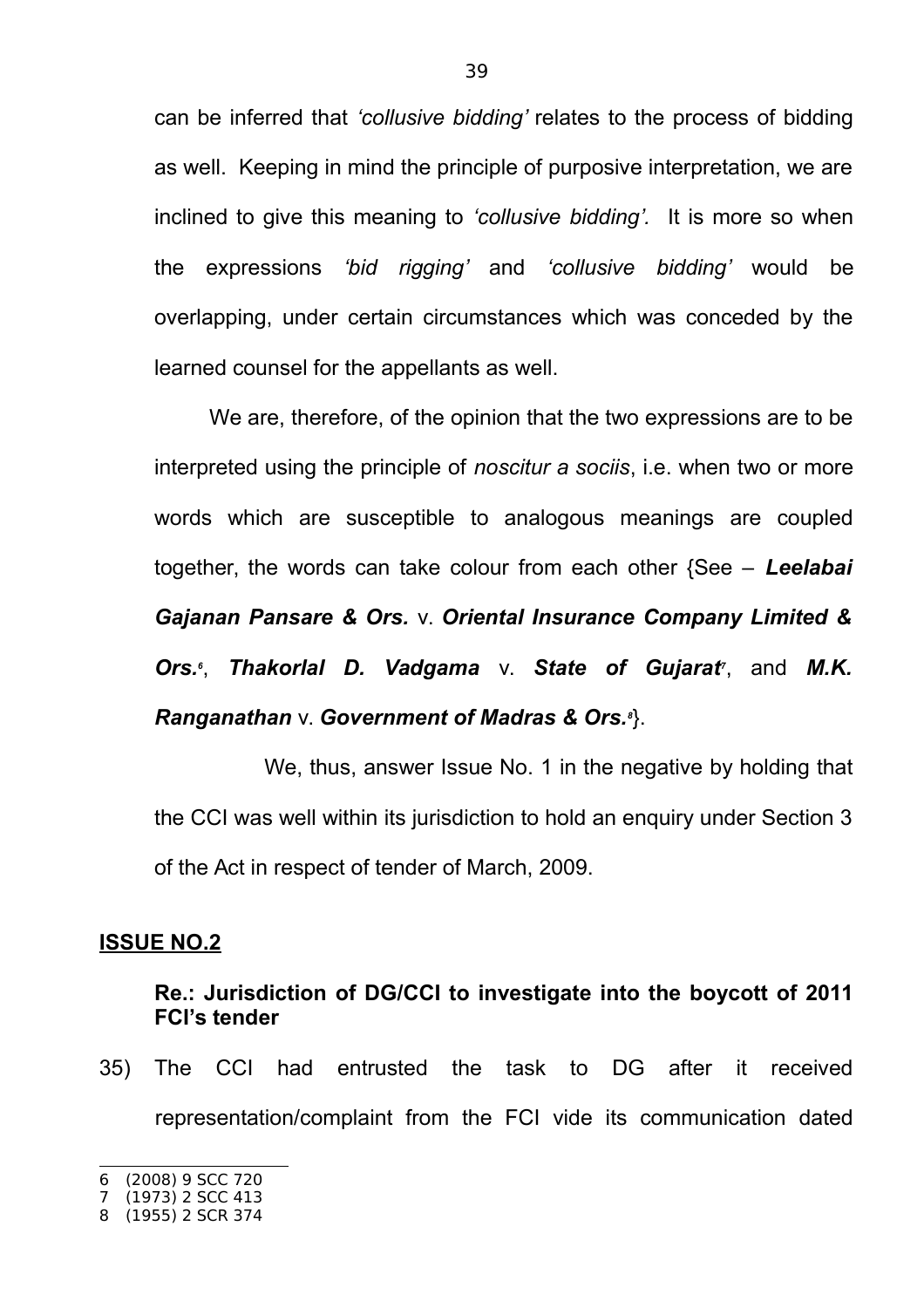can be inferred that *'collusive bidding'* relates to the process of bidding as well. Keeping in mind the principle of purposive interpretation, we are inclined to give this meaning to *'collusive bidding'.* It is more so when the expressions *'bid rigging'* and *'collusive bidding'* would be overlapping, under certain circumstances which was conceded by the learned counsel for the appellants as well.

We are, therefore, of the opinion that the two expressions are to be interpreted using the principle of *noscitur a sociis*, i.e. when two or more words which are susceptible to analogous meanings are coupled together, the words can take colour from each other {See – *Leelabai Gajanan Pansare & Ors.* v. *Oriental Insurance Company Limited & Ors.<sup>6</sup>* , *Thakorlal D. Vadgama* v. *State of Gujarat<sup>7</sup>* , and *M.K. Ranganathan* v. *Government of Madras & Ors.<sup>8</sup>* }.

We, thus, answer Issue No. 1 in the negative by holding that the CCI was well within its jurisdiction to hold an enquiry under Section 3 of the Act in respect of tender of March, 2009.

### **ISSUE NO.2**

## **Re.: Jurisdiction of DG/CCI to investigate into the boycott of 2011 FCI's tender**

35) The CCI had entrusted the task to DG after it received representation/complaint from the FCI vide its communication dated

<sup>6</sup> (2008) 9 SCC 720

<sup>7</sup> (1973) 2 SCC 413

<sup>8</sup> (1955) 2 SCR 374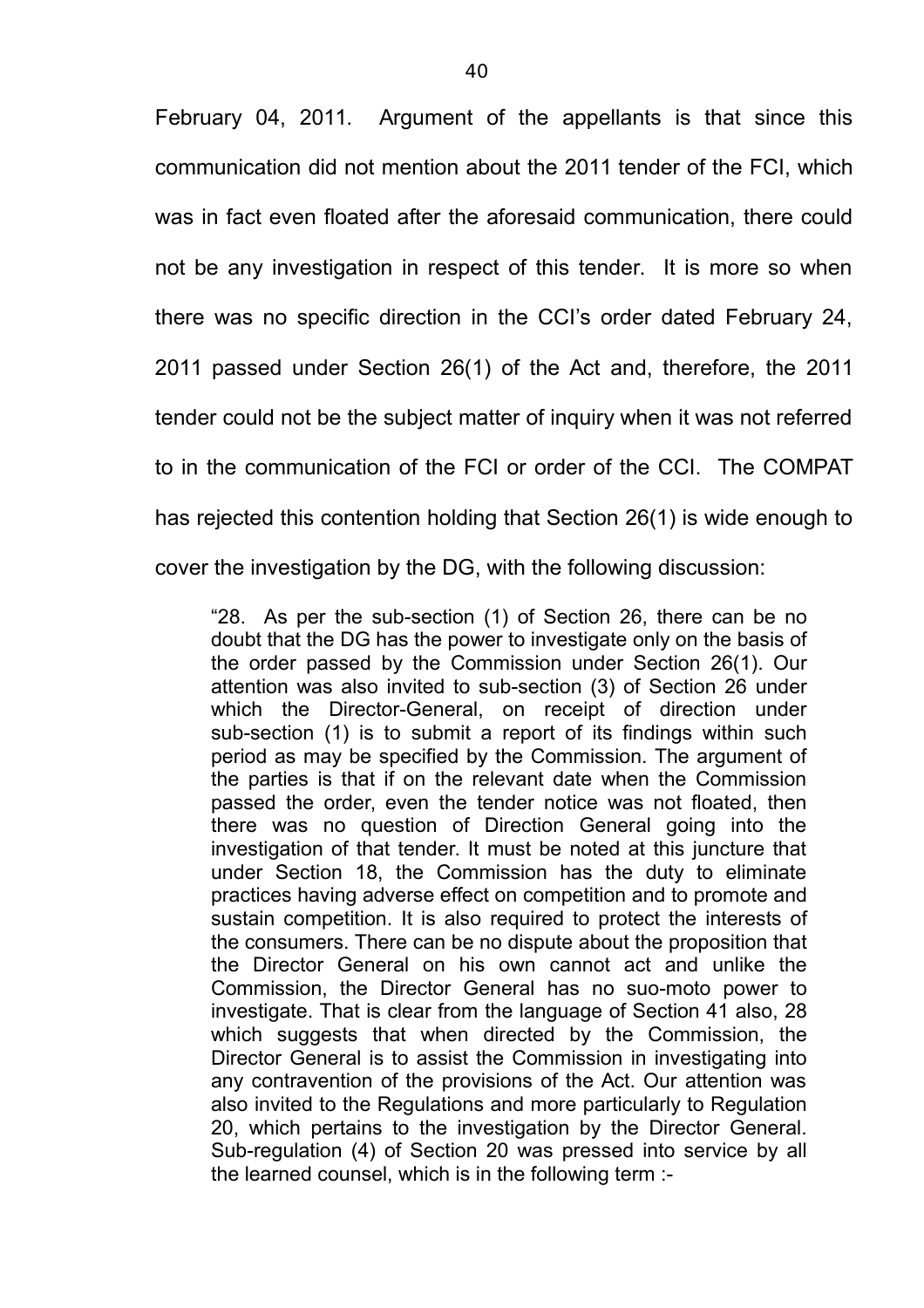February 04, 2011. Argument of the appellants is that since this communication did not mention about the 2011 tender of the FCI, which was in fact even floated after the aforesaid communication, there could not be any investigation in respect of this tender. It is more so when there was no specific direction in the CCI's order dated February 24, 2011 passed under Section 26(1) of the Act and, therefore, the 2011 tender could not be the subject matter of inquiry when it was not referred to in the communication of the FCI or order of the CCI. The COMPAT has rejected this contention holding that Section 26(1) is wide enough to cover the investigation by the DG, with the following discussion:

"28. As per the sub-section (1) of Section 26, there can be no doubt that the DG has the power to investigate only on the basis of the order passed by the Commission under Section 26(1). Our attention was also invited to sub-section (3) of Section 26 under which the Director-General, on receipt of direction under sub-section (1) is to submit a report of its findings within such period as may be specified by the Commission. The argument of the parties is that if on the relevant date when the Commission passed the order, even the tender notice was not floated, then there was no question of Direction General going into the investigation of that tender. It must be noted at this juncture that under Section 18, the Commission has the duty to eliminate practices having adverse effect on competition and to promote and sustain competition. It is also required to protect the interests of the consumers. There can be no dispute about the proposition that the Director General on his own cannot act and unlike the Commission, the Director General has no suo-moto power to investigate. That is clear from the language of Section 41 also, 28 which suggests that when directed by the Commission, the Director General is to assist the Commission in investigating into any contravention of the provisions of the Act. Our attention was also invited to the Regulations and more particularly to Regulation 20, which pertains to the investigation by the Director General. Sub-regulation (4) of Section 20 was pressed into service by all the learned counsel, which is in the following term :-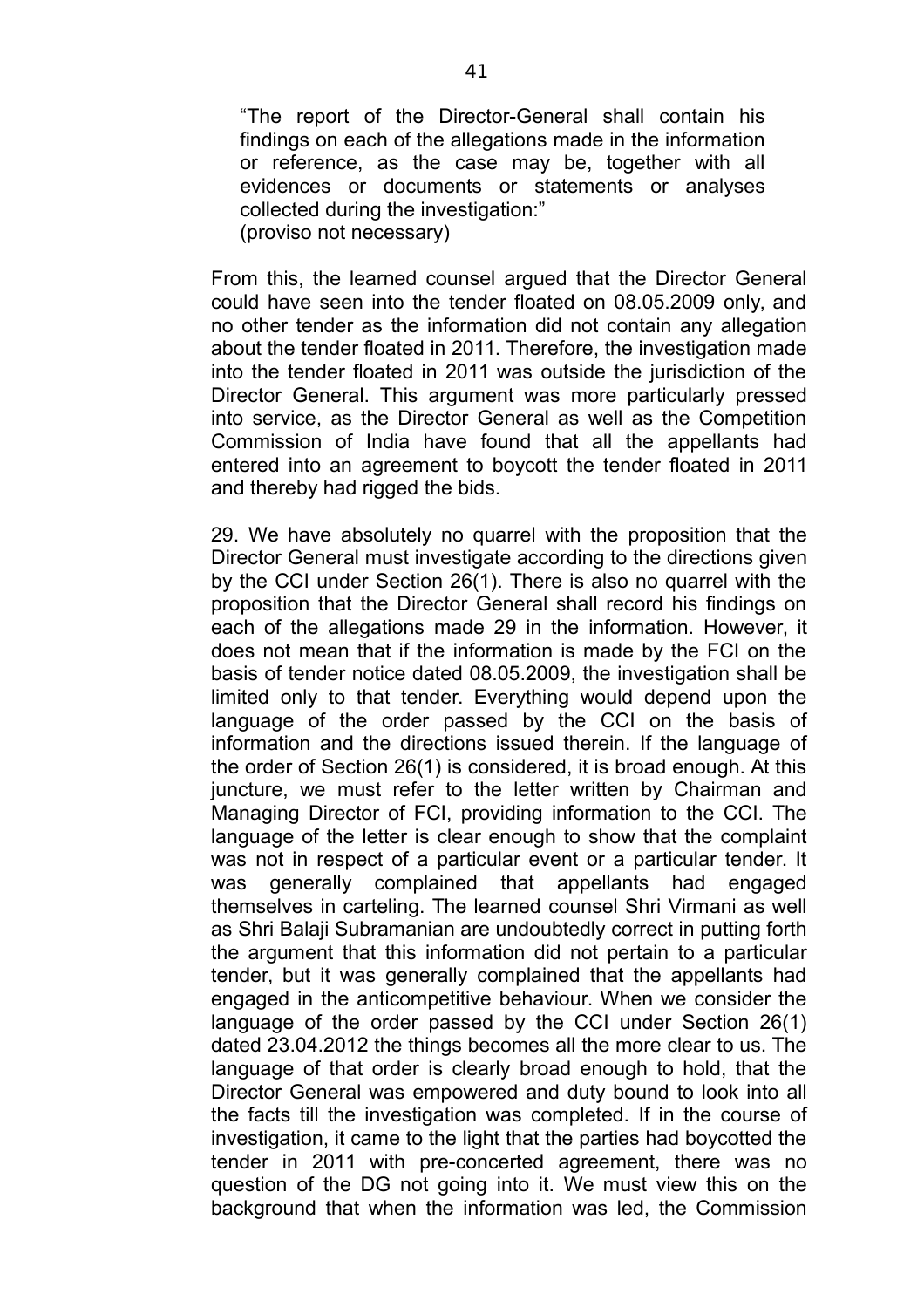"The report of the Director-General shall contain his findings on each of the allegations made in the information or reference, as the case may be, together with all evidences or documents or statements or analyses collected during the investigation:" (proviso not necessary)

From this, the learned counsel argued that the Director General could have seen into the tender floated on 08.05.2009 only, and no other tender as the information did not contain any allegation about the tender floated in 2011. Therefore, the investigation made into the tender floated in 2011 was outside the jurisdiction of the Director General. This argument was more particularly pressed into service, as the Director General as well as the Competition Commission of India have found that all the appellants had entered into an agreement to boycott the tender floated in 2011 and thereby had rigged the bids.

29. We have absolutely no quarrel with the proposition that the Director General must investigate according to the directions given by the CCI under Section 26(1). There is also no quarrel with the proposition that the Director General shall record his findings on each of the allegations made 29 in the information. However, it does not mean that if the information is made by the FCI on the basis of tender notice dated 08.05.2009, the investigation shall be limited only to that tender. Everything would depend upon the language of the order passed by the CCI on the basis of information and the directions issued therein. If the language of the order of Section 26(1) is considered, it is broad enough. At this juncture, we must refer to the letter written by Chairman and Managing Director of FCI, providing information to the CCI. The language of the letter is clear enough to show that the complaint was not in respect of a particular event or a particular tender. It was generally complained that appellants had engaged themselves in carteling. The learned counsel Shri Virmani as well as Shri Balaji Subramanian are undoubtedly correct in putting forth the argument that this information did not pertain to a particular tender, but it was generally complained that the appellants had engaged in the anticompetitive behaviour. When we consider the language of the order passed by the CCI under Section 26(1) dated 23.04.2012 the things becomes all the more clear to us. The language of that order is clearly broad enough to hold, that the Director General was empowered and duty bound to look into all the facts till the investigation was completed. If in the course of investigation, it came to the light that the parties had boycotted the tender in 2011 with pre-concerted agreement, there was no question of the DG not going into it. We must view this on the background that when the information was led, the Commission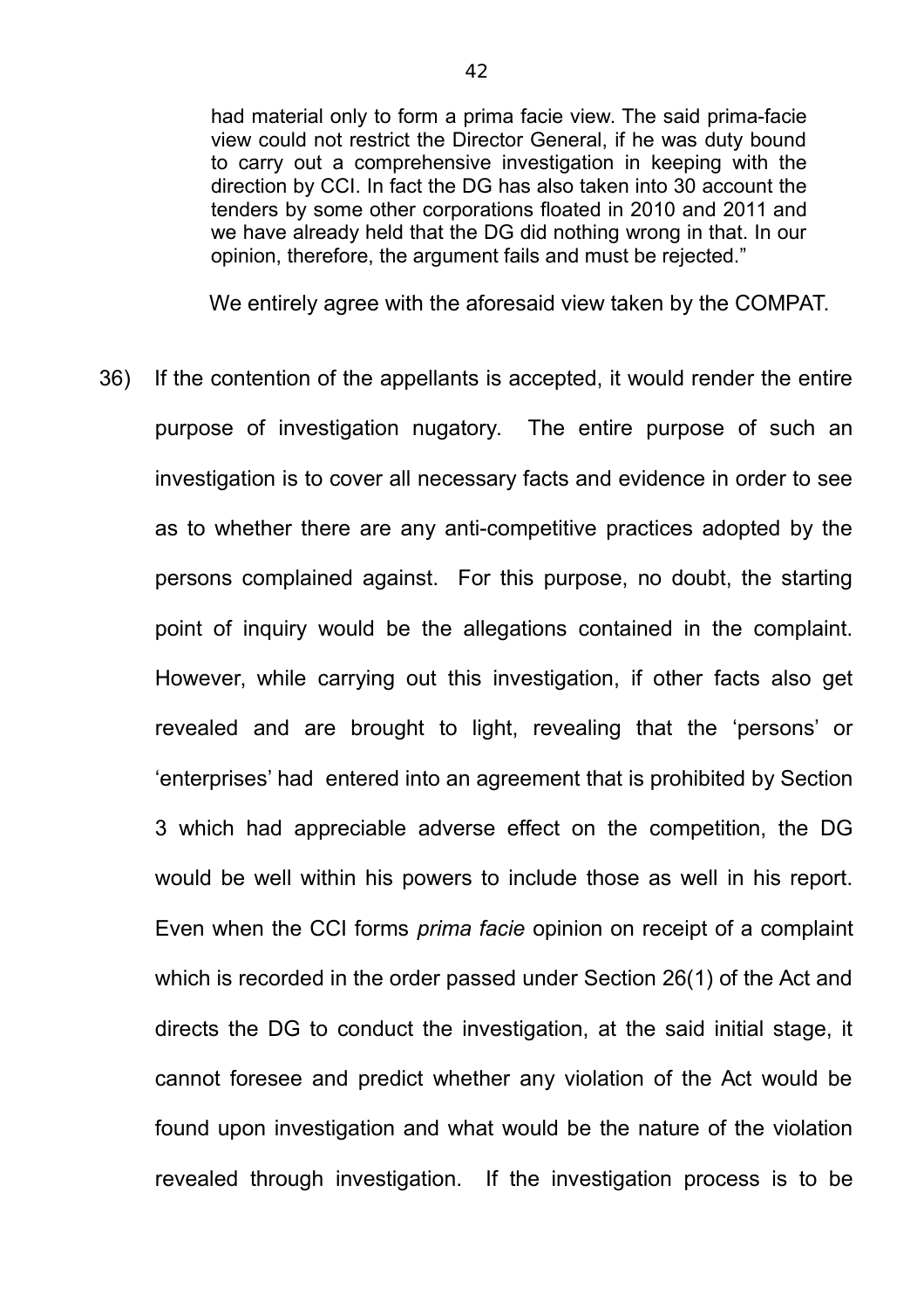had material only to form a prima facie view. The said prima-facie view could not restrict the Director General, if he was duty bound to carry out a comprehensive investigation in keeping with the direction by CCI. In fact the DG has also taken into 30 account the tenders by some other corporations floated in 2010 and 2011 and we have already held that the DG did nothing wrong in that. In our opinion, therefore, the argument fails and must be rejected."

We entirely agree with the aforesaid view taken by the COMPAT.

36) If the contention of the appellants is accepted, it would render the entire purpose of investigation nugatory. The entire purpose of such an investigation is to cover all necessary facts and evidence in order to see as to whether there are any anti-competitive practices adopted by the persons complained against. For this purpose, no doubt, the starting point of inquiry would be the allegations contained in the complaint. However, while carrying out this investigation, if other facts also get revealed and are brought to light, revealing that the 'persons' or 'enterprises' had entered into an agreement that is prohibited by Section 3 which had appreciable adverse effect on the competition, the DG would be well within his powers to include those as well in his report. Even when the CCI forms *prima facie* opinion on receipt of a complaint which is recorded in the order passed under Section 26(1) of the Act and directs the DG to conduct the investigation, at the said initial stage, it cannot foresee and predict whether any violation of the Act would be found upon investigation and what would be the nature of the violation revealed through investigation. If the investigation process is to be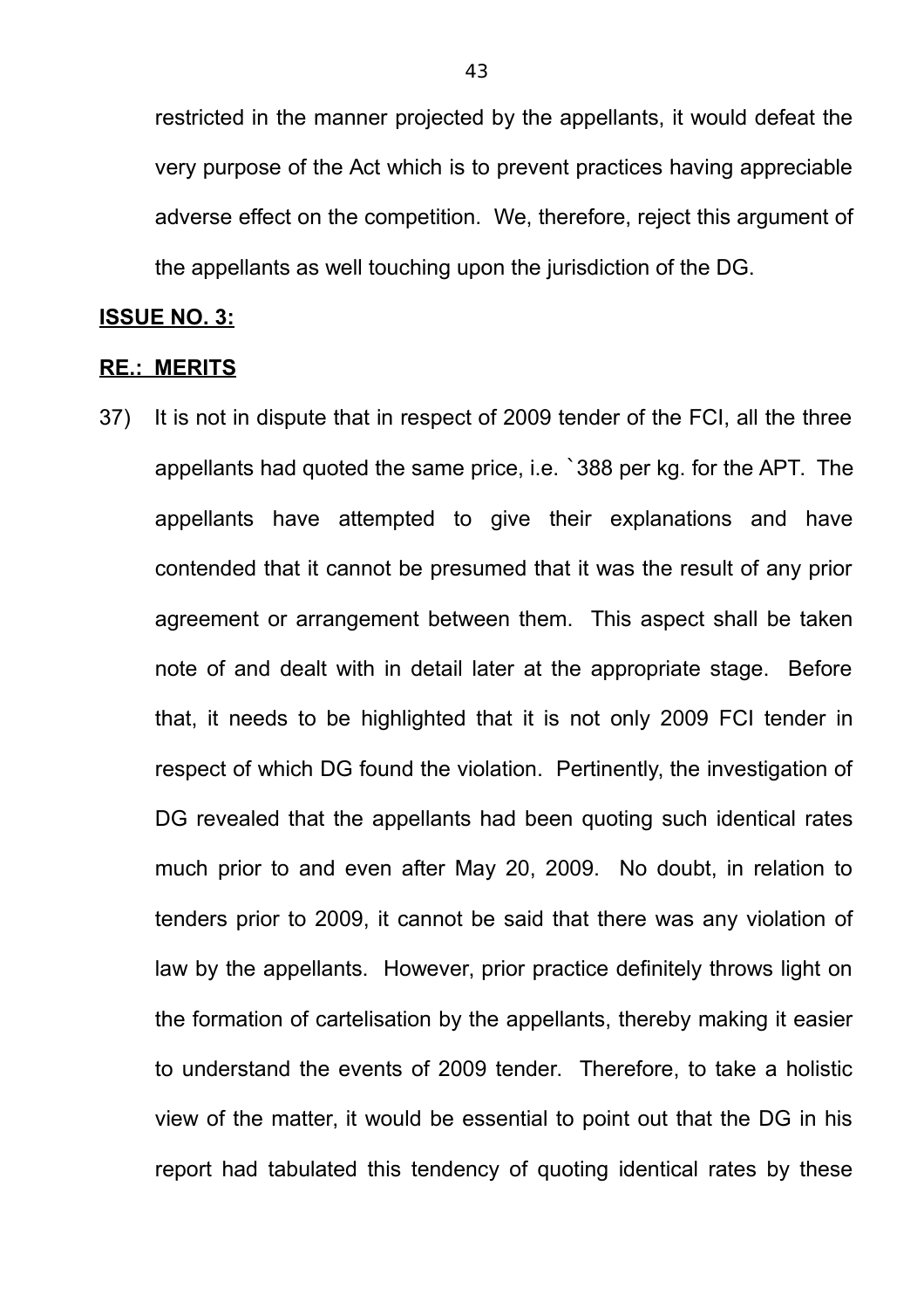restricted in the manner projected by the appellants, it would defeat the very purpose of the Act which is to prevent practices having appreciable adverse effect on the competition. We, therefore, reject this argument of the appellants as well touching upon the jurisdiction of the DG.

### **ISSUE NO. 3:**

### **RE.: MERITS**

37) It is not in dispute that in respect of 2009 tender of the FCI, all the three appellants had quoted the same price, i.e. `388 per kg. for the APT. The appellants have attempted to give their explanations and have contended that it cannot be presumed that it was the result of any prior agreement or arrangement between them. This aspect shall be taken note of and dealt with in detail later at the appropriate stage. Before that, it needs to be highlighted that it is not only 2009 FCI tender in respect of which DG found the violation. Pertinently, the investigation of DG revealed that the appellants had been quoting such identical rates much prior to and even after May 20, 2009. No doubt, in relation to tenders prior to 2009, it cannot be said that there was any violation of law by the appellants. However, prior practice definitely throws light on the formation of cartelisation by the appellants, thereby making it easier to understand the events of 2009 tender. Therefore, to take a holistic view of the matter, it would be essential to point out that the DG in his report had tabulated this tendency of quoting identical rates by these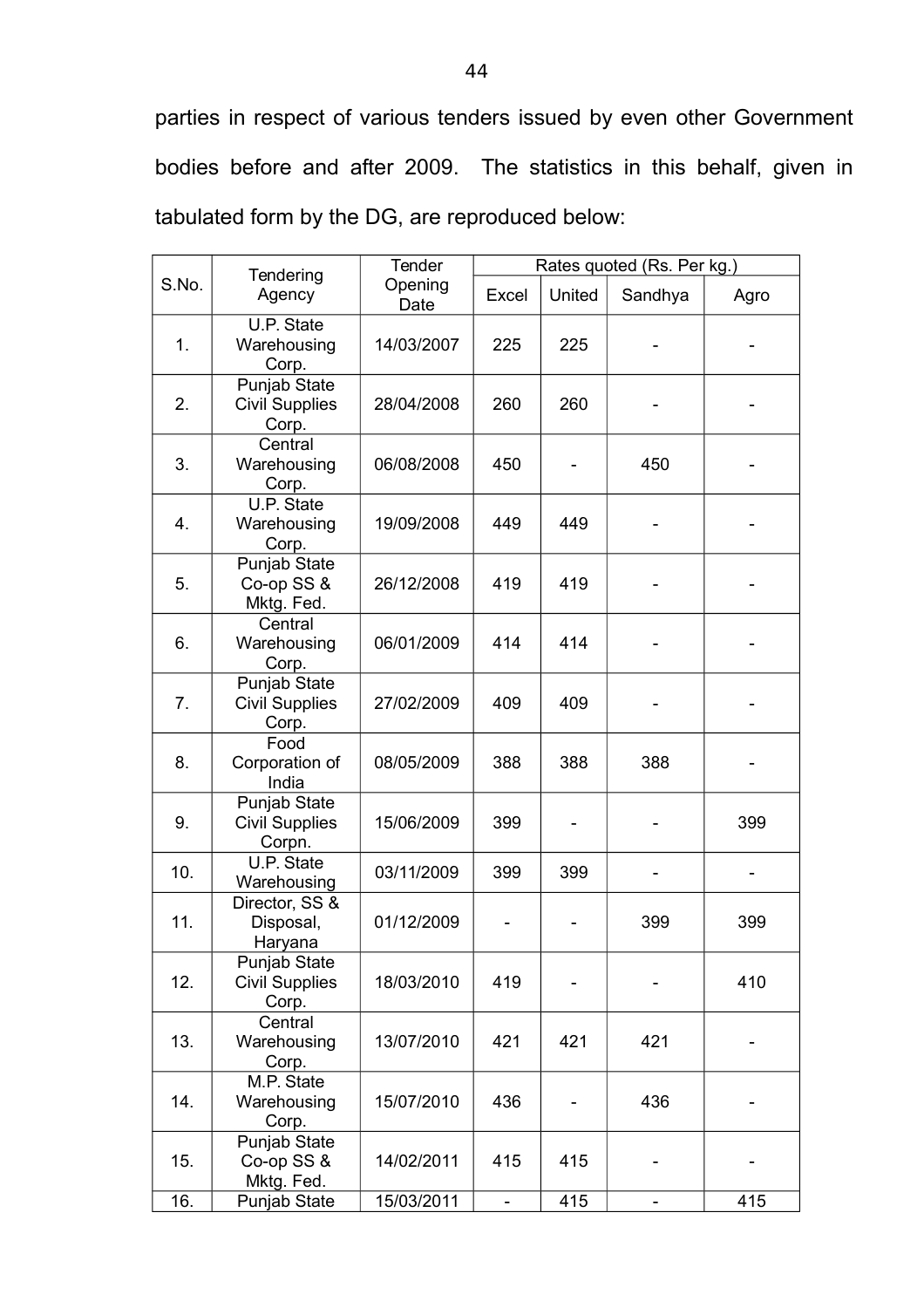parties in respect of various tenders issued by even other Government bodies before and after 2009. The statistics in this behalf, given in tabulated form by the DG, are reproduced below:

|       | Tendering<br>Agency                             | Tender<br>Opening<br>Date | Rates quoted (Rs. Per kg.) |        |         |      |
|-------|-------------------------------------------------|---------------------------|----------------------------|--------|---------|------|
| S.No. |                                                 |                           | Excel                      | United | Sandhya | Agro |
| 1.    | U.P. State<br>Warehousing<br>Corp.              | 14/03/2007                | 225                        | 225    |         |      |
| 2.    | Punjab State<br><b>Civil Supplies</b><br>Corp.  | 28/04/2008                | 260                        | 260    |         |      |
| 3.    | Central<br>Warehousing<br>Corp.                 | 06/08/2008                | 450                        |        | 450     |      |
| 4.    | U.P. State<br>Warehousing<br>Corp.              | 19/09/2008                | 449                        | 449    |         |      |
| 5.    | Punjab State<br>Co-op SS &<br>Mktg. Fed.        | 26/12/2008                | 419                        | 419    |         |      |
| 6.    | Central<br>Warehousing<br>Corp.                 | 06/01/2009                | 414                        | 414    |         |      |
| 7.    | Punjab State<br><b>Civil Supplies</b><br>Corp.  | 27/02/2009                | 409                        | 409    |         |      |
| 8.    | Food<br>Corporation of<br>India                 | 08/05/2009                | 388                        | 388    | 388     |      |
| 9.    | Punjab State<br><b>Civil Supplies</b><br>Corpn. | 15/06/2009                | 399                        |        |         | 399  |
| 10.   | U.P. State<br>Warehousing                       | 03/11/2009                | 399                        | 399    |         |      |
| 11.   | Director, SS &<br>Disposal,<br>Haryana          | 01/12/2009                |                            |        | 399     | 399  |
| 12.   | Punjab State<br><b>Civil Supplies</b><br>Corp.  | 18/03/2010                | 419                        |        |         | 410  |
| 13.   | Central<br>Warehousing<br>Corp.                 | 13/07/2010                | 421                        | 421    | 421     |      |
| 14.   | M.P. State<br>Warehousing<br>Corp.              | 15/07/2010                | 436                        |        | 436     |      |
| 15.   | Punjab State<br>Co-op SS &<br>Mktg. Fed.        | 14/02/2011                | 415                        | 415    |         |      |
| 16.   | Punjab State                                    | 15/03/2011                |                            | 415    |         | 415  |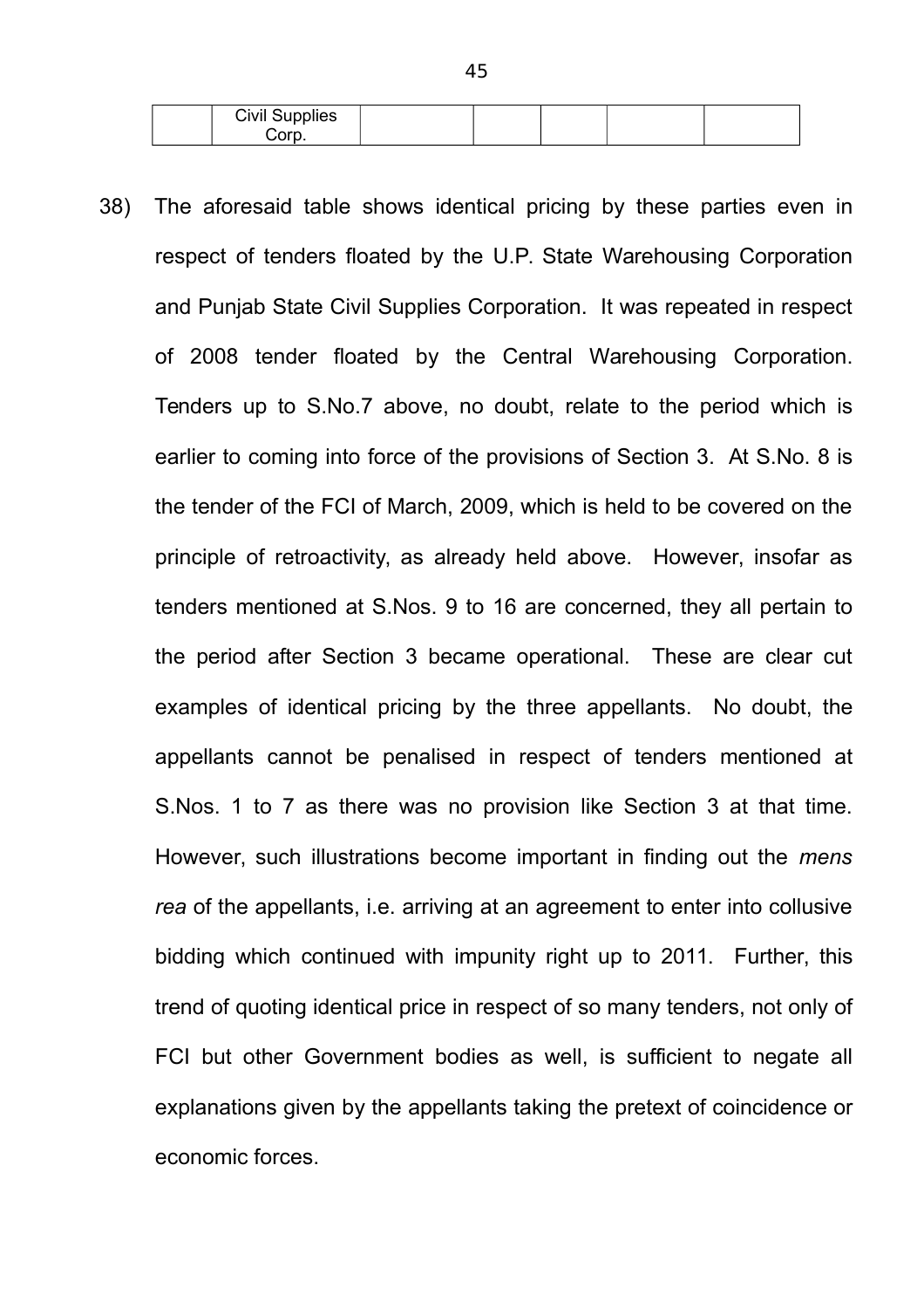| <b>Civil Supplies</b> |  |  |  |
|-----------------------|--|--|--|
| ∴∩rr                  |  |  |  |

38) The aforesaid table shows identical pricing by these parties even in respect of tenders floated by the U.P. State Warehousing Corporation and Punjab State Civil Supplies Corporation. It was repeated in respect of 2008 tender floated by the Central Warehousing Corporation. Tenders up to S.No.7 above, no doubt, relate to the period which is earlier to coming into force of the provisions of Section 3. At S.No. 8 is the tender of the FCI of March, 2009, which is held to be covered on the principle of retroactivity, as already held above. However, insofar as tenders mentioned at S.Nos. 9 to 16 are concerned, they all pertain to the period after Section 3 became operational. These are clear cut examples of identical pricing by the three appellants. No doubt, the appellants cannot be penalised in respect of tenders mentioned at S.Nos. 1 to 7 as there was no provision like Section 3 at that time. However, such illustrations become important in finding out the *mens rea* of the appellants, i.e. arriving at an agreement to enter into collusive bidding which continued with impunity right up to 2011. Further, this trend of quoting identical price in respect of so many tenders, not only of FCI but other Government bodies as well, is sufficient to negate all explanations given by the appellants taking the pretext of coincidence or economic forces.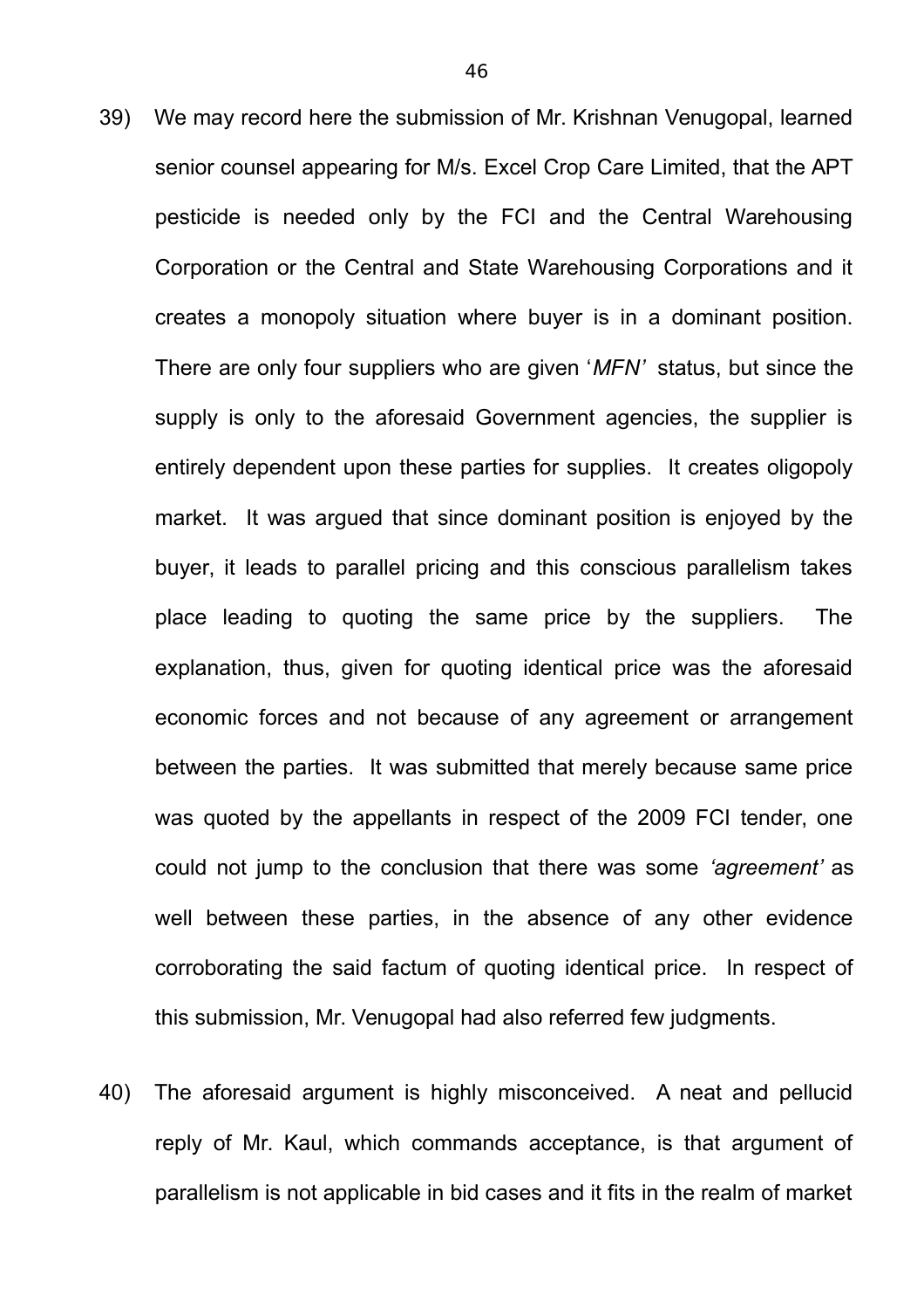- 39) We may record here the submission of Mr. Krishnan Venugopal, learned senior counsel appearing for M/s. Excel Crop Care Limited, that the APT pesticide is needed only by the FCI and the Central Warehousing Corporation or the Central and State Warehousing Corporations and it creates a monopoly situation where buyer is in a dominant position. There are only four suppliers who are given '*MFN'* status, but since the supply is only to the aforesaid Government agencies, the supplier is entirely dependent upon these parties for supplies. It creates oligopoly market. It was argued that since dominant position is enjoyed by the buyer, it leads to parallel pricing and this conscious parallelism takes place leading to quoting the same price by the suppliers. The explanation, thus, given for quoting identical price was the aforesaid economic forces and not because of any agreement or arrangement between the parties. It was submitted that merely because same price was quoted by the appellants in respect of the 2009 FCI tender, one could not jump to the conclusion that there was some *'agreement'* as well between these parties, in the absence of any other evidence corroborating the said factum of quoting identical price. In respect of this submission, Mr. Venugopal had also referred few judgments.
- 40) The aforesaid argument is highly misconceived. A neat and pellucid reply of Mr. Kaul, which commands acceptance, is that argument of parallelism is not applicable in bid cases and it fits in the realm of market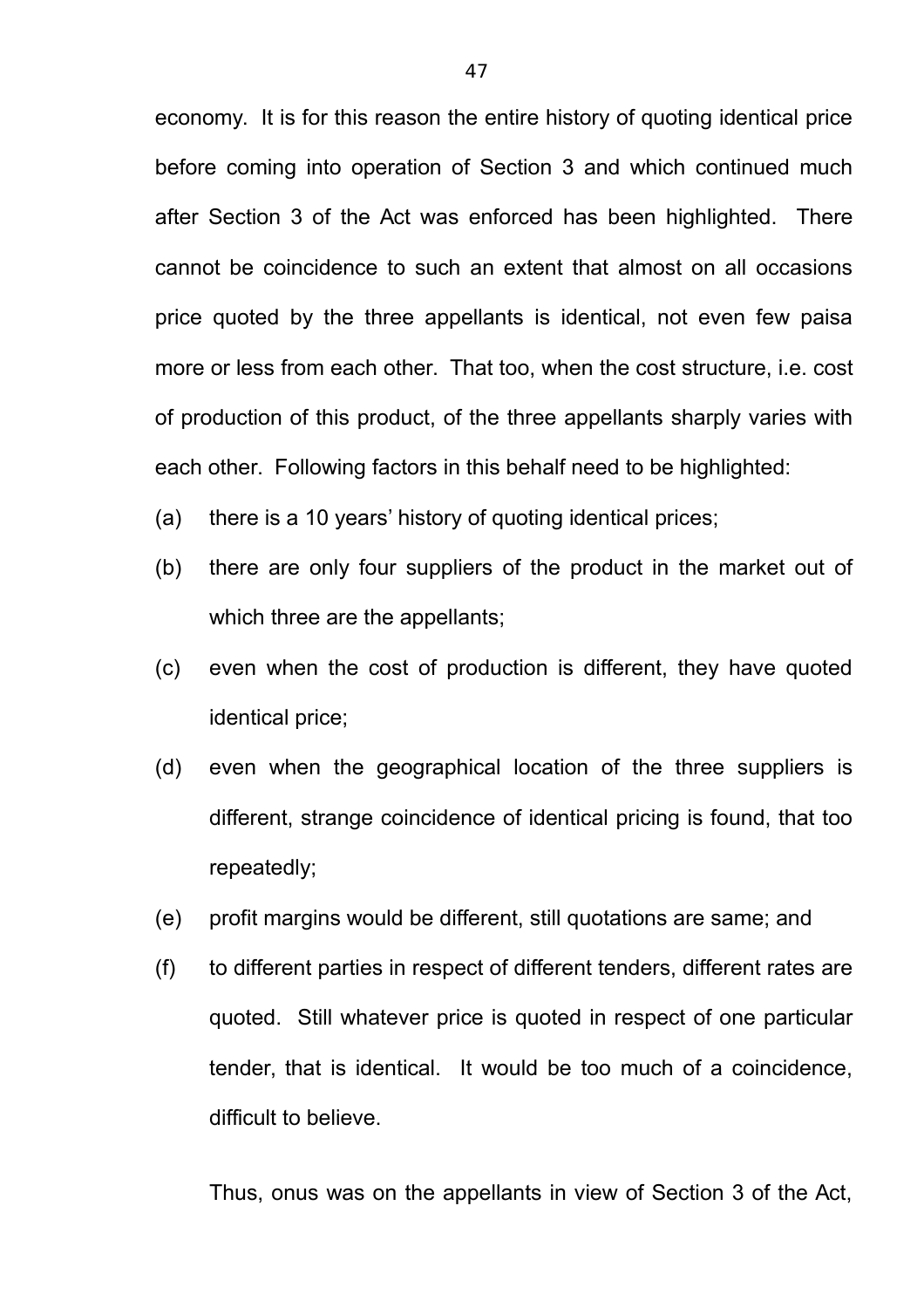economy. It is for this reason the entire history of quoting identical price before coming into operation of Section 3 and which continued much after Section 3 of the Act was enforced has been highlighted. There cannot be coincidence to such an extent that almost on all occasions price quoted by the three appellants is identical, not even few paisa more or less from each other. That too, when the cost structure, i.e. cost of production of this product, of the three appellants sharply varies with each other. Following factors in this behalf need to be highlighted:

- (a) there is a 10 years' history of quoting identical prices;
- (b) there are only four suppliers of the product in the market out of which three are the appellants;
- (c) even when the cost of production is different, they have quoted identical price;
- (d) even when the geographical location of the three suppliers is different, strange coincidence of identical pricing is found, that too repeatedly;
- (e) profit margins would be different, still quotations are same; and
- (f) to different parties in respect of different tenders, different rates are quoted. Still whatever price is quoted in respect of one particular tender, that is identical. It would be too much of a coincidence, difficult to believe.

Thus, onus was on the appellants in view of Section 3 of the Act,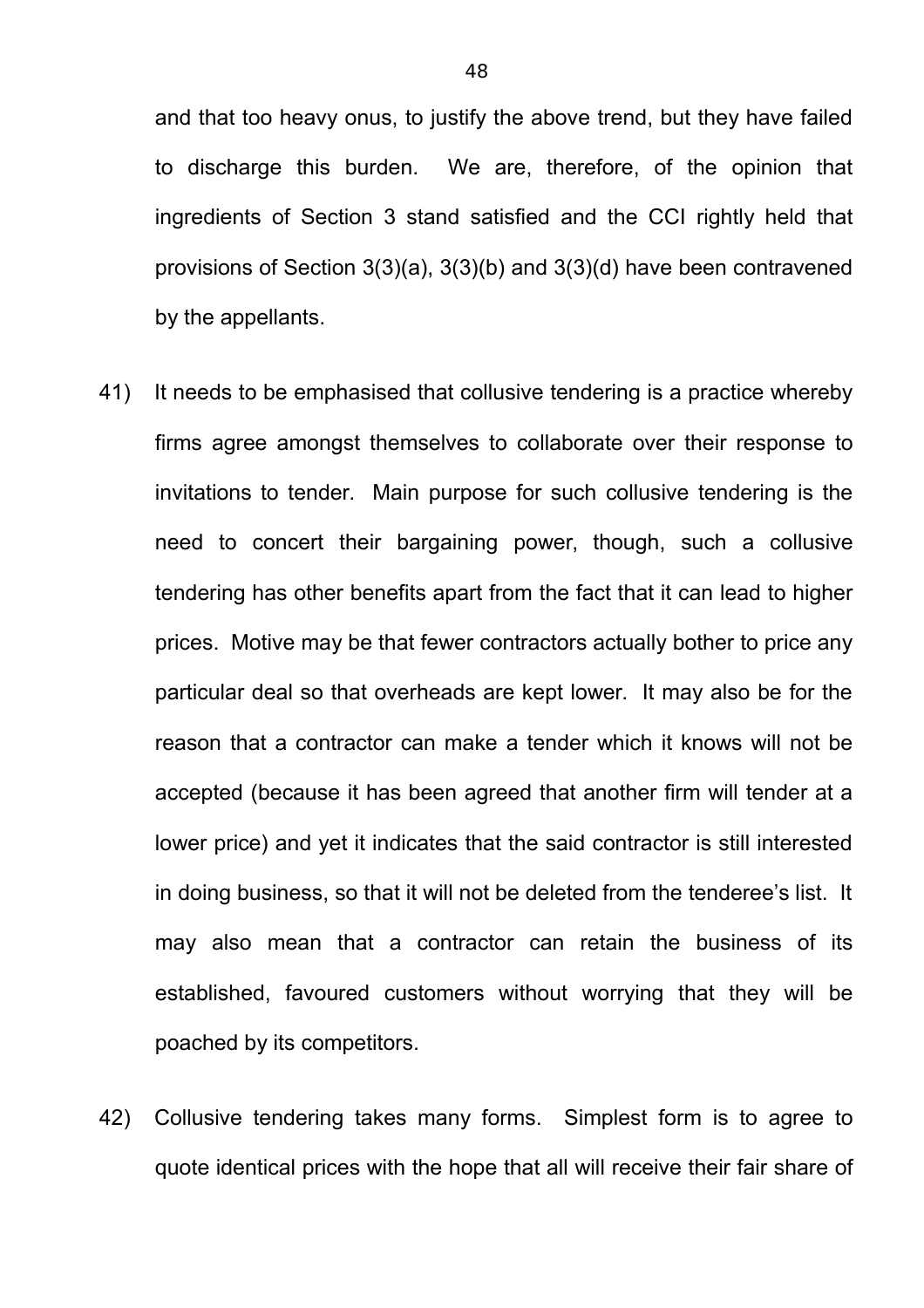and that too heavy onus, to justify the above trend, but they have failed to discharge this burden. We are, therefore, of the opinion that ingredients of Section 3 stand satisfied and the CCI rightly held that provisions of Section 3(3)(a), 3(3)(b) and 3(3)(d) have been contravened by the appellants.

- 41) It needs to be emphasised that collusive tendering is a practice whereby firms agree amongst themselves to collaborate over their response to invitations to tender. Main purpose for such collusive tendering is the need to concert their bargaining power, though, such a collusive tendering has other benefits apart from the fact that it can lead to higher prices. Motive may be that fewer contractors actually bother to price any particular deal so that overheads are kept lower. It may also be for the reason that a contractor can make a tender which it knows will not be accepted (because it has been agreed that another firm will tender at a lower price) and yet it indicates that the said contractor is still interested in doing business, so that it will not be deleted from the tenderee's list. It may also mean that a contractor can retain the business of its established, favoured customers without worrying that they will be poached by its competitors.
- 42) Collusive tendering takes many forms. Simplest form is to agree to quote identical prices with the hope that all will receive their fair share of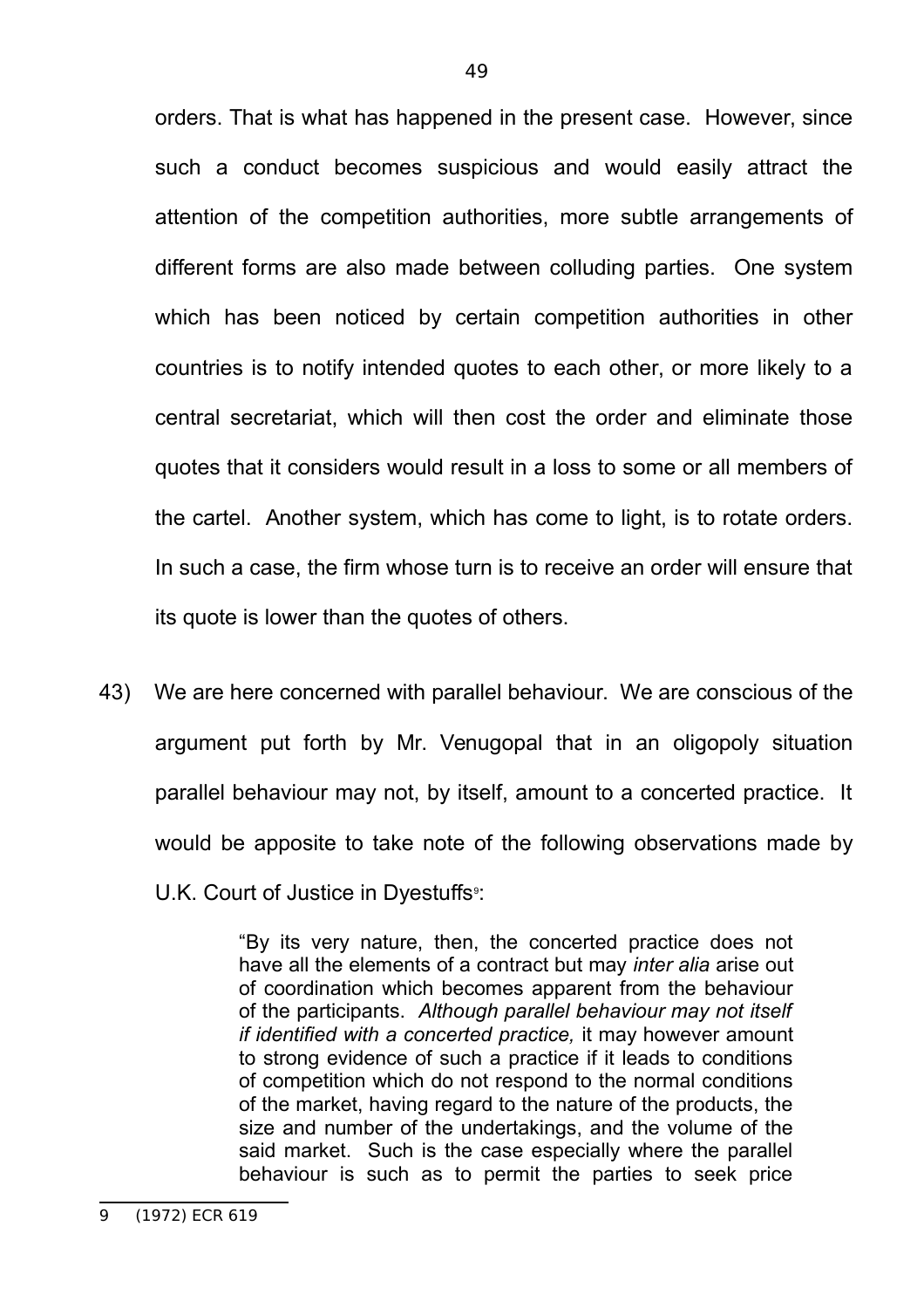orders. That is what has happened in the present case. However, since such a conduct becomes suspicious and would easily attract the attention of the competition authorities, more subtle arrangements of different forms are also made between colluding parties. One system which has been noticed by certain competition authorities in other countries is to notify intended quotes to each other, or more likely to a central secretariat, which will then cost the order and eliminate those quotes that it considers would result in a loss to some or all members of the cartel. Another system, which has come to light, is to rotate orders. In such a case, the firm whose turn is to receive an order will ensure that its quote is lower than the quotes of others.

43) We are here concerned with parallel behaviour. We are conscious of the argument put forth by Mr. Venugopal that in an oligopoly situation parallel behaviour may not, by itself, amount to a concerted practice. It would be apposite to take note of the following observations made by U.K. Court of Justice in Dyestuffs<sup>9</sup>:

> "By its very nature, then, the concerted practice does not have all the elements of a contract but may *inter alia* arise out of coordination which becomes apparent from the behaviour of the participants. *Although parallel behaviour may not itself if identified with a concerted practice,* it may however amount to strong evidence of such a practice if it leads to conditions of competition which do not respond to the normal conditions of the market, having regard to the nature of the products, the size and number of the undertakings, and the volume of the said market. Such is the case especially where the parallel behaviour is such as to permit the parties to seek price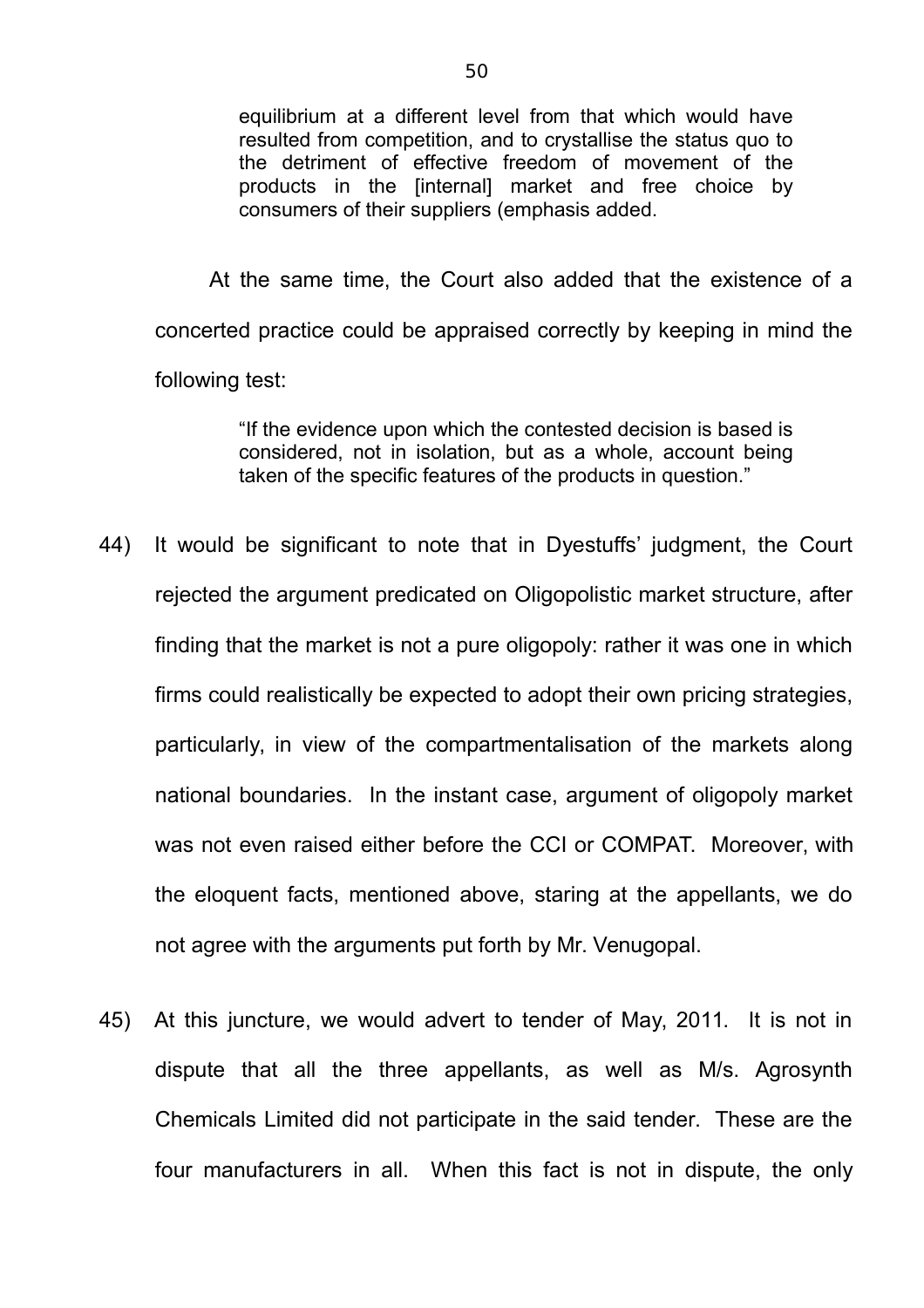equilibrium at a different level from that which would have resulted from competition, and to crystallise the status quo to the detriment of effective freedom of movement of the products in the [internal] market and free choice by consumers of their suppliers (emphasis added.

At the same time, the Court also added that the existence of a concerted practice could be appraised correctly by keeping in mind the following test:

> "If the evidence upon which the contested decision is based is considered, not in isolation, but as a whole, account being taken of the specific features of the products in question."

- 44) It would be significant to note that in Dyestuffs' judgment, the Court rejected the argument predicated on Oligopolistic market structure, after finding that the market is not a pure oligopoly: rather it was one in which firms could realistically be expected to adopt their own pricing strategies, particularly, in view of the compartmentalisation of the markets along national boundaries. In the instant case, argument of oligopoly market was not even raised either before the CCI or COMPAT. Moreover, with the eloquent facts, mentioned above, staring at the appellants, we do not agree with the arguments put forth by Mr. Venugopal.
- 45) At this juncture, we would advert to tender of May, 2011. It is not in dispute that all the three appellants, as well as M/s. Agrosynth Chemicals Limited did not participate in the said tender. These are the four manufacturers in all. When this fact is not in dispute, the only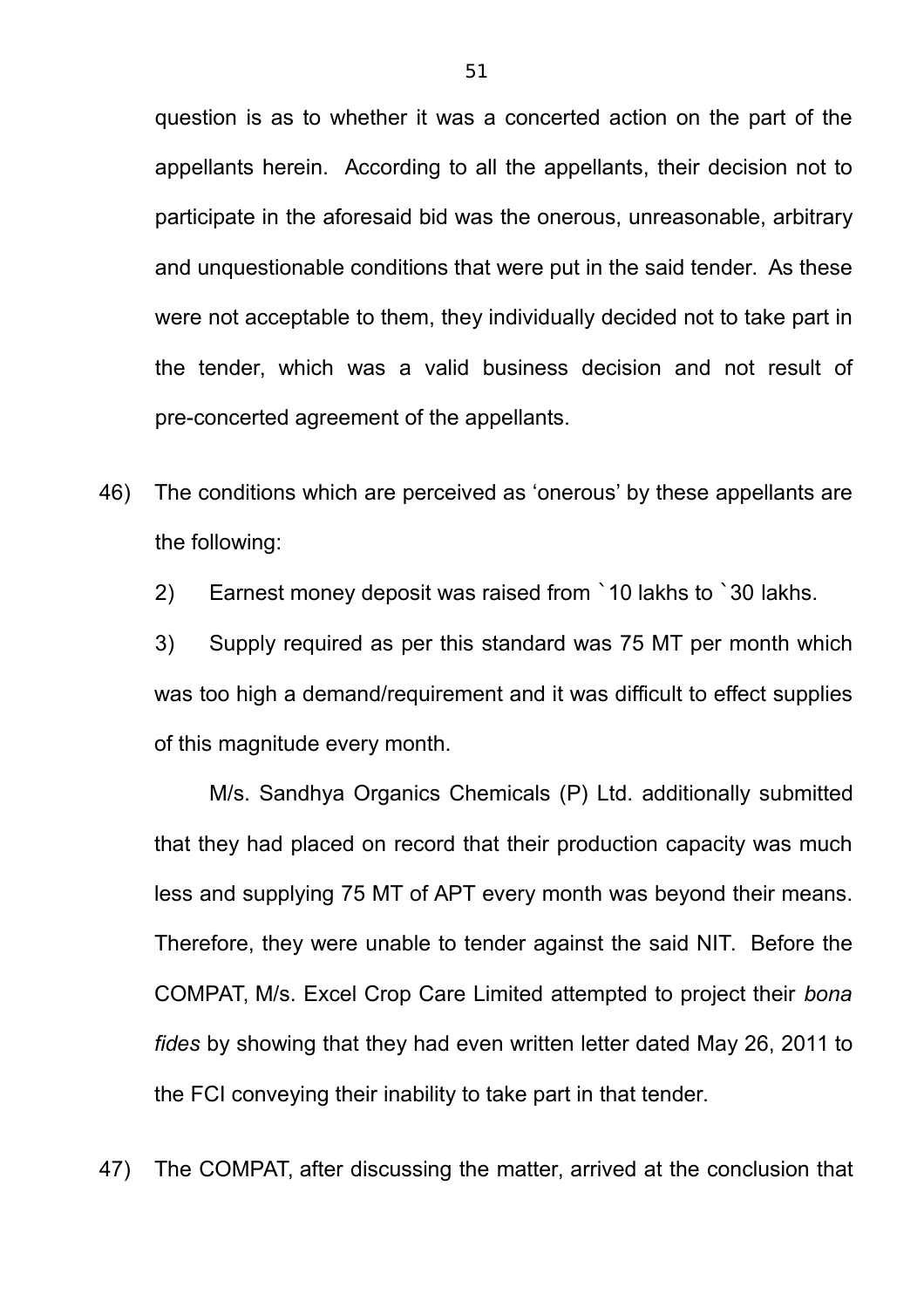question is as to whether it was a concerted action on the part of the appellants herein. According to all the appellants, their decision not to participate in the aforesaid bid was the onerous, unreasonable, arbitrary and unquestionable conditions that were put in the said tender. As these were not acceptable to them, they individually decided not to take part in the tender, which was a valid business decision and not result of pre-concerted agreement of the appellants.

- 46) The conditions which are perceived as 'onerous' by these appellants are the following:
	- 2) Earnest money deposit was raised from `10 lakhs to `30 lakhs.

3) Supply required as per this standard was 75 MT per month which was too high a demand/requirement and it was difficult to effect supplies of this magnitude every month.

M/s. Sandhya Organics Chemicals (P) Ltd. additionally submitted that they had placed on record that their production capacity was much less and supplying 75 MT of APT every month was beyond their means. Therefore, they were unable to tender against the said NIT. Before the COMPAT, M/s. Excel Crop Care Limited attempted to project their *bona fides* by showing that they had even written letter dated May 26, 2011 to the FCI conveying their inability to take part in that tender.

47) The COMPAT, after discussing the matter, arrived at the conclusion that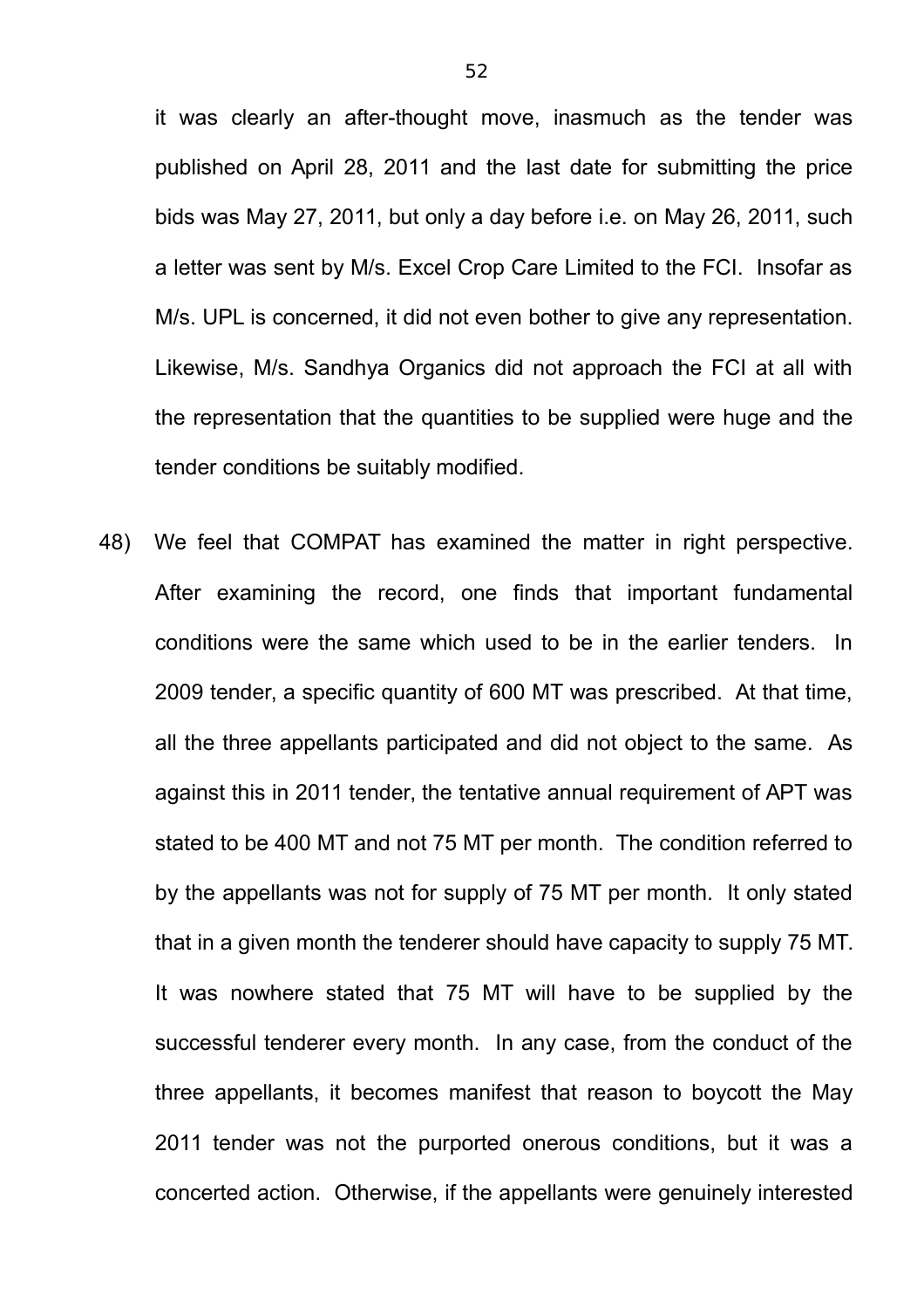it was clearly an after-thought move, inasmuch as the tender was published on April 28, 2011 and the last date for submitting the price bids was May 27, 2011, but only a day before i.e. on May 26, 2011, such a letter was sent by M/s. Excel Crop Care Limited to the FCI. Insofar as M/s. UPL is concerned, it did not even bother to give any representation. Likewise, M/s. Sandhya Organics did not approach the FCI at all with the representation that the quantities to be supplied were huge and the tender conditions be suitably modified.

48) We feel that COMPAT has examined the matter in right perspective. After examining the record, one finds that important fundamental conditions were the same which used to be in the earlier tenders. In 2009 tender, a specific quantity of 600 MT was prescribed. At that time, all the three appellants participated and did not object to the same. As against this in 2011 tender, the tentative annual requirement of APT was stated to be 400 MT and not 75 MT per month. The condition referred to by the appellants was not for supply of 75 MT per month. It only stated that in a given month the tenderer should have capacity to supply 75 MT. It was nowhere stated that 75 MT will have to be supplied by the successful tenderer every month. In any case, from the conduct of the three appellants, it becomes manifest that reason to boycott the May 2011 tender was not the purported onerous conditions, but it was a concerted action. Otherwise, if the appellants were genuinely interested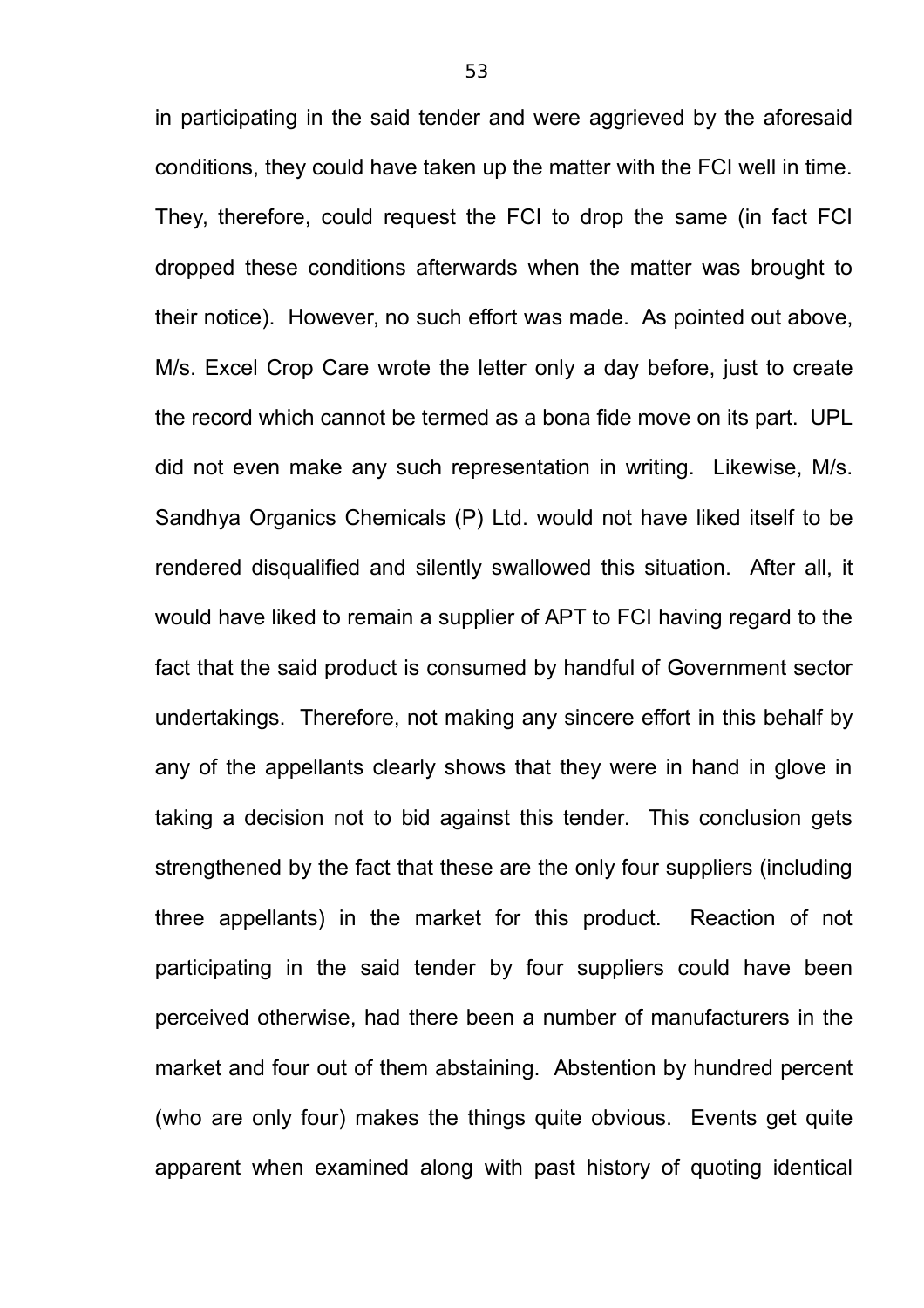in participating in the said tender and were aggrieved by the aforesaid conditions, they could have taken up the matter with the FCI well in time. They, therefore, could request the FCI to drop the same (in fact FCI dropped these conditions afterwards when the matter was brought to their notice). However, no such effort was made. As pointed out above, M/s. Excel Crop Care wrote the letter only a day before, just to create the record which cannot be termed as a bona fide move on its part. UPL did not even make any such representation in writing. Likewise, M/s. Sandhya Organics Chemicals (P) Ltd. would not have liked itself to be rendered disqualified and silently swallowed this situation. After all, it would have liked to remain a supplier of APT to FCI having regard to the fact that the said product is consumed by handful of Government sector undertakings. Therefore, not making any sincere effort in this behalf by any of the appellants clearly shows that they were in hand in glove in taking a decision not to bid against this tender. This conclusion gets strengthened by the fact that these are the only four suppliers (including three appellants) in the market for this product. Reaction of not participating in the said tender by four suppliers could have been perceived otherwise, had there been a number of manufacturers in the market and four out of them abstaining. Abstention by hundred percent (who are only four) makes the things quite obvious. Events get quite apparent when examined along with past history of quoting identical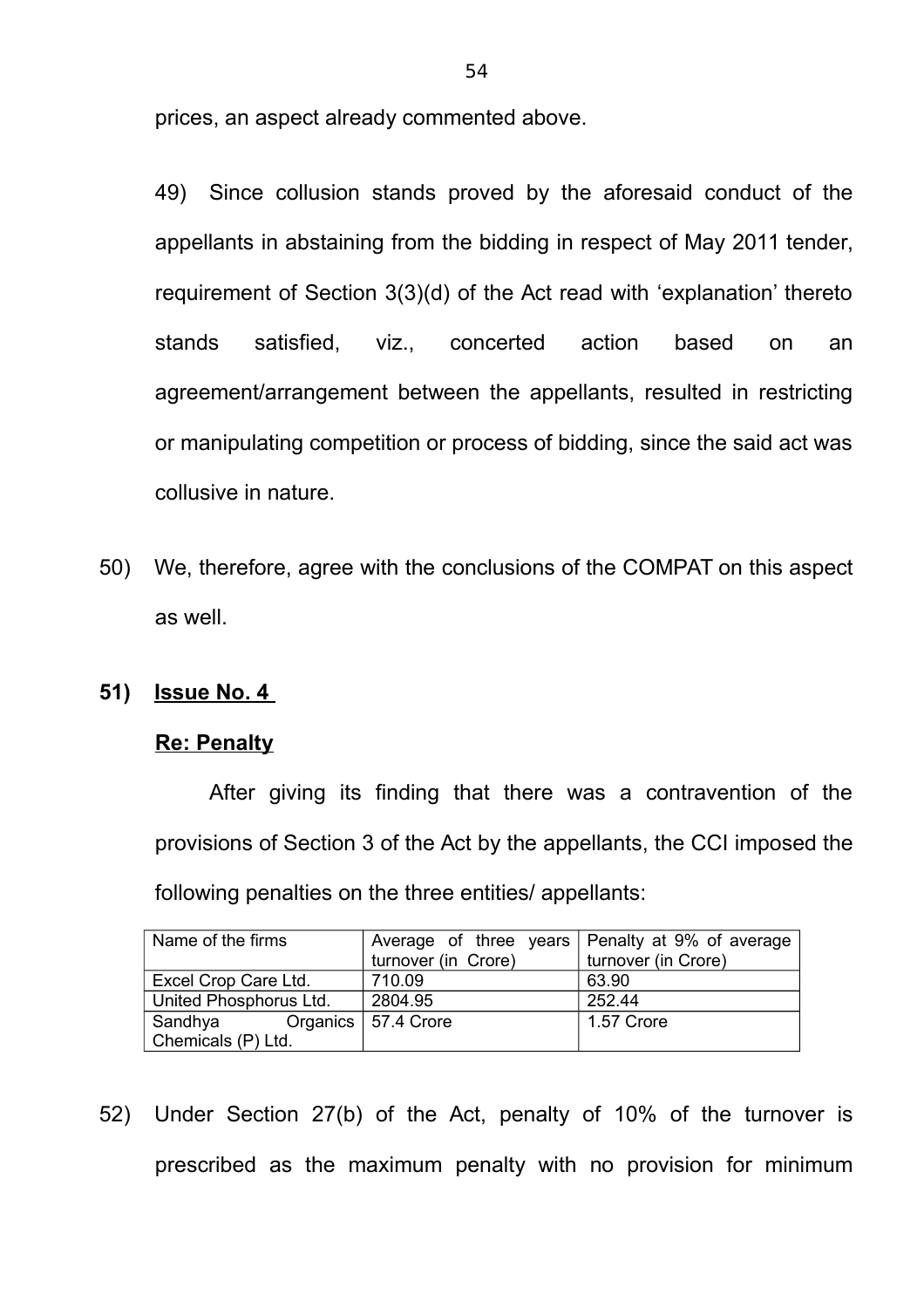prices, an aspect already commented above.

49) Since collusion stands proved by the aforesaid conduct of the appellants in abstaining from the bidding in respect of May 2011 tender, requirement of Section 3(3)(d) of the Act read with 'explanation' thereto stands satisfied, viz., concerted action based on an agreement/arrangement between the appellants, resulted in restricting or manipulating competition or process of bidding, since the said act was collusive in nature.

50) We, therefore, agree with the conclusions of the COMPAT on this aspect as well.

## **51) Issue No. 4**

## **Re: Penalty**

After giving its finding that there was a contravention of the provisions of Section 3 of the Act by the appellants, the CCI imposed the following penalties on the three entities/ appellants:

| Name of the firms      | turnover (in Crore)   | Average of three years Penalty at 9% of average<br>turnover (in Crore) |  |
|------------------------|-----------------------|------------------------------------------------------------------------|--|
|                        |                       |                                                                        |  |
| Excel Crop Care Ltd.   | 710.09                | 63.90                                                                  |  |
| United Phosphorus Ltd. | 2804.95               | 252.44                                                                 |  |
| Sandhya                | Organics   57.4 Crore | 1.57 Crore                                                             |  |
| Chemicals (P) Ltd.     |                       |                                                                        |  |

52) Under Section 27(b) of the Act, penalty of 10% of the turnover is prescribed as the maximum penalty with no provision for minimum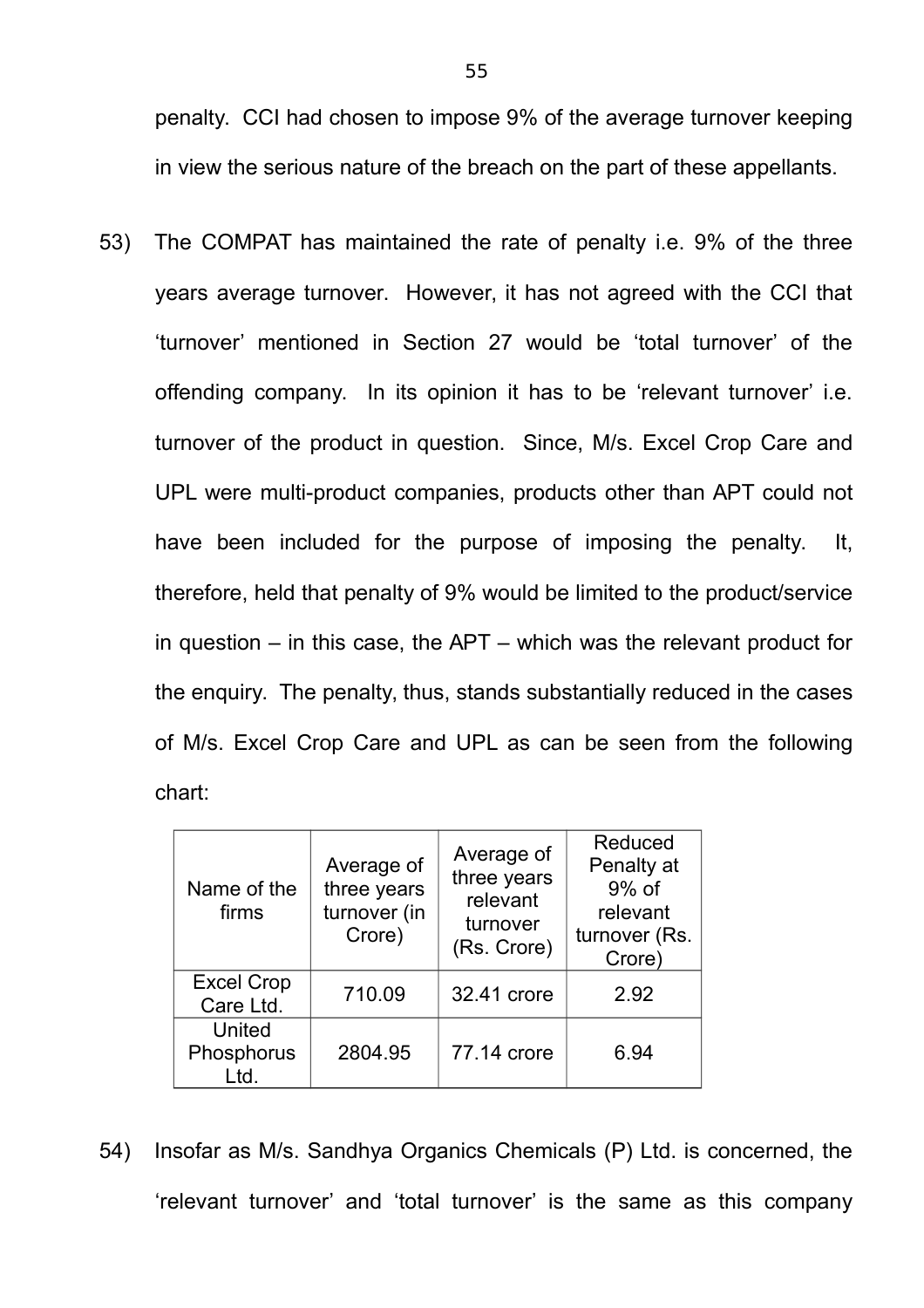penalty. CCI had chosen to impose 9% of the average turnover keeping in view the serious nature of the breach on the part of these appellants.

53) The COMPAT has maintained the rate of penalty i.e. 9% of the three years average turnover. However, it has not agreed with the CCI that 'turnover' mentioned in Section 27 would be 'total turnover' of the offending company. In its opinion it has to be 'relevant turnover' i.e. turnover of the product in question. Since, M/s. Excel Crop Care and UPL were multi-product companies, products other than APT could not have been included for the purpose of imposing the penalty. It, therefore, held that penalty of 9% would be limited to the product/service in question – in this case, the APT – which was the relevant product for the enquiry. The penalty, thus, stands substantially reduced in the cases of M/s. Excel Crop Care and UPL as can be seen from the following chart:

| Name of the<br>firms           | Average of<br>three years<br>turnover (in<br>Crore) | Average of<br>three years<br>relevant<br>turnover<br>(Rs. Crore) | Reduced<br>Penalty at<br>$9%$ of<br>relevant<br>turnover (Rs.<br>Crore) |
|--------------------------------|-----------------------------------------------------|------------------------------------------------------------------|-------------------------------------------------------------------------|
| <b>Excel Crop</b><br>Care Ltd. | 710.09                                              | 32.41 crore                                                      | 2.92                                                                    |
| United<br>Phosphorus<br>Ltd.   | 2804.95                                             | 77.14 crore                                                      | 6.94                                                                    |

54) Insofar as M/s. Sandhya Organics Chemicals (P) Ltd. is concerned, the 'relevant turnover' and 'total turnover' is the same as this company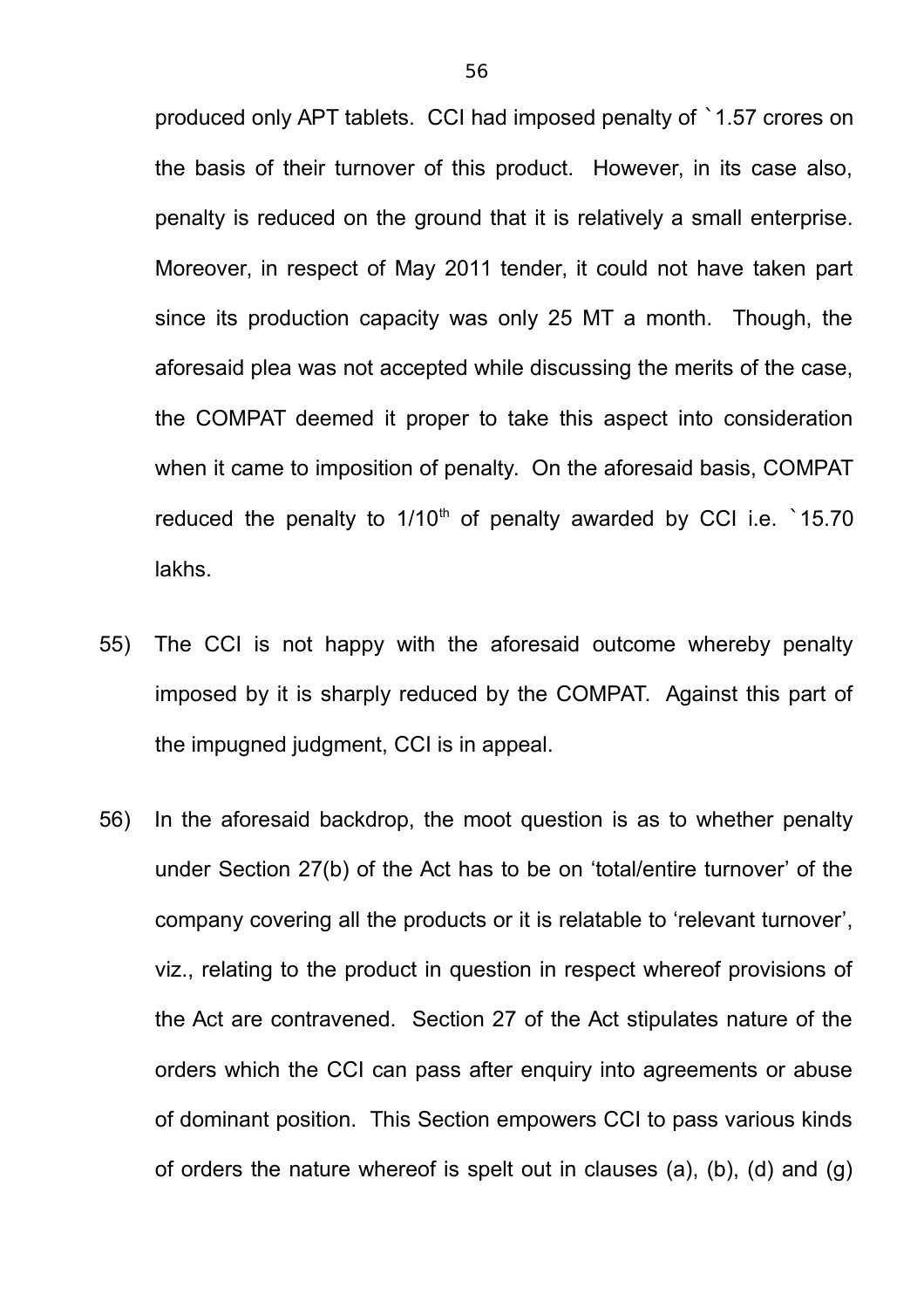produced only APT tablets. CCI had imposed penalty of `1.57 crores on the basis of their turnover of this product. However, in its case also, penalty is reduced on the ground that it is relatively a small enterprise. Moreover, in respect of May 2011 tender, it could not have taken part since its production capacity was only 25 MT a month. Though, the aforesaid plea was not accepted while discussing the merits of the case, the COMPAT deemed it proper to take this aspect into consideration when it came to imposition of penalty. On the aforesaid basis, COMPAT reduced the penalty to  $1/10<sup>th</sup>$  of penalty awarded by CCI i.e.  $\dot{ }$  15.70 lakhs.

- 55) The CCI is not happy with the aforesaid outcome whereby penalty imposed by it is sharply reduced by the COMPAT. Against this part of the impugned judgment, CCI is in appeal.
- 56) In the aforesaid backdrop, the moot question is as to whether penalty under Section 27(b) of the Act has to be on 'total/entire turnover' of the company covering all the products or it is relatable to 'relevant turnover', viz., relating to the product in question in respect whereof provisions of the Act are contravened. Section 27 of the Act stipulates nature of the orders which the CCI can pass after enquiry into agreements or abuse of dominant position. This Section empowers CCI to pass various kinds of orders the nature whereof is spelt out in clauses (a), (b), (d) and (g)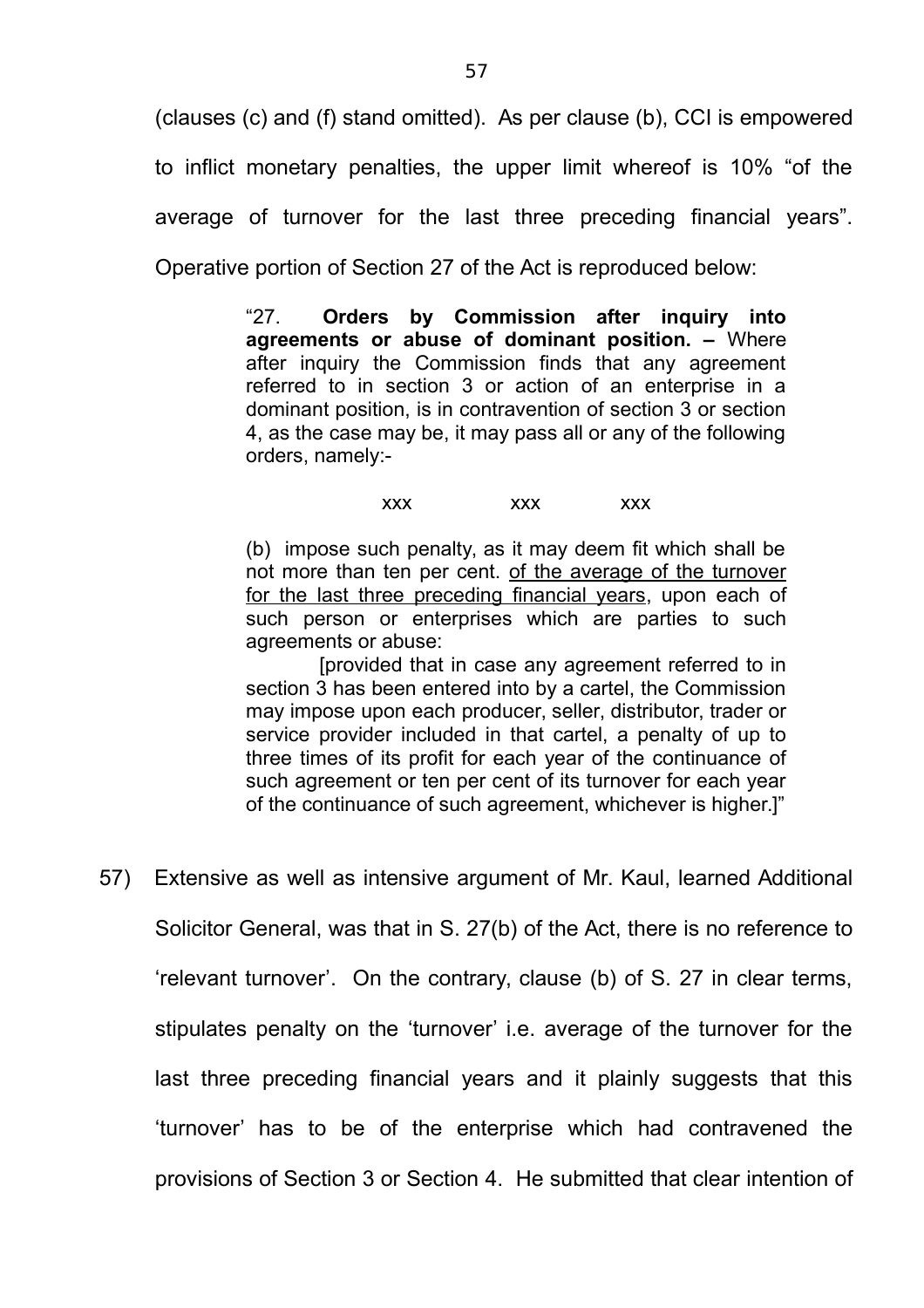(clauses (c) and (f) stand omitted). As per clause (b), CCI is empowered to inflict monetary penalties, the upper limit whereof is 10% "of the average of turnover for the last three preceding financial years". Operative portion of Section 27 of the Act is reproduced below:

> "27. **Orders by Commission after inquiry into agreements or abuse of dominant position. –** Where after inquiry the Commission finds that any agreement referred to in section 3 or action of an enterprise in a dominant position, is in contravention of section 3 or section 4, as the case may be, it may pass all or any of the following orders, namely:-

> > xxx xxx xxx

(b) impose such penalty, as it may deem fit which shall be not more than ten per cent. of the average of the turnover for the last three preceding financial years, upon each of such person or enterprises which are parties to such agreements or abuse:

[provided that in case any agreement referred to in section 3 has been entered into by a cartel, the Commission may impose upon each producer, seller, distributor, trader or service provider included in that cartel, a penalty of up to three times of its profit for each year of the continuance of such agreement or ten per cent of its turnover for each year of the continuance of such agreement, whichever is higher.]"

57) Extensive as well as intensive argument of Mr. Kaul, learned Additional Solicitor General, was that in S. 27(b) of the Act, there is no reference to 'relevant turnover'. On the contrary, clause (b) of S. 27 in clear terms, stipulates penalty on the 'turnover' i.e. average of the turnover for the last three preceding financial years and it plainly suggests that this 'turnover' has to be of the enterprise which had contravened the provisions of Section 3 or Section 4. He submitted that clear intention of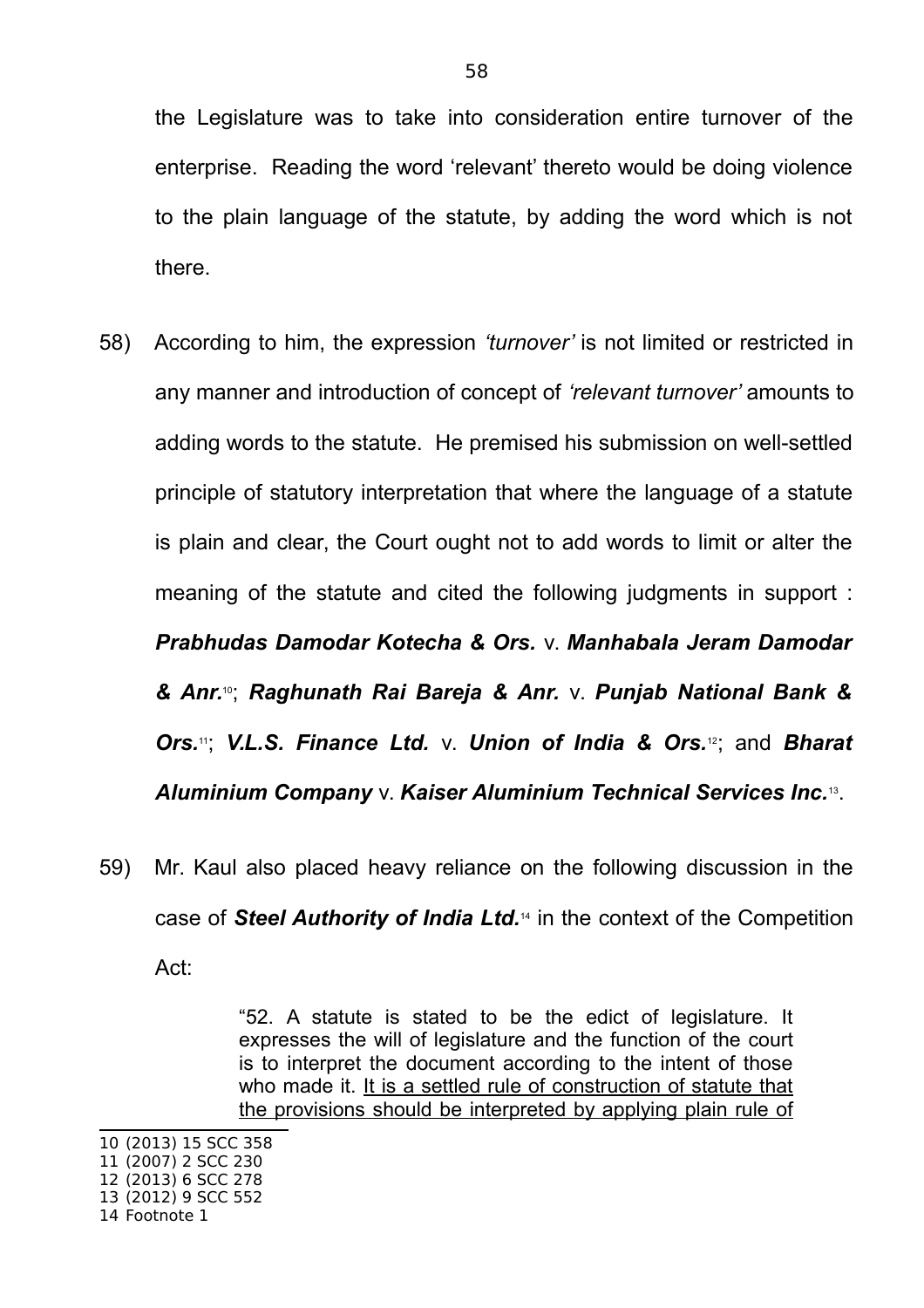the Legislature was to take into consideration entire turnover of the enterprise. Reading the word 'relevant' thereto would be doing violence to the plain language of the statute, by adding the word which is not there.

- 58) According to him, the expression *'turnover'* is not limited or restricted in any manner and introduction of concept of *'relevant turnover'* amounts to adding words to the statute. He premised his submission on well-settled principle of statutory interpretation that where the language of a statute is plain and clear, the Court ought not to add words to limit or alter the meaning of the statute and cited the following judgments in support : *Prabhudas Damodar Kotecha & Ors.* v. *Manhabala Jeram Damodar & Anr.*10; *Raghunath Rai Bareja & Anr.* v. *Punjab National Bank & Ors.*11; *V.L.S. Finance Ltd.* v. *Union of India & Ors.*12; and *Bharat Aluminium Company* v. *Kaiser Aluminium Technical Services Inc.*<sup>13</sup> .
- 59) Mr. Kaul also placed heavy reliance on the following discussion in the case of *Steel Authority of India Ltd.*14 in the context of the Competition Act:

"52. A statute is stated to be the edict of legislature. It expresses the will of legislature and the function of the court is to interpret the document according to the intent of those who made it. It is a settled rule of construction of statute that the provisions should be interpreted by applying plain rule of

10 (2013) 15 SCC 358 11 (2007) 2 SCC 230

<sup>12</sup> (2013) 6 SCC 278

<sup>13</sup> (2012) 9 SCC 552

<sup>14</sup> Footnote 1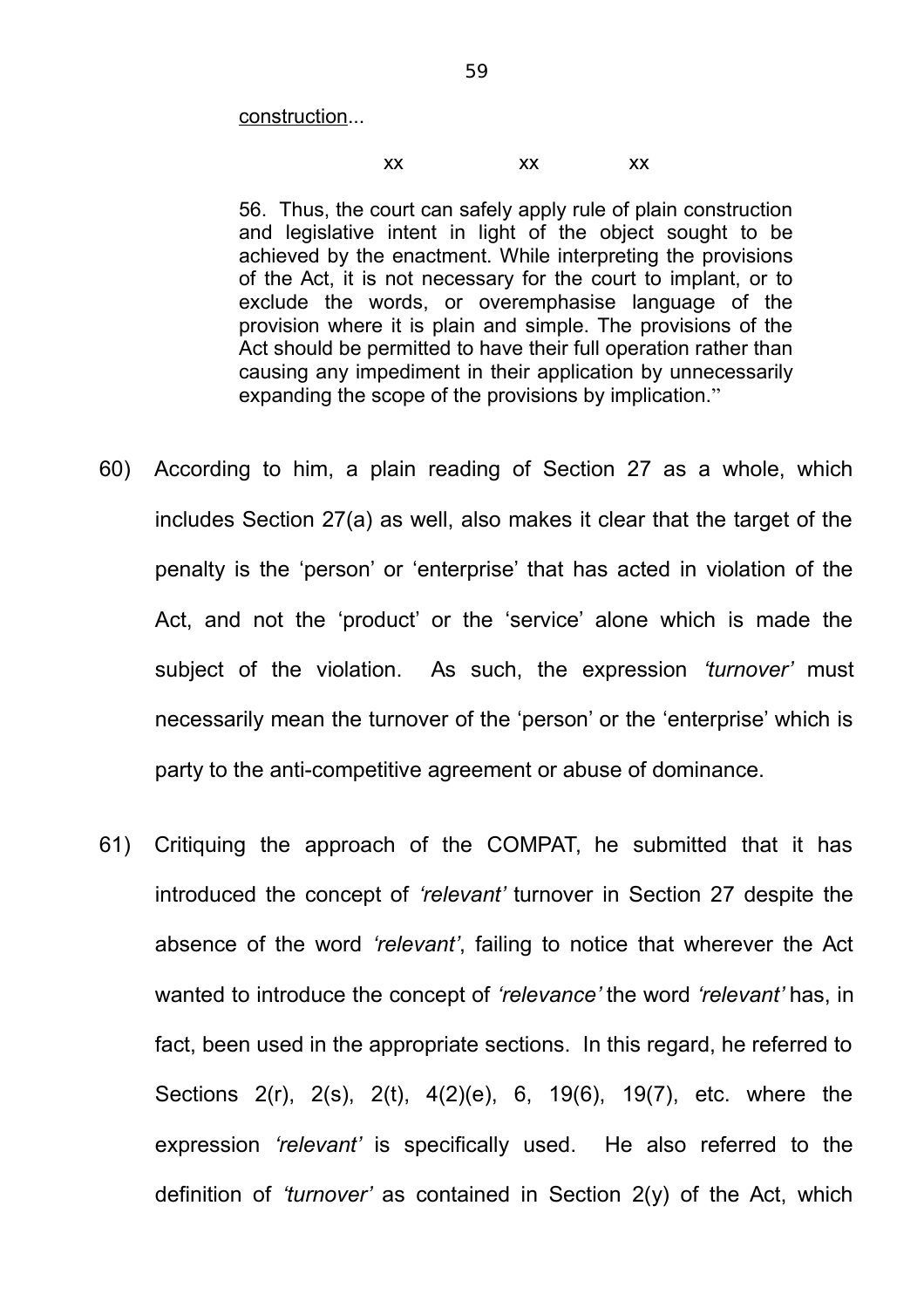construction...

#### xx xx xx

56. Thus, the court can safely apply rule of plain construction and legislative intent in light of the object sought to be achieved by the enactment. While interpreting the provisions of the Act, it is not necessary for the court to implant, or to exclude the words, or overemphasise language of the provision where it is plain and simple. The provisions of the Act should be permitted to have their full operation rather than causing any impediment in their application by unnecessarily expanding the scope of the provisions by implication."

- 60) According to him, a plain reading of Section 27 as a whole, which includes Section 27(a) as well, also makes it clear that the target of the penalty is the 'person' or 'enterprise' that has acted in violation of the Act, and not the 'product' or the 'service' alone which is made the subject of the violation. As such, the expression *'turnover'* must necessarily mean the turnover of the 'person' or the 'enterprise' which is party to the anti-competitive agreement or abuse of dominance.
- 61) Critiquing the approach of the COMPAT, he submitted that it has introduced the concept of *'relevant'* turnover in Section 27 despite the absence of the word *'relevant'*, failing to notice that wherever the Act wanted to introduce the concept of *'relevance'* the word *'relevant'* has, in fact, been used in the appropriate sections. In this regard, he referred to Sections 2(r), 2(s), 2(t), 4(2)(e), 6, 19(6), 19(7), etc. where the expression *'relevant'* is specifically used. He also referred to the definition of *'turnover'* as contained in Section 2(y) of the Act, which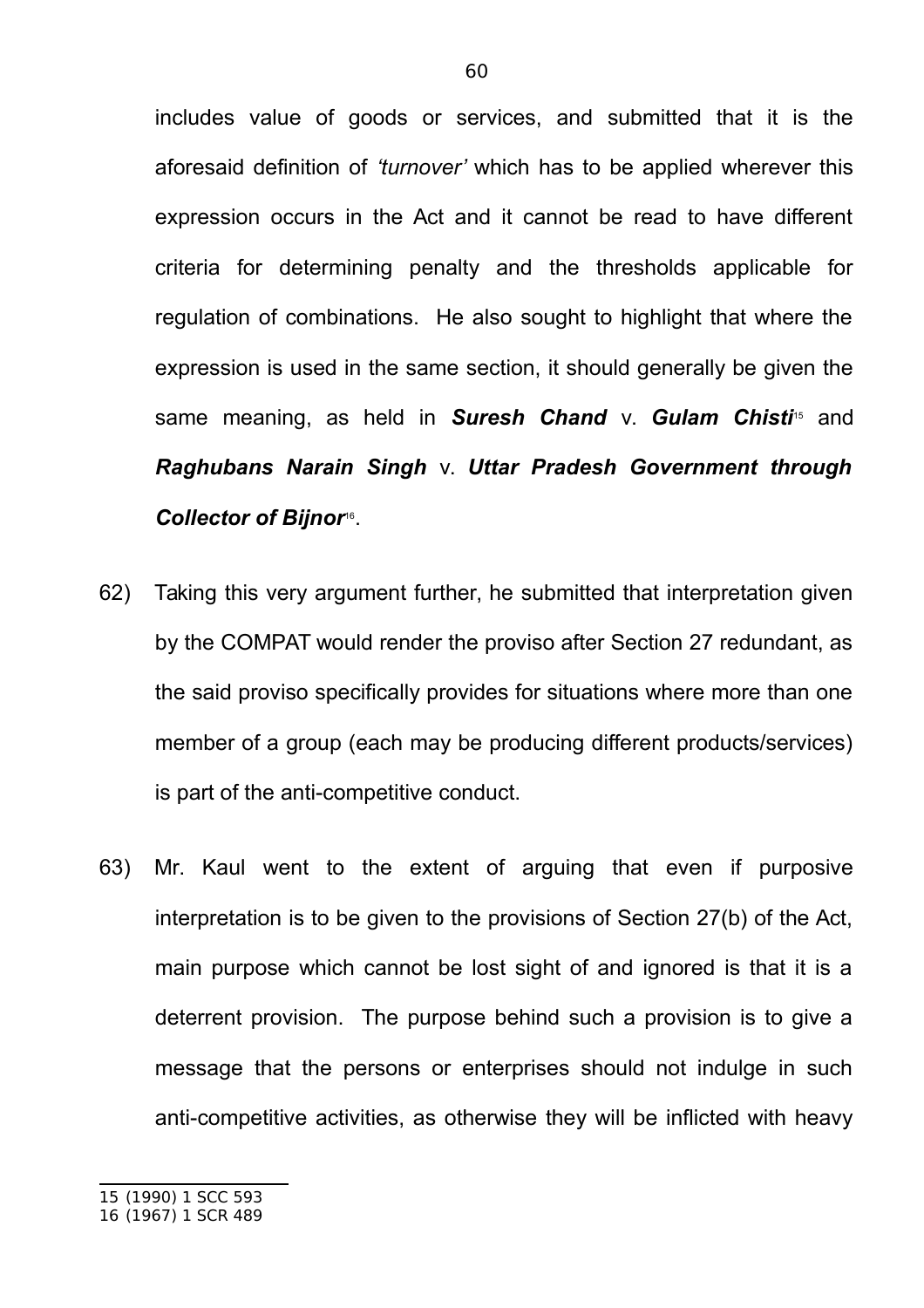includes value of goods or services, and submitted that it is the aforesaid definition of *'turnover'* which has to be applied wherever this expression occurs in the Act and it cannot be read to have different criteria for determining penalty and the thresholds applicable for regulation of combinations. He also sought to highlight that where the expression is used in the same section, it should generally be given the same meaning, as held in **Suresh Chand** v. **Gulam Chisti**<sup>15</sup> and *Raghubans Narain Singh* v. *Uttar Pradesh Government through* Collector of Bijnor<sup>®</sup>.

- 62) Taking this very argument further, he submitted that interpretation given by the COMPAT would render the proviso after Section 27 redundant, as the said proviso specifically provides for situations where more than one member of a group (each may be producing different products/services) is part of the anti-competitive conduct.
- 63) Mr. Kaul went to the extent of arguing that even if purposive interpretation is to be given to the provisions of Section 27(b) of the Act, main purpose which cannot be lost sight of and ignored is that it is a deterrent provision. The purpose behind such a provision is to give a message that the persons or enterprises should not indulge in such anti-competitive activities, as otherwise they will be inflicted with heavy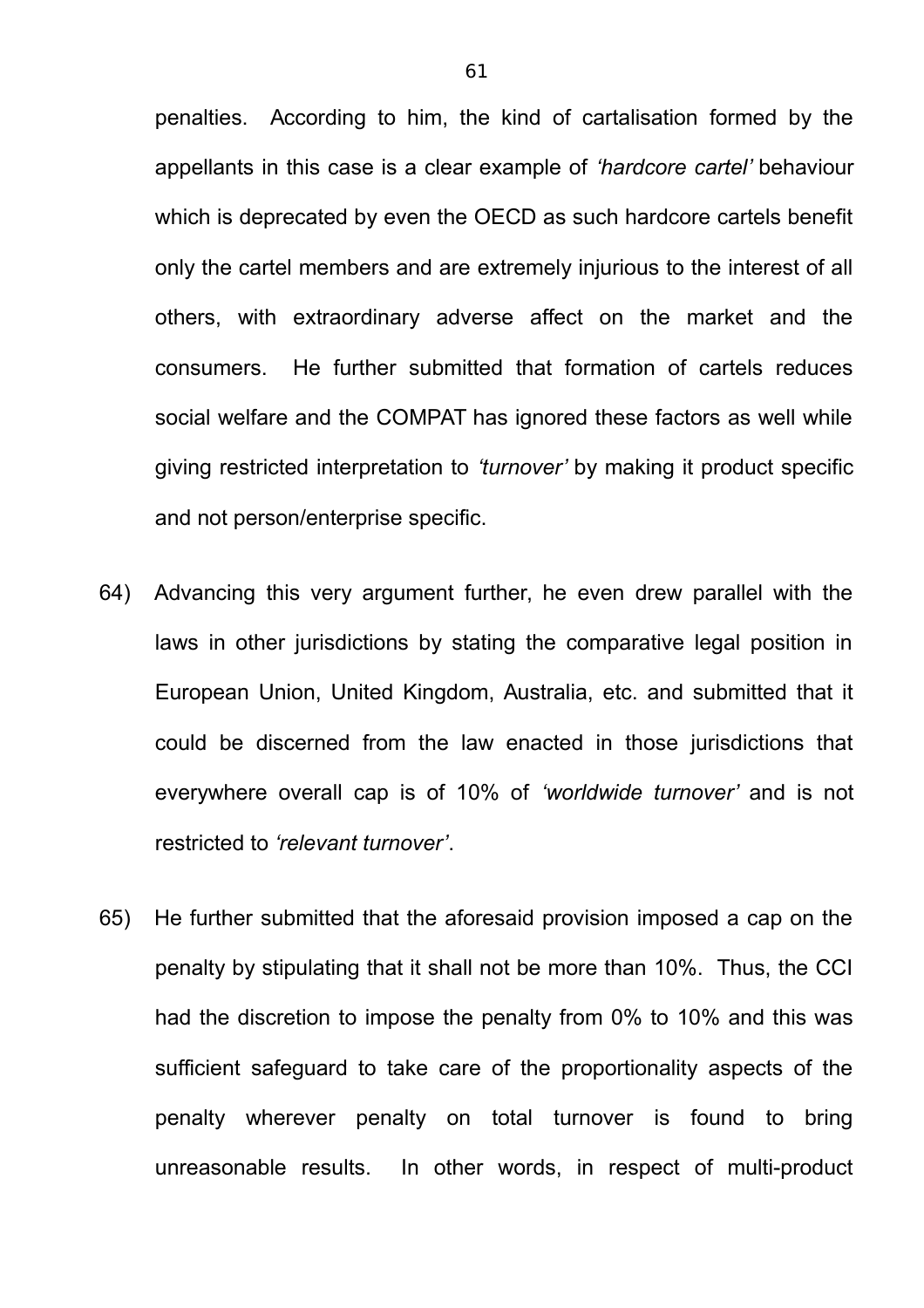penalties. According to him, the kind of cartalisation formed by the appellants in this case is a clear example of *'hardcore cartel'* behaviour which is deprecated by even the OECD as such hardcore cartels benefit only the cartel members and are extremely injurious to the interest of all others, with extraordinary adverse affect on the market and the consumers. He further submitted that formation of cartels reduces social welfare and the COMPAT has ignored these factors as well while giving restricted interpretation to *'turnover'* by making it product specific and not person/enterprise specific.

- 64) Advancing this very argument further, he even drew parallel with the laws in other jurisdictions by stating the comparative legal position in European Union, United Kingdom, Australia, etc. and submitted that it could be discerned from the law enacted in those jurisdictions that everywhere overall cap is of 10% of *'worldwide turnover'* and is not restricted to *'relevant turnover'*.
- 65) He further submitted that the aforesaid provision imposed a cap on the penalty by stipulating that it shall not be more than 10%. Thus, the CCI had the discretion to impose the penalty from 0% to 10% and this was sufficient safeguard to take care of the proportionality aspects of the penalty wherever penalty on total turnover is found to bring unreasonable results. In other words, in respect of multi-product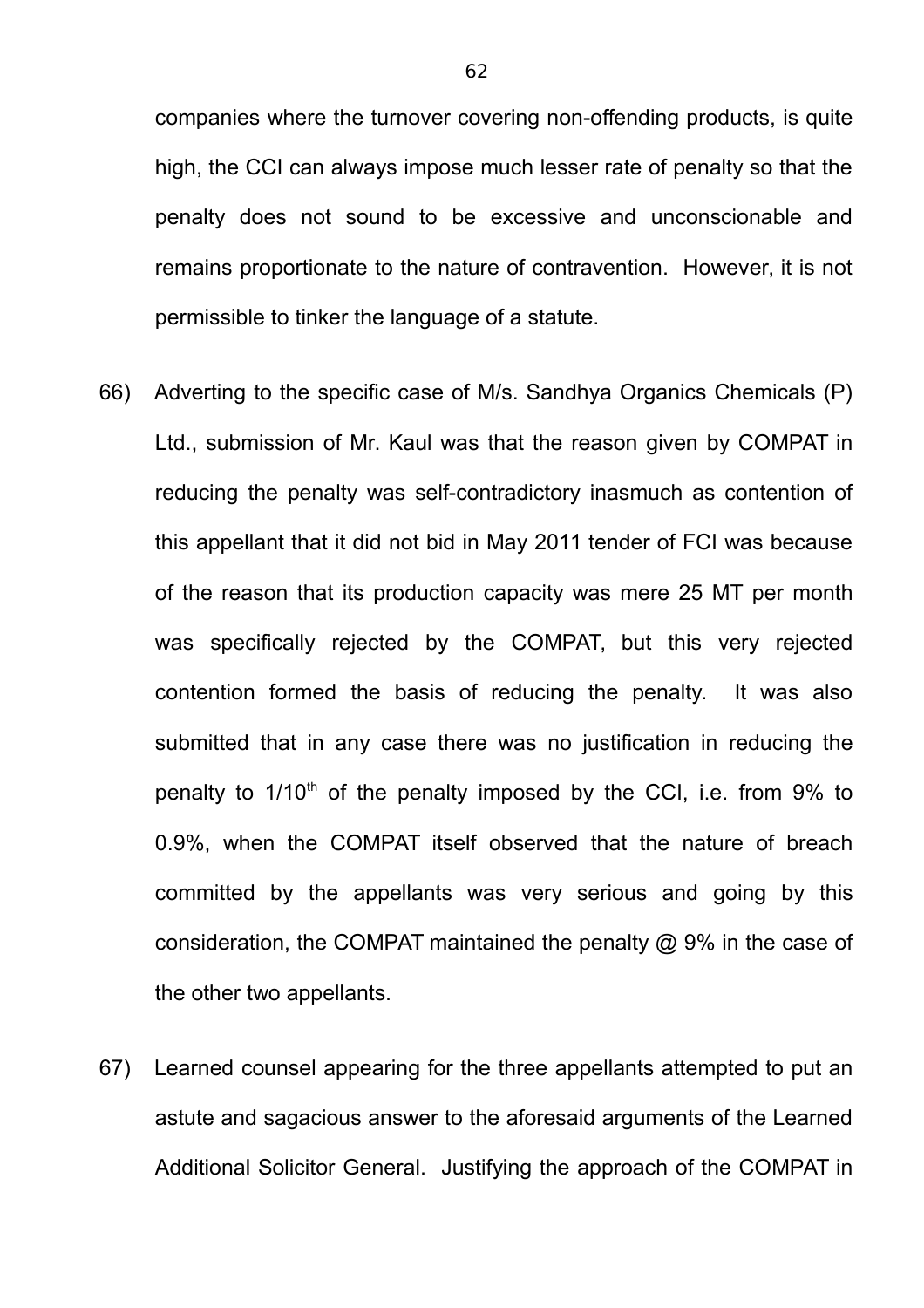companies where the turnover covering non-offending products, is quite high, the CCI can always impose much lesser rate of penalty so that the penalty does not sound to be excessive and unconscionable and remains proportionate to the nature of contravention. However, it is not permissible to tinker the language of a statute.

- 66) Adverting to the specific case of M/s. Sandhya Organics Chemicals (P) Ltd., submission of Mr. Kaul was that the reason given by COMPAT in reducing the penalty was self-contradictory inasmuch as contention of this appellant that it did not bid in May 2011 tender of FCI was because of the reason that its production capacity was mere 25 MT per month was specifically rejected by the COMPAT, but this very rejected contention formed the basis of reducing the penalty. It was also submitted that in any case there was no justification in reducing the penalty to  $1/10<sup>th</sup>$  of the penalty imposed by the CCI, i.e. from 9% to 0.9%, when the COMPAT itself observed that the nature of breach committed by the appellants was very serious and going by this consideration, the COMPAT maintained the penalty @ 9% in the case of the other two appellants.
- 67) Learned counsel appearing for the three appellants attempted to put an astute and sagacious answer to the aforesaid arguments of the Learned Additional Solicitor General. Justifying the approach of the COMPAT in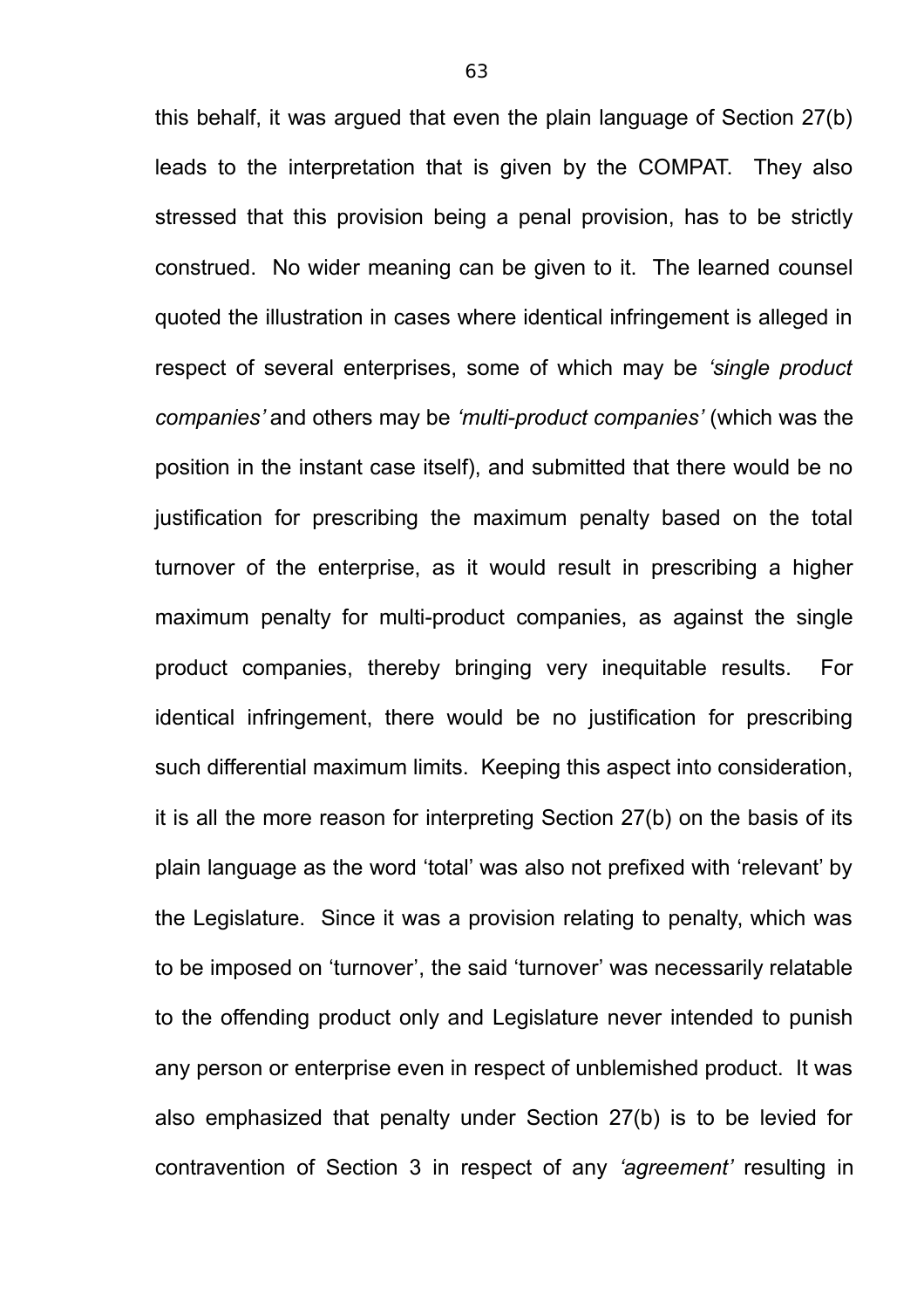this behalf, it was argued that even the plain language of Section 27(b) leads to the interpretation that is given by the COMPAT. They also stressed that this provision being a penal provision, has to be strictly construed. No wider meaning can be given to it. The learned counsel quoted the illustration in cases where identical infringement is alleged in respect of several enterprises, some of which may be *'single product companies'* and others may be *'multi-product companies'* (which was the position in the instant case itself), and submitted that there would be no justification for prescribing the maximum penalty based on the total turnover of the enterprise, as it would result in prescribing a higher maximum penalty for multi-product companies, as against the single product companies, thereby bringing very inequitable results. For identical infringement, there would be no justification for prescribing such differential maximum limits. Keeping this aspect into consideration, it is all the more reason for interpreting Section 27(b) on the basis of its plain language as the word 'total' was also not prefixed with 'relevant' by the Legislature. Since it was a provision relating to penalty, which was to be imposed on 'turnover', the said 'turnover' was necessarily relatable to the offending product only and Legislature never intended to punish any person or enterprise even in respect of unblemished product. It was also emphasized that penalty under Section 27(b) is to be levied for contravention of Section 3 in respect of any *'agreement'* resulting in

63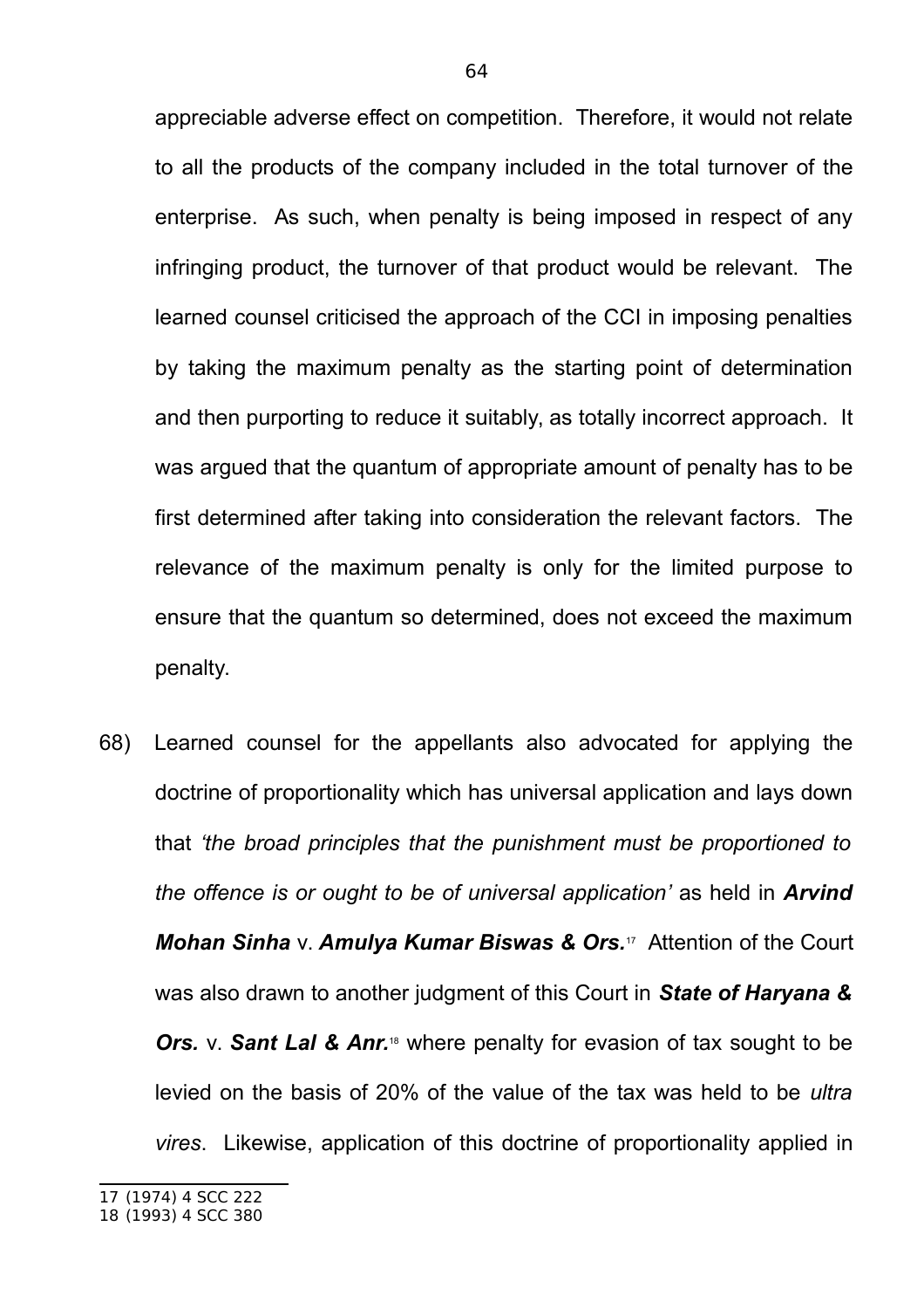appreciable adverse effect on competition. Therefore, it would not relate to all the products of the company included in the total turnover of the enterprise. As such, when penalty is being imposed in respect of any infringing product, the turnover of that product would be relevant. The learned counsel criticised the approach of the CCI in imposing penalties by taking the maximum penalty as the starting point of determination and then purporting to reduce it suitably, as totally incorrect approach. It was argued that the quantum of appropriate amount of penalty has to be first determined after taking into consideration the relevant factors. The relevance of the maximum penalty is only for the limited purpose to ensure that the quantum so determined, does not exceed the maximum penalty.

68) Learned counsel for the appellants also advocated for applying the doctrine of proportionality which has universal application and lays down that *'the broad principles that the punishment must be proportioned to the offence is or ought to be of universal application'* as held in *Arvind Mohan Sinha* v. *Amulya Kumar Biswas & Ors.*17 Attention of the Court was also drawn to another judgment of this Court in *State of Haryana &* **Ors.** v. **Sant Lal & Anr.**<sup>18</sup> where penalty for evasion of tax sought to be levied on the basis of 20% of the value of the tax was held to be *ultra vires*. Likewise, application of this doctrine of proportionality applied in

<sup>17</sup> (1974) 4 SCC 222

<sup>18</sup> (1993) 4 SCC 380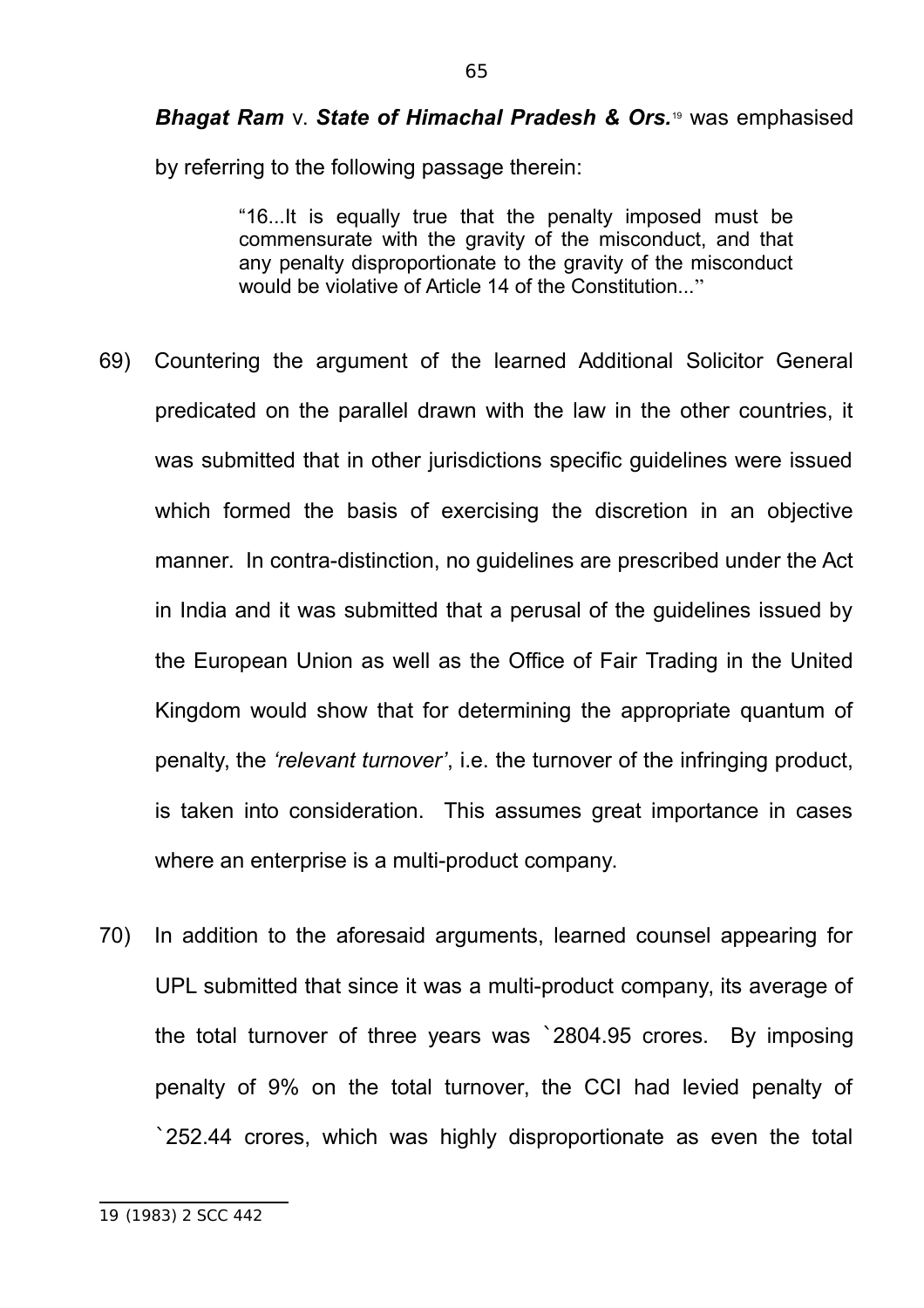*Bhagat Ram* v. *State of Himachal Pradesh & Ors.*19 was emphasised

by referring to the following passage therein:

"16...It is equally true that the penalty imposed must be commensurate with the gravity of the misconduct, and that any penalty disproportionate to the gravity of the misconduct would be violative of Article 14 of the Constitution..."

- 69) Countering the argument of the learned Additional Solicitor General predicated on the parallel drawn with the law in the other countries, it was submitted that in other jurisdictions specific guidelines were issued which formed the basis of exercising the discretion in an objective manner. In contra-distinction, no guidelines are prescribed under the Act in India and it was submitted that a perusal of the guidelines issued by the European Union as well as the Office of Fair Trading in the United Kingdom would show that for determining the appropriate quantum of penalty, the *'relevant turnover'*, i.e. the turnover of the infringing product, is taken into consideration. This assumes great importance in cases where an enterprise is a multi-product company.
- 70) In addition to the aforesaid arguments, learned counsel appearing for UPL submitted that since it was a multi-product company, its average of the total turnover of three years was `2804.95 crores. By imposing penalty of 9% on the total turnover, the CCI had levied penalty of `252.44 crores, which was highly disproportionate as even the total

<sup>19</sup> (1983) 2 SCC 442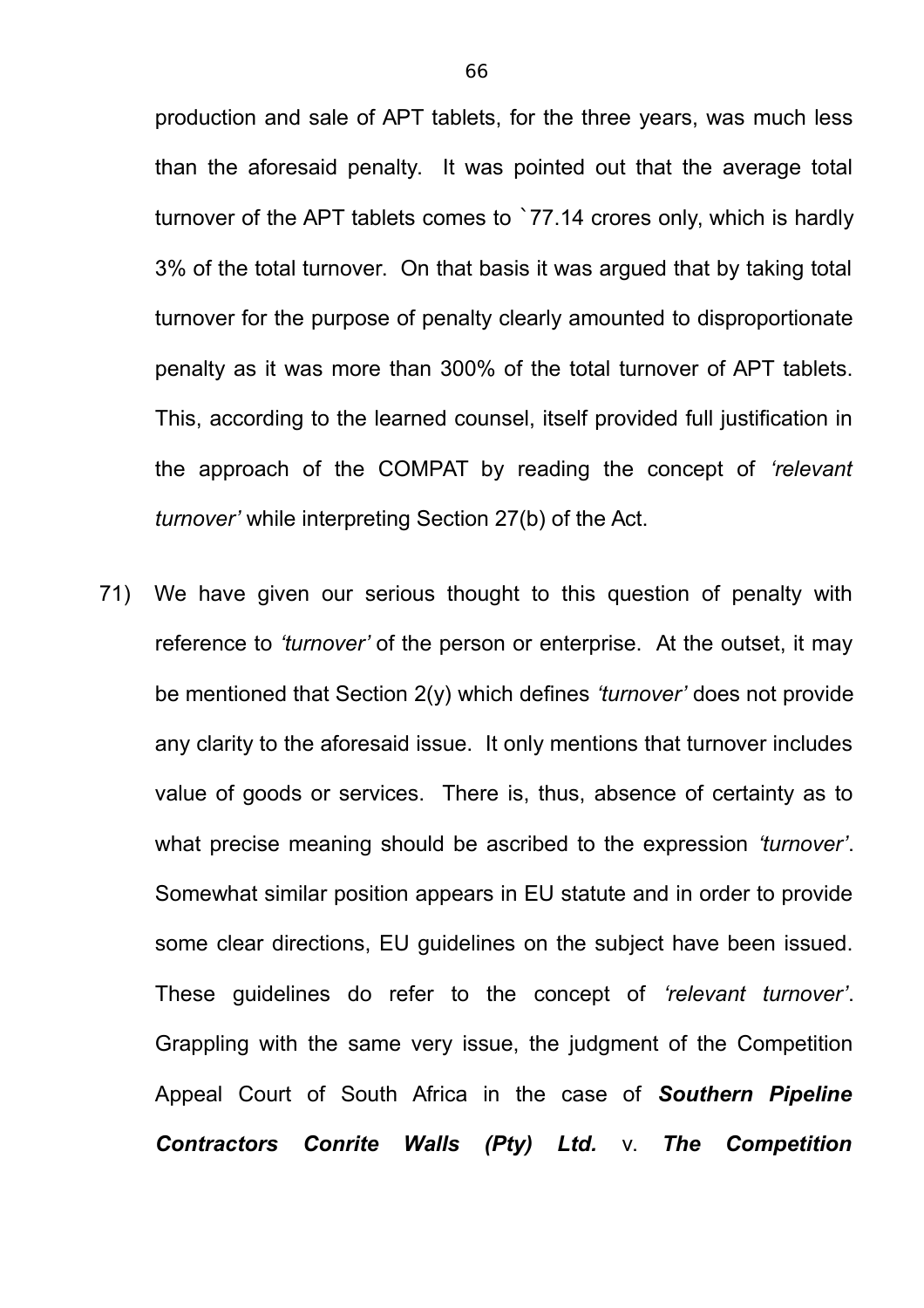production and sale of APT tablets, for the three years, was much less than the aforesaid penalty. It was pointed out that the average total turnover of the APT tablets comes to `77.14 crores only, which is hardly 3% of the total turnover. On that basis it was argued that by taking total turnover for the purpose of penalty clearly amounted to disproportionate penalty as it was more than 300% of the total turnover of APT tablets. This, according to the learned counsel, itself provided full justification in the approach of the COMPAT by reading the concept of *'relevant turnover'* while interpreting Section 27(b) of the Act.

71) We have given our serious thought to this question of penalty with reference to *'turnover'* of the person or enterprise. At the outset, it may be mentioned that Section 2(y) which defines *'turnover'* does not provide any clarity to the aforesaid issue. It only mentions that turnover includes value of goods or services. There is, thus, absence of certainty as to what precise meaning should be ascribed to the expression *'turnover'*. Somewhat similar position appears in EU statute and in order to provide some clear directions, EU guidelines on the subject have been issued. These guidelines do refer to the concept of *'relevant turnover'*. Grappling with the same very issue, the judgment of the Competition Appeal Court of South Africa in the case of *Southern Pipeline Contractors Conrite Walls (Pty) Ltd.* v. *The Competition*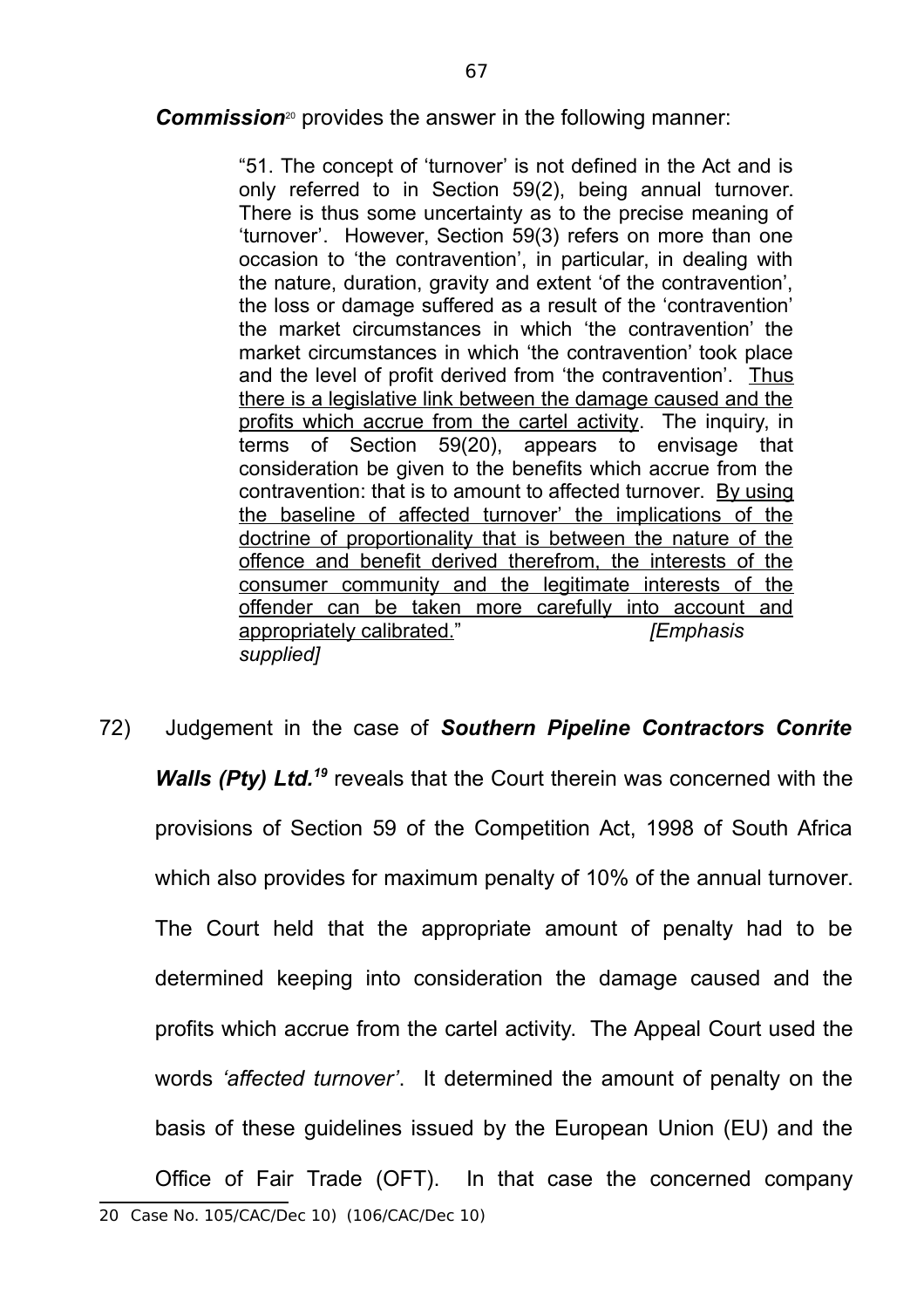**Commission**<sup>20</sup> provides the answer in the following manner:

"51. The concept of 'turnover' is not defined in the Act and is only referred to in Section 59(2), being annual turnover. There is thus some uncertainty as to the precise meaning of 'turnover'. However, Section 59(3) refers on more than one occasion to 'the contravention', in particular, in dealing with the nature, duration, gravity and extent 'of the contravention', the loss or damage suffered as a result of the 'contravention' the market circumstances in which 'the contravention' the market circumstances in which 'the contravention' took place and the level of profit derived from 'the contravention'. Thus there is a legislative link between the damage caused and the profits which accrue from the cartel activity. The inquiry, in terms of Section 59(20), appears to envisage that consideration be given to the benefits which accrue from the contravention: that is to amount to affected turnover. By using the baseline of affected turnover' the implications of the doctrine of proportionality that is between the nature of the offence and benefit derived therefrom, the interests of the consumer community and the legitimate interests of the offender can be taken more carefully into account and appropriately calibrated." *[Emphasis supplied]*

72) Judgement in the case of *Southern Pipeline Contractors Conrite Walls (Pty) Ltd.<sup>19</sup>* reveals that the Court therein was concerned with the provisions of Section 59 of the Competition Act, 1998 of South Africa which also provides for maximum penalty of 10% of the annual turnover. The Court held that the appropriate amount of penalty had to be determined keeping into consideration the damage caused and the profits which accrue from the cartel activity. The Appeal Court used the words *'affected turnover'*. It determined the amount of penalty on the basis of these guidelines issued by the European Union (EU) and the Office of Fair Trade (OFT). In that case the concerned company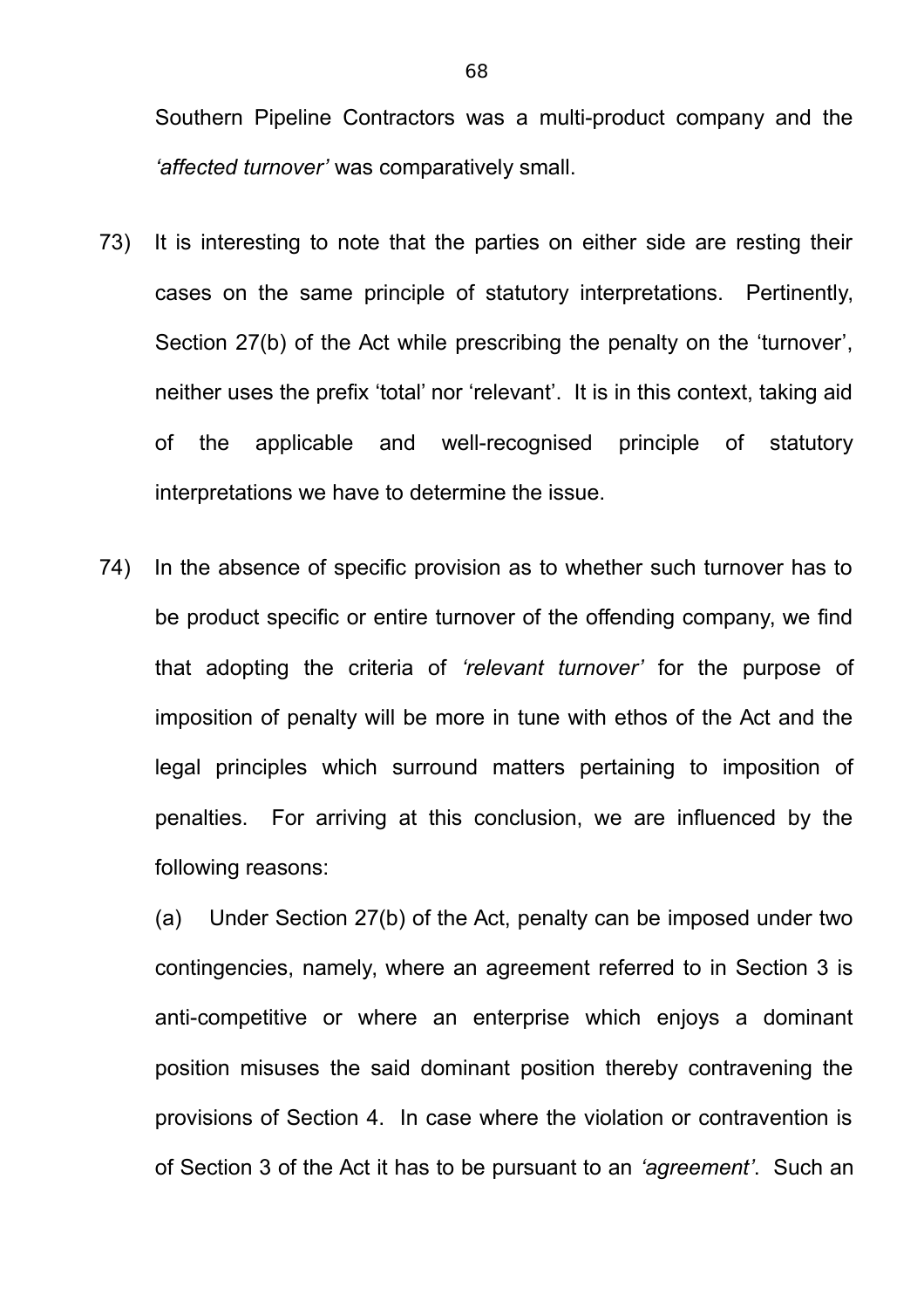Southern Pipeline Contractors was a multi-product company and the *'affected turnover'* was comparatively small.

- 73) It is interesting to note that the parties on either side are resting their cases on the same principle of statutory interpretations. Pertinently, Section 27(b) of the Act while prescribing the penalty on the 'turnover', neither uses the prefix 'total' nor 'relevant'. It is in this context, taking aid of the applicable and well-recognised principle of statutory interpretations we have to determine the issue.
- 74) In the absence of specific provision as to whether such turnover has to be product specific or entire turnover of the offending company, we find that adopting the criteria of *'relevant turnover'* for the purpose of imposition of penalty will be more in tune with ethos of the Act and the legal principles which surround matters pertaining to imposition of penalties. For arriving at this conclusion, we are influenced by the following reasons:

(a) Under Section 27(b) of the Act, penalty can be imposed under two contingencies, namely, where an agreement referred to in Section 3 is anti-competitive or where an enterprise which enjoys a dominant position misuses the said dominant position thereby contravening the provisions of Section 4. In case where the violation or contravention is of Section 3 of the Act it has to be pursuant to an *'agreement'*. Such an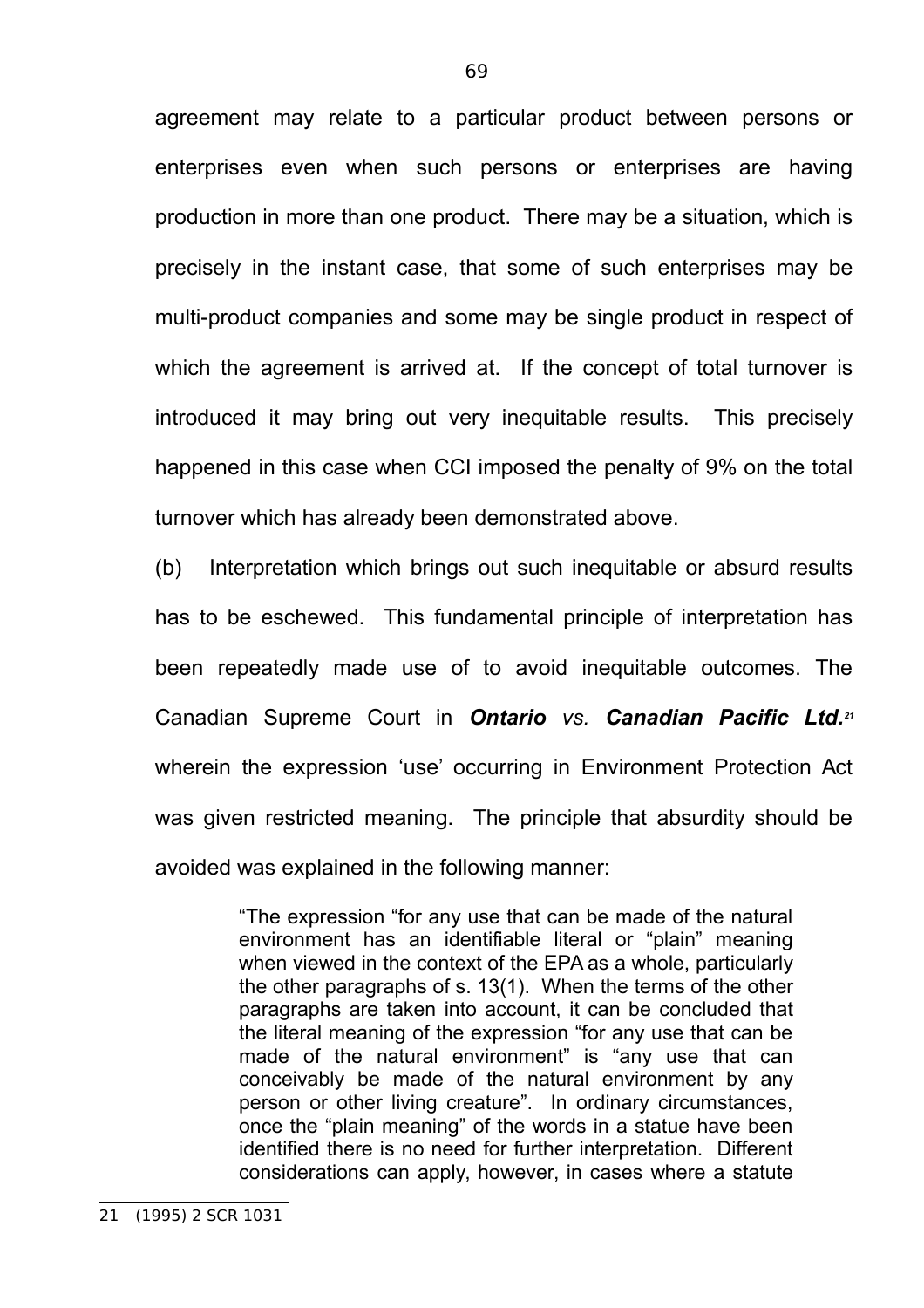agreement may relate to a particular product between persons or enterprises even when such persons or enterprises are having production in more than one product. There may be a situation, which is precisely in the instant case, that some of such enterprises may be multi-product companies and some may be single product in respect of which the agreement is arrived at. If the concept of total turnover is introduced it may bring out very inequitable results. This precisely happened in this case when CCI imposed the penalty of 9% on the total turnover which has already been demonstrated above.

(b) Interpretation which brings out such inequitable or absurd results has to be eschewed. This fundamental principle of interpretation has been repeatedly made use of to avoid inequitable outcomes. The Canadian Supreme Court in *Ontario vs. Canadian Pacific Ltd.<sup>21</sup>* wherein the expression 'use' occurring in Environment Protection Act was given restricted meaning. The principle that absurdity should be avoided was explained in the following manner:

> "The expression "for any use that can be made of the natural environment has an identifiable literal or "plain" meaning when viewed in the context of the EPA as a whole, particularly the other paragraphs of s. 13(1). When the terms of the other paragraphs are taken into account, it can be concluded that the literal meaning of the expression "for any use that can be made of the natural environment" is "any use that can conceivably be made of the natural environment by any person or other living creature". In ordinary circumstances, once the "plain meaning" of the words in a statue have been identified there is no need for further interpretation. Different considerations can apply, however, in cases where a statute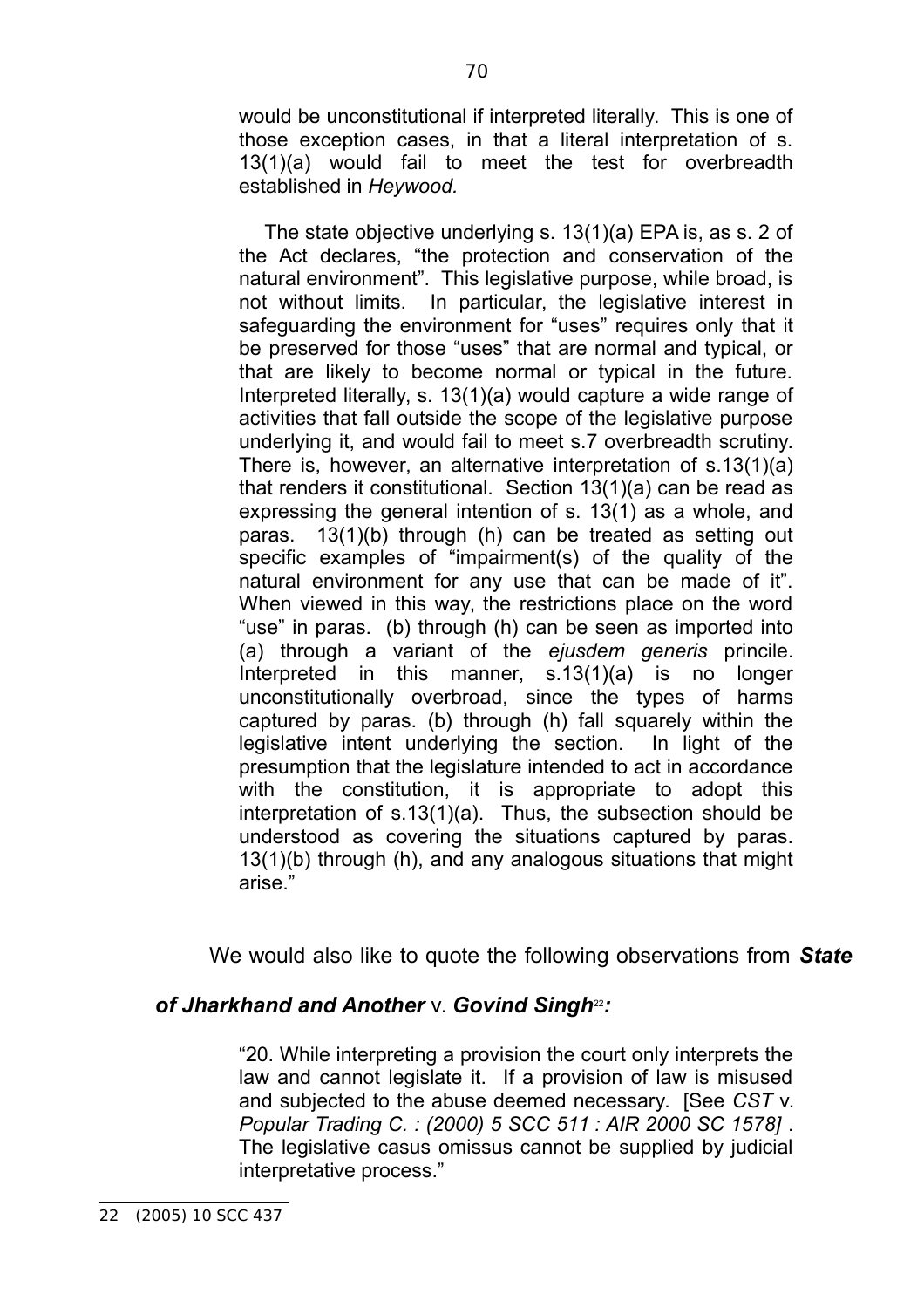would be unconstitutional if interpreted literally. This is one of those exception cases, in that a literal interpretation of s. 13(1)(a) would fail to meet the test for overbreadth established in *Heywood.*

The state objective underlying s. 13(1)(a) EPA is, as s. 2 of the Act declares, "the protection and conservation of the natural environment". This legislative purpose, while broad, is not without limits. In particular, the legislative interest in safeguarding the environment for "uses" requires only that it be preserved for those "uses" that are normal and typical, or that are likely to become normal or typical in the future. Interpreted literally, s. 13(1)(a) would capture a wide range of activities that fall outside the scope of the legislative purpose underlying it, and would fail to meet s.7 overbreadth scrutiny. There is, however, an alternative interpretation of s.13(1)(a) that renders it constitutional. Section 13(1)(a) can be read as expressing the general intention of s. 13(1) as a whole, and paras. 13(1)(b) through (h) can be treated as setting out specific examples of "impairment(s) of the quality of the natural environment for any use that can be made of it". When viewed in this way, the restrictions place on the word "use" in paras. (b) through (h) can be seen as imported into (a) through a variant of the *ejusdem generis* princile. Interpreted in this manner, s.13(1)(a) is no longer unconstitutionally overbroad, since the types of harms captured by paras. (b) through (h) fall squarely within the legislative intent underlying the section. In light of the presumption that the legislature intended to act in accordance with the constitution, it is appropriate to adopt this interpretation of s.13(1)(a). Thus, the subsection should be understood as covering the situations captured by paras. 13(1)(b) through (h), and any analogous situations that might arise."

We would also like to quote the following observations from *State*

# **of Jharkhand and Another v. Govind Singh**<sup>22</sup>:

"20. While interpreting a provision the court only interprets the law and cannot legislate it. If a provision of law is misused and subjected to the abuse deemed necessary. [See *CST* v. *Popular Trading C. : (2000) 5 SCC 511 : AIR 2000 SC 1578]* . The legislative casus omissus cannot be supplied by judicial interpretative process."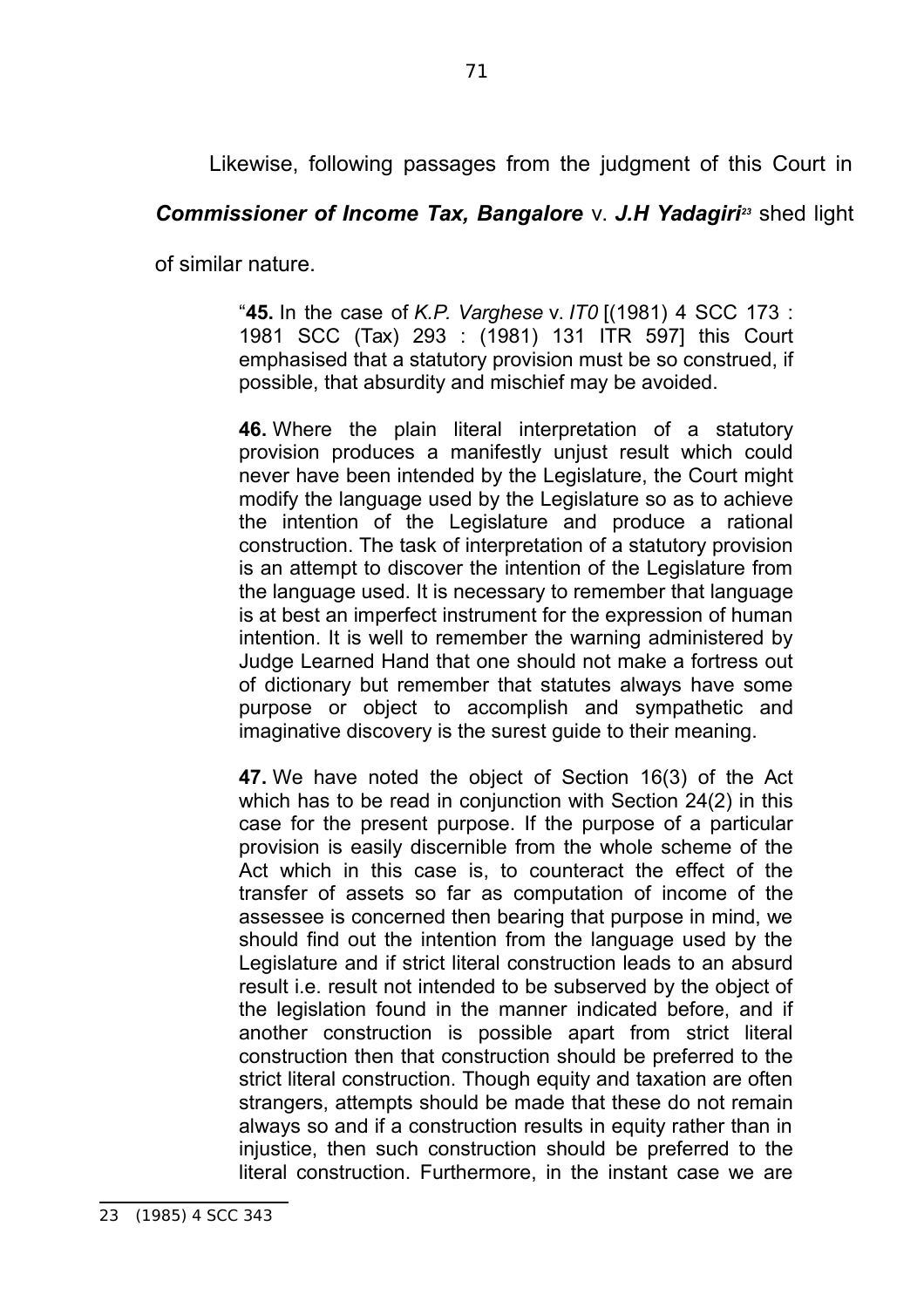Likewise, following passages from the judgment of this Court in

# *Commissioner of Income Tax, Bangalore* v. *J.H Yadagiri<sup>23</sup>* shed light

of similar nature.

"**45.** In the case of *K.P. Varghese* v. *IT0* [(1981) 4 SCC 173 : 1981 SCC (Tax) 293 : (1981) 131 ITR 597] this Court emphasised that a statutory provision must be so construed, if possible, that absurdity and mischief may be avoided.

**46.** Where the plain literal interpretation of a statutory provision produces a manifestly unjust result which could never have been intended by the Legislature, the Court might modify the language used by the Legislature so as to achieve the intention of the Legislature and produce a rational construction. The task of interpretation of a statutory provision is an attempt to discover the intention of the Legislature from the language used. It is necessary to remember that language is at best an imperfect instrument for the expression of human intention. It is well to remember the warning administered by Judge Learned Hand that one should not make a fortress out of dictionary but remember that statutes always have some purpose or object to accomplish and sympathetic and imaginative discovery is the surest guide to their meaning.

**47.** We have noted the object of Section 16(3) of the Act which has to be read in conjunction with Section 24(2) in this case for the present purpose. If the purpose of a particular provision is easily discernible from the whole scheme of the Act which in this case is, to counteract the effect of the transfer of assets so far as computation of income of the assessee is concerned then bearing that purpose in mind, we should find out the intention from the language used by the Legislature and if strict literal construction leads to an absurd result i.e. result not intended to be subserved by the object of the legislation found in the manner indicated before, and if another construction is possible apart from strict literal construction then that construction should be preferred to the strict literal construction. Though equity and taxation are often strangers, attempts should be made that these do not remain always so and if a construction results in equity rather than in injustice, then such construction should be preferred to the literal construction. Furthermore, in the instant case we are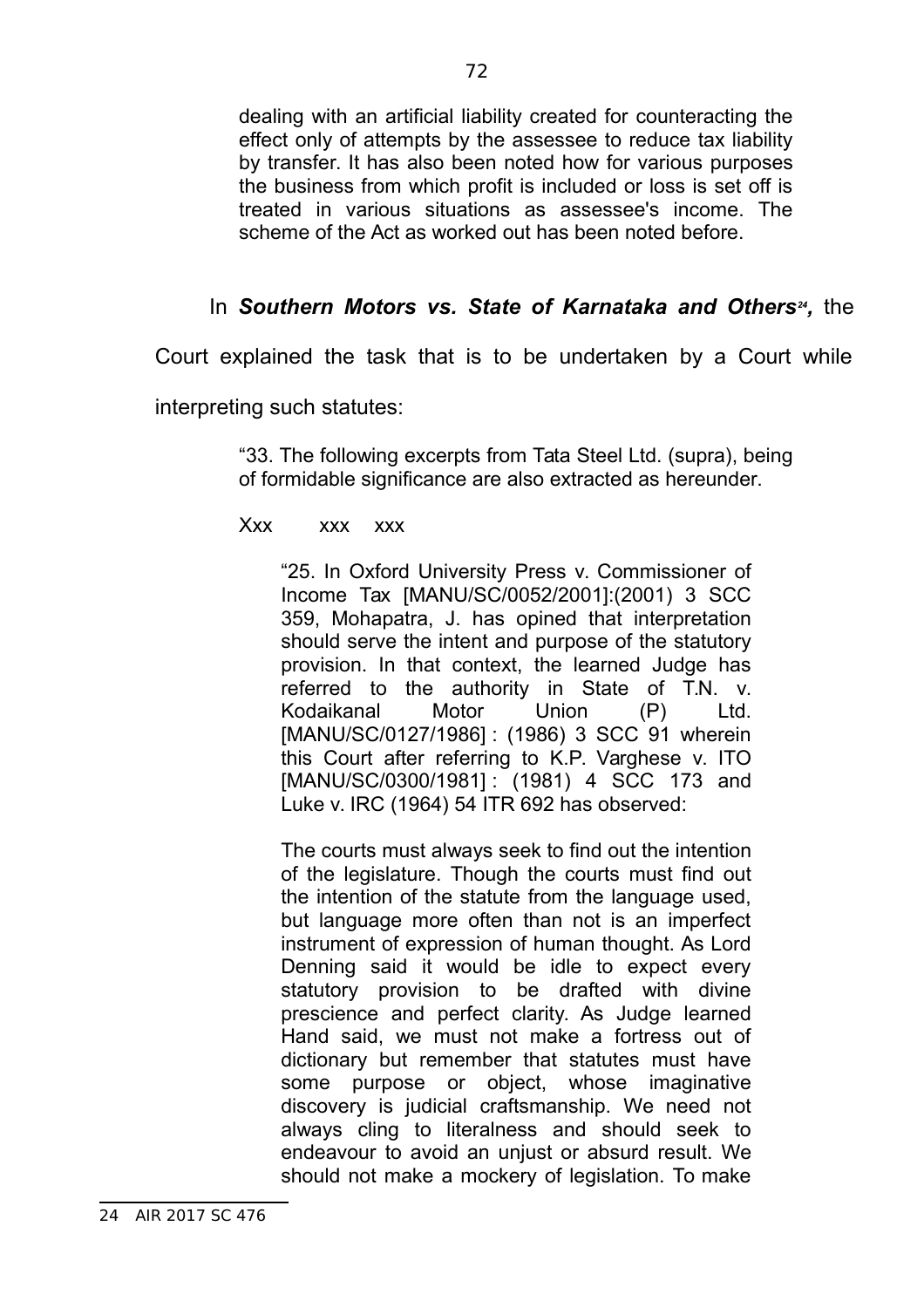dealing with an artificial liability created for counteracting the effect only of attempts by the assessee to reduce tax liability by transfer. It has also been noted how for various purposes the business from which profit is included or loss is set off is treated in various situations as assessee's income. The scheme of the Act as worked out has been noted before.

# In Southern Motors vs. State of Karnataka and Others<sup>24</sup>, the

Court explained the task that is to be undertaken by a Court while

interpreting such statutes:

"33. The following excerpts from Tata Steel Ltd. (supra), being of formidable significance are also extracted as hereunder.

Xxx xxx xxx

"25. In Oxford University Press v. Commissioner of Income Tax [MANU/SC/0052/2001]:(2001) 3 SCC 359, Mohapatra, J. has opined that interpretation should serve the intent and purpose of the statutory provision. In that context, the learned Judge has referred to the authority in State of T.N. v. Kodaikanal Motor Union (P) Ltd. [MANU/SC/0127/1986] : (1986) 3 SCC 91 wherein this Court after referring to K.P. Varghese v. ITO [MANU/SC/0300/1981]: (1981) 4 SCC 173 and Luke v. IRC (1964) 54 ITR 692 has observed:

The courts must always seek to find out the intention of the legislature. Though the courts must find out the intention of the statute from the language used, but language more often than not is an imperfect instrument of expression of human thought. As Lord Denning said it would be idle to expect every statutory provision to be drafted with divine prescience and perfect clarity. As Judge learned Hand said, we must not make a fortress out of dictionary but remember that statutes must have some purpose or object, whose imaginative discovery is judicial craftsmanship. We need not always cling to literalness and should seek to endeavour to avoid an unjust or absurd result. We should not make a mockery of legislation. To make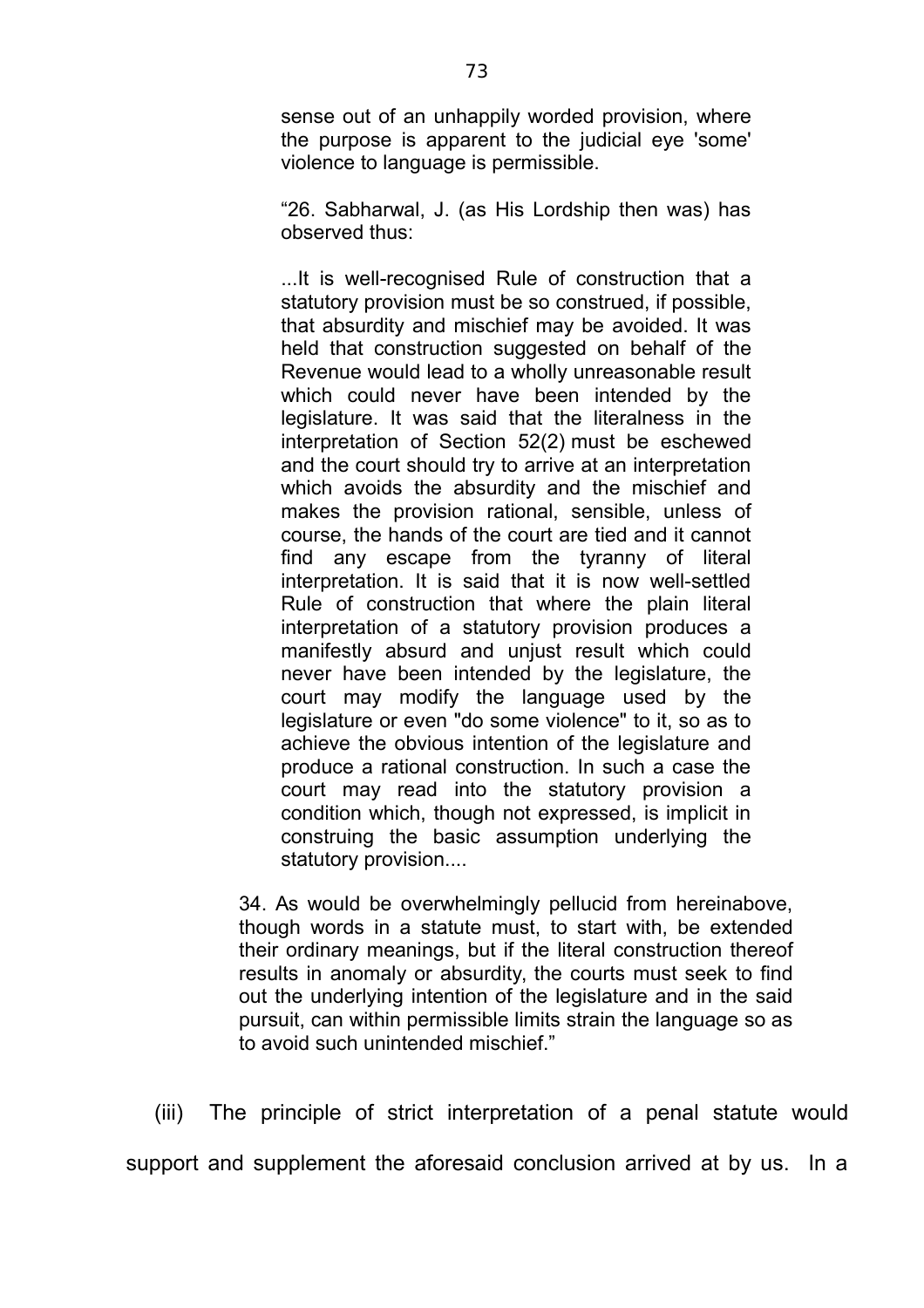sense out of an unhappily worded provision, where the purpose is apparent to the judicial eye 'some' violence to language is permissible.

"26. Sabharwal, J. (as His Lordship then was) has observed thus:

...It is well-recognised Rule of construction that a statutory provision must be so construed, if possible, that absurdity and mischief may be avoided. It was held that construction suggested on behalf of the Revenue would lead to a wholly unreasonable result which could never have been intended by the legislature. It was said that the literalness in the interpretation of Section 52(2) must be eschewed and the court should try to arrive at an interpretation which avoids the absurdity and the mischief and makes the provision rational, sensible, unless of course, the hands of the court are tied and it cannot find any escape from the tyranny of literal interpretation. It is said that it is now well-settled Rule of construction that where the plain literal interpretation of a statutory provision produces a manifestly absurd and unjust result which could never have been intended by the legislature, the court may modify the language used by the legislature or even "do some violence" to it, so as to achieve the obvious intention of the legislature and produce a rational construction. In such a case the court may read into the statutory provision a condition which, though not expressed, is implicit in construing the basic assumption underlying the statutory provision....

34. As would be overwhelmingly pellucid from hereinabove, though words in a statute must, to start with, be extended their ordinary meanings, but if the literal construction thereof results in anomaly or absurdity, the courts must seek to find out the underlying intention of the legislature and in the said pursuit, can within permissible limits strain the language so as to avoid such unintended mischief."

(iii) The principle of strict interpretation of a penal statute would support and supplement the aforesaid conclusion arrived at by us. In a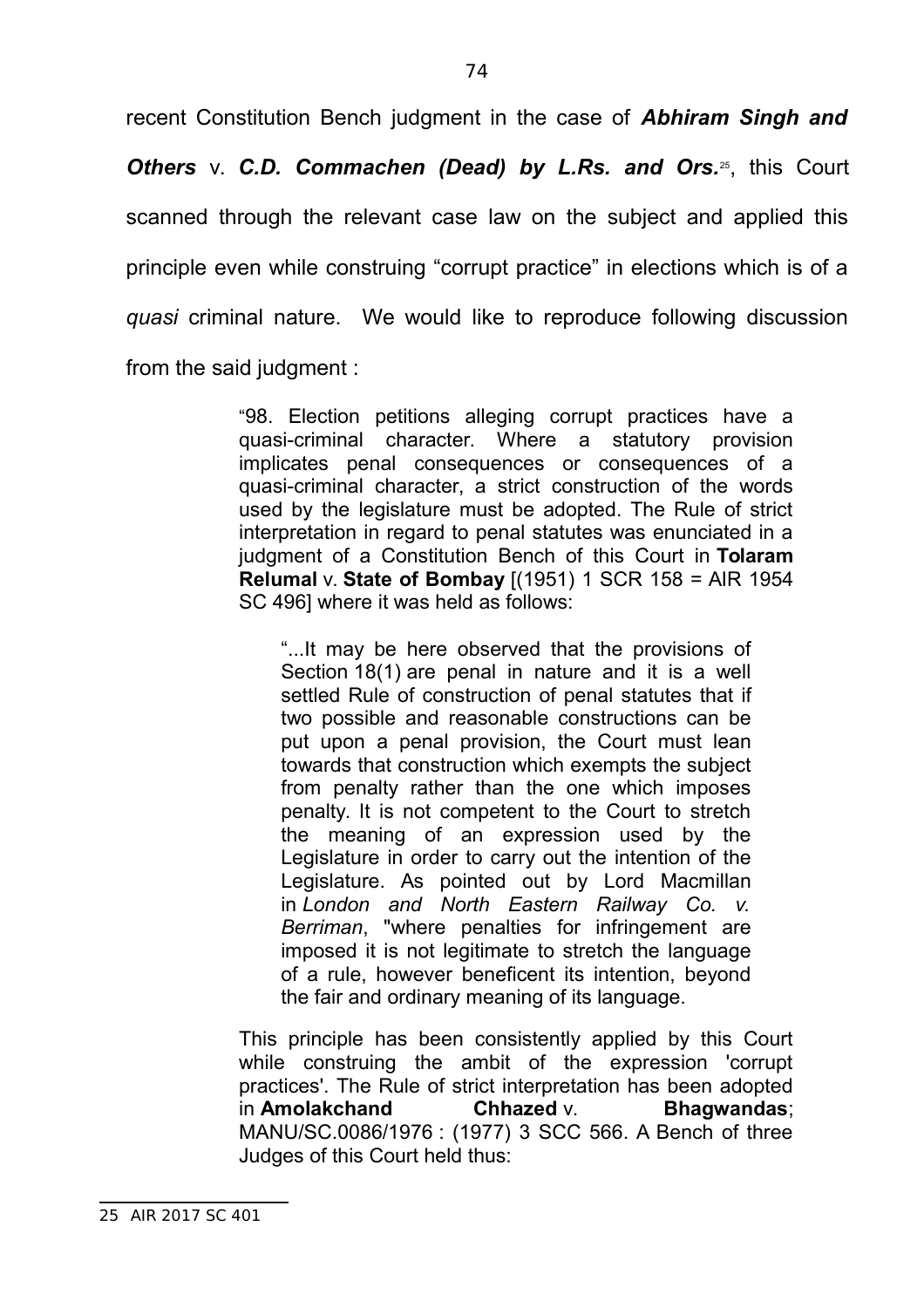recent Constitution Bench judgment in the case of *Abhiram Singh and*

**Others** v. C.D. Commachen (Dead) by L.Rs. and Ors.<sup>25</sup>, this Court scanned through the relevant case law on the subject and applied this principle even while construing "corrupt practice" in elections which is of a *quasi* criminal nature. We would like to reproduce following discussion from the said judgment :

> "98. Election petitions alleging corrupt practices have a quasi-criminal character. Where a statutory provision implicates penal consequences or consequences of a quasi-criminal character, a strict construction of the words used by the legislature must be adopted. The Rule of strict interpretation in regard to penal statutes was enunciated in a judgment of a Constitution Bench of this Court in **Tolaram Relumal** v. **State of Bombay** [(1951) 1 SCR 158 = AIR 1954 SC 496] where it was held as follows:

"...It may be here observed that the provisions of Section 18(1) are penal in nature and it is a well settled Rule of construction of penal statutes that if two possible and reasonable constructions can be put upon a penal provision, the Court must lean towards that construction which exempts the subject from penalty rather than the one which imposes penalty. It is not competent to the Court to stretch the meaning of an expression used by the Legislature in order to carry out the intention of the Legislature. As pointed out by Lord Macmillan in *London and North Eastern Railway Co. v. Berriman*, "where penalties for infringement are imposed it is not legitimate to stretch the language of a rule, however beneficent its intention, beyond the fair and ordinary meaning of its language.

This principle has been consistently applied by this Court while construing the ambit of the expression 'corrupt practices'. The Rule of strict interpretation has been adopted in **Amolakchand Chhazed** v. **Bhagwandas**; MANU/SC.0086/1976 : (1977) 3 SCC 566. A Bench of three Judges of this Court held thus:

<sup>25</sup> AIR 2017 SC 401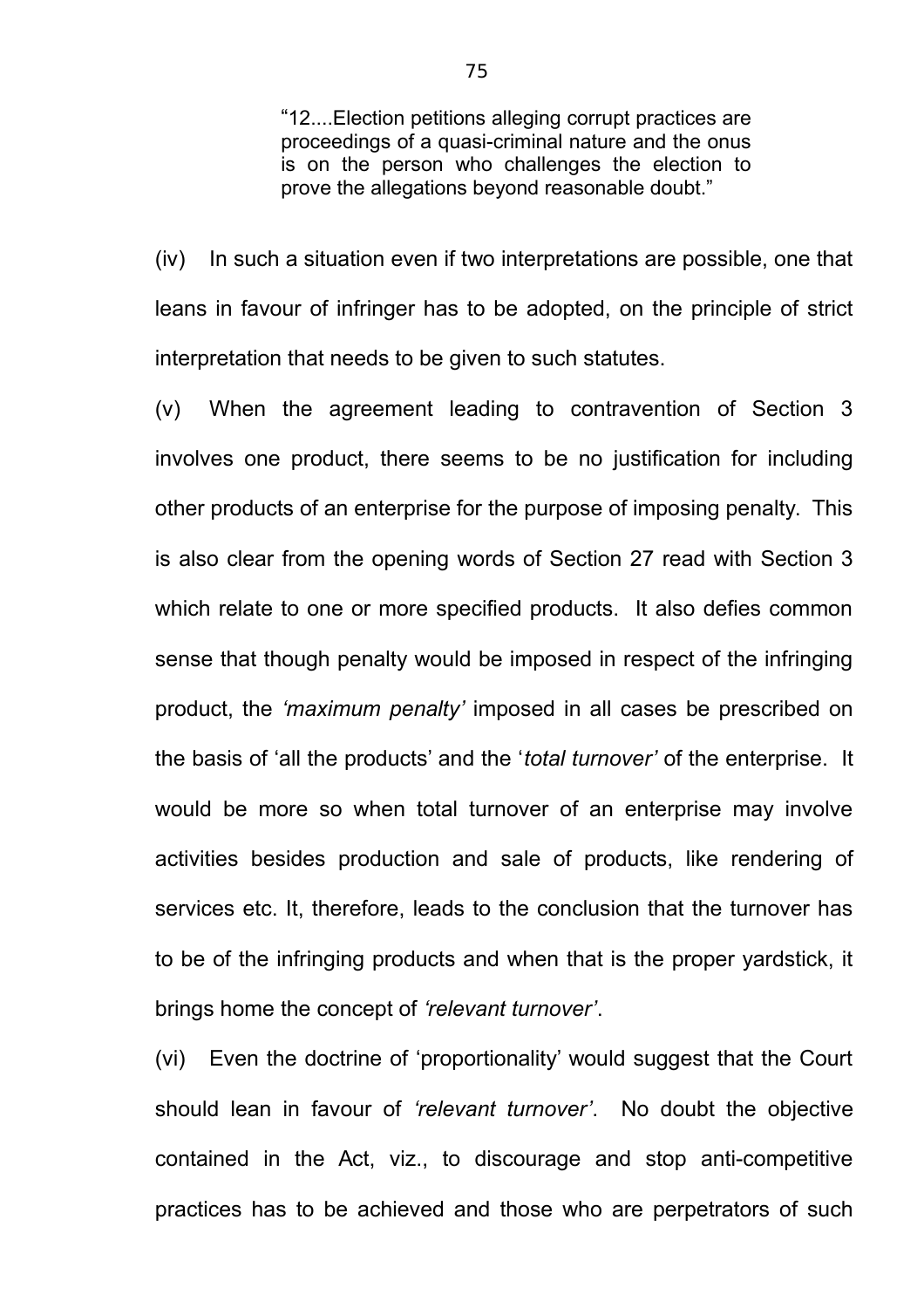"12....Election petitions alleging corrupt practices are proceedings of a quasi-criminal nature and the onus is on the person who challenges the election to prove the allegations beyond reasonable doubt."

(iv) In such a situation even if two interpretations are possible, one that leans in favour of infringer has to be adopted, on the principle of strict interpretation that needs to be given to such statutes.

(v) When the agreement leading to contravention of Section 3 involves one product, there seems to be no justification for including other products of an enterprise for the purpose of imposing penalty. This is also clear from the opening words of Section 27 read with Section 3 which relate to one or more specified products. It also defies common sense that though penalty would be imposed in respect of the infringing product, the *'maximum penalty'* imposed in all cases be prescribed on the basis of 'all the products' and the '*total turnover'* of the enterprise. It would be more so when total turnover of an enterprise may involve activities besides production and sale of products, like rendering of services etc. It, therefore, leads to the conclusion that the turnover has to be of the infringing products and when that is the proper yardstick, it brings home the concept of *'relevant turnover'*.

(vi) Even the doctrine of 'proportionality' would suggest that the Court should lean in favour of *'relevant turnover'*. No doubt the objective contained in the Act, viz., to discourage and stop anti-competitive practices has to be achieved and those who are perpetrators of such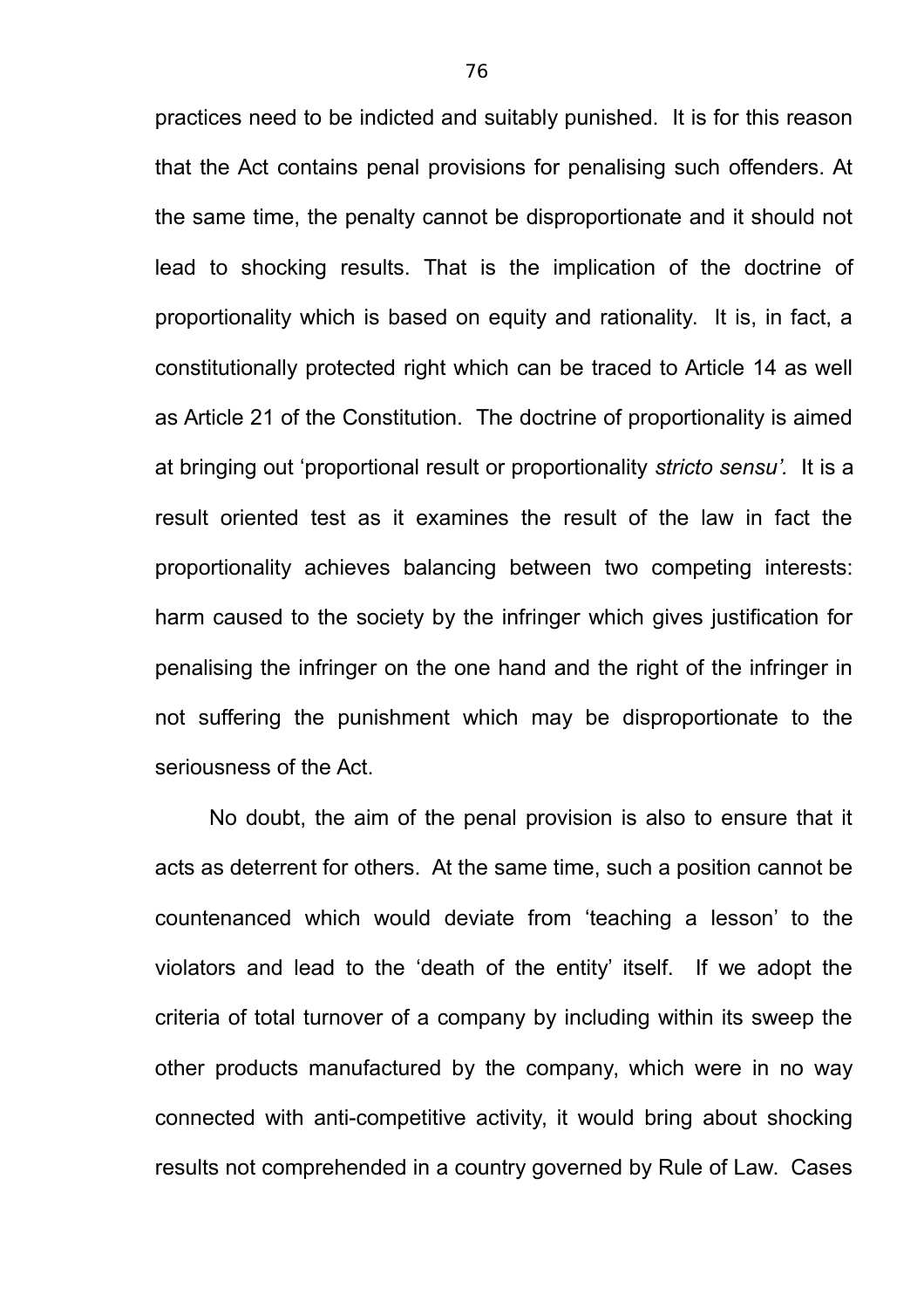practices need to be indicted and suitably punished. It is for this reason that the Act contains penal provisions for penalising such offenders. At the same time, the penalty cannot be disproportionate and it should not lead to shocking results. That is the implication of the doctrine of proportionality which is based on equity and rationality. It is, in fact, a constitutionally protected right which can be traced to Article 14 as well as Article 21 of the Constitution. The doctrine of proportionality is aimed at bringing out 'proportional result or proportionality *stricto sensu'.* It is a result oriented test as it examines the result of the law in fact the proportionality achieves balancing between two competing interests: harm caused to the society by the infringer which gives justification for penalising the infringer on the one hand and the right of the infringer in not suffering the punishment which may be disproportionate to the seriousness of the Act.

No doubt, the aim of the penal provision is also to ensure that it acts as deterrent for others. At the same time, such a position cannot be countenanced which would deviate from 'teaching a lesson' to the violators and lead to the 'death of the entity' itself. If we adopt the criteria of total turnover of a company by including within its sweep the other products manufactured by the company, which were in no way connected with anti-competitive activity, it would bring about shocking results not comprehended in a country governed by Rule of Law. Cases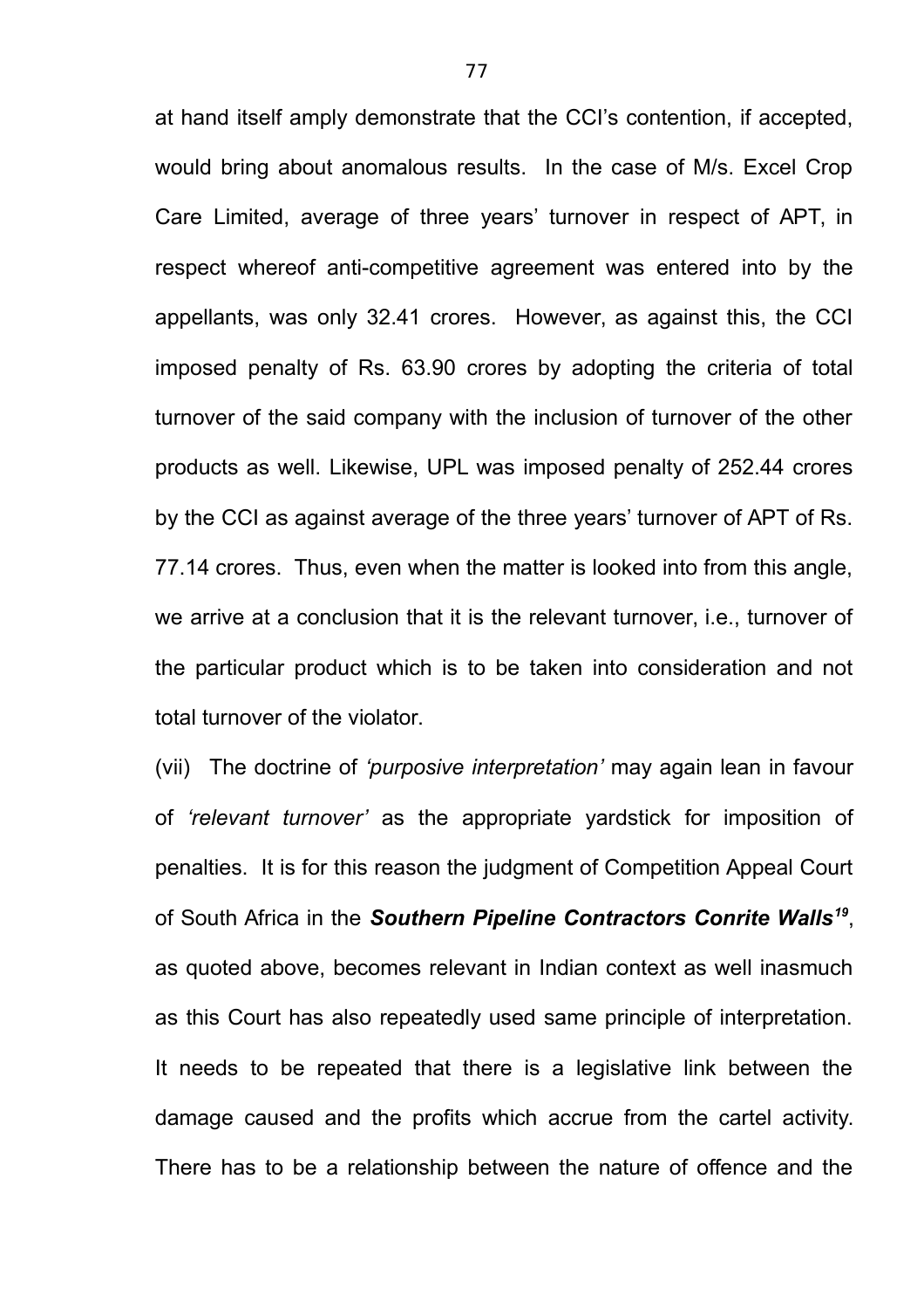at hand itself amply demonstrate that the CCI's contention, if accepted, would bring about anomalous results. In the case of M/s. Excel Crop Care Limited, average of three years' turnover in respect of APT, in respect whereof anti-competitive agreement was entered into by the appellants, was only 32.41 crores. However, as against this, the CCI imposed penalty of Rs. 63.90 crores by adopting the criteria of total turnover of the said company with the inclusion of turnover of the other products as well. Likewise, UPL was imposed penalty of 252.44 crores by the CCI as against average of the three years' turnover of APT of Rs. 77.14 crores. Thus, even when the matter is looked into from this angle, we arrive at a conclusion that it is the relevant turnover, i.e., turnover of the particular product which is to be taken into consideration and not total turnover of the violator.

(vii) The doctrine of *'purposive interpretation'* may again lean in favour of *'relevant turnover'* as the appropriate yardstick for imposition of penalties. It is for this reason the judgment of Competition Appeal Court of South Africa in the *Southern Pipeline Contractors Conrite Walls<sup>19</sup>* , as quoted above, becomes relevant in Indian context as well inasmuch as this Court has also repeatedly used same principle of interpretation. It needs to be repeated that there is a legislative link between the damage caused and the profits which accrue from the cartel activity. There has to be a relationship between the nature of offence and the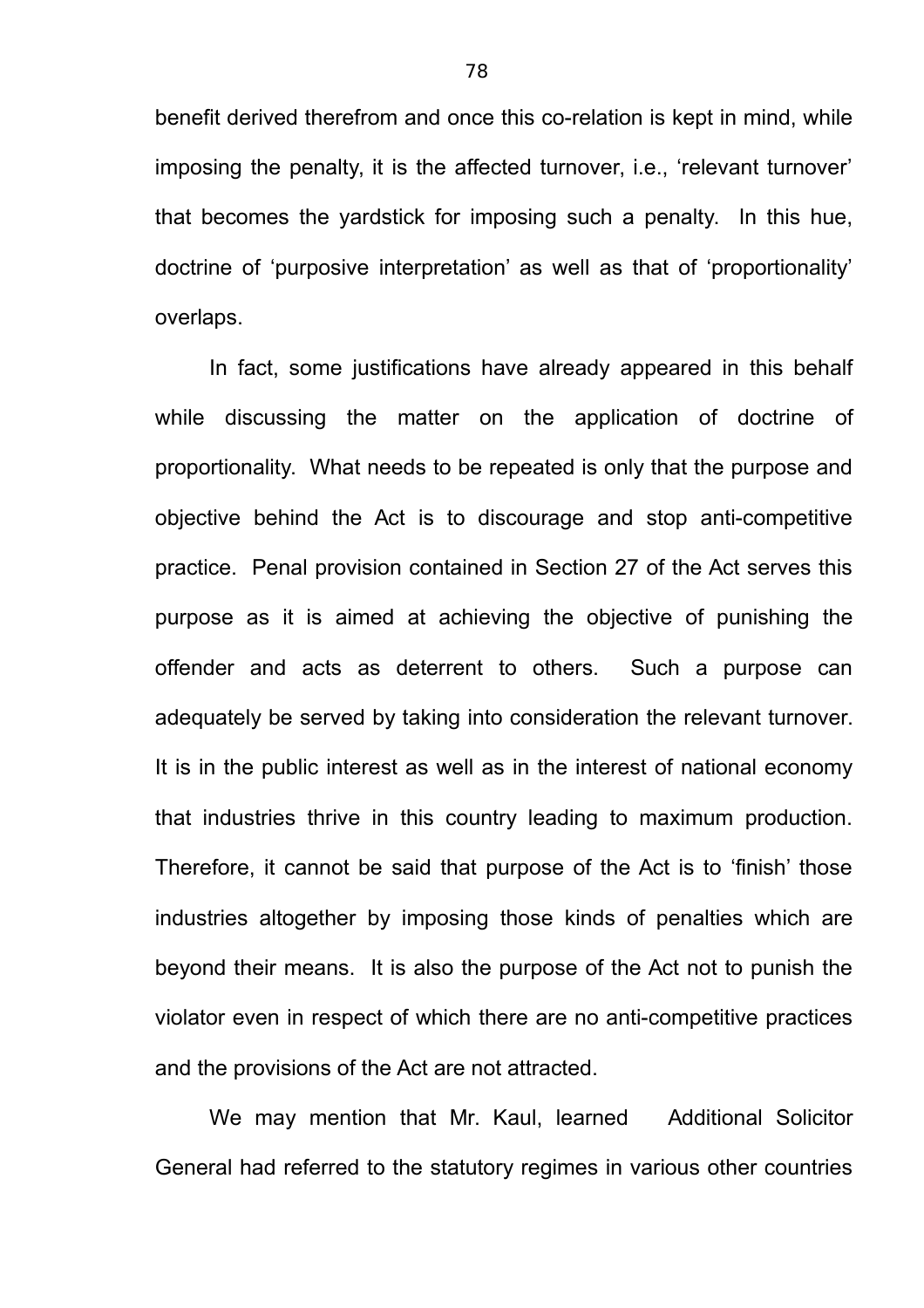benefit derived therefrom and once this co-relation is kept in mind, while imposing the penalty, it is the affected turnover, i.e., 'relevant turnover' that becomes the yardstick for imposing such a penalty. In this hue, doctrine of 'purposive interpretation' as well as that of 'proportionality' overlaps.

In fact, some justifications have already appeared in this behalf while discussing the matter on the application of doctrine of proportionality. What needs to be repeated is only that the purpose and objective behind the Act is to discourage and stop anti-competitive practice. Penal provision contained in Section 27 of the Act serves this purpose as it is aimed at achieving the objective of punishing the offender and acts as deterrent to others. Such a purpose can adequately be served by taking into consideration the relevant turnover. It is in the public interest as well as in the interest of national economy that industries thrive in this country leading to maximum production. Therefore, it cannot be said that purpose of the Act is to 'finish' those industries altogether by imposing those kinds of penalties which are beyond their means. It is also the purpose of the Act not to punish the violator even in respect of which there are no anti-competitive practices and the provisions of the Act are not attracted.

We may mention that Mr. Kaul, learned Additional Solicitor General had referred to the statutory regimes in various other countries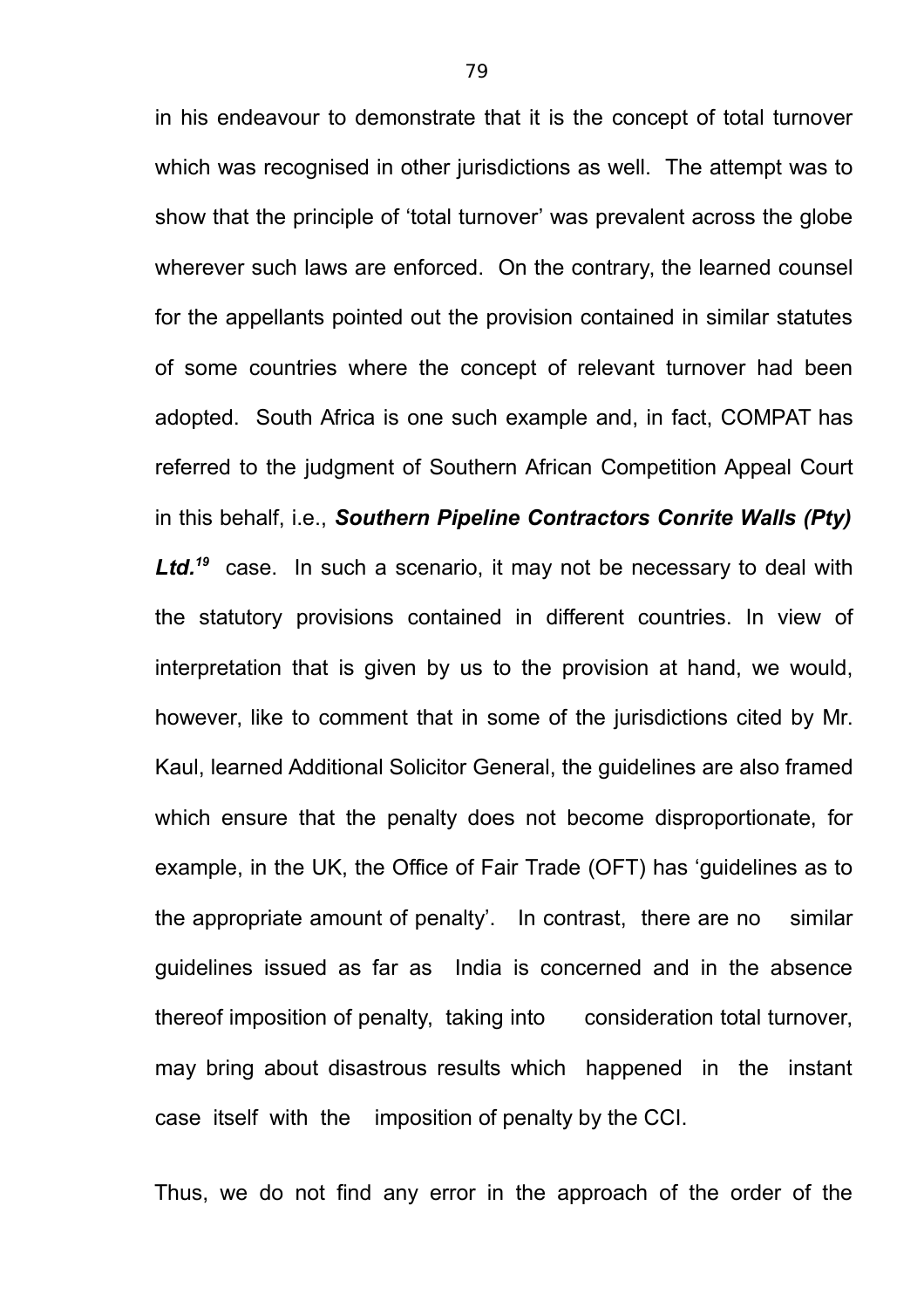in his endeavour to demonstrate that it is the concept of total turnover which was recognised in other jurisdictions as well. The attempt was to show that the principle of 'total turnover' was prevalent across the globe wherever such laws are enforced. On the contrary, the learned counsel for the appellants pointed out the provision contained in similar statutes of some countries where the concept of relevant turnover had been adopted. South Africa is one such example and, in fact, COMPAT has referred to the judgment of Southern African Competition Appeal Court in this behalf, i.e., *Southern Pipeline Contractors Conrite Walls (Pty)* Ltd.<sup>19</sup> case. In such a scenario, it may not be necessary to deal with the statutory provisions contained in different countries. In view of interpretation that is given by us to the provision at hand, we would, however, like to comment that in some of the jurisdictions cited by Mr. Kaul, learned Additional Solicitor General, the guidelines are also framed which ensure that the penalty does not become disproportionate, for example, in the UK, the Office of Fair Trade (OFT) has 'guidelines as to the appropriate amount of penalty'. In contrast, there are no similar guidelines issued as far as India is concerned and in the absence thereof imposition of penalty, taking into consideration total turnover, may bring about disastrous results which happened in the instant case itself with the imposition of penalty by the CCI.

Thus, we do not find any error in the approach of the order of the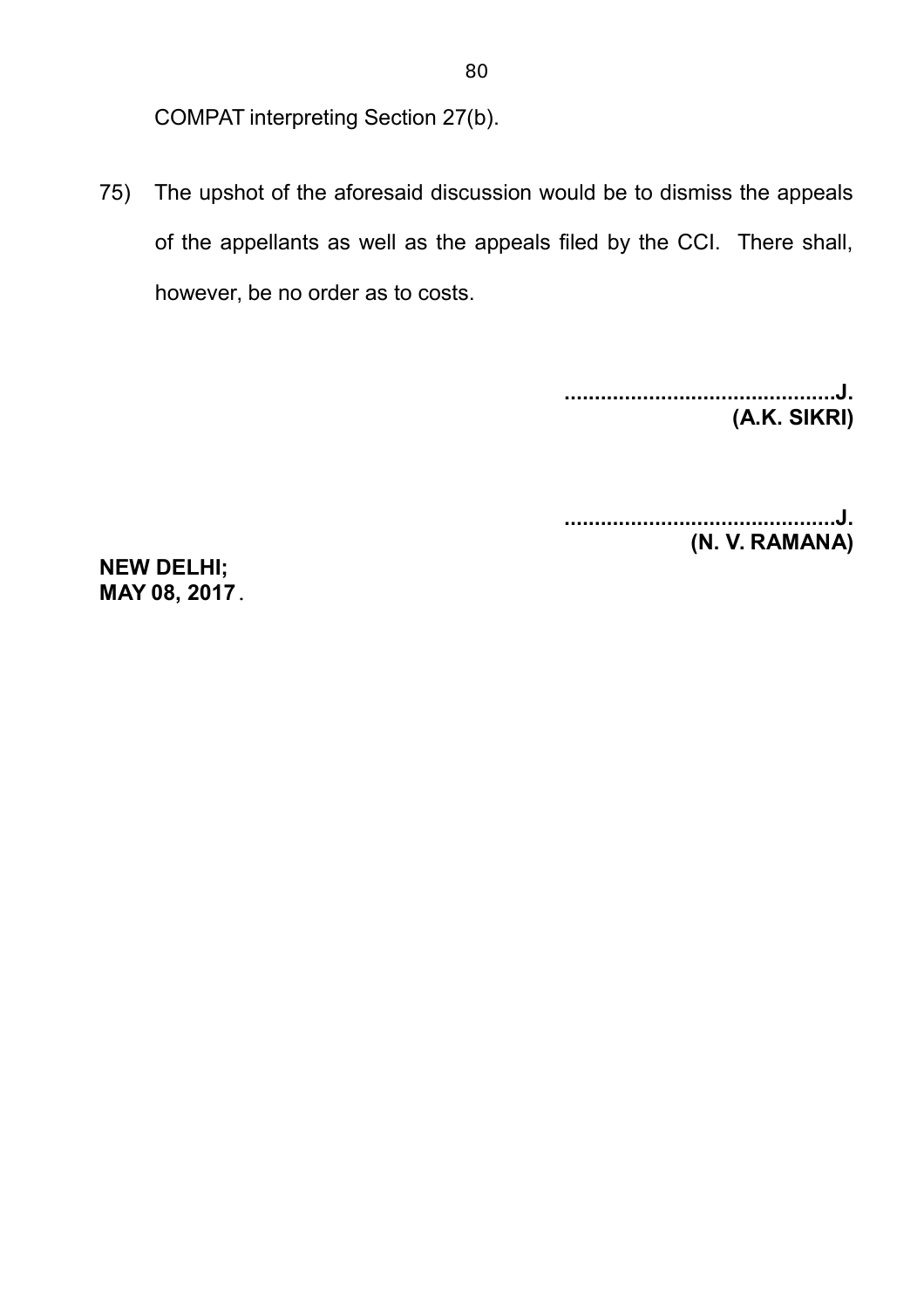COMPAT interpreting Section 27(b).

75) The upshot of the aforesaid discussion would be to dismiss the appeals of the appellants as well as the appeals filed by the CCI. There shall, however, be no order as to costs.

> **.............................................J. (A.K. SIKRI)**

> **.............................................J. (N. V. RAMANA)**

**NEW DELHI; MAY 08, 2017.**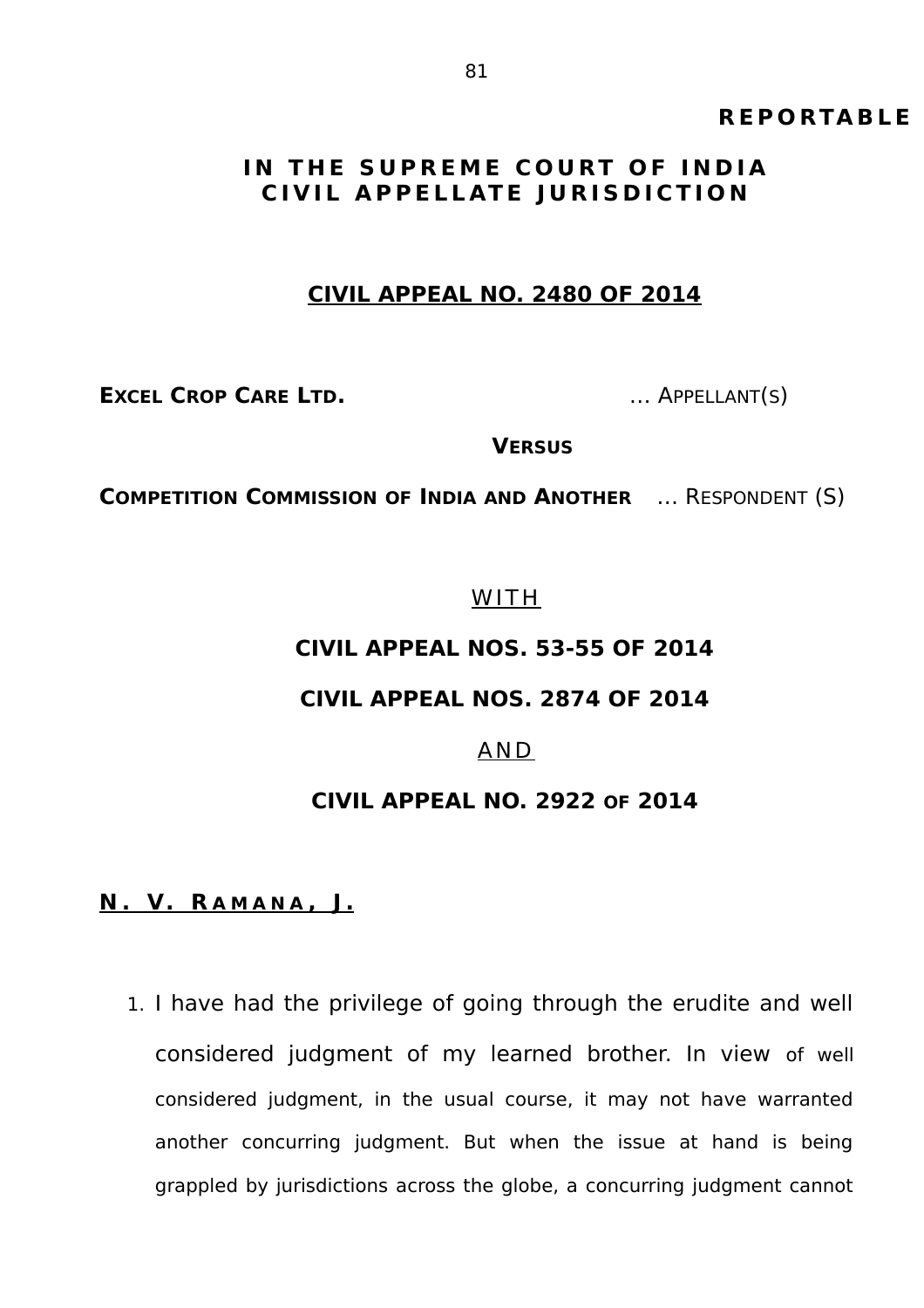# **R E P O RTA B L E**

# **IN THE SUPREME COURT OF INDIA CIVIL APPELLATE JURISDICTION**

### **CIVIL APPEAL NO. 2480 OF 2014**

**EXCEL CROP CARE LTD.** … APPELLANT(S)

**VERSUS**

**COMPETITION COMMISSION OF INDIA AND ANOTHER** … RESPONDENT (S)

WITH

# **CIVIL APPEAL NOS. 53-55 OF 2014**

# **CIVIL APPEAL NOS. 2874 OF 2014**

#### AND

### **CIVIL APPEAL NO. 2922 OF 2014**

#### **N . V. R A M A N A , J .**

1. I have had the privilege of going through the erudite and well considered judgment of my learned brother. In view of well considered judgment, in the usual course, it may not have warranted another concurring judgment. But when the issue at hand is being grappled by jurisdictions across the globe, a concurring judgment cannot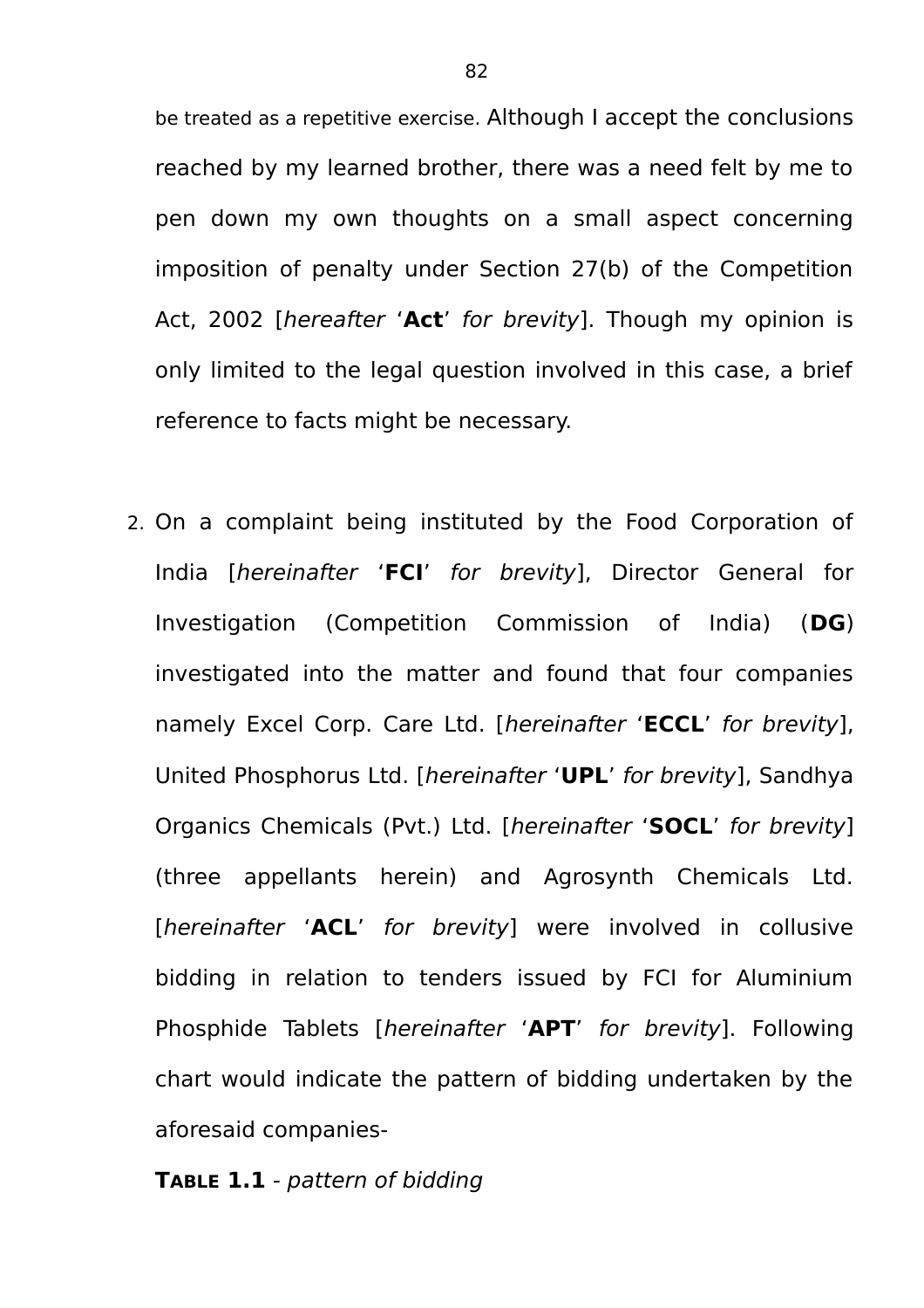be treated as a repetitive exercise. Although I accept the conclusions reached by my learned brother, there was a need felt by me to pen down my own thoughts on a small aspect concerning imposition of penalty under Section 27(b) of the Competition Act, 2002 [hereafter '**Act**' for brevity]. Though my opinion is only limited to the legal question involved in this case, a brief reference to facts might be necessary.

2. On a complaint being instituted by the Food Corporation of India [hereinafter '**FCI**' for brevity], Director General for Investigation (Competition Commission of India) (**DG**) investigated into the matter and found that four companies namely Excel Corp. Care Ltd. [hereinafter '**ECCL**' for brevity], United Phosphorus Ltd. [hereinafter '**UPL**' for brevity], Sandhya Organics Chemicals (Pvt.) Ltd. [hereinafter '**SOCL**' for brevity] (three appellants herein) and Agrosynth Chemicals Ltd. [hereinafter 'ACL' for brevity] were involved in collusive bidding in relation to tenders issued by FCI for Aluminium Phosphide Tablets [hereinafter '**APT**' for brevity]. Following chart would indicate the pattern of bidding undertaken by the aforesaid companies-

**TABLE 1.1** - pattern of bidding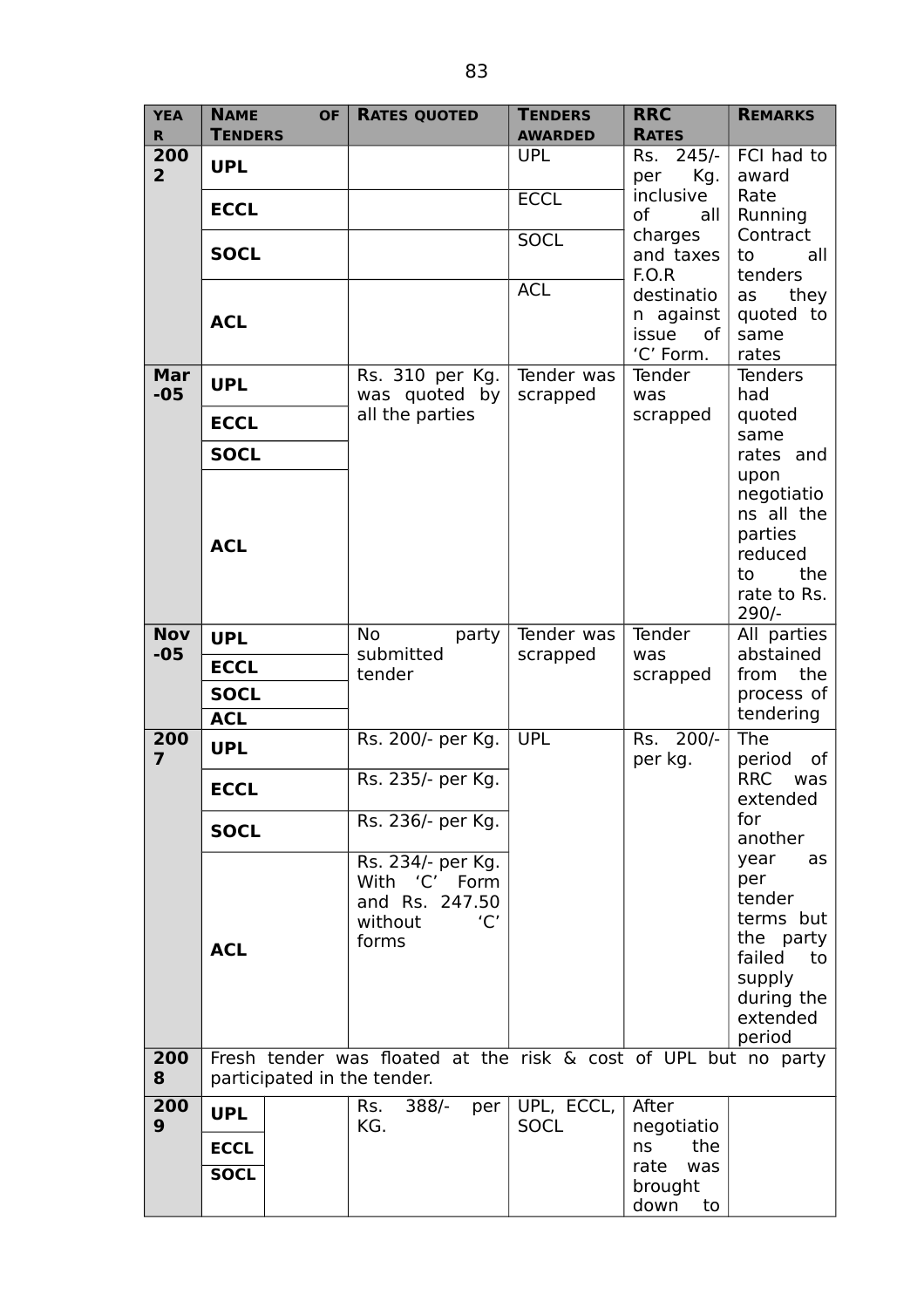| <b>YEA</b><br>$\mathbf R$ | <b>NAME</b><br><b>TENDERS</b>                                                                  | <b>OF</b> | <b>RATES QUOTED</b>              | <b>TENDERS</b><br><b>AWARDED</b> | <b>RRC</b><br><b>RATES</b> | <b>REMARKS</b>                |
|---------------------------|------------------------------------------------------------------------------------------------|-----------|----------------------------------|----------------------------------|----------------------------|-------------------------------|
| 200                       | <b>UPL</b>                                                                                     |           |                                  | <b>UPL</b>                       | Rs.<br>$245/-$             | FCI had to                    |
| $\overline{2}$            |                                                                                                |           |                                  | <b>ECCL</b>                      | per<br>Kg.<br>inclusive    | award<br>Rate                 |
|                           | <b>ECCL</b>                                                                                    |           |                                  |                                  | of<br>all                  | Running                       |
|                           | <b>SOCL</b>                                                                                    |           |                                  | <b>SOCL</b>                      | charges<br>and taxes       | Contract<br>to<br>all         |
|                           |                                                                                                |           |                                  | <b>ACL</b>                       | F.O.R<br>destinatio        | tenders<br>they<br>as         |
|                           | <b>ACL</b>                                                                                     |           |                                  |                                  | n against                  | quoted to                     |
|                           |                                                                                                |           |                                  |                                  | issue<br>of<br>'C' Form.   | same<br>rates                 |
| Mar                       | <b>UPL</b>                                                                                     |           | Rs. 310 per Kg.                  | Tender was                       | Tender                     | <b>Tenders</b>                |
| $-05$                     | <b>ECCL</b>                                                                                    |           | was quoted by<br>all the parties | scrapped                         | was<br>scrapped            | had<br>quoted                 |
|                           | <b>SOCL</b>                                                                                    |           |                                  |                                  |                            | same                          |
|                           |                                                                                                |           |                                  |                                  |                            | rates and<br>upon             |
|                           |                                                                                                |           |                                  |                                  |                            | negotiatio<br>ns all the      |
|                           | <b>ACL</b>                                                                                     |           |                                  |                                  |                            | parties                       |
|                           |                                                                                                |           |                                  |                                  |                            | reduced<br>the<br>to          |
|                           |                                                                                                |           |                                  |                                  |                            | rate to Rs.                   |
| <b>Nov</b>                | <b>UPL</b>                                                                                     |           | <b>No</b><br>party               | Tender was                       | Tender                     | $290/-$<br>All parties        |
| $-05$                     | <b>ECCL</b>                                                                                    |           | submitted<br>tender              | scrapped                         | was                        | abstained<br>from the         |
|                           | <b>SOCL</b>                                                                                    |           |                                  |                                  | scrapped                   | process of                    |
|                           | <b>ACL</b>                                                                                     |           |                                  |                                  |                            | tendering                     |
| 200<br>$\overline{7}$     | <b>UPL</b>                                                                                     |           | Rs. 200/- per Kg.                | <b>UPL</b>                       | $200/-$<br>Rs.<br>per kg.  | The<br>period<br>of           |
|                           | <b>ECCL</b>                                                                                    |           | Rs. 235/- per Kg.                |                                  |                            | <b>RRC</b><br>was<br>extended |
|                           | <b>SOCL</b>                                                                                    |           | Rs. 236/- per Kg.                |                                  |                            | for                           |
|                           |                                                                                                |           | Rs. 234/- per Kg.                |                                  |                            | another<br>year<br>as         |
|                           |                                                                                                |           | 'C'<br>With<br>Form              |                                  |                            | per                           |
|                           |                                                                                                |           | and Rs. 247.50<br>without<br>'C' |                                  |                            | tender<br>terms but           |
|                           | <b>ACL</b>                                                                                     |           | forms                            |                                  |                            | the party                     |
|                           |                                                                                                |           |                                  |                                  |                            | failed<br>to<br>supply        |
|                           |                                                                                                |           |                                  |                                  |                            | during the<br>extended        |
|                           |                                                                                                |           |                                  |                                  |                            | period                        |
| 200<br>8                  | Fresh tender was floated at the risk & cost of UPL but no party<br>participated in the tender. |           |                                  |                                  |                            |                               |
| 200<br>9                  | <b>UPL</b>                                                                                     |           | 388/-<br>Rs.<br>per<br>KG.       | UPL, ECCL,<br><b>SOCL</b>        | After                      |                               |
|                           | <b>ECCL</b>                                                                                    |           |                                  |                                  | negotiatio<br>the<br>ns    |                               |
|                           | <b>SOCL</b>                                                                                    |           |                                  |                                  | rate<br>was<br>brought     |                               |
|                           |                                                                                                |           |                                  |                                  | down<br>to                 |                               |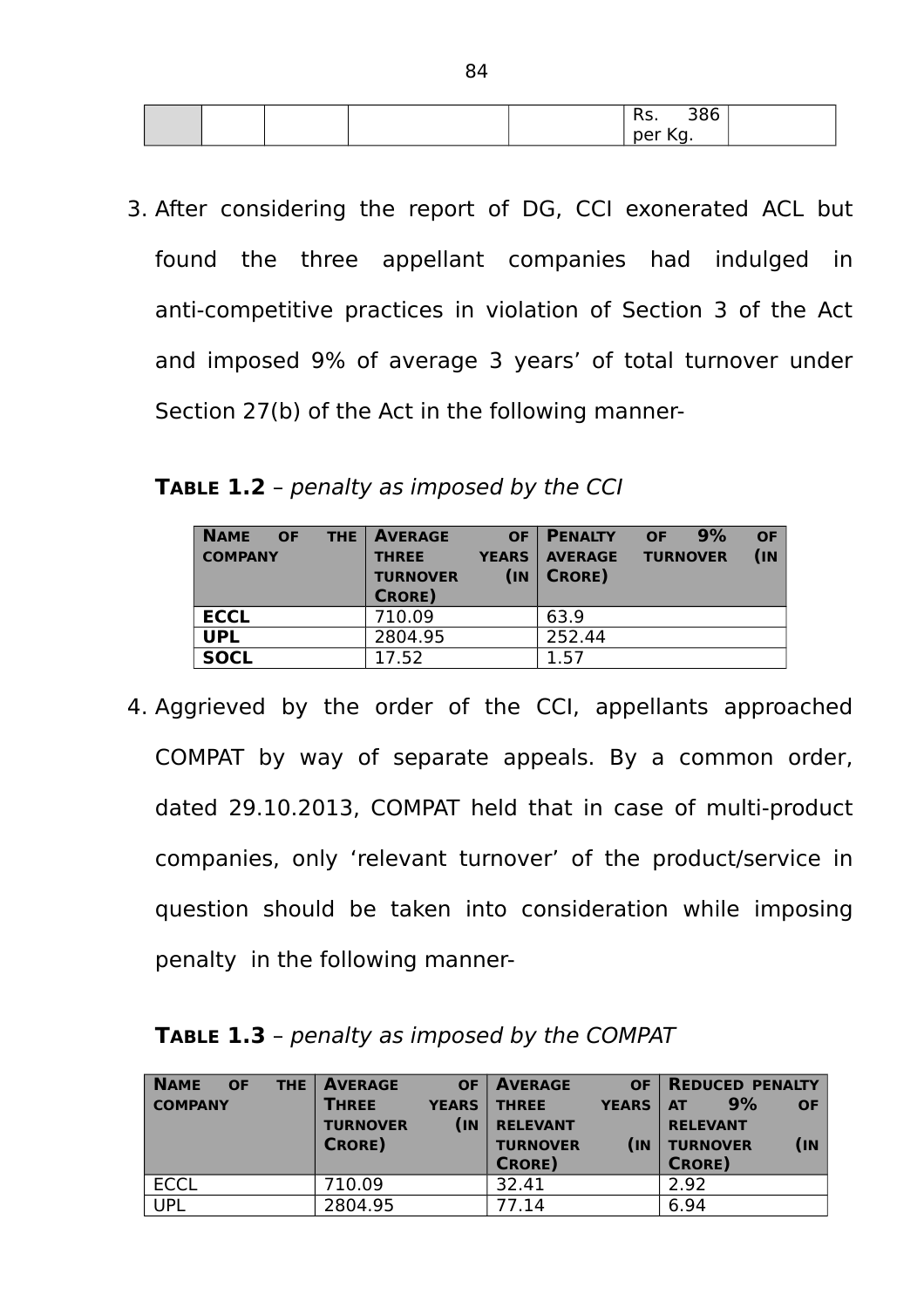|  | 115.                   | $\mathcal{D}$<br>၁၀ပ |
|--|------------------------|----------------------|
|  | $^{\shortmid}$ per Kg. |                      |

3. After considering the report of DG, CCI exonerated ACL but found the three appellant companies had indulged in anti-competitive practices in violation of Section 3 of the Act and imposed 9% of average 3 years' of total turnover under Section 27(b) of the Act in the following manner-

**TABLE 1.2** – penalty as imposed by the CCI

| <b>NAME</b><br><b>THE</b><br><b>OF</b><br><b>COMPANY</b> | <b>AVERAGE</b><br><b>THREE</b><br><b>TURNOVER</b><br><b>CRORE</b> ) | <b>OF</b><br><b>YEARS</b><br>(n) | <b>PENALTY</b><br><b>AVERAGE</b><br><b>CRORE</b> ) | OF<br><b>TURNOVER</b> | 9% | <b>OF</b><br>(n) |
|----------------------------------------------------------|---------------------------------------------------------------------|----------------------------------|----------------------------------------------------|-----------------------|----|------------------|
| <b>ECCL</b>                                              | 710.09                                                              |                                  | 63.9                                               |                       |    |                  |
| <b>UPL</b>                                               | 2804.95                                                             |                                  | 252.44                                             |                       |    |                  |
| <b>SOCL</b>                                              | 17.52                                                               |                                  | 1.57                                               |                       |    |                  |

4. Aggrieved by the order of the CCI, appellants approached COMPAT by way of separate appeals. By a common order, dated 29.10.2013, COMPAT held that in case of multi-product companies, only 'relevant turnover' of the product/service in question should be taken into consideration while imposing penalty in the following manner-

| <b>NAME</b><br><b>OF</b><br>THE.<br><b>COMPANY</b> | <b>AVERAGE</b><br><b>OF</b><br><b>THREE</b><br><b>YEARS</b><br>(IN<br><b>TURNOVER</b><br><b>CRORE</b> ) | <b>AVERAGE</b><br><b>OF</b><br><b>THREE</b><br><b>YEARS</b><br><b>RELEVANT</b><br><b>TURNOVER</b><br>(n)<br><b>CRORE</b> ) | <b>REDUCED PENALTY</b><br>9%<br><b>OF</b><br><b>AT</b><br><b>RELEVANT</b><br>$(\mathsf{IN})$<br><b>TURNOVER</b><br><b>CRORE</b> ) |
|----------------------------------------------------|---------------------------------------------------------------------------------------------------------|----------------------------------------------------------------------------------------------------------------------------|-----------------------------------------------------------------------------------------------------------------------------------|
| <b>ECCL</b>                                        | 710.09                                                                                                  | 32.41                                                                                                                      | 2.92                                                                                                                              |
| <b>UPL</b>                                         | 2804.95                                                                                                 | 77.14                                                                                                                      | 6.94                                                                                                                              |

**TABLE 1.3** – penalty as imposed by the COMPAT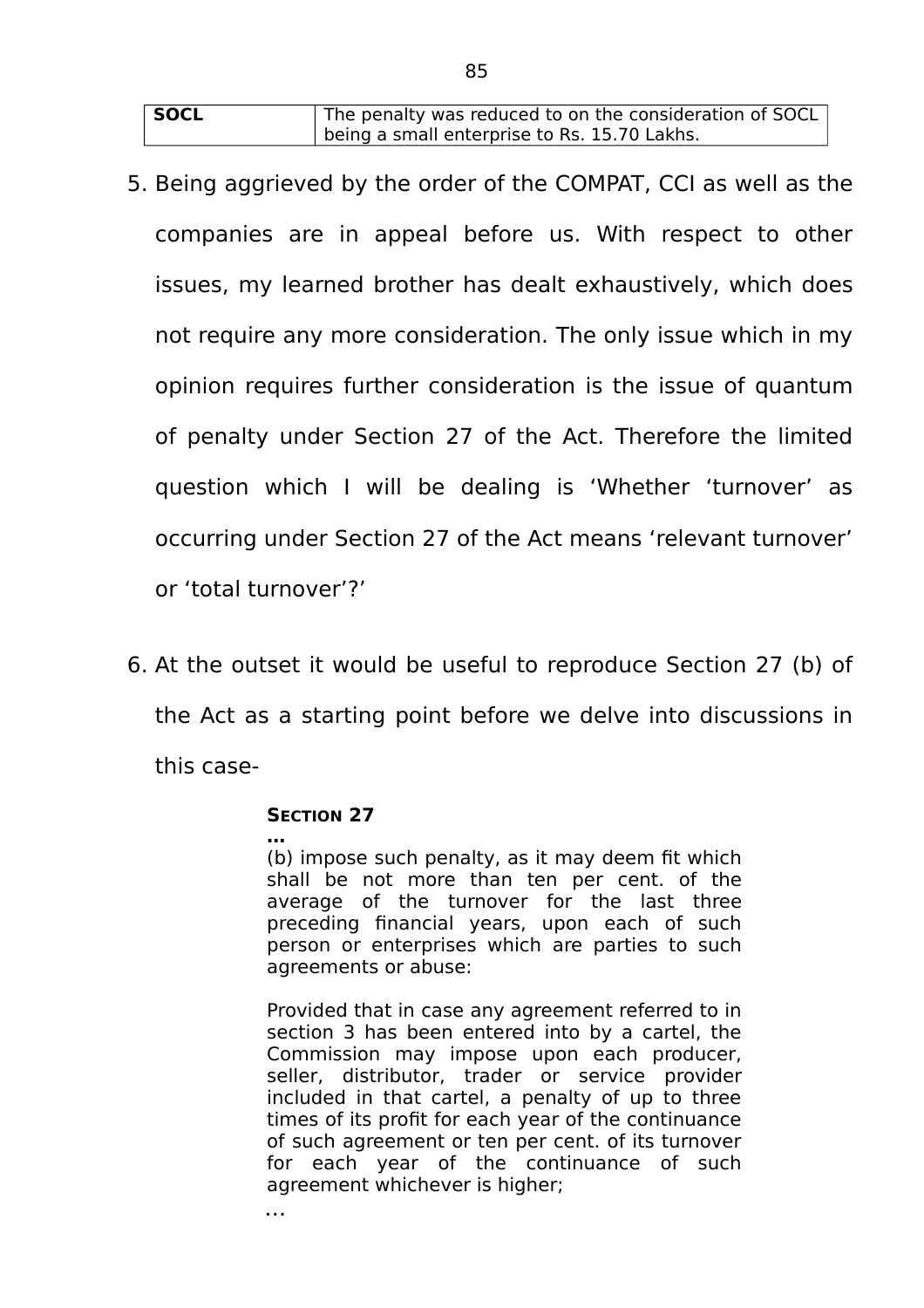| <b>SOCL</b> | The penalty was reduced to on the consideration of SOCL |
|-------------|---------------------------------------------------------|
|             | being a small enterprise to Rs. 15.70 Lakhs.            |

- 5. Being aggrieved by the order of the COMPAT, CCI as well as the companies are in appeal before us. With respect to other issues, my learned brother has dealt exhaustively, which does not require any more consideration. The only issue which in my opinion requires further consideration is the issue of quantum of penalty under Section 27 of the Act. Therefore the limited question which I will be dealing is 'Whether 'turnover' as occurring under Section 27 of the Act means 'relevant turnover' or 'total turnover'?'
- 6. At the outset it would be useful to reproduce Section 27 (b) of the Act as a starting point before we delve into discussions in this case-

#### **SECTION 27**

…

**…** (b) impose such penalty, as it may deem fit which shall be not more than ten per cent. of the average of the turnover for the last three preceding financial years, upon each of such person or enterprises which are parties to such agreements or abuse:

Provided that in case any agreement referred to in section 3 has been entered into by a cartel, the Commission may impose upon each producer, seller, distributor, trader or service provider included in that cartel, a penalty of up to three times of its profit for each year of the continuance of such agreement or ten per cent. of its turnover for each year of the continuance of such agreement whichever is higher;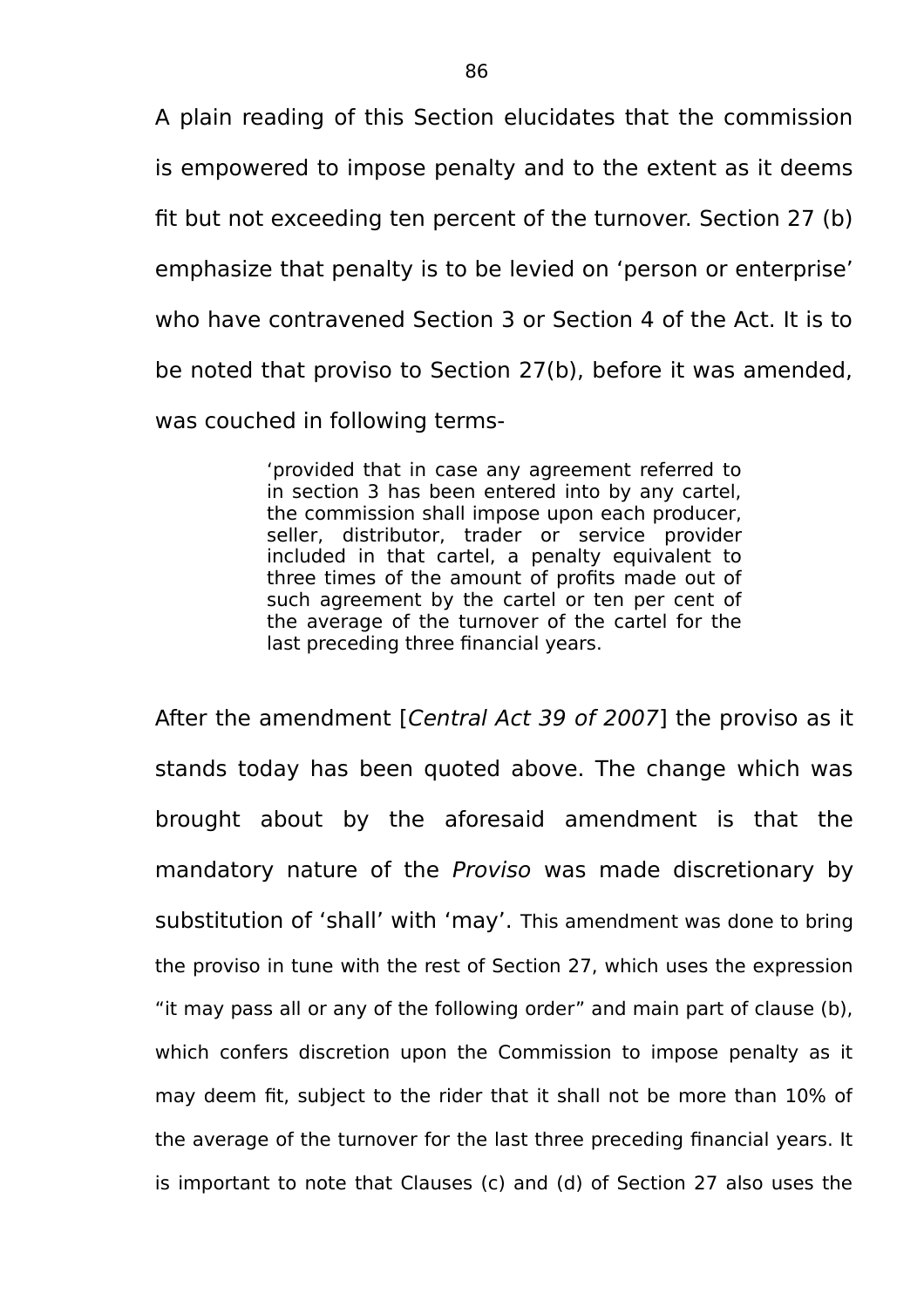A plain reading of this Section elucidates that the commission is empowered to impose penalty and to the extent as it deems fit but not exceeding ten percent of the turnover. Section 27 (b) emphasize that penalty is to be levied on 'person or enterprise' who have contravened Section 3 or Section 4 of the Act. It is to be noted that proviso to Section 27(b), before it was amended, was couched in following terms-

> 'provided that in case any agreement referred to in section 3 has been entered into by any cartel, the commission shall impose upon each producer, seller, distributor, trader or service provider included in that cartel, a penalty equivalent to three times of the amount of profits made out of such agreement by the cartel or ten per cent of the average of the turnover of the cartel for the last preceding three financial years.

After the amendment [Central Act 39 of 2007] the proviso as it stands today has been quoted above. The change which was brought about by the aforesaid amendment is that the mandatory nature of the Proviso was made discretionary by substitution of 'shall' with 'may'. This amendment was done to bring the proviso in tune with the rest of Section 27, which uses the expression "it may pass all or any of the following order" and main part of clause (b), which confers discretion upon the Commission to impose penalty as it may deem fit, subject to the rider that it shall not be more than 10% of the average of the turnover for the last three preceding financial years. It is important to note that Clauses (c) and (d) of Section 27 also uses the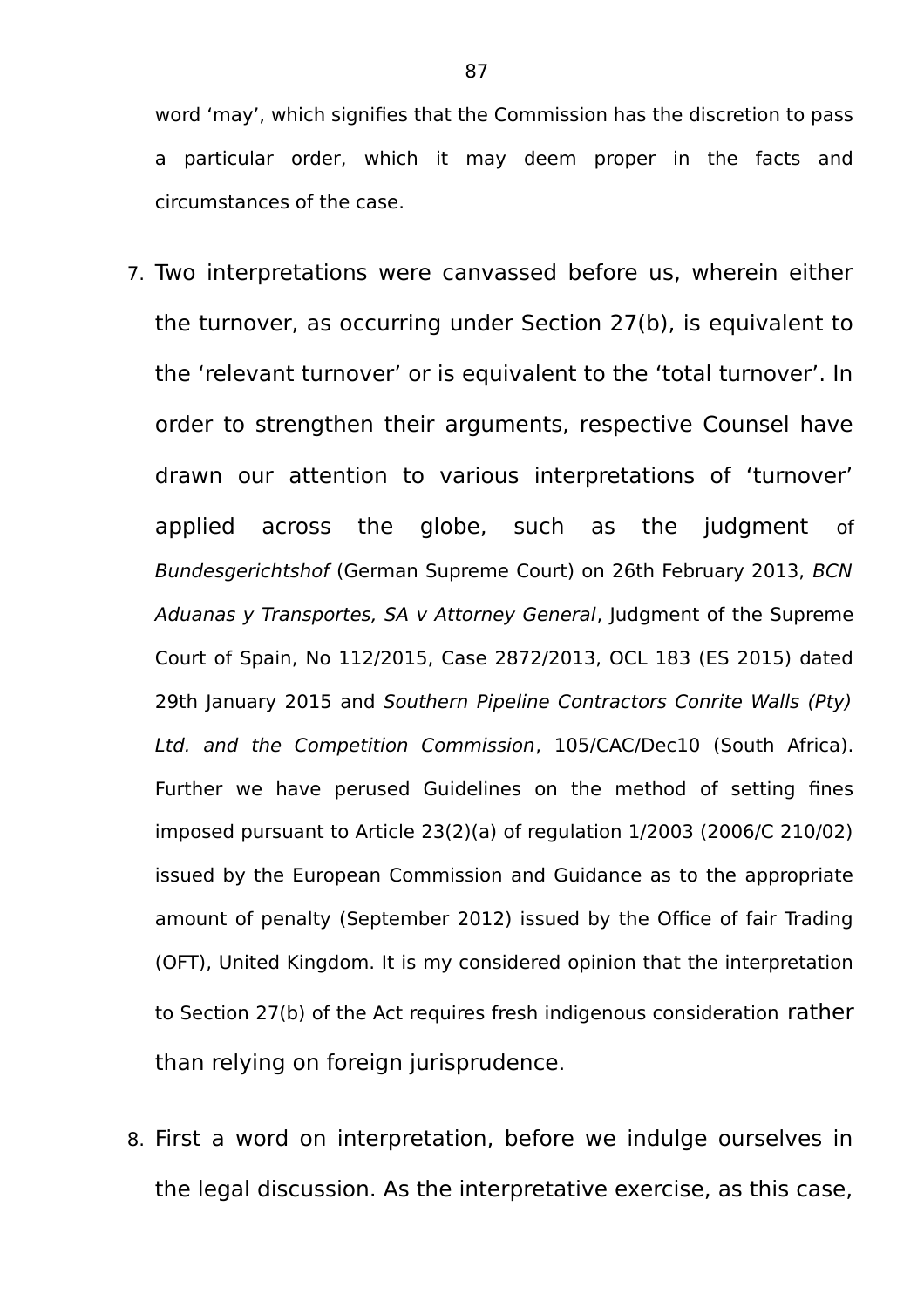word 'may', which signifies that the Commission has the discretion to pass a particular order, which it may deem proper in the facts and circumstances of the case.

- 7. Two interpretations were canvassed before us, wherein either the turnover, as occurring under Section 27(b), is equivalent to the 'relevant turnover' or is equivalent to the 'total turnover'. In order to strengthen their arguments, respective Counsel have drawn our attention to various interpretations of 'turnover' applied across the globe, such as the judgment of Bundesgerichtshof (German Supreme Court) on 26th February 2013, BCN Aduanas y Transportes, SA v Attorney General, Judgment of the Supreme Court of Spain, No 112/2015, Case 2872/2013, OCL 183 (ES 2015) dated 29th January 2015 and Southern Pipeline Contractors Conrite Walls (Pty) Ltd. and the Competition Commission, 105/CAC/Dec10 (South Africa). Further we have perused Guidelines on the method of setting fines imposed pursuant to Article 23(2)(a) of regulation 1/2003 (2006/C 210/02) issued by the European Commission and Guidance as to the appropriate amount of penalty (September 2012) issued by the Office of fair Trading (OFT), United Kingdom. It is my considered opinion that the interpretation to Section 27(b) of the Act requires fresh indigenous consideration rather than relying on foreign jurisprudence.
- 8. First a word on interpretation, before we indulge ourselves in the legal discussion. As the interpretative exercise, as this case,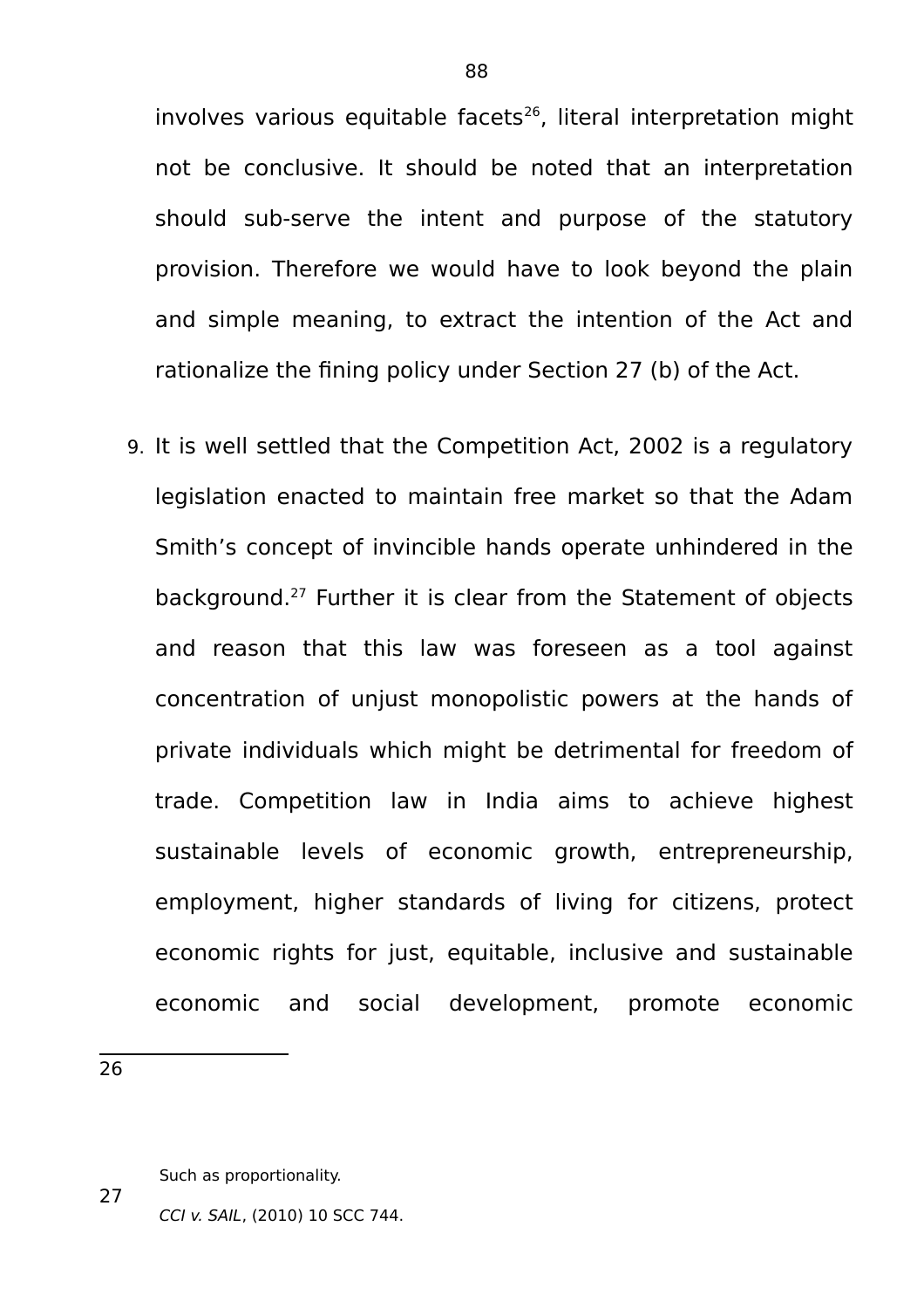involves various equitable facets $26$ , literal interpretation might not be conclusive. It should be noted that an interpretation should sub-serve the intent and purpose of the statutory provision. Therefore we would have to look beyond the plain and simple meaning, to extract the intention of the Act and rationalize the fining policy under Section 27 (b) of the Act.

9. It is well settled that the Competition Act, 2002 is a regulatory legislation enacted to maintain free market so that the Adam Smith's concept of invincible hands operate unhindered in the background.<sup>27</sup> Further it is clear from the Statement of objects and reason that this law was foreseen as a tool against concentration of unjust monopolistic powers at the hands of private individuals which might be detrimental for freedom of trade. Competition law in India aims to achieve highest sustainable levels of economic growth, entrepreneurship, employment, higher standards of living for citizens, protect economic rights for just, equitable, inclusive and sustainable economic and social development, promote economic

26

27

Such as proportionality.

CCI v. SAIL, (2010) 10 SCC 744.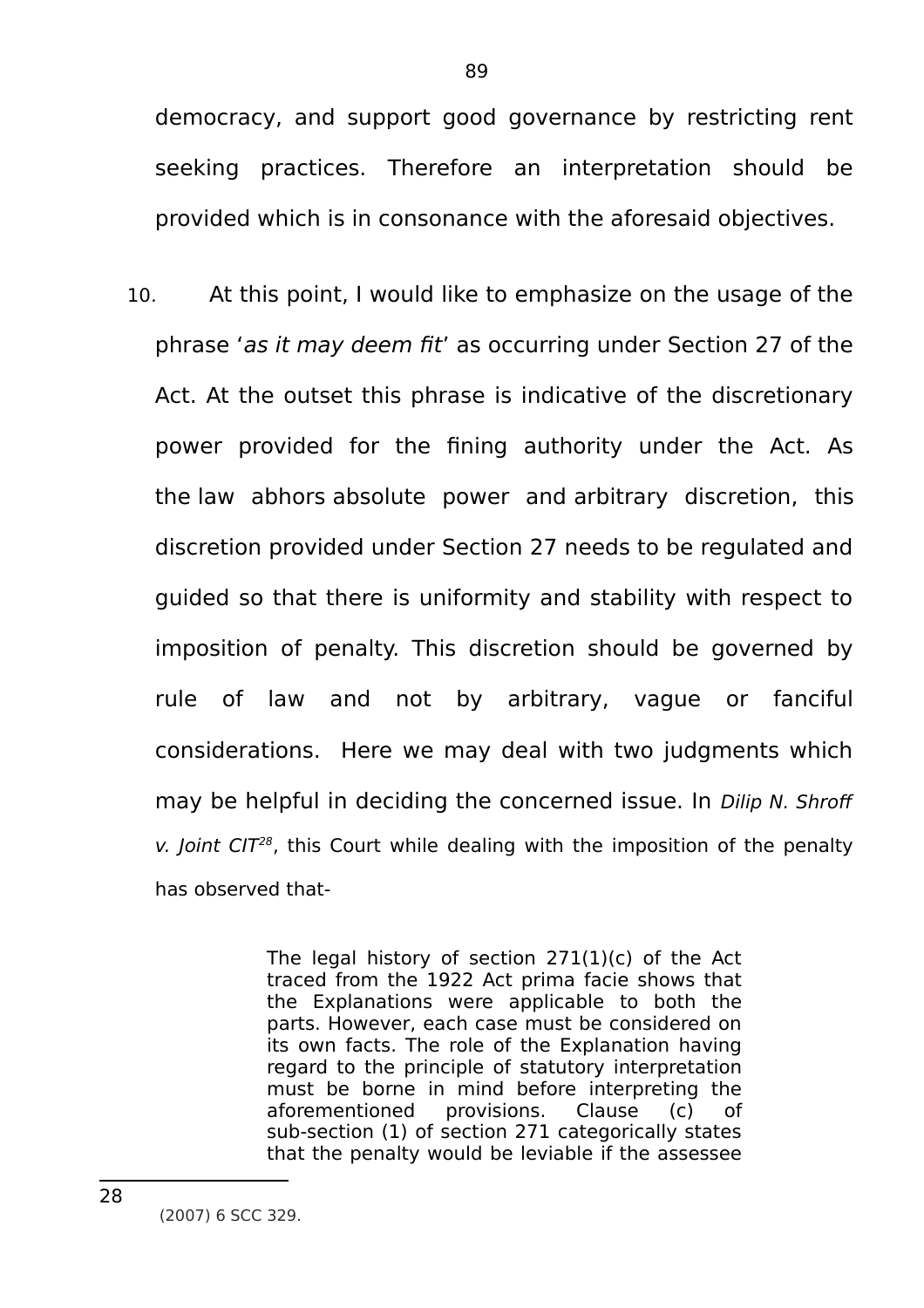democracy, and support good governance by restricting rent seeking practices. Therefore an interpretation should be provided which is in consonance with the aforesaid objectives.

10. At this point, I would like to emphasize on the usage of the phrase 'as it may deem fit' as occurring under Section 27 of the Act. At the outset this phrase is indicative of the discretionary power provided for the fining authority under the Act. As the law abhors absolute power and arbitrary discretion, this discretion provided under Section 27 needs to be regulated and guided so that there is uniformity and stability with respect to imposition of penalty. This discretion should be governed by rule of law and not by arbitrary, vague or fanciful considerations. Here we may deal with two judgments which may be helpful in deciding the concerned issue. In Dilip N. Shroff v. Joint CIT<sup>28</sup>, this Court while dealing with the imposition of the penalty has observed that-

> The legal history of section 271(1)(c) of the Act traced from the 1922 Act prima facie shows that the Explanations were applicable to both the parts. However, each case must be considered on its own facts. The role of the Explanation having regard to the principle of statutory interpretation must be borne in mind before interpreting the aforementioned provisions. Clause (c) of sub-section (1) of section 271 categorically states that the penalty would be leviable if the assessee

<sup>(2007) 6</sup> SCC 329.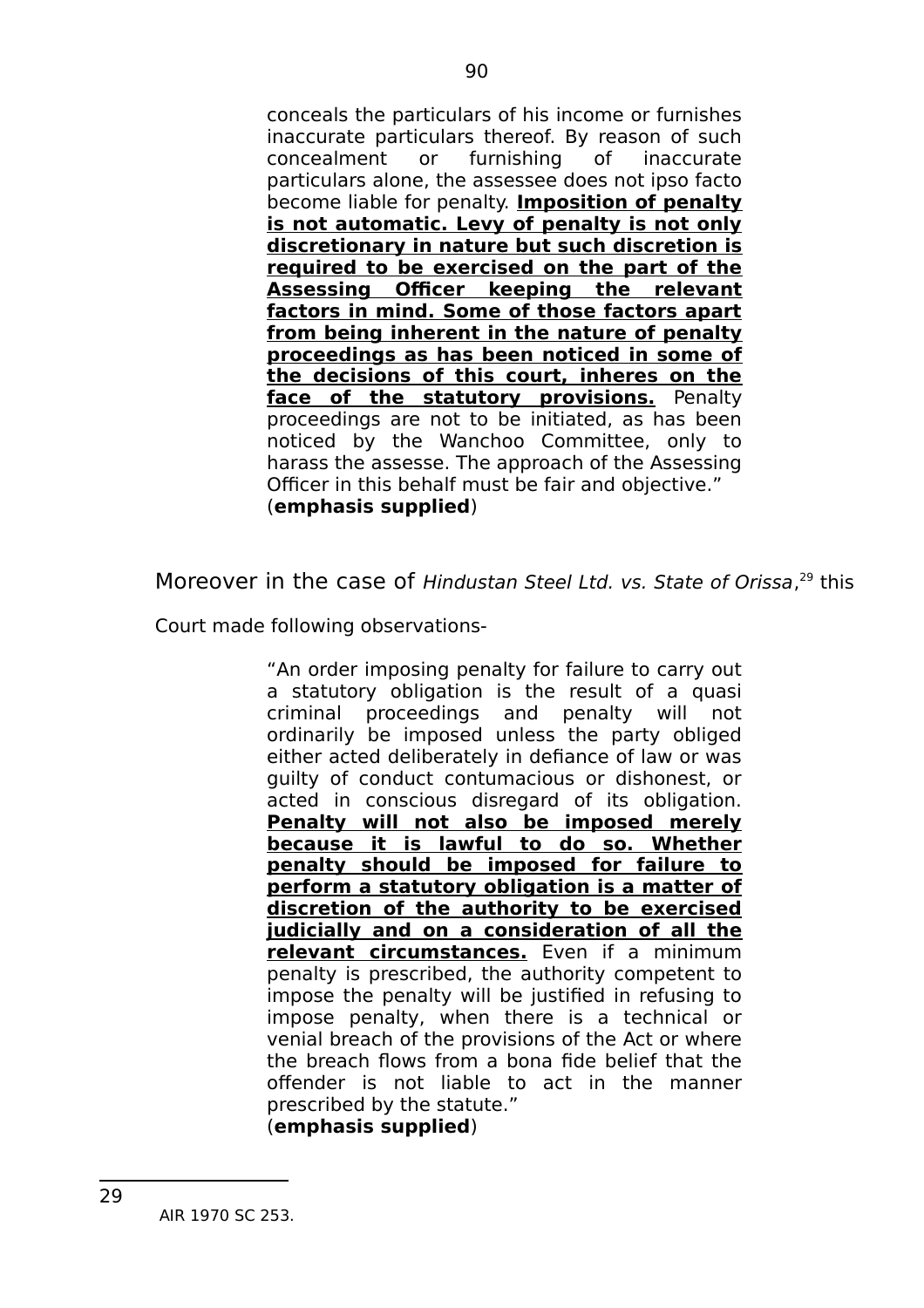conceals the particulars of his income or furnishes inaccurate particulars thereof. By reason of such concealment or furnishing of inaccurate particulars alone, the assessee does not ipso facto become liable for penalty. **Imposition of penalty is not automatic. Levy of penalty is not only discretionary in nature but such discretion is required to be exercised on the part of the Assessing Officer keeping the relevant factors in mind. Some of those factors apart from being inherent in the nature of penalty proceedings as has been noticed in some of the decisions of this court, inheres on the face of the statutory provisions.** Penalty proceedings are not to be initiated, as has been noticed by the Wanchoo Committee, only to harass the assesse. The approach of the Assessing Officer in this behalf must be fair and objective." (**emphasis supplied**)

Moreover in the case of Hindustan Steel Ltd. vs. State of Orissa,<sup>29</sup> this

Court made following observations-

"An order imposing penalty for failure to carry out a statutory obligation is the result of a quasi criminal proceedings and penalty will not ordinarily be imposed unless the party obliged either acted deliberately in defiance of law or was guilty of conduct contumacious or dishonest, or acted in conscious disregard of its obligation. **Penalty will not also be imposed merely because it is lawful to do so. Whether penalty should be imposed for failure to perform a statutory obligation is a matter of discretion of the authority to be exercised judicially and on a consideration of all the relevant circumstances.** Even if a minimum penalty is prescribed, the authority competent to impose the penalty will be justified in refusing to impose penalty, when there is a technical or venial breach of the provisions of the Act or where the breach flows from a bona fide belief that the offender is not liable to act in the manner prescribed by the statute."

(**emphasis supplied**)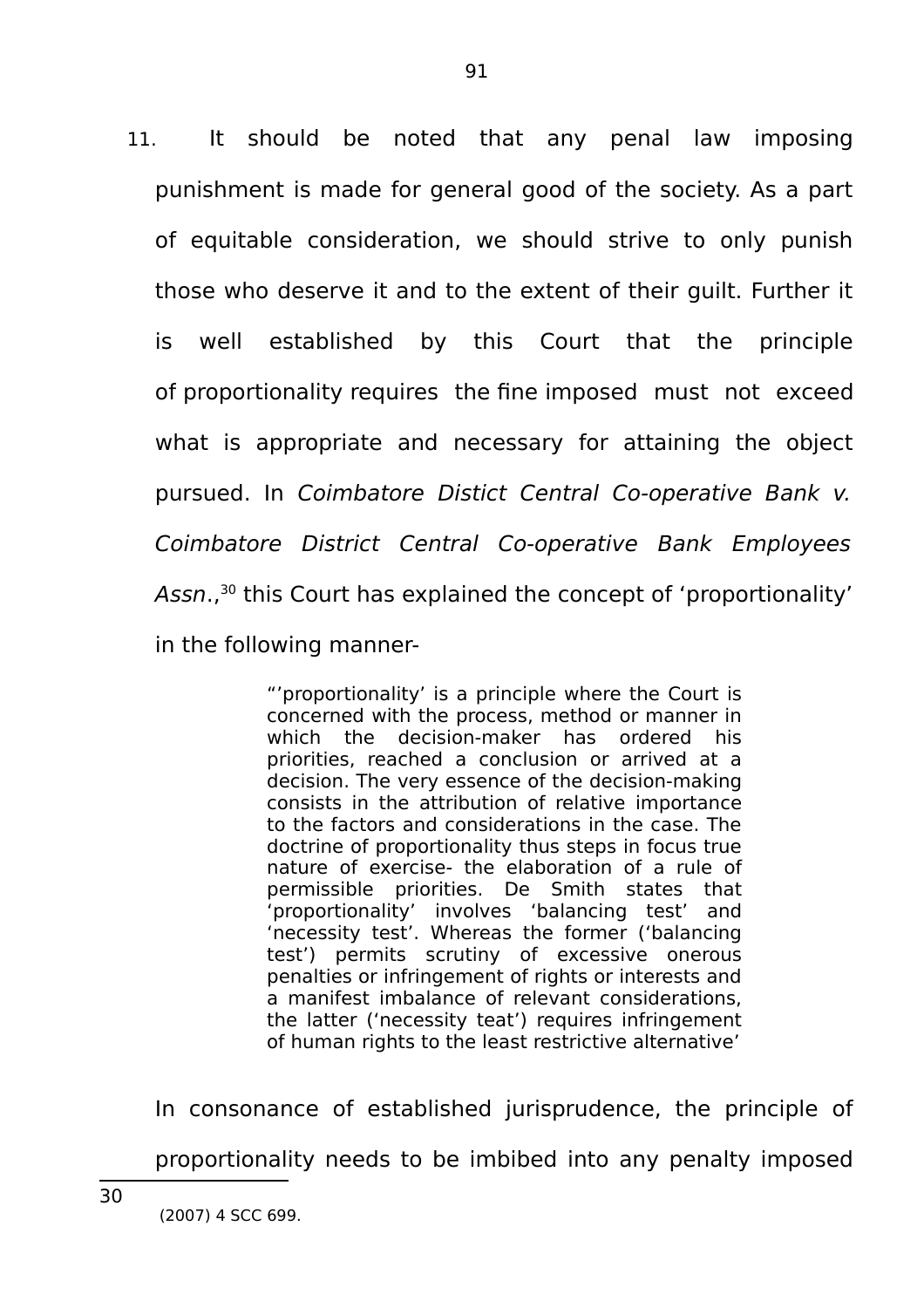11. It should be noted that any penal law imposing punishment is made for general good of the society. As a part of equitable consideration, we should strive to only punish those who deserve it and to the extent of their guilt. Further it is well established by this Court that the principle of proportionality requires the fine imposed must not exceed what is appropriate and necessary for attaining the object pursued. In Coimbatore Distict Central Co-operative Bank v. Coimbatore District Central Co-operative Bank Employees Assn.,<sup>30</sup> this Court has explained the concept of 'proportionality' in the following manner-

> "'proportionality' is a principle where the Court is concerned with the process, method or manner in which the decision-maker has ordered his priorities, reached a conclusion or arrived at a decision. The very essence of the decision-making consists in the attribution of relative importance to the factors and considerations in the case. The doctrine of proportionality thus steps in focus true nature of exercise- the elaboration of a rule of permissible priorities. De Smith states that 'proportionality' involves 'balancing test' and 'necessity test'. Whereas the former ('balancing test') permits scrutiny of excessive onerous penalties or infringement of rights or interests and a manifest imbalance of relevant considerations, the latter ('necessity teat') requires infringement of human rights to the least restrictive alternative'

In consonance of established jurisprudence, the principle of proportionality needs to be imbibed into any penalty imposed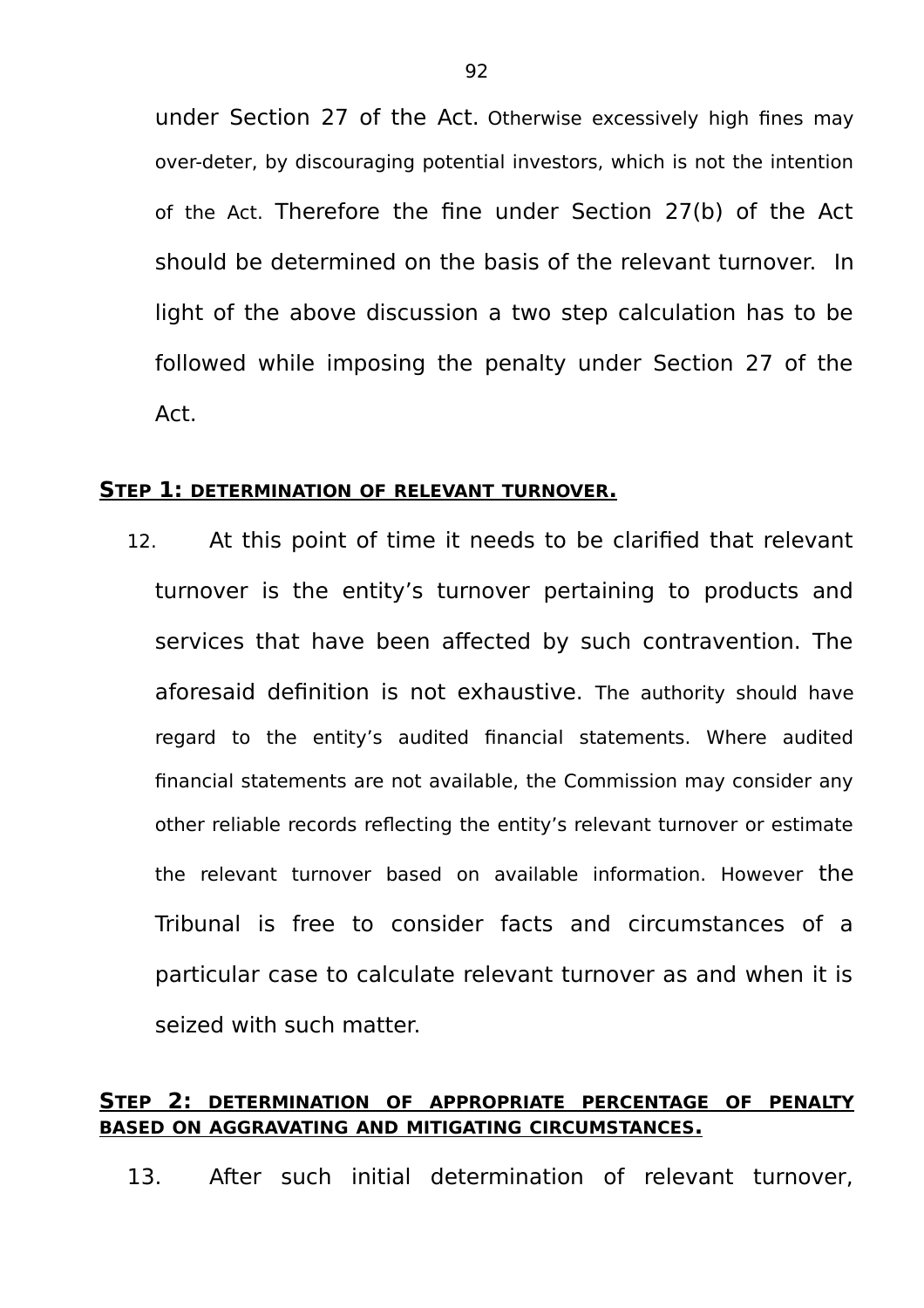under Section 27 of the Act. Otherwise excessively high fines may over-deter, by discouraging potential investors, which is not the intention of the Act. Therefore the fine under Section 27(b) of the Act should be determined on the basis of the relevant turnover. In light of the above discussion a two step calculation has to be followed while imposing the penalty under Section 27 of the Act.

#### **STEP 1: DETERMINATION OF RELEVANT TURNOVER.**

12. At this point of time it needs to be clarified that relevant turnover is the entity's turnover pertaining to products and services that have been affected by such contravention. The aforesaid definition is not exhaustive. The authority should have regard to the entity's audited financial statements. Where audited financial statements are not available, the Commission may consider any other reliable records reflecting the entity's relevant turnover or estimate the relevant turnover based on available information. However the Tribunal is free to consider facts and circumstances of a particular case to calculate relevant turnover as and when it is seized with such matter.

# **STEP 2: DETERMINATION OF APPROPRIATE PERCENTAGE OF PENALTY BASED ON AGGRAVATING AND MITIGATING CIRCUMSTANCES.**

13. After such initial determination of relevant turnover,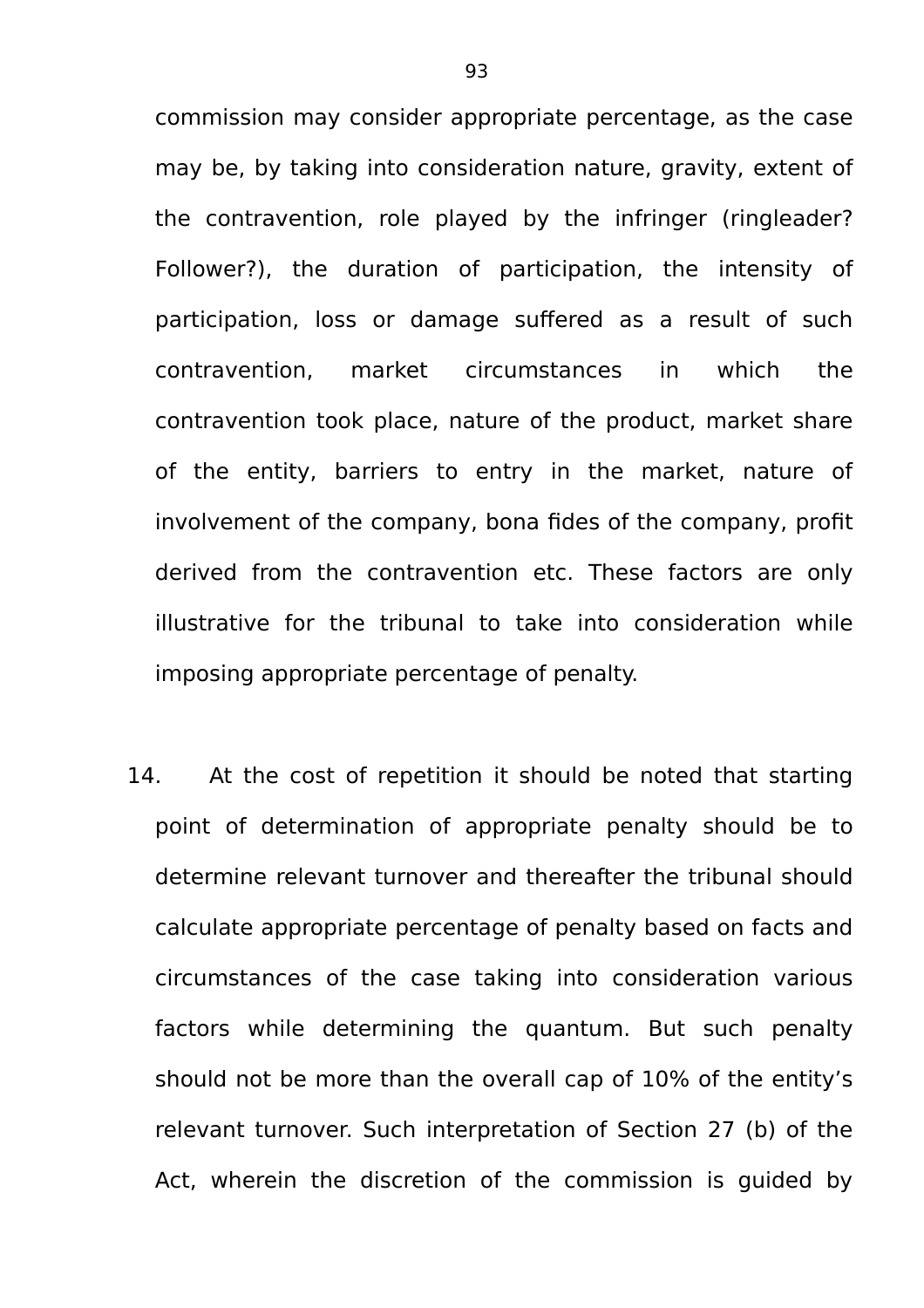commission may consider appropriate percentage, as the case may be, by taking into consideration nature, gravity, extent of the contravention, role played by the infringer (ringleader? Follower?), the duration of participation, the intensity of participation, loss or damage suffered as a result of such contravention, market circumstances in which the contravention took place, nature of the product, market share of the entity, barriers to entry in the market, nature of involvement of the company, bona fides of the company, profit derived from the contravention etc. These factors are only illustrative for the tribunal to take into consideration while imposing appropriate percentage of penalty.

14. At the cost of repetition it should be noted that starting point of determination of appropriate penalty should be to determine relevant turnover and thereafter the tribunal should calculate appropriate percentage of penalty based on facts and circumstances of the case taking into consideration various factors while determining the quantum. But such penalty should not be more than the overall cap of 10% of the entity's relevant turnover. Such interpretation of Section 27 (b) of the Act, wherein the discretion of the commission is guided by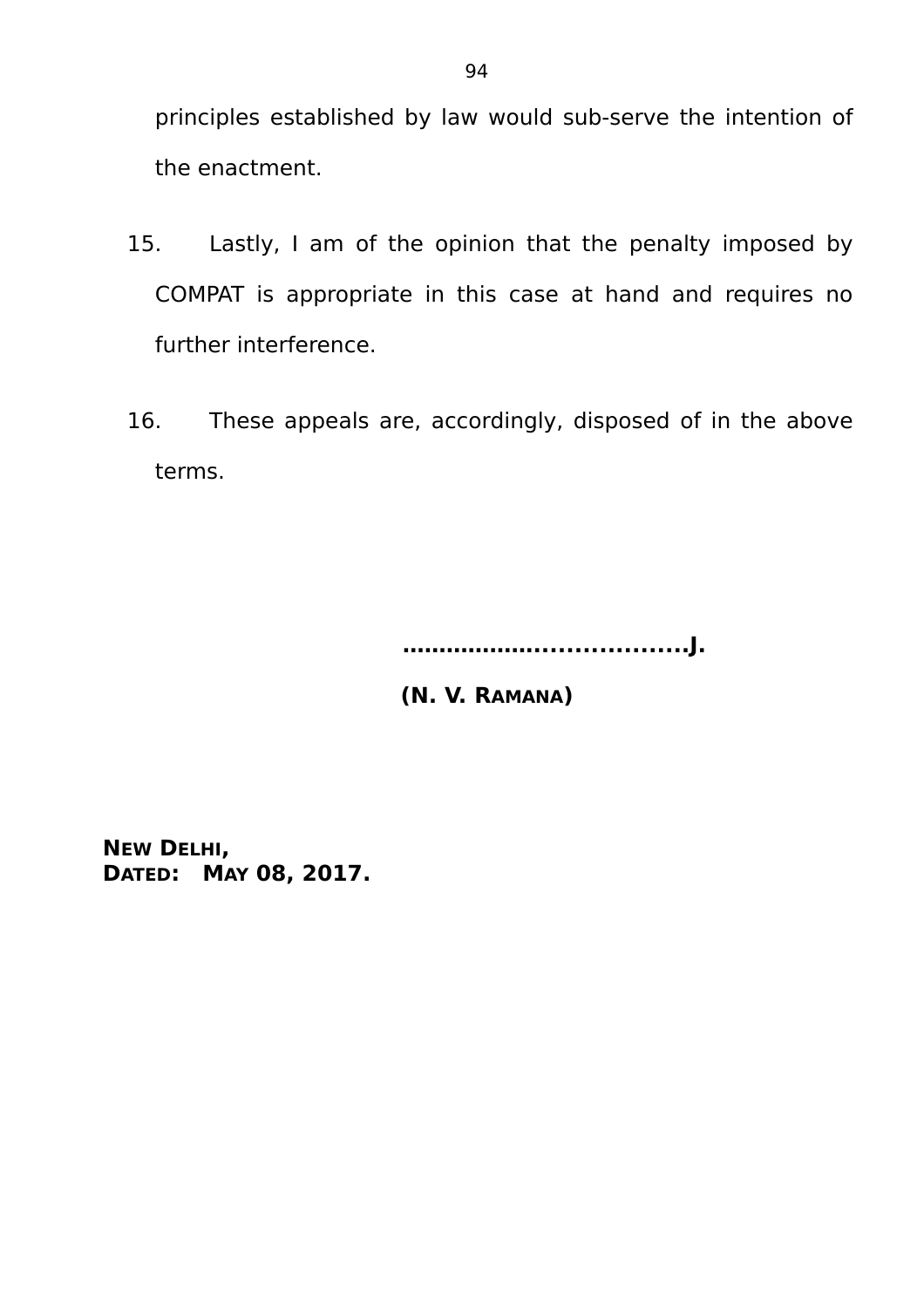principles established by law would sub-serve the intention of the enactment.

- 15. Lastly, I am of the opinion that the penalty imposed by COMPAT is appropriate in this case at hand and requires no further interference.
- 16. These appeals are, accordingly, disposed of in the above terms.

 **………………...................J.**

 **(N. V. RAMANA)**

**NEW DELHI, DATED: MAY 08, 2017.**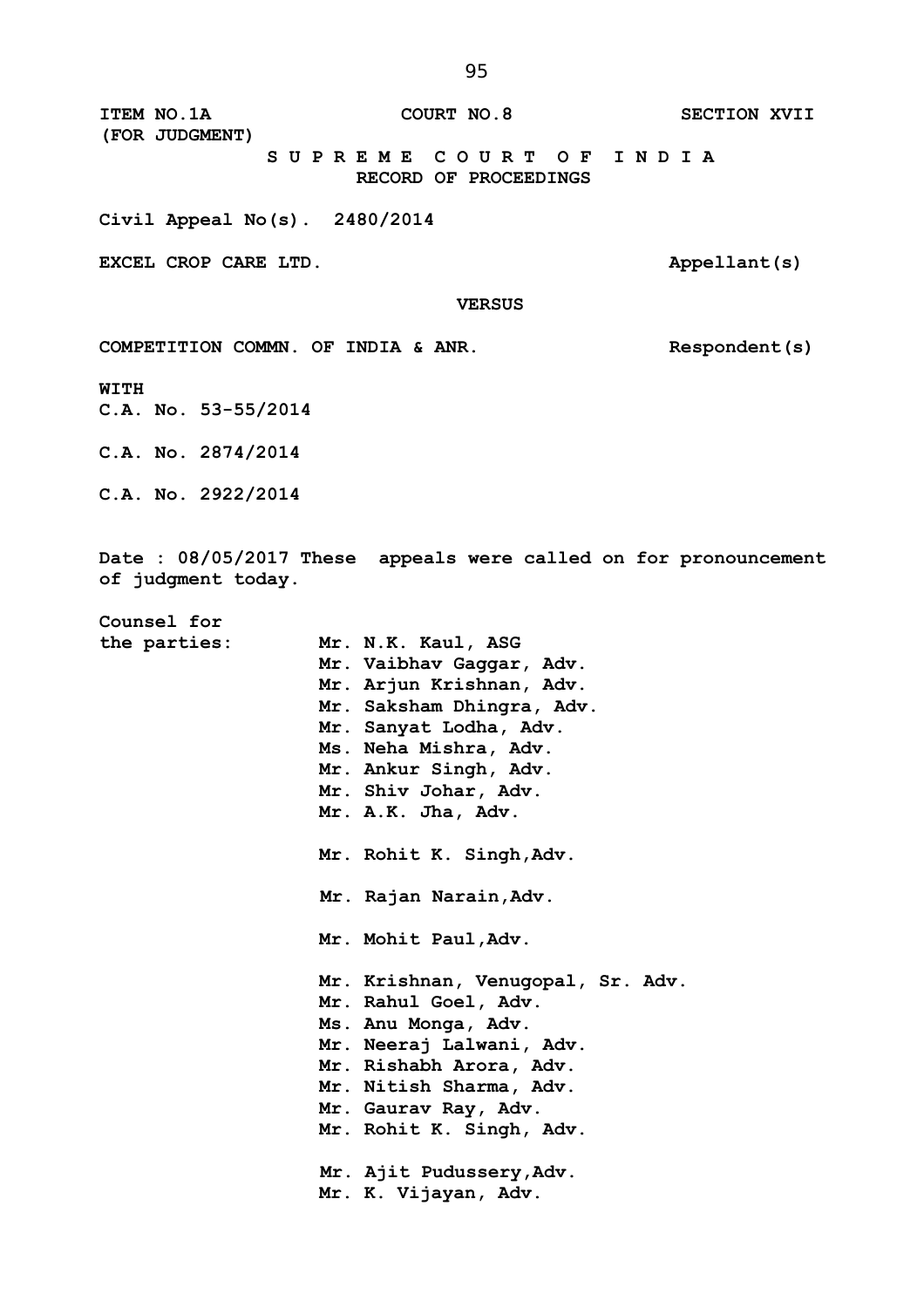**ITEM NO.1A** COURT NO.8 SECTION XVII **(FOR JUDGMENT) S U P R E M E C O U R T O F I N D I A RECORD OF PROCEEDINGS**

**Civil Appeal No(s). 2480/2014**

**EXCEL CROP CARE LTD.** Appellant(s)

 **VERSUS**

COMPETITION COMMN. OF INDIA & ANR. Respondent(s)

**WITH**

**C.A. No. 53-55/2014**

**C.A. No. 2874/2014**

**C.A. No. 2922/2014**

**Date : 08/05/2017 These appeals were called on for pronouncement of judgment today.**

**Counsel for** 

**the parties: Mr. N.K. Kaul, ASG Mr. Vaibhav Gaggar, Adv. Mr. Arjun Krishnan, Adv. Mr. Saksham Dhingra, Adv. Mr. Sanyat Lodha, Adv. Ms. Neha Mishra, Adv. Mr. Ankur Singh, Adv. Mr. Shiv Johar, Adv. Mr. A.K. Jha, Adv. Mr. Rohit K. Singh,Adv. Mr. Rajan Narain,Adv. Mr. Mohit Paul,Adv. Mr. Krishnan, Venugopal, Sr. Adv. Mr. Rahul Goel, Adv. Ms. Anu Monga, Adv. Mr. Neeraj Lalwani, Adv. Mr. Rishabh Arora, Adv. Mr. Nitish Sharma, Adv. Mr. Gaurav Ray, Adv. Mr. Rohit K. Singh, Adv. Mr. Ajit Pudussery,Adv. Mr. K. Vijayan, Adv.**